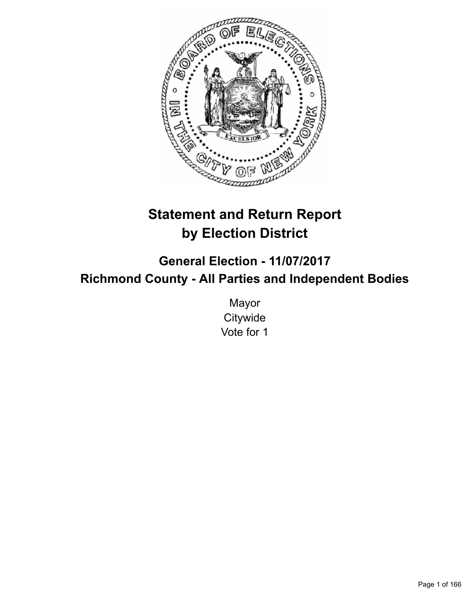

# **Statement and Return Report by Election District**

**General Election - 11/07/2017 Richmond County - All Parties and Independent Bodies**

> Mayor **Citywide** Vote for 1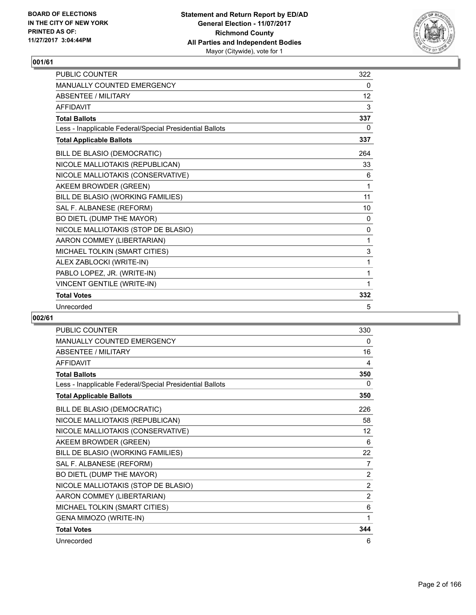

| <b>PUBLIC COUNTER</b>                                    | 322          |
|----------------------------------------------------------|--------------|
| <b>MANUALLY COUNTED EMERGENCY</b>                        | 0            |
| <b>ABSENTEE / MILITARY</b>                               | 12           |
| <b>AFFIDAVIT</b>                                         | 3            |
| <b>Total Ballots</b>                                     | 337          |
| Less - Inapplicable Federal/Special Presidential Ballots | 0            |
| <b>Total Applicable Ballots</b>                          | 337          |
| BILL DE BLASIO (DEMOCRATIC)                              | 264          |
| NICOLE MALLIOTAKIS (REPUBLICAN)                          | 33           |
| NICOLE MALLIOTAKIS (CONSERVATIVE)                        | 6            |
| AKEEM BROWDER (GREEN)                                    | 1            |
| BILL DE BLASIO (WORKING FAMILIES)                        | 11           |
| SAL F. ALBANESE (REFORM)                                 | 10           |
| BO DIETL (DUMP THE MAYOR)                                | 0            |
| NICOLE MALLIOTAKIS (STOP DE BLASIO)                      | $\mathbf{0}$ |
| AARON COMMEY (LIBERTARIAN)                               | 1            |
| MICHAEL TOLKIN (SMART CITIES)                            | 3            |
| ALEX ZABLOCKI (WRITE-IN)                                 | 1            |
| PABLO LOPEZ, JR. (WRITE-IN)                              | 1            |
| VINCENT GENTILE (WRITE-IN)                               | 1            |
| <b>Total Votes</b>                                       | 332          |
| Unrecorded                                               | 5            |

| <b>PUBLIC COUNTER</b>                                    | 330            |
|----------------------------------------------------------|----------------|
| MANUALLY COUNTED EMERGENCY                               | 0              |
| <b>ABSENTEE / MILITARY</b>                               | 16             |
| <b>AFFIDAVIT</b>                                         | 4              |
| <b>Total Ballots</b>                                     | 350            |
| Less - Inapplicable Federal/Special Presidential Ballots | 0              |
| <b>Total Applicable Ballots</b>                          | 350            |
| BILL DE BLASIO (DEMOCRATIC)                              | 226            |
| NICOLE MALLIOTAKIS (REPUBLICAN)                          | 58             |
| NICOLE MALLIOTAKIS (CONSERVATIVE)                        | 12             |
| AKEEM BROWDER (GREEN)                                    | 6              |
| BILL DE BLASIO (WORKING FAMILIES)                        | 22             |
| SAL F. ALBANESE (REFORM)                                 | 7              |
| BO DIETL (DUMP THE MAYOR)                                | $\overline{2}$ |
| NICOLE MALLIOTAKIS (STOP DE BLASIO)                      | 2              |
| AARON COMMEY (LIBERTARIAN)                               | $\overline{2}$ |
| MICHAEL TOLKIN (SMART CITIES)                            | 6              |
| GENA MIMOZO (WRITE-IN)                                   | 1              |
| <b>Total Votes</b>                                       | 344            |
| Unrecorded                                               | 6              |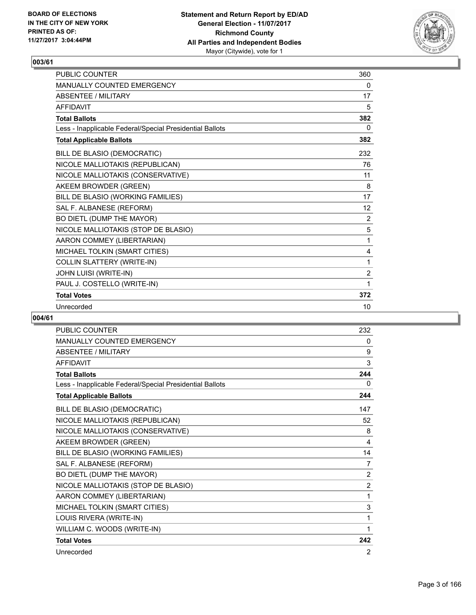

| <b>PUBLIC COUNTER</b>                                    | 360               |
|----------------------------------------------------------|-------------------|
| <b>MANUALLY COUNTED EMERGENCY</b>                        | 0                 |
| <b>ABSENTEE / MILITARY</b>                               | 17                |
| <b>AFFIDAVIT</b>                                         | 5                 |
| <b>Total Ballots</b>                                     | 382               |
| Less - Inapplicable Federal/Special Presidential Ballots | 0                 |
| <b>Total Applicable Ballots</b>                          | 382               |
| BILL DE BLASIO (DEMOCRATIC)                              | 232               |
| NICOLE MALLIOTAKIS (REPUBLICAN)                          | 76                |
| NICOLE MALLIOTAKIS (CONSERVATIVE)                        | 11                |
| AKEEM BROWDER (GREEN)                                    | 8                 |
| BILL DE BLASIO (WORKING FAMILIES)                        | 17                |
| SAL F. ALBANESE (REFORM)                                 | $12 \overline{ }$ |
| BO DIETL (DUMP THE MAYOR)                                | 2                 |
| NICOLE MALLIOTAKIS (STOP DE BLASIO)                      | 5                 |
| AARON COMMEY (LIBERTARIAN)                               | 1                 |
| MICHAEL TOLKIN (SMART CITIES)                            | 4                 |
| COLLIN SLATTERY (WRITE-IN)                               | 1                 |
| JOHN LUISI (WRITE-IN)                                    | $\overline{2}$    |
| PAUL J. COSTELLO (WRITE-IN)                              | 1                 |
| <b>Total Votes</b>                                       | 372               |
| Unrecorded                                               | 10                |

| <b>PUBLIC COUNTER</b>                                    | 232            |
|----------------------------------------------------------|----------------|
| <b>MANUALLY COUNTED EMERGENCY</b>                        | 0              |
| <b>ABSENTEE / MILITARY</b>                               | 9              |
| <b>AFFIDAVIT</b>                                         | 3              |
| <b>Total Ballots</b>                                     | 244            |
| Less - Inapplicable Federal/Special Presidential Ballots | 0              |
| <b>Total Applicable Ballots</b>                          | 244            |
| BILL DE BLASIO (DEMOCRATIC)                              | 147            |
| NICOLE MALLIOTAKIS (REPUBLICAN)                          | 52             |
| NICOLE MALLIOTAKIS (CONSERVATIVE)                        | 8              |
| AKEEM BROWDER (GREEN)                                    | 4              |
| BILL DE BLASIO (WORKING FAMILIES)                        | 14             |
| SAL F. ALBANESE (REFORM)                                 | 7              |
| BO DIETL (DUMP THE MAYOR)                                | $\overline{2}$ |
| NICOLE MALLIOTAKIS (STOP DE BLASIO)                      | $\overline{2}$ |
| AARON COMMEY (LIBERTARIAN)                               | 1              |
| MICHAEL TOLKIN (SMART CITIES)                            | 3              |
| LOUIS RIVERA (WRITE-IN)                                  | 1              |
| WILLIAM C. WOODS (WRITE-IN)                              | 1              |
| <b>Total Votes</b>                                       | 242            |
| Unrecorded                                               | 2              |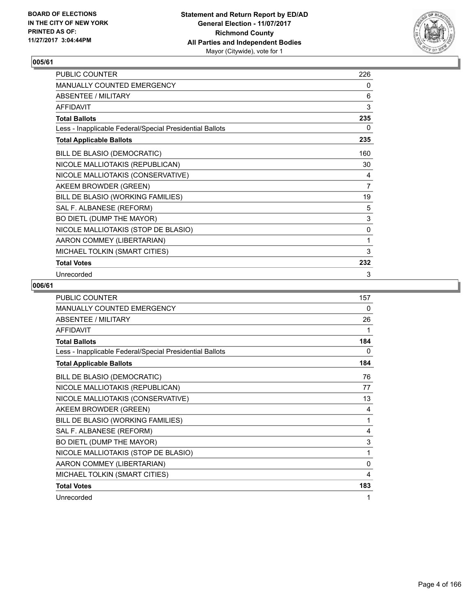

| PUBLIC COUNTER                                           | 226            |
|----------------------------------------------------------|----------------|
| MANUALLY COUNTED EMERGENCY                               | 0              |
| <b>ABSENTEE / MILITARY</b>                               | 6              |
| <b>AFFIDAVIT</b>                                         | 3              |
| <b>Total Ballots</b>                                     | 235            |
| Less - Inapplicable Federal/Special Presidential Ballots | 0              |
| <b>Total Applicable Ballots</b>                          | 235            |
| BILL DE BLASIO (DEMOCRATIC)                              | 160            |
| NICOLE MALLIOTAKIS (REPUBLICAN)                          | 30             |
| NICOLE MALLIOTAKIS (CONSERVATIVE)                        | 4              |
| AKEEM BROWDER (GREEN)                                    | $\overline{7}$ |
| BILL DE BLASIO (WORKING FAMILIES)                        | 19             |
| SAL F. ALBANESE (REFORM)                                 | 5              |
| BO DIETL (DUMP THE MAYOR)                                | $\mathsf 3$    |
| NICOLE MALLIOTAKIS (STOP DE BLASIO)                      | 0              |
| AARON COMMEY (LIBERTARIAN)                               | 1              |
| MICHAEL TOLKIN (SMART CITIES)                            | 3              |
| <b>Total Votes</b>                                       | 232            |
| Unrecorded                                               | 3              |

| <b>PUBLIC COUNTER</b>                                    | 157          |
|----------------------------------------------------------|--------------|
| <b>MANUALLY COUNTED EMERGENCY</b>                        | 0            |
| <b>ABSENTEE / MILITARY</b>                               | 26           |
| <b>AFFIDAVIT</b>                                         | 1            |
| <b>Total Ballots</b>                                     | 184          |
| Less - Inapplicable Federal/Special Presidential Ballots | 0            |
| <b>Total Applicable Ballots</b>                          | 184          |
| BILL DE BLASIO (DEMOCRATIC)                              | 76           |
| NICOLE MALLIOTAKIS (REPUBLICAN)                          | 77           |
| NICOLE MALLIOTAKIS (CONSERVATIVE)                        | 13           |
| AKEEM BROWDER (GREEN)                                    | 4            |
| BILL DE BLASIO (WORKING FAMILIES)                        | 1            |
| SAL F. ALBANESE (REFORM)                                 | 4            |
| BO DIETL (DUMP THE MAYOR)                                | 3            |
| NICOLE MALLIOTAKIS (STOP DE BLASIO)                      | 1            |
| AARON COMMEY (LIBERTARIAN)                               | $\mathbf{0}$ |
| MICHAEL TOLKIN (SMART CITIES)                            | 4            |
| <b>Total Votes</b>                                       | 183          |
| Unrecorded                                               | 1            |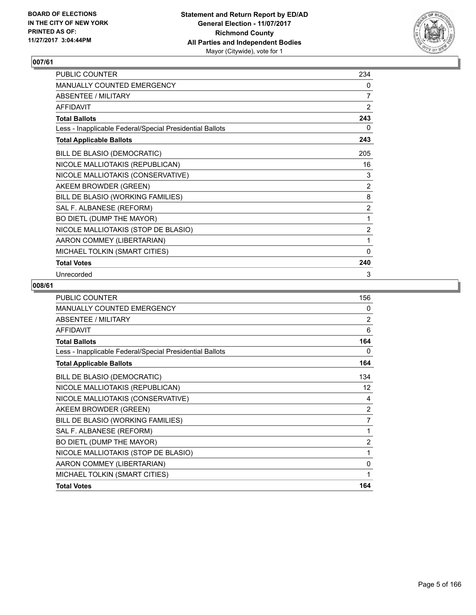

| PUBLIC COUNTER                                           | 234            |
|----------------------------------------------------------|----------------|
| MANUALLY COUNTED EMERGENCY                               | 0              |
| <b>ABSENTEE / MILITARY</b>                               | $\overline{7}$ |
| <b>AFFIDAVIT</b>                                         | 2              |
| <b>Total Ballots</b>                                     | 243            |
| Less - Inapplicable Federal/Special Presidential Ballots | 0              |
| <b>Total Applicable Ballots</b>                          | 243            |
| BILL DE BLASIO (DEMOCRATIC)                              | 205            |
| NICOLE MALLIOTAKIS (REPUBLICAN)                          | 16             |
| NICOLE MALLIOTAKIS (CONSERVATIVE)                        | 3              |
| AKEEM BROWDER (GREEN)                                    | 2              |
| BILL DE BLASIO (WORKING FAMILIES)                        | 8              |
| SAL F. ALBANESE (REFORM)                                 | 2              |
| BO DIETL (DUMP THE MAYOR)                                | 1              |
| NICOLE MALLIOTAKIS (STOP DE BLASIO)                      | $\overline{2}$ |
| AARON COMMEY (LIBERTARIAN)                               | 1              |
| MICHAEL TOLKIN (SMART CITIES)                            | 0              |
| <b>Total Votes</b>                                       | 240            |
| Unrecorded                                               | 3              |

| PUBLIC COUNTER                                           | 156               |
|----------------------------------------------------------|-------------------|
| MANUALLY COUNTED EMERGENCY                               | $\mathbf{0}$      |
| <b>ABSENTEE / MILITARY</b>                               | $\overline{2}$    |
| <b>AFFIDAVIT</b>                                         | 6                 |
| <b>Total Ballots</b>                                     | 164               |
| Less - Inapplicable Federal/Special Presidential Ballots | 0                 |
| <b>Total Applicable Ballots</b>                          | 164               |
| BILL DE BLASIO (DEMOCRATIC)                              | 134               |
| NICOLE MALLIOTAKIS (REPUBLICAN)                          | $12 \overline{ }$ |
| NICOLE MALLIOTAKIS (CONSERVATIVE)                        | 4                 |
| AKEEM BROWDER (GREEN)                                    | $\overline{2}$    |
| BILL DE BLASIO (WORKING FAMILIES)                        | 7                 |
| SAL F. ALBANESE (REFORM)                                 | $\mathbf{1}$      |
| BO DIETL (DUMP THE MAYOR)                                | $\overline{2}$    |
| NICOLE MALLIOTAKIS (STOP DE BLASIO)                      | 1                 |
| AARON COMMEY (LIBERTARIAN)                               | 0                 |
| MICHAEL TOLKIN (SMART CITIES)                            | 1                 |
| <b>Total Votes</b>                                       | 164               |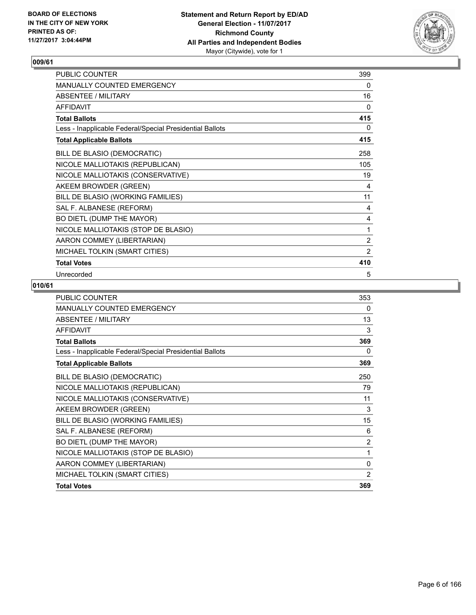

| PUBLIC COUNTER                                           | 399            |
|----------------------------------------------------------|----------------|
| MANUALLY COUNTED EMERGENCY                               | 0              |
| <b>ABSENTEE / MILITARY</b>                               | 16             |
| <b>AFFIDAVIT</b>                                         | $\mathbf{0}$   |
| <b>Total Ballots</b>                                     | 415            |
| Less - Inapplicable Federal/Special Presidential Ballots | 0              |
| <b>Total Applicable Ballots</b>                          | 415            |
| BILL DE BLASIO (DEMOCRATIC)                              | 258            |
| NICOLE MALLIOTAKIS (REPUBLICAN)                          | 105            |
| NICOLE MALLIOTAKIS (CONSERVATIVE)                        | 19             |
| AKEEM BROWDER (GREEN)                                    | 4              |
| BILL DE BLASIO (WORKING FAMILIES)                        | 11             |
| SAL F. ALBANESE (REFORM)                                 | 4              |
| BO DIETL (DUMP THE MAYOR)                                | 4              |
| NICOLE MALLIOTAKIS (STOP DE BLASIO)                      | 1              |
| AARON COMMEY (LIBERTARIAN)                               | $\overline{2}$ |
| MICHAEL TOLKIN (SMART CITIES)                            | $\overline{2}$ |
| <b>Total Votes</b>                                       | 410            |
| Unrecorded                                               | 5              |

| <b>PUBLIC COUNTER</b>                                    | 353            |
|----------------------------------------------------------|----------------|
| MANUALLY COUNTED EMERGENCY                               | $\Omega$       |
| <b>ABSENTEE / MILITARY</b>                               | 13             |
| <b>AFFIDAVIT</b>                                         | 3              |
| <b>Total Ballots</b>                                     | 369            |
| Less - Inapplicable Federal/Special Presidential Ballots | 0              |
| <b>Total Applicable Ballots</b>                          | 369            |
| BILL DE BLASIO (DEMOCRATIC)                              | 250            |
| NICOLE MALLIOTAKIS (REPUBLICAN)                          | 79             |
| NICOLE MALLIOTAKIS (CONSERVATIVE)                        | 11             |
| AKEEM BROWDER (GREEN)                                    | 3              |
| BILL DE BLASIO (WORKING FAMILIES)                        | 15             |
| SAL F. ALBANESE (REFORM)                                 | 6              |
| BO DIETL (DUMP THE MAYOR)                                | $\overline{2}$ |
| NICOLE MALLIOTAKIS (STOP DE BLASIO)                      | 1              |
| AARON COMMEY (LIBERTARIAN)                               | 0              |
| MICHAEL TOLKIN (SMART CITIES)                            | $\overline{2}$ |
| <b>Total Votes</b>                                       | 369            |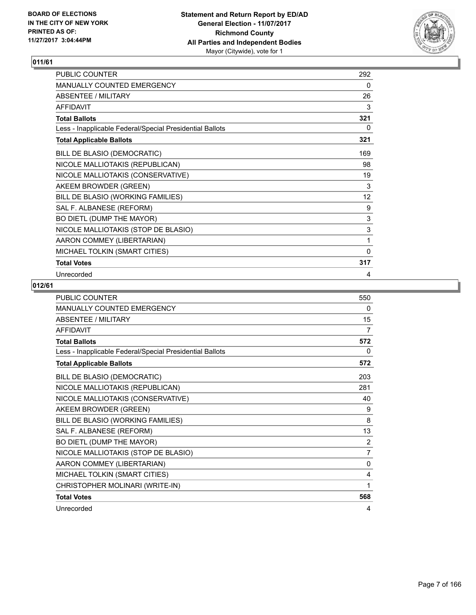

| PUBLIC COUNTER                                           | 292          |
|----------------------------------------------------------|--------------|
| MANUALLY COUNTED EMERGENCY                               | 0            |
| <b>ABSENTEE / MILITARY</b>                               | 26           |
| <b>AFFIDAVIT</b>                                         | 3            |
| <b>Total Ballots</b>                                     | 321          |
| Less - Inapplicable Federal/Special Presidential Ballots | 0            |
| <b>Total Applicable Ballots</b>                          | 321          |
| BILL DE BLASIO (DEMOCRATIC)                              | 169          |
| NICOLE MALLIOTAKIS (REPUBLICAN)                          | 98           |
| NICOLE MALLIOTAKIS (CONSERVATIVE)                        | 19           |
| AKEEM BROWDER (GREEN)                                    | 3            |
| BILL DE BLASIO (WORKING FAMILIES)                        | 12           |
| SAL F. ALBANESE (REFORM)                                 | 9            |
| BO DIETL (DUMP THE MAYOR)                                | $\mathsf 3$  |
| NICOLE MALLIOTAKIS (STOP DE BLASIO)                      | $\mathsf 3$  |
| AARON COMMEY (LIBERTARIAN)                               | 1            |
| MICHAEL TOLKIN (SMART CITIES)                            | $\mathbf{0}$ |
| <b>Total Votes</b>                                       | 317          |
| Unrecorded                                               | 4            |

| <b>PUBLIC COUNTER</b>                                    | 550            |
|----------------------------------------------------------|----------------|
| <b>MANUALLY COUNTED EMERGENCY</b>                        | 0              |
| <b>ABSENTEE / MILITARY</b>                               | 15             |
| <b>AFFIDAVIT</b>                                         | 7              |
| <b>Total Ballots</b>                                     | 572            |
| Less - Inapplicable Federal/Special Presidential Ballots | 0              |
| <b>Total Applicable Ballots</b>                          | 572            |
| BILL DE BLASIO (DEMOCRATIC)                              | 203            |
| NICOLE MALLIOTAKIS (REPUBLICAN)                          | 281            |
| NICOLE MALLIOTAKIS (CONSERVATIVE)                        | 40             |
| AKEEM BROWDER (GREEN)                                    | 9              |
| BILL DE BLASIO (WORKING FAMILIES)                        | 8              |
| SAL F. ALBANESE (REFORM)                                 | 13             |
| BO DIETL (DUMP THE MAYOR)                                | 2              |
| NICOLE MALLIOTAKIS (STOP DE BLASIO)                      | $\overline{7}$ |
| AARON COMMEY (LIBERTARIAN)                               | $\mathbf{0}$   |
| MICHAEL TOLKIN (SMART CITIES)                            | 4              |
| CHRISTOPHER MOLINARI (WRITE-IN)                          | 1              |
| <b>Total Votes</b>                                       | 568            |
| Unrecorded                                               | 4              |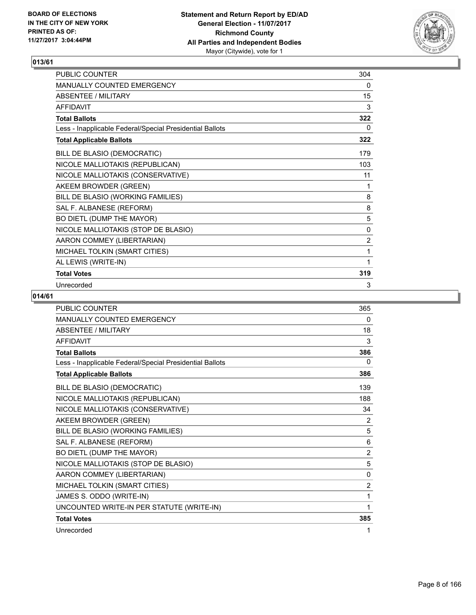

| PUBLIC COUNTER                                           | 304 |
|----------------------------------------------------------|-----|
| MANUALLY COUNTED EMERGENCY                               | 0   |
| <b>ABSENTEE / MILITARY</b>                               | 15  |
| <b>AFFIDAVIT</b>                                         | 3   |
| <b>Total Ballots</b>                                     | 322 |
| Less - Inapplicable Federal/Special Presidential Ballots | 0   |
| <b>Total Applicable Ballots</b>                          | 322 |
| BILL DE BLASIO (DEMOCRATIC)                              | 179 |
| NICOLE MALLIOTAKIS (REPUBLICAN)                          | 103 |
| NICOLE MALLIOTAKIS (CONSERVATIVE)                        | 11  |
| AKEEM BROWDER (GREEN)                                    | 1   |
| BILL DE BLASIO (WORKING FAMILIES)                        | 8   |
| SAL F. ALBANESE (REFORM)                                 | 8   |
| BO DIETL (DUMP THE MAYOR)                                | 5   |
| NICOLE MALLIOTAKIS (STOP DE BLASIO)                      | 0   |
| AARON COMMEY (LIBERTARIAN)                               | 2   |
| MICHAEL TOLKIN (SMART CITIES)                            | 1   |
| AL LEWIS (WRITE-IN)                                      | 1   |
| <b>Total Votes</b>                                       | 319 |
| Unrecorded                                               | 3   |

| <b>PUBLIC COUNTER</b>                                    | 365            |
|----------------------------------------------------------|----------------|
| <b>MANUALLY COUNTED EMERGENCY</b>                        | 0              |
| <b>ABSENTEE / MILITARY</b>                               | 18             |
| <b>AFFIDAVIT</b>                                         | 3              |
| <b>Total Ballots</b>                                     | 386            |
| Less - Inapplicable Federal/Special Presidential Ballots | $\Omega$       |
| <b>Total Applicable Ballots</b>                          | 386            |
| BILL DE BLASIO (DEMOCRATIC)                              | 139            |
| NICOLE MALLIOTAKIS (REPUBLICAN)                          | 188            |
| NICOLE MALLIOTAKIS (CONSERVATIVE)                        | 34             |
| AKEEM BROWDER (GREEN)                                    | 2              |
| BILL DE BLASIO (WORKING FAMILIES)                        | 5              |
| SAL F. ALBANESE (REFORM)                                 | 6              |
| BO DIETL (DUMP THE MAYOR)                                | $\overline{2}$ |
| NICOLE MALLIOTAKIS (STOP DE BLASIO)                      | 5              |
| AARON COMMEY (LIBERTARIAN)                               | 0              |
| MICHAEL TOLKIN (SMART CITIES)                            | 2              |
| JAMES S. ODDO (WRITE-IN)                                 | 1              |
| UNCOUNTED WRITE-IN PER STATUTE (WRITE-IN)                | 1              |
| <b>Total Votes</b>                                       | 385            |
| Unrecorded                                               | 1              |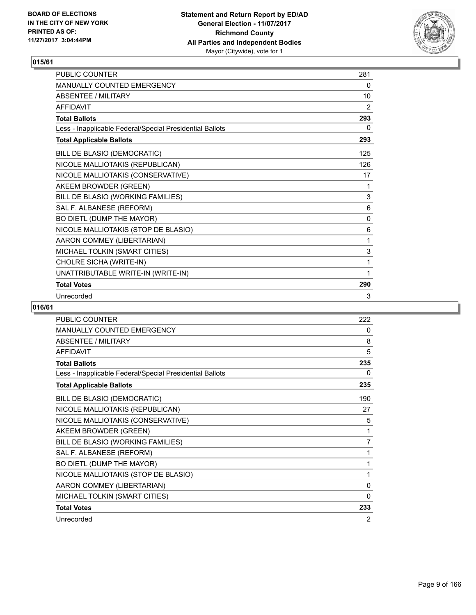

| <b>PUBLIC COUNTER</b>                                    | 281 |
|----------------------------------------------------------|-----|
| <b>MANUALLY COUNTED EMERGENCY</b>                        | 0   |
| <b>ABSENTEE / MILITARY</b>                               | 10  |
| <b>AFFIDAVIT</b>                                         | 2   |
| <b>Total Ballots</b>                                     | 293 |
| Less - Inapplicable Federal/Special Presidential Ballots | 0   |
| <b>Total Applicable Ballots</b>                          | 293 |
| BILL DE BLASIO (DEMOCRATIC)                              | 125 |
| NICOLE MALLIOTAKIS (REPUBLICAN)                          | 126 |
| NICOLE MALLIOTAKIS (CONSERVATIVE)                        | 17  |
| AKEEM BROWDER (GREEN)                                    | 1   |
| BILL DE BLASIO (WORKING FAMILIES)                        | 3   |
| SAL F. ALBANESE (REFORM)                                 | 6   |
| BO DIETL (DUMP THE MAYOR)                                | 0   |
| NICOLE MALLIOTAKIS (STOP DE BLASIO)                      | 6   |
| AARON COMMEY (LIBERTARIAN)                               | 1   |
| MICHAEL TOLKIN (SMART CITIES)                            | 3   |
| CHOLRE SICHA (WRITE-IN)                                  | 1   |
| UNATTRIBUTABLE WRITE-IN (WRITE-IN)                       | 1   |
| <b>Total Votes</b>                                       | 290 |
| Unrecorded                                               | 3   |

| PUBLIC COUNTER                                           | 222          |
|----------------------------------------------------------|--------------|
| MANUALLY COUNTED EMERGENCY                               | 0            |
| <b>ABSENTEE / MILITARY</b>                               | 8            |
| <b>AFFIDAVIT</b>                                         | 5            |
| <b>Total Ballots</b>                                     | 235          |
| Less - Inapplicable Federal/Special Presidential Ballots | 0            |
| <b>Total Applicable Ballots</b>                          | 235          |
| BILL DE BLASIO (DEMOCRATIC)                              | 190          |
| NICOLE MALLIOTAKIS (REPUBLICAN)                          | 27           |
| NICOLE MALLIOTAKIS (CONSERVATIVE)                        | 5            |
| AKEEM BROWDER (GREEN)                                    | 1            |
| BILL DE BLASIO (WORKING FAMILIES)                        | 7            |
| SAL F. ALBANESE (REFORM)                                 | 1            |
| BO DIETL (DUMP THE MAYOR)                                | 1            |
| NICOLE MALLIOTAKIS (STOP DE BLASIO)                      | 1            |
| AARON COMMEY (LIBERTARIAN)                               | $\mathbf{0}$ |
| MICHAEL TOLKIN (SMART CITIES)                            | 0            |
| <b>Total Votes</b>                                       | 233          |
| Unrecorded                                               | 2            |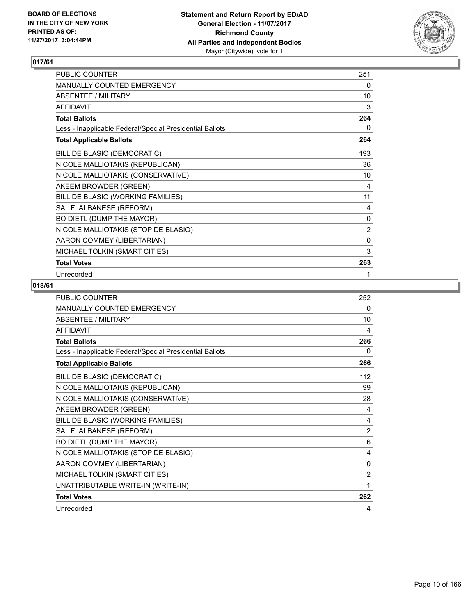

| <b>PUBLIC COUNTER</b>                                    | 251         |
|----------------------------------------------------------|-------------|
| <b>MANUALLY COUNTED EMERGENCY</b>                        | 0           |
| <b>ABSENTEE / MILITARY</b>                               | 10          |
| <b>AFFIDAVIT</b>                                         | 3           |
| <b>Total Ballots</b>                                     | 264         |
| Less - Inapplicable Federal/Special Presidential Ballots | 0           |
| <b>Total Applicable Ballots</b>                          | 264         |
| BILL DE BLASIO (DEMOCRATIC)                              | 193         |
| NICOLE MALLIOTAKIS (REPUBLICAN)                          | 36          |
| NICOLE MALLIOTAKIS (CONSERVATIVE)                        | 10          |
| AKEEM BROWDER (GREEN)                                    | 4           |
| BILL DE BLASIO (WORKING FAMILIES)                        | 11          |
| SAL F. ALBANESE (REFORM)                                 | 4           |
| BO DIETL (DUMP THE MAYOR)                                | 0           |
| NICOLE MALLIOTAKIS (STOP DE BLASIO)                      | 2           |
| AARON COMMEY (LIBERTARIAN)                               | $\mathbf 0$ |
| MICHAEL TOLKIN (SMART CITIES)                            | 3           |
| <b>Total Votes</b>                                       | 263         |
| Unrecorded                                               | 1           |

| <b>PUBLIC COUNTER</b>                                    | 252            |
|----------------------------------------------------------|----------------|
| MANUALLY COUNTED EMERGENCY                               | 0              |
| <b>ABSENTEE / MILITARY</b>                               | 10             |
| <b>AFFIDAVIT</b>                                         | 4              |
| <b>Total Ballots</b>                                     | 266            |
| Less - Inapplicable Federal/Special Presidential Ballots | 0              |
| <b>Total Applicable Ballots</b>                          | 266            |
| BILL DE BLASIO (DEMOCRATIC)                              | 112            |
| NICOLE MALLIOTAKIS (REPUBLICAN)                          | 99             |
| NICOLE MALLIOTAKIS (CONSERVATIVE)                        | 28             |
| AKEEM BROWDER (GREEN)                                    | 4              |
| BILL DE BLASIO (WORKING FAMILIES)                        | 4              |
| SAL F. ALBANESE (REFORM)                                 | $\overline{2}$ |
| BO DIETL (DUMP THE MAYOR)                                | 6              |
| NICOLE MALLIOTAKIS (STOP DE BLASIO)                      | 4              |
| AARON COMMEY (LIBERTARIAN)                               | 0              |
| MICHAEL TOLKIN (SMART CITIES)                            | $\overline{2}$ |
| UNATTRIBUTABLE WRITE-IN (WRITE-IN)                       | 1              |
| <b>Total Votes</b>                                       | 262            |
| Unrecorded                                               | 4              |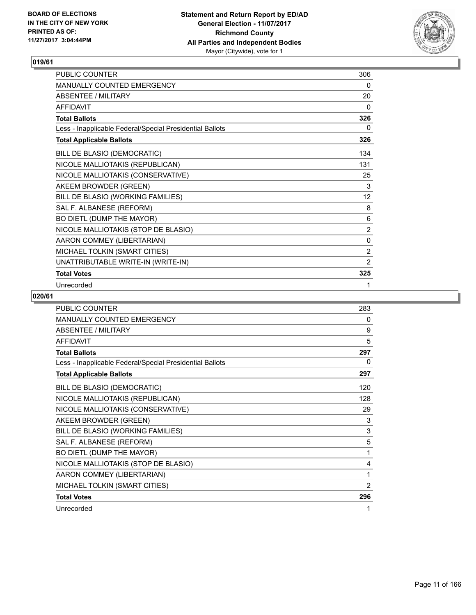

| <b>PUBLIC COUNTER</b>                                    | 306               |
|----------------------------------------------------------|-------------------|
| <b>MANUALLY COUNTED EMERGENCY</b>                        | 0                 |
| ABSENTEE / MILITARY                                      | 20                |
| AFFIDAVIT                                                | 0                 |
| <b>Total Ballots</b>                                     | 326               |
| Less - Inapplicable Federal/Special Presidential Ballots | 0                 |
| <b>Total Applicable Ballots</b>                          | 326               |
| BILL DE BLASIO (DEMOCRATIC)                              | 134               |
| NICOLE MALLIOTAKIS (REPUBLICAN)                          | 131               |
| NICOLE MALLIOTAKIS (CONSERVATIVE)                        | 25                |
| AKEEM BROWDER (GREEN)                                    | 3                 |
| BILL DE BLASIO (WORKING FAMILIES)                        | $12 \overline{ }$ |
| SAL F. ALBANESE (REFORM)                                 | 8                 |
| BO DIETL (DUMP THE MAYOR)                                | 6                 |
| NICOLE MALLIOTAKIS (STOP DE BLASIO)                      | 2                 |
| AARON COMMEY (LIBERTARIAN)                               | 0                 |
| MICHAEL TOLKIN (SMART CITIES)                            | $\overline{2}$    |
| UNATTRIBUTABLE WRITE-IN (WRITE-IN)                       | 2                 |
| <b>Total Votes</b>                                       | 325               |
| Unrecorded                                               | 1                 |

| <b>PUBLIC COUNTER</b>                                    | 283 |
|----------------------------------------------------------|-----|
| <b>MANUALLY COUNTED EMERGENCY</b>                        | 0   |
| <b>ABSENTEE / MILITARY</b>                               | 9   |
| <b>AFFIDAVIT</b>                                         | 5   |
| <b>Total Ballots</b>                                     | 297 |
| Less - Inapplicable Federal/Special Presidential Ballots | 0   |
| <b>Total Applicable Ballots</b>                          | 297 |
| BILL DE BLASIO (DEMOCRATIC)                              | 120 |
| NICOLE MALLIOTAKIS (REPUBLICAN)                          | 128 |
| NICOLE MALLIOTAKIS (CONSERVATIVE)                        | 29  |
| AKEEM BROWDER (GREEN)                                    | 3   |
| BILL DE BLASIO (WORKING FAMILIES)                        | 3   |
| SAL F. ALBANESE (REFORM)                                 | 5   |
| BO DIETL (DUMP THE MAYOR)                                | 1   |
| NICOLE MALLIOTAKIS (STOP DE BLASIO)                      | 4   |
| AARON COMMEY (LIBERTARIAN)                               | 1   |
| MICHAEL TOLKIN (SMART CITIES)                            | 2   |
| <b>Total Votes</b>                                       | 296 |
| Unrecorded                                               | 1   |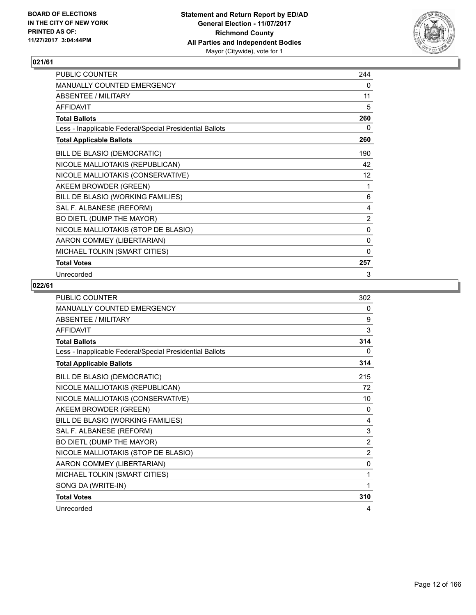

| PUBLIC COUNTER                                           | 244            |
|----------------------------------------------------------|----------------|
| MANUALLY COUNTED EMERGENCY                               | 0              |
| <b>ABSENTEE / MILITARY</b>                               | 11             |
| <b>AFFIDAVIT</b>                                         | 5              |
| <b>Total Ballots</b>                                     | 260            |
| Less - Inapplicable Federal/Special Presidential Ballots | 0              |
| <b>Total Applicable Ballots</b>                          | 260            |
| BILL DE BLASIO (DEMOCRATIC)                              | 190            |
| NICOLE MALLIOTAKIS (REPUBLICAN)                          | 42             |
| NICOLE MALLIOTAKIS (CONSERVATIVE)                        | 12             |
| AKEEM BROWDER (GREEN)                                    | 1              |
| BILL DE BLASIO (WORKING FAMILIES)                        | 6              |
| SAL F. ALBANESE (REFORM)                                 | 4              |
| BO DIETL (DUMP THE MAYOR)                                | $\overline{2}$ |
| NICOLE MALLIOTAKIS (STOP DE BLASIO)                      | 0              |
| AARON COMMEY (LIBERTARIAN)                               | 0              |
| MICHAEL TOLKIN (SMART CITIES)                            | $\mathbf{0}$   |
| <b>Total Votes</b>                                       | 257            |
| Unrecorded                                               | 3              |

| <b>PUBLIC COUNTER</b>                                    | 302            |
|----------------------------------------------------------|----------------|
| <b>MANUALLY COUNTED EMERGENCY</b>                        | 0              |
| <b>ABSENTEE / MILITARY</b>                               | 9              |
| <b>AFFIDAVIT</b>                                         | 3              |
| <b>Total Ballots</b>                                     | 314            |
| Less - Inapplicable Federal/Special Presidential Ballots | 0              |
| <b>Total Applicable Ballots</b>                          | 314            |
| BILL DE BLASIO (DEMOCRATIC)                              | 215            |
| NICOLE MALLIOTAKIS (REPUBLICAN)                          | 72             |
| NICOLE MALLIOTAKIS (CONSERVATIVE)                        | 10             |
| AKEEM BROWDER (GREEN)                                    | $\mathbf{0}$   |
| BILL DE BLASIO (WORKING FAMILIES)                        | 4              |
| SAL F. ALBANESE (REFORM)                                 | 3              |
| BO DIETL (DUMP THE MAYOR)                                | 2              |
| NICOLE MALLIOTAKIS (STOP DE BLASIO)                      | $\overline{2}$ |
| AARON COMMEY (LIBERTARIAN)                               | $\Omega$       |
| MICHAEL TOLKIN (SMART CITIES)                            | 1              |
| SONG DA (WRITE-IN)                                       | 1              |
| <b>Total Votes</b>                                       | 310            |
| Unrecorded                                               | 4              |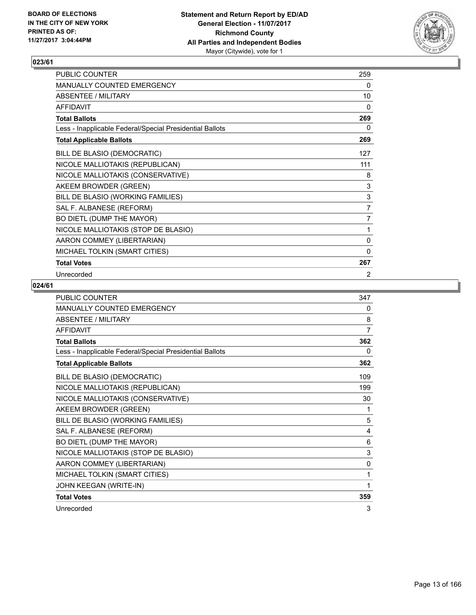

| PUBLIC COUNTER                                           | 259            |
|----------------------------------------------------------|----------------|
| MANUALLY COUNTED EMERGENCY                               | 0              |
| ABSENTEE / MILITARY                                      | 10             |
| <b>AFFIDAVIT</b>                                         | $\mathbf{0}$   |
| <b>Total Ballots</b>                                     | 269            |
| Less - Inapplicable Federal/Special Presidential Ballots | 0              |
| <b>Total Applicable Ballots</b>                          | 269            |
| BILL DE BLASIO (DEMOCRATIC)                              | 127            |
| NICOLE MALLIOTAKIS (REPUBLICAN)                          | 111            |
| NICOLE MALLIOTAKIS (CONSERVATIVE)                        | 8              |
| AKEEM BROWDER (GREEN)                                    | 3              |
| BILL DE BLASIO (WORKING FAMILIES)                        | 3              |
| SAL F. ALBANESE (REFORM)                                 | $\overline{7}$ |
| BO DIETL (DUMP THE MAYOR)                                | $\overline{7}$ |
| NICOLE MALLIOTAKIS (STOP DE BLASIO)                      | 1              |
| AARON COMMEY (LIBERTARIAN)                               | 0              |
| MICHAEL TOLKIN (SMART CITIES)                            | $\mathbf{0}$   |
| <b>Total Votes</b>                                       | 267            |
| Unrecorded                                               | 2              |

| <b>PUBLIC COUNTER</b>                                    | 347          |
|----------------------------------------------------------|--------------|
| <b>MANUALLY COUNTED EMERGENCY</b>                        | 0            |
| <b>ABSENTEE / MILITARY</b>                               | 8            |
| <b>AFFIDAVIT</b>                                         | 7            |
| <b>Total Ballots</b>                                     | 362          |
| Less - Inapplicable Federal/Special Presidential Ballots | 0            |
| <b>Total Applicable Ballots</b>                          | 362          |
| BILL DE BLASIO (DEMOCRATIC)                              | 109          |
| NICOLE MALLIOTAKIS (REPUBLICAN)                          | 199          |
| NICOLE MALLIOTAKIS (CONSERVATIVE)                        | 30           |
| AKEEM BROWDER (GREEN)                                    | 1            |
| BILL DE BLASIO (WORKING FAMILIES)                        | 5            |
| SAL F. ALBANESE (REFORM)                                 | 4            |
| BO DIETL (DUMP THE MAYOR)                                | 6            |
| NICOLE MALLIOTAKIS (STOP DE BLASIO)                      | 3            |
| AARON COMMEY (LIBERTARIAN)                               | $\mathbf{0}$ |
| MICHAEL TOLKIN (SMART CITIES)                            | 1            |
| JOHN KEEGAN (WRITE-IN)                                   | 1            |
| <b>Total Votes</b>                                       | 359          |
| Unrecorded                                               | 3            |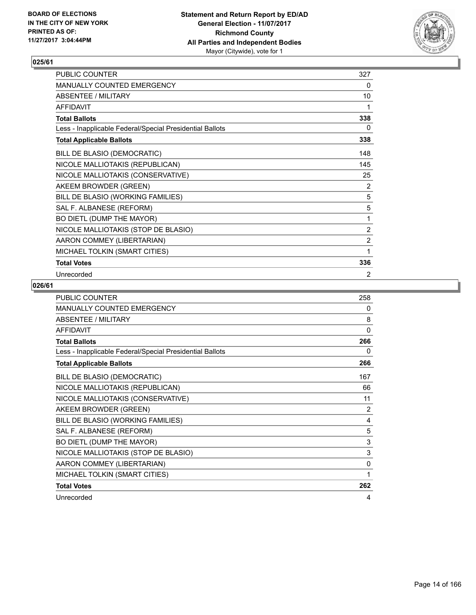

| PUBLIC COUNTER                                           | 327            |
|----------------------------------------------------------|----------------|
| MANUALLY COUNTED EMERGENCY                               | 0              |
| <b>ABSENTEE / MILITARY</b>                               | 10             |
| <b>AFFIDAVIT</b>                                         | 1              |
| <b>Total Ballots</b>                                     | 338            |
| Less - Inapplicable Federal/Special Presidential Ballots | 0              |
| <b>Total Applicable Ballots</b>                          | 338            |
| BILL DE BLASIO (DEMOCRATIC)                              | 148            |
| NICOLE MALLIOTAKIS (REPUBLICAN)                          | 145            |
| NICOLE MALLIOTAKIS (CONSERVATIVE)                        | 25             |
| AKEEM BROWDER (GREEN)                                    | 2              |
| BILL DE BLASIO (WORKING FAMILIES)                        | 5              |
| SAL F. ALBANESE (REFORM)                                 | 5              |
| BO DIETL (DUMP THE MAYOR)                                | 1              |
| NICOLE MALLIOTAKIS (STOP DE BLASIO)                      | $\overline{2}$ |
| AARON COMMEY (LIBERTARIAN)                               | $\overline{2}$ |
| MICHAEL TOLKIN (SMART CITIES)                            | 1              |
| <b>Total Votes</b>                                       | 336            |
| Unrecorded                                               | 2              |

| <b>PUBLIC COUNTER</b>                                    | 258          |
|----------------------------------------------------------|--------------|
| MANUALLY COUNTED EMERGENCY                               | 0            |
| <b>ABSENTEE / MILITARY</b>                               | 8            |
| <b>AFFIDAVIT</b>                                         | $\mathbf{0}$ |
| <b>Total Ballots</b>                                     | 266          |
| Less - Inapplicable Federal/Special Presidential Ballots | 0            |
| <b>Total Applicable Ballots</b>                          | 266          |
| BILL DE BLASIO (DEMOCRATIC)                              | 167          |
| NICOLE MALLIOTAKIS (REPUBLICAN)                          | 66           |
| NICOLE MALLIOTAKIS (CONSERVATIVE)                        | 11           |
| AKEEM BROWDER (GREEN)                                    | 2            |
| BILL DE BLASIO (WORKING FAMILIES)                        | 4            |
| SAL F. ALBANESE (REFORM)                                 | 5            |
| BO DIETL (DUMP THE MAYOR)                                | 3            |
| NICOLE MALLIOTAKIS (STOP DE BLASIO)                      | 3            |
| AARON COMMEY (LIBERTARIAN)                               | 0            |
| MICHAEL TOLKIN (SMART CITIES)                            | 1            |
| <b>Total Votes</b>                                       | 262          |
| Unrecorded                                               | 4            |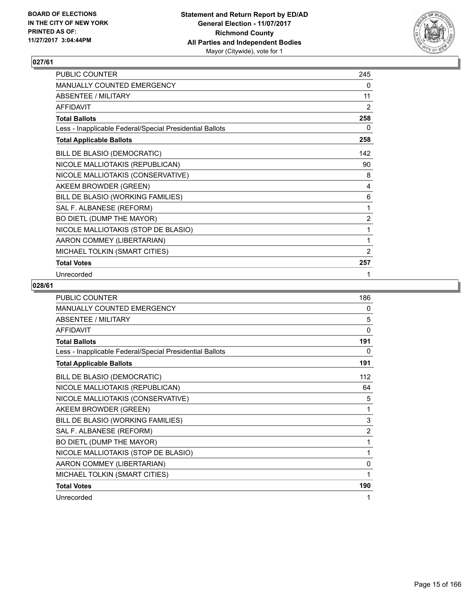

| PUBLIC COUNTER                                           | 245            |
|----------------------------------------------------------|----------------|
| MANUALLY COUNTED EMERGENCY                               | 0              |
| <b>ABSENTEE / MILITARY</b>                               | 11             |
| <b>AFFIDAVIT</b>                                         | 2              |
| <b>Total Ballots</b>                                     | 258            |
| Less - Inapplicable Federal/Special Presidential Ballots | 0              |
| <b>Total Applicable Ballots</b>                          | 258            |
| BILL DE BLASIO (DEMOCRATIC)                              | 142            |
| NICOLE MALLIOTAKIS (REPUBLICAN)                          | 90             |
| NICOLE MALLIOTAKIS (CONSERVATIVE)                        | 8              |
| AKEEM BROWDER (GREEN)                                    | 4              |
| BILL DE BLASIO (WORKING FAMILIES)                        | 6              |
| SAL F. ALBANESE (REFORM)                                 | 1              |
| BO DIETL (DUMP THE MAYOR)                                | $\overline{2}$ |
| NICOLE MALLIOTAKIS (STOP DE BLASIO)                      | 1              |
| AARON COMMEY (LIBERTARIAN)                               | 1              |
| MICHAEL TOLKIN (SMART CITIES)                            | $\overline{2}$ |
| <b>Total Votes</b>                                       | 257            |
| Unrecorded                                               | 1              |

| <b>PUBLIC COUNTER</b>                                    | 186            |
|----------------------------------------------------------|----------------|
| MANUALLY COUNTED EMERGENCY                               | 0              |
| <b>ABSENTEE / MILITARY</b>                               | 5              |
| <b>AFFIDAVIT</b>                                         | $\mathbf{0}$   |
| <b>Total Ballots</b>                                     | 191            |
| Less - Inapplicable Federal/Special Presidential Ballots | 0              |
| <b>Total Applicable Ballots</b>                          | 191            |
| BILL DE BLASIO (DEMOCRATIC)                              | 112            |
| NICOLE MALLIOTAKIS (REPUBLICAN)                          | 64             |
| NICOLE MALLIOTAKIS (CONSERVATIVE)                        | 5              |
| AKEEM BROWDER (GREEN)                                    | 1              |
| BILL DE BLASIO (WORKING FAMILIES)                        | 3              |
| SAL F. ALBANESE (REFORM)                                 | $\overline{2}$ |
| BO DIETL (DUMP THE MAYOR)                                | 1              |
| NICOLE MALLIOTAKIS (STOP DE BLASIO)                      | 1              |
| AARON COMMEY (LIBERTARIAN)                               | $\mathbf{0}$   |
| MICHAEL TOLKIN (SMART CITIES)                            | 1              |
| <b>Total Votes</b>                                       | 190            |
| Unrecorded                                               | 1              |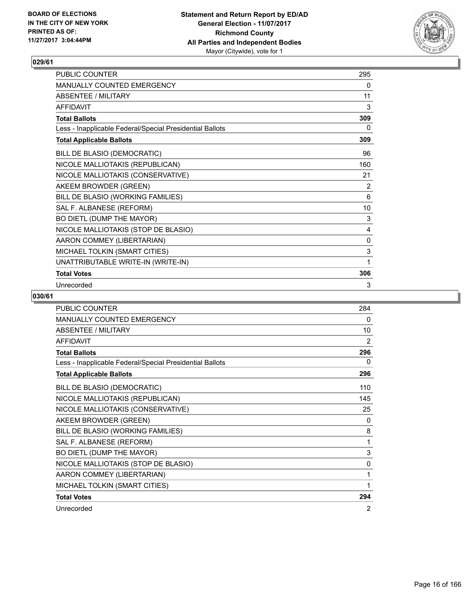

| PUBLIC COUNTER                                           | 295 |
|----------------------------------------------------------|-----|
| <b>MANUALLY COUNTED EMERGENCY</b>                        | 0   |
| <b>ABSENTEE / MILITARY</b>                               | 11  |
| <b>AFFIDAVIT</b>                                         | 3   |
| <b>Total Ballots</b>                                     | 309 |
| Less - Inapplicable Federal/Special Presidential Ballots | 0   |
| <b>Total Applicable Ballots</b>                          | 309 |
| BILL DE BLASIO (DEMOCRATIC)                              | 96  |
| NICOLE MALLIOTAKIS (REPUBLICAN)                          | 160 |
| NICOLE MALLIOTAKIS (CONSERVATIVE)                        | 21  |
| AKEEM BROWDER (GREEN)                                    | 2   |
| BILL DE BLASIO (WORKING FAMILIES)                        | 6   |
| SAL F. ALBANESE (REFORM)                                 | 10  |
| BO DIETL (DUMP THE MAYOR)                                | 3   |
| NICOLE MALLIOTAKIS (STOP DE BLASIO)                      | 4   |
| AARON COMMEY (LIBERTARIAN)                               | 0   |
| MICHAEL TOLKIN (SMART CITIES)                            | 3   |
| UNATTRIBUTABLE WRITE-IN (WRITE-IN)                       | 1   |
| <b>Total Votes</b>                                       | 306 |
| Unrecorded                                               | 3   |

| <b>PUBLIC COUNTER</b>                                    | 284 |
|----------------------------------------------------------|-----|
| <b>MANUALLY COUNTED EMERGENCY</b>                        | 0   |
| <b>ABSENTEE / MILITARY</b>                               | 10  |
| <b>AFFIDAVIT</b>                                         | 2   |
| <b>Total Ballots</b>                                     | 296 |
| Less - Inapplicable Federal/Special Presidential Ballots | 0   |
| <b>Total Applicable Ballots</b>                          | 296 |
| BILL DE BLASIO (DEMOCRATIC)                              | 110 |
| NICOLE MALLIOTAKIS (REPUBLICAN)                          | 145 |
| NICOLE MALLIOTAKIS (CONSERVATIVE)                        | 25  |
| AKEEM BROWDER (GREEN)                                    | 0   |
| BILL DE BLASIO (WORKING FAMILIES)                        | 8   |
| SAL F. ALBANESE (REFORM)                                 | 1   |
| BO DIETL (DUMP THE MAYOR)                                | 3   |
| NICOLE MALLIOTAKIS (STOP DE BLASIO)                      | 0   |
| AARON COMMEY (LIBERTARIAN)                               | 1   |
| MICHAEL TOLKIN (SMART CITIES)                            | 1   |
| <b>Total Votes</b>                                       | 294 |
| Unrecorded                                               | 2   |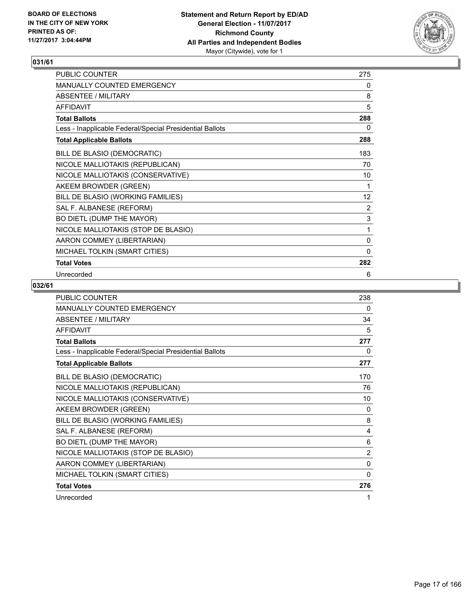

| PUBLIC COUNTER                                           | 275          |
|----------------------------------------------------------|--------------|
| MANUALLY COUNTED EMERGENCY                               | 0            |
| <b>ABSENTEE / MILITARY</b>                               | 8            |
| <b>AFFIDAVIT</b>                                         | 5            |
| <b>Total Ballots</b>                                     | 288          |
| Less - Inapplicable Federal/Special Presidential Ballots | 0            |
| <b>Total Applicable Ballots</b>                          | 288          |
| BILL DE BLASIO (DEMOCRATIC)                              | 183          |
| NICOLE MALLIOTAKIS (REPUBLICAN)                          | 70           |
| NICOLE MALLIOTAKIS (CONSERVATIVE)                        | 10           |
| AKEEM BROWDER (GREEN)                                    | 1            |
| BILL DE BLASIO (WORKING FAMILIES)                        | 12           |
| SAL F. ALBANESE (REFORM)                                 | 2            |
| BO DIETL (DUMP THE MAYOR)                                | $\mathsf 3$  |
| NICOLE MALLIOTAKIS (STOP DE BLASIO)                      | 1            |
| AARON COMMEY (LIBERTARIAN)                               | 0            |
| MICHAEL TOLKIN (SMART CITIES)                            | $\mathbf{0}$ |
| <b>Total Votes</b>                                       | 282          |
| Unrecorded                                               | 6            |

| PUBLIC COUNTER                                           | 238          |
|----------------------------------------------------------|--------------|
| <b>MANUALLY COUNTED EMERGENCY</b>                        | 0            |
| ABSENTEE / MILITARY                                      | 34           |
| <b>AFFIDAVIT</b>                                         | 5            |
| <b>Total Ballots</b>                                     | 277          |
| Less - Inapplicable Federal/Special Presidential Ballots | 0            |
| <b>Total Applicable Ballots</b>                          | 277          |
| BILL DE BLASIO (DEMOCRATIC)                              | 170          |
| NICOLE MALLIOTAKIS (REPUBLICAN)                          | 76           |
| NICOLE MALLIOTAKIS (CONSERVATIVE)                        | 10           |
| AKEEM BROWDER (GREEN)                                    | 0            |
| BILL DE BLASIO (WORKING FAMILIES)                        | 8            |
| SAL F. ALBANESE (REFORM)                                 | 4            |
| BO DIETL (DUMP THE MAYOR)                                | 6            |
| NICOLE MALLIOTAKIS (STOP DE BLASIO)                      | 2            |
| AARON COMMEY (LIBERTARIAN)                               | 0            |
| MICHAEL TOLKIN (SMART CITIES)                            | $\mathbf{0}$ |
| <b>Total Votes</b>                                       | 276          |
| Unrecorded                                               | 1            |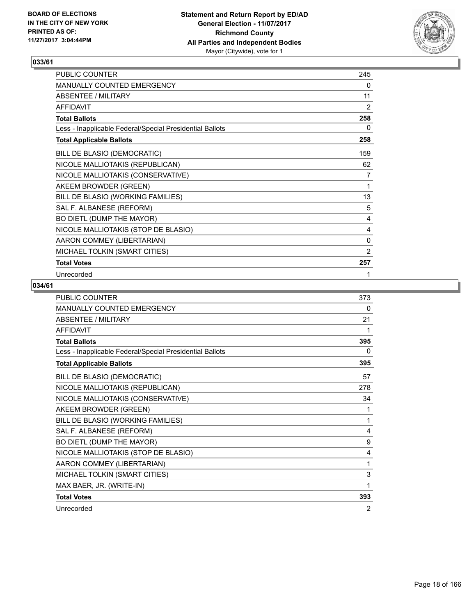

| PUBLIC COUNTER                                           | 245            |
|----------------------------------------------------------|----------------|
| MANUALLY COUNTED EMERGENCY                               | 0              |
| <b>ABSENTEE / MILITARY</b>                               | 11             |
| <b>AFFIDAVIT</b>                                         | 2              |
| <b>Total Ballots</b>                                     | 258            |
| Less - Inapplicable Federal/Special Presidential Ballots | 0              |
| <b>Total Applicable Ballots</b>                          | 258            |
| BILL DE BLASIO (DEMOCRATIC)                              | 159            |
| NICOLE MALLIOTAKIS (REPUBLICAN)                          | 62             |
| NICOLE MALLIOTAKIS (CONSERVATIVE)                        | 7              |
| AKEEM BROWDER (GREEN)                                    | 1              |
| BILL DE BLASIO (WORKING FAMILIES)                        | 13             |
| SAL F. ALBANESE (REFORM)                                 | 5              |
| BO DIETL (DUMP THE MAYOR)                                | 4              |
| NICOLE MALLIOTAKIS (STOP DE BLASIO)                      | 4              |
| AARON COMMEY (LIBERTARIAN)                               | 0              |
| MICHAEL TOLKIN (SMART CITIES)                            | $\overline{2}$ |
| <b>Total Votes</b>                                       | 257            |
| Unrecorded                                               | 1              |

| <b>PUBLIC COUNTER</b>                                    | 373 |
|----------------------------------------------------------|-----|
| MANUALLY COUNTED EMERGENCY                               | 0   |
| <b>ABSENTEE / MILITARY</b>                               | 21  |
| <b>AFFIDAVIT</b>                                         | 1   |
| <b>Total Ballots</b>                                     | 395 |
| Less - Inapplicable Federal/Special Presidential Ballots | 0   |
| <b>Total Applicable Ballots</b>                          | 395 |
| BILL DE BLASIO (DEMOCRATIC)                              | 57  |
| NICOLE MALLIOTAKIS (REPUBLICAN)                          | 278 |
| NICOLE MALLIOTAKIS (CONSERVATIVE)                        | 34  |
| AKEEM BROWDER (GREEN)                                    | 1   |
| BILL DE BLASIO (WORKING FAMILIES)                        | 1   |
| SAL F. ALBANESE (REFORM)                                 | 4   |
| BO DIETL (DUMP THE MAYOR)                                | 9   |
| NICOLE MALLIOTAKIS (STOP DE BLASIO)                      | 4   |
| AARON COMMEY (LIBERTARIAN)                               | 1   |
| MICHAEL TOLKIN (SMART CITIES)                            | 3   |
| MAX BAER, JR. (WRITE-IN)                                 | 1   |
| <b>Total Votes</b>                                       | 393 |
| Unrecorded                                               | 2   |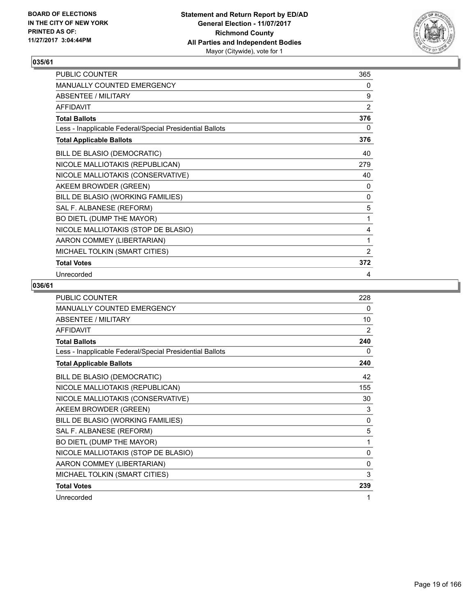

| PUBLIC COUNTER                                           | 365            |
|----------------------------------------------------------|----------------|
| MANUALLY COUNTED EMERGENCY                               | 0              |
| <b>ABSENTEE / MILITARY</b>                               | 9              |
| <b>AFFIDAVIT</b>                                         | 2              |
| <b>Total Ballots</b>                                     | 376            |
| Less - Inapplicable Federal/Special Presidential Ballots | 0              |
| <b>Total Applicable Ballots</b>                          | 376            |
| BILL DE BLASIO (DEMOCRATIC)                              | 40             |
| NICOLE MALLIOTAKIS (REPUBLICAN)                          | 279            |
| NICOLE MALLIOTAKIS (CONSERVATIVE)                        | 40             |
| AKEEM BROWDER (GREEN)                                    | 0              |
| BILL DE BLASIO (WORKING FAMILIES)                        | 0              |
| SAL F. ALBANESE (REFORM)                                 | 5              |
| BO DIETL (DUMP THE MAYOR)                                | 1              |
| NICOLE MALLIOTAKIS (STOP DE BLASIO)                      | 4              |
| AARON COMMEY (LIBERTARIAN)                               | 1              |
| MICHAEL TOLKIN (SMART CITIES)                            | $\overline{2}$ |
| <b>Total Votes</b>                                       | 372            |
| Unrecorded                                               | 4              |

| <b>PUBLIC COUNTER</b>                                    | 228          |
|----------------------------------------------------------|--------------|
| MANUALLY COUNTED EMERGENCY                               | 0            |
| <b>ABSENTEE / MILITARY</b>                               | 10           |
| <b>AFFIDAVIT</b>                                         | 2            |
| <b>Total Ballots</b>                                     | 240          |
| Less - Inapplicable Federal/Special Presidential Ballots | 0            |
| <b>Total Applicable Ballots</b>                          | 240          |
| BILL DE BLASIO (DEMOCRATIC)                              | 42           |
| NICOLE MALLIOTAKIS (REPUBLICAN)                          | 155          |
| NICOLE MALLIOTAKIS (CONSERVATIVE)                        | 30           |
| AKEEM BROWDER (GREEN)                                    | 3            |
| BILL DE BLASIO (WORKING FAMILIES)                        | $\mathbf{0}$ |
| SAL F. ALBANESE (REFORM)                                 | 5            |
| BO DIETL (DUMP THE MAYOR)                                | 1            |
| NICOLE MALLIOTAKIS (STOP DE BLASIO)                      | 0            |
| AARON COMMEY (LIBERTARIAN)                               | $\mathbf{0}$ |
| MICHAEL TOLKIN (SMART CITIES)                            | 3            |
| <b>Total Votes</b>                                       | 239          |
| Unrecorded                                               | 1            |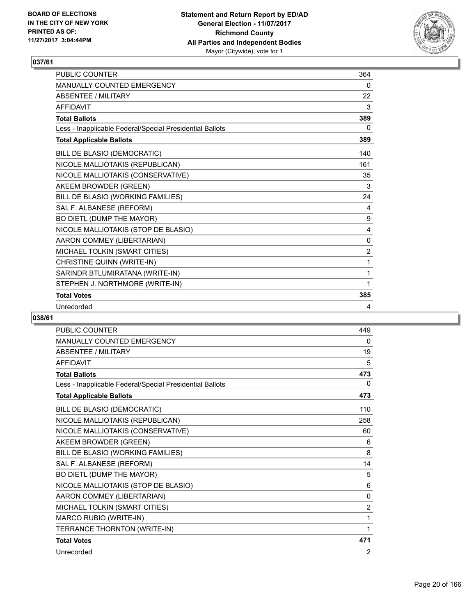

| <b>PUBLIC COUNTER</b>                                    | 364            |
|----------------------------------------------------------|----------------|
| <b>MANUALLY COUNTED EMERGENCY</b>                        | 0              |
| <b>ABSENTEE / MILITARY</b>                               | 22             |
| <b>AFFIDAVIT</b>                                         | 3              |
| <b>Total Ballots</b>                                     | 389            |
| Less - Inapplicable Federal/Special Presidential Ballots | 0              |
| <b>Total Applicable Ballots</b>                          | 389            |
| BILL DE BLASIO (DEMOCRATIC)                              | 140            |
| NICOLE MALLIOTAKIS (REPUBLICAN)                          | 161            |
| NICOLE MALLIOTAKIS (CONSERVATIVE)                        | 35             |
| AKEEM BROWDER (GREEN)                                    | 3              |
| BILL DE BLASIO (WORKING FAMILIES)                        | 24             |
| SAL F. ALBANESE (REFORM)                                 | 4              |
| BO DIETL (DUMP THE MAYOR)                                | 9              |
| NICOLE MALLIOTAKIS (STOP DE BLASIO)                      | 4              |
| AARON COMMEY (LIBERTARIAN)                               | 0              |
| MICHAEL TOLKIN (SMART CITIES)                            | $\overline{2}$ |
| CHRISTINE QUINN (WRITE-IN)                               | 1              |
| SARINDR BTLUMIRATANA (WRITE-IN)                          | 1              |
| STEPHEN J. NORTHMORE (WRITE-IN)                          | 1              |
| <b>Total Votes</b>                                       | 385            |
| Unrecorded                                               | 4              |

| <b>PUBLIC COUNTER</b>                                    | 449            |
|----------------------------------------------------------|----------------|
| <b>MANUALLY COUNTED EMERGENCY</b>                        | 0              |
| <b>ABSENTEE / MILITARY</b>                               | 19             |
| <b>AFFIDAVIT</b>                                         | 5              |
| <b>Total Ballots</b>                                     | 473            |
| Less - Inapplicable Federal/Special Presidential Ballots | 0              |
| <b>Total Applicable Ballots</b>                          | 473            |
| BILL DE BLASIO (DEMOCRATIC)                              | 110            |
| NICOLE MALLIOTAKIS (REPUBLICAN)                          | 258            |
| NICOLE MALLIOTAKIS (CONSERVATIVE)                        | 60             |
| AKEEM BROWDER (GREEN)                                    | 6              |
| BILL DE BLASIO (WORKING FAMILIES)                        | 8              |
| SAL F. ALBANESE (REFORM)                                 | 14             |
| BO DIETL (DUMP THE MAYOR)                                | 5              |
| NICOLE MALLIOTAKIS (STOP DE BLASIO)                      | 6              |
| AARON COMMEY (LIBERTARIAN)                               | $\mathbf{0}$   |
| MICHAEL TOLKIN (SMART CITIES)                            | $\overline{2}$ |
| MARCO RUBIO (WRITE-IN)                                   | 1              |
| TERRANCE THORNTON (WRITE-IN)                             | 1              |
| <b>Total Votes</b>                                       | 471            |
| Unrecorded                                               | 2              |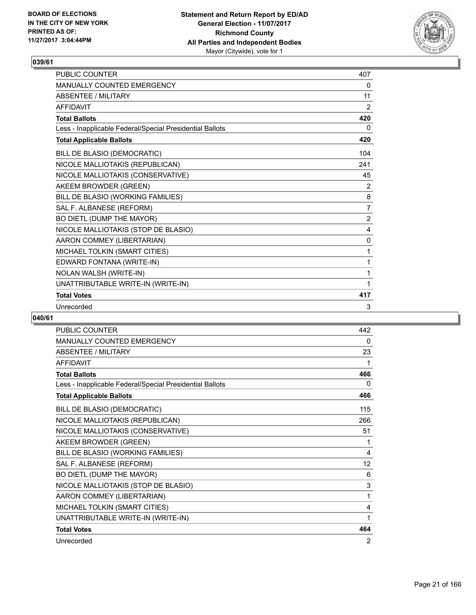

| <b>PUBLIC COUNTER</b>                                    | 407 |
|----------------------------------------------------------|-----|
| <b>MANUALLY COUNTED EMERGENCY</b>                        | 0   |
| <b>ABSENTEE / MILITARY</b>                               | 11  |
| <b>AFFIDAVIT</b>                                         | 2   |
| <b>Total Ballots</b>                                     | 420 |
| Less - Inapplicable Federal/Special Presidential Ballots | 0   |
| <b>Total Applicable Ballots</b>                          | 420 |
| BILL DE BLASIO (DEMOCRATIC)                              | 104 |
| NICOLE MALLIOTAKIS (REPUBLICAN)                          | 241 |
| NICOLE MALLIOTAKIS (CONSERVATIVE)                        | 45  |
| AKEEM BROWDER (GREEN)                                    | 2   |
| BILL DE BLASIO (WORKING FAMILIES)                        | 8   |
| SAL F. ALBANESE (REFORM)                                 | 7   |
| BO DIETL (DUMP THE MAYOR)                                | 2   |
| NICOLE MALLIOTAKIS (STOP DE BLASIO)                      | 4   |
| AARON COMMEY (LIBERTARIAN)                               | 0   |
| MICHAEL TOLKIN (SMART CITIES)                            | 1   |
| EDWARD FONTANA (WRITE-IN)                                | 1   |
| NOLAN WALSH (WRITE-IN)                                   | 1   |
| UNATTRIBUTABLE WRITE-IN (WRITE-IN)                       | 1   |
| <b>Total Votes</b>                                       | 417 |
| Unrecorded                                               | 3   |

| <b>PUBLIC COUNTER</b>                                    | 442 |
|----------------------------------------------------------|-----|
| MANUALLY COUNTED EMERGENCY                               | 0   |
| ABSENTEE / MILITARY                                      | 23  |
| <b>AFFIDAVIT</b>                                         | 1   |
| <b>Total Ballots</b>                                     | 466 |
| Less - Inapplicable Federal/Special Presidential Ballots | 0   |
| <b>Total Applicable Ballots</b>                          | 466 |
| BILL DE BLASIO (DEMOCRATIC)                              | 115 |
| NICOLE MALLIOTAKIS (REPUBLICAN)                          | 266 |
| NICOLE MALLIOTAKIS (CONSERVATIVE)                        | 51  |
| AKEEM BROWDER (GREEN)                                    | 1   |
| BILL DE BLASIO (WORKING FAMILIES)                        | 4   |
| SAL F. ALBANESE (REFORM)                                 | 12  |
| BO DIETL (DUMP THE MAYOR)                                | 6   |
| NICOLE MALLIOTAKIS (STOP DE BLASIO)                      | 3   |
| AARON COMMEY (LIBERTARIAN)                               | 1   |
| MICHAEL TOLKIN (SMART CITIES)                            | 4   |
| UNATTRIBUTABLE WRITE-IN (WRITE-IN)                       | 1   |
| <b>Total Votes</b>                                       | 464 |
| Unrecorded                                               | 2   |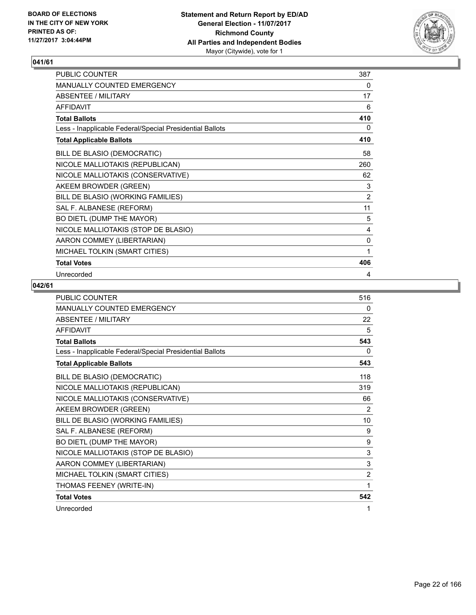

| PUBLIC COUNTER                                           | 387 |
|----------------------------------------------------------|-----|
| MANUALLY COUNTED EMERGENCY                               | 0   |
| ABSENTEE / MILITARY                                      | 17  |
| <b>AFFIDAVIT</b>                                         | 6   |
| <b>Total Ballots</b>                                     | 410 |
| Less - Inapplicable Federal/Special Presidential Ballots | 0   |
| <b>Total Applicable Ballots</b>                          | 410 |
| BILL DE BLASIO (DEMOCRATIC)                              | 58  |
| NICOLE MALLIOTAKIS (REPUBLICAN)                          | 260 |
| NICOLE MALLIOTAKIS (CONSERVATIVE)                        | 62  |
| AKEEM BROWDER (GREEN)                                    | 3   |
| BILL DE BLASIO (WORKING FAMILIES)                        | 2   |
| SAL F. ALBANESE (REFORM)                                 | 11  |
| BO DIETL (DUMP THE MAYOR)                                | 5   |
| NICOLE MALLIOTAKIS (STOP DE BLASIO)                      | 4   |
| AARON COMMEY (LIBERTARIAN)                               | 0   |
| MICHAEL TOLKIN (SMART CITIES)                            | 1   |
| <b>Total Votes</b>                                       | 406 |
| Unrecorded                                               | 4   |

| <b>PUBLIC COUNTER</b>                                    | 516            |
|----------------------------------------------------------|----------------|
| MANUALLY COUNTED EMERGENCY                               | 0              |
| <b>ABSENTEE / MILITARY</b>                               | 22             |
| <b>AFFIDAVIT</b>                                         | 5              |
| <b>Total Ballots</b>                                     | 543            |
| Less - Inapplicable Federal/Special Presidential Ballots | 0              |
| <b>Total Applicable Ballots</b>                          | 543            |
| BILL DE BLASIO (DEMOCRATIC)                              | 118            |
| NICOLE MALLIOTAKIS (REPUBLICAN)                          | 319            |
| NICOLE MALLIOTAKIS (CONSERVATIVE)                        | 66             |
| AKEEM BROWDER (GREEN)                                    | 2              |
| BILL DE BLASIO (WORKING FAMILIES)                        | 10             |
| SAL F. ALBANESE (REFORM)                                 | 9              |
| BO DIETL (DUMP THE MAYOR)                                | 9              |
| NICOLE MALLIOTAKIS (STOP DE BLASIO)                      | 3              |
| AARON COMMEY (LIBERTARIAN)                               | 3              |
| MICHAEL TOLKIN (SMART CITIES)                            | $\overline{2}$ |
| THOMAS FEENEY (WRITE-IN)                                 | $\mathbf{1}$   |
| <b>Total Votes</b>                                       | 542            |
| Unrecorded                                               | 1              |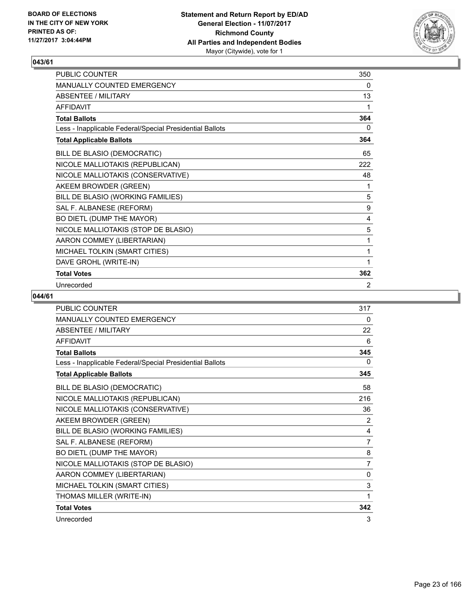

| PUBLIC COUNTER                                           | 350 |
|----------------------------------------------------------|-----|
| MANUALLY COUNTED EMERGENCY                               | 0   |
| <b>ABSENTEE / MILITARY</b>                               | 13  |
| <b>AFFIDAVIT</b>                                         | 1   |
| <b>Total Ballots</b>                                     | 364 |
| Less - Inapplicable Federal/Special Presidential Ballots | 0   |
| <b>Total Applicable Ballots</b>                          | 364 |
| BILL DE BLASIO (DEMOCRATIC)                              | 65  |
| NICOLE MALLIOTAKIS (REPUBLICAN)                          | 222 |
| NICOLE MALLIOTAKIS (CONSERVATIVE)                        | 48  |
| AKEEM BROWDER (GREEN)                                    | 1   |
| BILL DE BLASIO (WORKING FAMILIES)                        | 5   |
| SAL F. ALBANESE (REFORM)                                 | 9   |
| BO DIETL (DUMP THE MAYOR)                                | 4   |
| NICOLE MALLIOTAKIS (STOP DE BLASIO)                      | 5   |
| AARON COMMEY (LIBERTARIAN)                               | 1   |
| MICHAEL TOLKIN (SMART CITIES)                            | 1   |
| DAVE GROHL (WRITE-IN)                                    | 1   |
| <b>Total Votes</b>                                       | 362 |
| Unrecorded                                               | 2   |

| <b>PUBLIC COUNTER</b>                                    | 317            |
|----------------------------------------------------------|----------------|
| <b>MANUALLY COUNTED EMERGENCY</b>                        | 0              |
| <b>ABSENTEE / MILITARY</b>                               | 22             |
| <b>AFFIDAVIT</b>                                         | 6              |
| <b>Total Ballots</b>                                     | 345            |
| Less - Inapplicable Federal/Special Presidential Ballots | 0              |
| <b>Total Applicable Ballots</b>                          | 345            |
| BILL DE BLASIO (DEMOCRATIC)                              | 58             |
| NICOLE MALLIOTAKIS (REPUBLICAN)                          | 216            |
| NICOLE MALLIOTAKIS (CONSERVATIVE)                        | 36             |
| AKEEM BROWDER (GREEN)                                    | 2              |
| BILL DE BLASIO (WORKING FAMILIES)                        | 4              |
| SAL F. ALBANESE (REFORM)                                 | $\overline{7}$ |
| BO DIETL (DUMP THE MAYOR)                                | 8              |
| NICOLE MALLIOTAKIS (STOP DE BLASIO)                      | 7              |
| AARON COMMEY (LIBERTARIAN)                               | 0              |
| MICHAEL TOLKIN (SMART CITIES)                            | 3              |
| THOMAS MILLER (WRITE-IN)                                 | 1              |
| <b>Total Votes</b>                                       | 342            |
| Unrecorded                                               | 3              |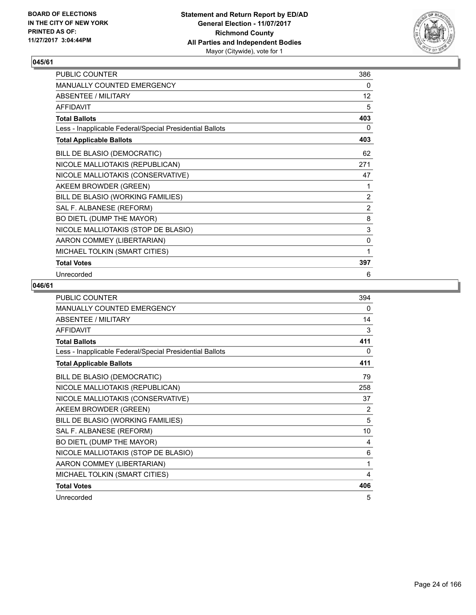

| PUBLIC COUNTER                                           | 386            |
|----------------------------------------------------------|----------------|
| MANUALLY COUNTED EMERGENCY                               | 0              |
| <b>ABSENTEE / MILITARY</b>                               | 12             |
| <b>AFFIDAVIT</b>                                         | 5              |
| <b>Total Ballots</b>                                     | 403            |
| Less - Inapplicable Federal/Special Presidential Ballots | 0              |
| <b>Total Applicable Ballots</b>                          | 403            |
| BILL DE BLASIO (DEMOCRATIC)                              | 62             |
| NICOLE MALLIOTAKIS (REPUBLICAN)                          | 271            |
| NICOLE MALLIOTAKIS (CONSERVATIVE)                        | 47             |
| AKEEM BROWDER (GREEN)                                    | 1              |
| BILL DE BLASIO (WORKING FAMILIES)                        | 2              |
| SAL F. ALBANESE (REFORM)                                 | $\overline{2}$ |
| BO DIETL (DUMP THE MAYOR)                                | 8              |
| NICOLE MALLIOTAKIS (STOP DE BLASIO)                      | $\mathsf 3$    |
| AARON COMMEY (LIBERTARIAN)                               | 0              |
| MICHAEL TOLKIN (SMART CITIES)                            | 1              |
| <b>Total Votes</b>                                       | 397            |
| Unrecorded                                               | 6              |

| PUBLIC COUNTER                                           | 394            |
|----------------------------------------------------------|----------------|
| <b>MANUALLY COUNTED EMERGENCY</b>                        | 0              |
| <b>ABSENTEE / MILITARY</b>                               | 14             |
| <b>AFFIDAVIT</b>                                         | 3              |
| <b>Total Ballots</b>                                     | 411            |
| Less - Inapplicable Federal/Special Presidential Ballots | 0              |
| <b>Total Applicable Ballots</b>                          | 411            |
| BILL DE BLASIO (DEMOCRATIC)                              | 79             |
| NICOLE MALLIOTAKIS (REPUBLICAN)                          | 258            |
| NICOLE MALLIOTAKIS (CONSERVATIVE)                        | 37             |
| AKEEM BROWDER (GREEN)                                    | $\overline{2}$ |
| BILL DE BLASIO (WORKING FAMILIES)                        | 5              |
| SAL F. ALBANESE (REFORM)                                 | 10             |
| BO DIETL (DUMP THE MAYOR)                                | 4              |
| NICOLE MALLIOTAKIS (STOP DE BLASIO)                      | 6              |
| AARON COMMEY (LIBERTARIAN)                               | 1              |
| MICHAEL TOLKIN (SMART CITIES)                            | 4              |
| <b>Total Votes</b>                                       | 406            |
| Unrecorded                                               | 5              |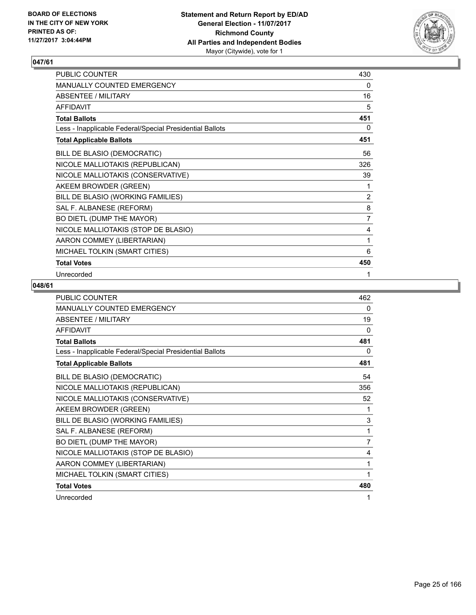

| PUBLIC COUNTER                                           | 430            |
|----------------------------------------------------------|----------------|
| MANUALLY COUNTED EMERGENCY                               | 0              |
| <b>ABSENTEE / MILITARY</b>                               | 16             |
| <b>AFFIDAVIT</b>                                         | 5              |
| <b>Total Ballots</b>                                     | 451            |
| Less - Inapplicable Federal/Special Presidential Ballots | 0              |
| <b>Total Applicable Ballots</b>                          | 451            |
| BILL DE BLASIO (DEMOCRATIC)                              | 56             |
| NICOLE MALLIOTAKIS (REPUBLICAN)                          | 326            |
| NICOLE MALLIOTAKIS (CONSERVATIVE)                        | 39             |
| AKEEM BROWDER (GREEN)                                    | 1              |
| BILL DE BLASIO (WORKING FAMILIES)                        | 2              |
| SAL F. ALBANESE (REFORM)                                 | 8              |
| BO DIETL (DUMP THE MAYOR)                                | $\overline{7}$ |
| NICOLE MALLIOTAKIS (STOP DE BLASIO)                      | 4              |
| AARON COMMEY (LIBERTARIAN)                               | 1              |
| MICHAEL TOLKIN (SMART CITIES)                            | 6              |
| <b>Total Votes</b>                                       | 450            |
| Unrecorded                                               | 1              |

| <b>PUBLIC COUNTER</b>                                    | 462 |
|----------------------------------------------------------|-----|
| <b>MANUALLY COUNTED EMERGENCY</b>                        | 0   |
| <b>ABSENTEE / MILITARY</b>                               | 19  |
| <b>AFFIDAVIT</b>                                         | 0   |
| <b>Total Ballots</b>                                     | 481 |
| Less - Inapplicable Federal/Special Presidential Ballots | 0   |
| <b>Total Applicable Ballots</b>                          | 481 |
| BILL DE BLASIO (DEMOCRATIC)                              | 54  |
| NICOLE MALLIOTAKIS (REPUBLICAN)                          | 356 |
| NICOLE MALLIOTAKIS (CONSERVATIVE)                        | 52  |
| AKEEM BROWDER (GREEN)                                    | 1   |
| BILL DE BLASIO (WORKING FAMILIES)                        | 3   |
| SAL F. ALBANESE (REFORM)                                 | 1   |
| BO DIETL (DUMP THE MAYOR)                                | 7   |
| NICOLE MALLIOTAKIS (STOP DE BLASIO)                      | 4   |
| AARON COMMEY (LIBERTARIAN)                               | 1   |
| MICHAEL TOLKIN (SMART CITIES)                            | 1   |
| <b>Total Votes</b>                                       | 480 |
| Unrecorded                                               | 1   |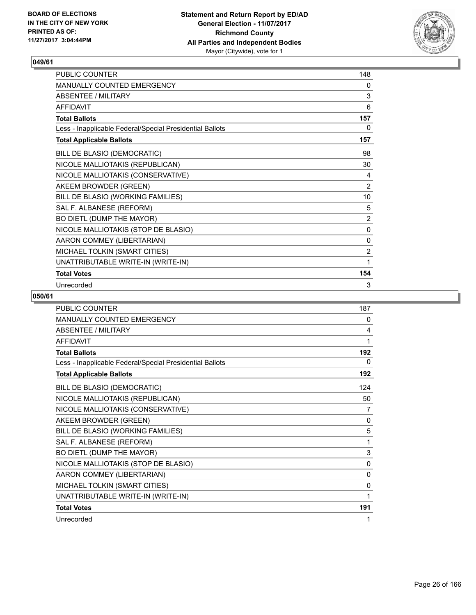

| PUBLIC COUNTER                                           | 148 |
|----------------------------------------------------------|-----|
| MANUALLY COUNTED EMERGENCY                               | 0   |
| <b>ABSENTEE / MILITARY</b>                               | 3   |
| <b>AFFIDAVIT</b>                                         | 6   |
| <b>Total Ballots</b>                                     | 157 |
| Less - Inapplicable Federal/Special Presidential Ballots | 0   |
| <b>Total Applicable Ballots</b>                          | 157 |
| BILL DE BLASIO (DEMOCRATIC)                              | 98  |
| NICOLE MALLIOTAKIS (REPUBLICAN)                          | 30  |
| NICOLE MALLIOTAKIS (CONSERVATIVE)                        | 4   |
| AKEEM BROWDER (GREEN)                                    | 2   |
| BILL DE BLASIO (WORKING FAMILIES)                        | 10  |
| SAL F. ALBANESE (REFORM)                                 | 5   |
| BO DIETL (DUMP THE MAYOR)                                | 2   |
| NICOLE MALLIOTAKIS (STOP DE BLASIO)                      | 0   |
| AARON COMMEY (LIBERTARIAN)                               | 0   |
| MICHAEL TOLKIN (SMART CITIES)                            | 2   |
| UNATTRIBUTABLE WRITE-IN (WRITE-IN)                       | 1   |
| <b>Total Votes</b>                                       | 154 |
| Unrecorded                                               | 3   |

| <b>PUBLIC COUNTER</b>                                    | 187 |
|----------------------------------------------------------|-----|
| MANUALLY COUNTED EMERGENCY                               | 0   |
| <b>ABSENTEE / MILITARY</b>                               | 4   |
| <b>AFFIDAVIT</b>                                         | 1   |
| <b>Total Ballots</b>                                     | 192 |
| Less - Inapplicable Federal/Special Presidential Ballots | 0   |
| <b>Total Applicable Ballots</b>                          | 192 |
| BILL DE BLASIO (DEMOCRATIC)                              | 124 |
| NICOLE MALLIOTAKIS (REPUBLICAN)                          | 50  |
| NICOLE MALLIOTAKIS (CONSERVATIVE)                        | 7   |
| AKEEM BROWDER (GREEN)                                    | 0   |
| BILL DE BLASIO (WORKING FAMILIES)                        | 5   |
| SAL F. ALBANESE (REFORM)                                 | 1   |
| BO DIETL (DUMP THE MAYOR)                                | 3   |
| NICOLE MALLIOTAKIS (STOP DE BLASIO)                      | 0   |
| AARON COMMEY (LIBERTARIAN)                               | 0   |
| MICHAEL TOLKIN (SMART CITIES)                            | 0   |
| UNATTRIBUTABLE WRITE-IN (WRITE-IN)                       | 1   |
| <b>Total Votes</b>                                       | 191 |
| Unrecorded                                               | 1   |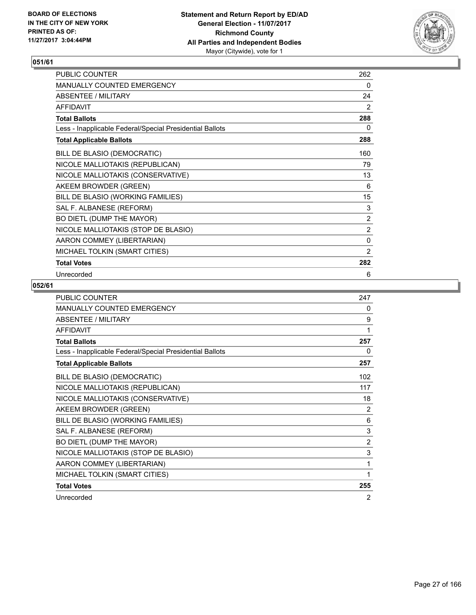

| PUBLIC COUNTER                                           | 262            |
|----------------------------------------------------------|----------------|
| MANUALLY COUNTED EMERGENCY                               | 0              |
| <b>ABSENTEE / MILITARY</b>                               | 24             |
| <b>AFFIDAVIT</b>                                         | 2              |
| <b>Total Ballots</b>                                     | 288            |
| Less - Inapplicable Federal/Special Presidential Ballots | 0              |
| <b>Total Applicable Ballots</b>                          | 288            |
| BILL DE BLASIO (DEMOCRATIC)                              | 160            |
| NICOLE MALLIOTAKIS (REPUBLICAN)                          | 79             |
| NICOLE MALLIOTAKIS (CONSERVATIVE)                        | 13             |
| AKEEM BROWDER (GREEN)                                    | 6              |
| BILL DE BLASIO (WORKING FAMILIES)                        | 15             |
| SAL F. ALBANESE (REFORM)                                 | 3              |
| BO DIETL (DUMP THE MAYOR)                                | 2              |
| NICOLE MALLIOTAKIS (STOP DE BLASIO)                      | $\overline{2}$ |
| AARON COMMEY (LIBERTARIAN)                               | 0              |
| MICHAEL TOLKIN (SMART CITIES)                            | 2              |
| <b>Total Votes</b>                                       | 282            |
| Unrecorded                                               | 6              |

| <b>PUBLIC COUNTER</b>                                    | 247 |
|----------------------------------------------------------|-----|
| <b>MANUALLY COUNTED EMERGENCY</b>                        | 0   |
| <b>ABSENTEE / MILITARY</b>                               | 9   |
| <b>AFFIDAVIT</b>                                         | 1   |
| <b>Total Ballots</b>                                     | 257 |
| Less - Inapplicable Federal/Special Presidential Ballots | 0   |
| <b>Total Applicable Ballots</b>                          | 257 |
| BILL DE BLASIO (DEMOCRATIC)                              | 102 |
| NICOLE MALLIOTAKIS (REPUBLICAN)                          | 117 |
| NICOLE MALLIOTAKIS (CONSERVATIVE)                        | 18  |
| AKEEM BROWDER (GREEN)                                    | 2   |
| BILL DE BLASIO (WORKING FAMILIES)                        | 6   |
| SAL F. ALBANESE (REFORM)                                 | 3   |
| BO DIETL (DUMP THE MAYOR)                                | 2   |
| NICOLE MALLIOTAKIS (STOP DE BLASIO)                      | 3   |
| AARON COMMEY (LIBERTARIAN)                               | 1   |
| MICHAEL TOLKIN (SMART CITIES)                            | 1   |
| <b>Total Votes</b>                                       | 255 |
| Unrecorded                                               | 2   |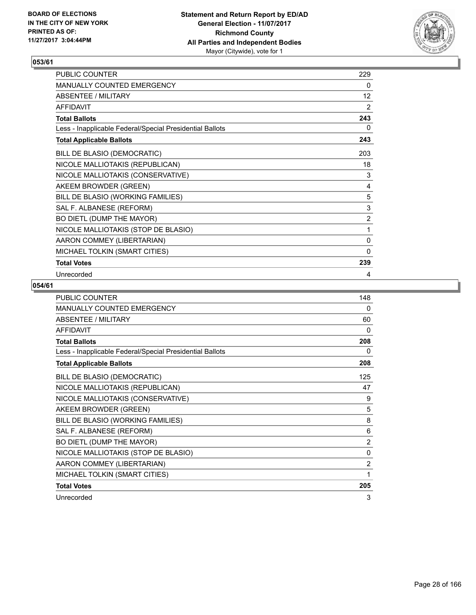

| PUBLIC COUNTER                                           | 229               |
|----------------------------------------------------------|-------------------|
| MANUALLY COUNTED EMERGENCY                               | 0                 |
| <b>ABSENTEE / MILITARY</b>                               | $12 \overline{ }$ |
| <b>AFFIDAVIT</b>                                         | 2                 |
| <b>Total Ballots</b>                                     | 243               |
| Less - Inapplicable Federal/Special Presidential Ballots | 0                 |
| <b>Total Applicable Ballots</b>                          | 243               |
| BILL DE BLASIO (DEMOCRATIC)                              | 203               |
| NICOLE MALLIOTAKIS (REPUBLICAN)                          | 18                |
| NICOLE MALLIOTAKIS (CONSERVATIVE)                        | 3                 |
| AKEEM BROWDER (GREEN)                                    | 4                 |
| BILL DE BLASIO (WORKING FAMILIES)                        | 5                 |
| SAL F. ALBANESE (REFORM)                                 | 3                 |
| BO DIETL (DUMP THE MAYOR)                                | $\overline{2}$    |
| NICOLE MALLIOTAKIS (STOP DE BLASIO)                      | 1                 |
| AARON COMMEY (LIBERTARIAN)                               | 0                 |
| MICHAEL TOLKIN (SMART CITIES)                            | $\mathbf{0}$      |
| <b>Total Votes</b>                                       | 239               |
| Unrecorded                                               | 4                 |

| <b>PUBLIC COUNTER</b>                                    | 148            |
|----------------------------------------------------------|----------------|
| <b>MANUALLY COUNTED EMERGENCY</b>                        | 0              |
| <b>ABSENTEE / MILITARY</b>                               | 60             |
| <b>AFFIDAVIT</b>                                         | 0              |
| <b>Total Ballots</b>                                     | 208            |
| Less - Inapplicable Federal/Special Presidential Ballots | 0              |
| <b>Total Applicable Ballots</b>                          | 208            |
| BILL DE BLASIO (DEMOCRATIC)                              | 125            |
| NICOLE MALLIOTAKIS (REPUBLICAN)                          | 47             |
| NICOLE MALLIOTAKIS (CONSERVATIVE)                        | 9              |
| AKEEM BROWDER (GREEN)                                    | 5              |
| BILL DE BLASIO (WORKING FAMILIES)                        | 8              |
| SAL F. ALBANESE (REFORM)                                 | 6              |
| BO DIETL (DUMP THE MAYOR)                                | $\overline{2}$ |
| NICOLE MALLIOTAKIS (STOP DE BLASIO)                      | $\mathbf{0}$   |
| AARON COMMEY (LIBERTARIAN)                               | $\overline{2}$ |
| MICHAEL TOLKIN (SMART CITIES)                            | 1              |
| <b>Total Votes</b>                                       | 205            |
| Unrecorded                                               | 3              |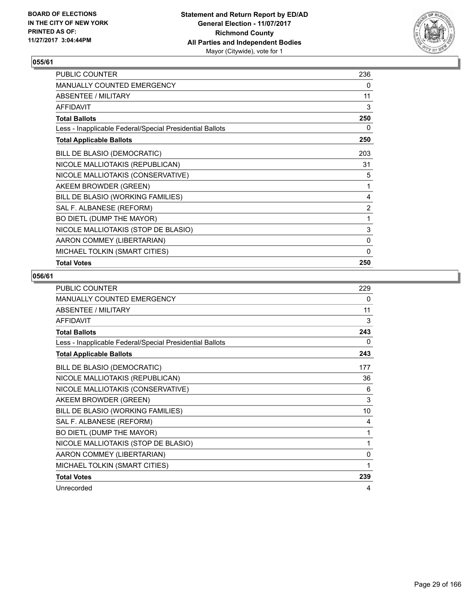

| PUBLIC COUNTER                                           | 236            |
|----------------------------------------------------------|----------------|
| <b>MANUALLY COUNTED EMERGENCY</b>                        | 0              |
| ABSENTEE / MILITARY                                      | 11             |
| <b>AFFIDAVIT</b>                                         | 3              |
| <b>Total Ballots</b>                                     | 250            |
| Less - Inapplicable Federal/Special Presidential Ballots | 0              |
| <b>Total Applicable Ballots</b>                          | 250            |
| BILL DE BLASIO (DEMOCRATIC)                              | 203            |
| NICOLE MALLIOTAKIS (REPUBLICAN)                          | 31             |
| NICOLE MALLIOTAKIS (CONSERVATIVE)                        | 5              |
| AKEEM BROWDER (GREEN)                                    | 1              |
| BILL DE BLASIO (WORKING FAMILIES)                        | 4              |
| SAL F. ALBANESE (REFORM)                                 | $\overline{2}$ |
| BO DIETL (DUMP THE MAYOR)                                | 1              |
| NICOLE MALLIOTAKIS (STOP DE BLASIO)                      | 3              |
| AARON COMMEY (LIBERTARIAN)                               | 0              |
| MICHAEL TOLKIN (SMART CITIES)                            | 0              |
| <b>Total Votes</b>                                       | 250            |

| <b>PUBLIC COUNTER</b>                                    | 229 |
|----------------------------------------------------------|-----|
| <b>MANUALLY COUNTED EMERGENCY</b>                        | 0   |
| ABSENTEE / MILITARY                                      | 11  |
| <b>AFFIDAVIT</b>                                         | 3   |
| <b>Total Ballots</b>                                     | 243 |
| Less - Inapplicable Federal/Special Presidential Ballots | 0   |
| <b>Total Applicable Ballots</b>                          | 243 |
| BILL DE BLASIO (DEMOCRATIC)                              | 177 |
| NICOLE MALLIOTAKIS (REPUBLICAN)                          | 36  |
| NICOLE MALLIOTAKIS (CONSERVATIVE)                        | 6   |
| AKEEM BROWDER (GREEN)                                    | 3   |
| BILL DE BLASIO (WORKING FAMILIES)                        | 10  |
| SAL F. ALBANESE (REFORM)                                 | 4   |
| BO DIETL (DUMP THE MAYOR)                                | 1   |
| NICOLE MALLIOTAKIS (STOP DE BLASIO)                      | 1   |
| AARON COMMEY (LIBERTARIAN)                               | 0   |
| MICHAEL TOLKIN (SMART CITIES)                            | 1   |
| <b>Total Votes</b>                                       | 239 |
| Unrecorded                                               | 4   |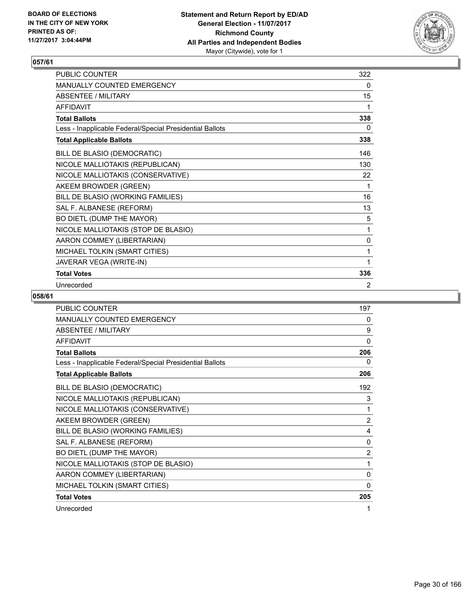

| <b>PUBLIC COUNTER</b>                                    | 322 |
|----------------------------------------------------------|-----|
| <b>MANUALLY COUNTED EMERGENCY</b>                        | 0   |
| ABSENTEE / MILITARY                                      | 15  |
| <b>AFFIDAVIT</b>                                         | 1   |
| <b>Total Ballots</b>                                     | 338 |
| Less - Inapplicable Federal/Special Presidential Ballots | 0   |
| <b>Total Applicable Ballots</b>                          | 338 |
| BILL DE BLASIO (DEMOCRATIC)                              | 146 |
| NICOLE MALLIOTAKIS (REPUBLICAN)                          | 130 |
| NICOLE MALLIOTAKIS (CONSERVATIVE)                        | 22  |
| AKEEM BROWDER (GREEN)                                    | 1   |
| BILL DE BLASIO (WORKING FAMILIES)                        | 16  |
| SAL F. ALBANESE (REFORM)                                 | 13  |
| BO DIETL (DUMP THE MAYOR)                                | 5   |
| NICOLE MALLIOTAKIS (STOP DE BLASIO)                      | 1   |
| AARON COMMEY (LIBERTARIAN)                               | 0   |
| MICHAEL TOLKIN (SMART CITIES)                            | 1   |
| JAVERAR VEGA (WRITE-IN)                                  | 1   |
| <b>Total Votes</b>                                       | 336 |
| Unrecorded                                               | 2   |

| <b>PUBLIC COUNTER</b>                                    | 197            |
|----------------------------------------------------------|----------------|
| <b>MANUALLY COUNTED EMERGENCY</b>                        | 0              |
| <b>ABSENTEE / MILITARY</b>                               | 9              |
| <b>AFFIDAVIT</b>                                         | 0              |
| <b>Total Ballots</b>                                     | 206            |
| Less - Inapplicable Federal/Special Presidential Ballots | 0              |
| <b>Total Applicable Ballots</b>                          | 206            |
| BILL DE BLASIO (DEMOCRATIC)                              | 192            |
| NICOLE MALLIOTAKIS (REPUBLICAN)                          | 3              |
| NICOLE MALLIOTAKIS (CONSERVATIVE)                        | 1              |
| AKEEM BROWDER (GREEN)                                    | $\overline{2}$ |
| BILL DE BLASIO (WORKING FAMILIES)                        | 4              |
| SAL F. ALBANESE (REFORM)                                 | 0              |
| BO DIETL (DUMP THE MAYOR)                                | $\overline{2}$ |
| NICOLE MALLIOTAKIS (STOP DE BLASIO)                      | 1              |
| AARON COMMEY (LIBERTARIAN)                               | 0              |
| MICHAEL TOLKIN (SMART CITIES)                            | $\Omega$       |
| <b>Total Votes</b>                                       | 205            |
| Unrecorded                                               | 1              |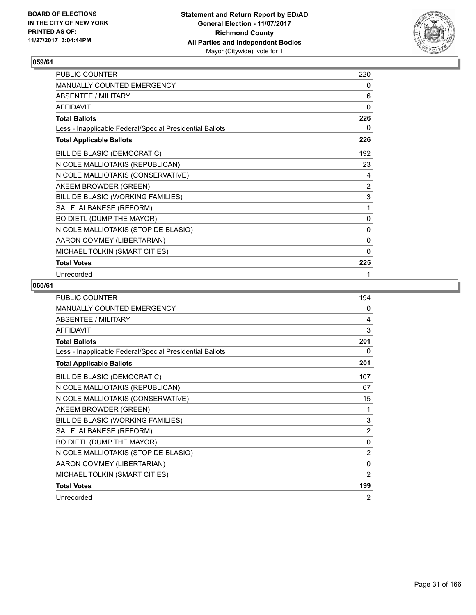

| PUBLIC COUNTER                                           | 220          |
|----------------------------------------------------------|--------------|
| MANUALLY COUNTED EMERGENCY                               | 0            |
| <b>ABSENTEE / MILITARY</b>                               | 6            |
| <b>AFFIDAVIT</b>                                         | $\mathbf{0}$ |
| <b>Total Ballots</b>                                     | 226          |
| Less - Inapplicable Federal/Special Presidential Ballots | 0            |
| <b>Total Applicable Ballots</b>                          | 226          |
| BILL DE BLASIO (DEMOCRATIC)                              | 192          |
| NICOLE MALLIOTAKIS (REPUBLICAN)                          | 23           |
| NICOLE MALLIOTAKIS (CONSERVATIVE)                        | 4            |
| AKEEM BROWDER (GREEN)                                    | 2            |
| BILL DE BLASIO (WORKING FAMILIES)                        | $\mathsf 3$  |
| SAL F. ALBANESE (REFORM)                                 | 1            |
| BO DIETL (DUMP THE MAYOR)                                | 0            |
| NICOLE MALLIOTAKIS (STOP DE BLASIO)                      | 0            |
| AARON COMMEY (LIBERTARIAN)                               | 0            |
| MICHAEL TOLKIN (SMART CITIES)                            | $\mathbf{0}$ |
| <b>Total Votes</b>                                       | 225          |
| Unrecorded                                               | 1            |

| <b>PUBLIC COUNTER</b>                                    | 194            |
|----------------------------------------------------------|----------------|
| <b>MANUALLY COUNTED EMERGENCY</b>                        | 0              |
| <b>ABSENTEE / MILITARY</b>                               | 4              |
| <b>AFFIDAVIT</b>                                         | 3              |
| <b>Total Ballots</b>                                     | 201            |
| Less - Inapplicable Federal/Special Presidential Ballots | 0              |
| <b>Total Applicable Ballots</b>                          | 201            |
| BILL DE BLASIO (DEMOCRATIC)                              | 107            |
| NICOLE MALLIOTAKIS (REPUBLICAN)                          | 67             |
| NICOLE MALLIOTAKIS (CONSERVATIVE)                        | 15             |
| AKEEM BROWDER (GREEN)                                    | 1              |
| BILL DE BLASIO (WORKING FAMILIES)                        | 3              |
| SAL F. ALBANESE (REFORM)                                 | $\overline{2}$ |
| BO DIETL (DUMP THE MAYOR)                                | $\mathbf{0}$   |
| NICOLE MALLIOTAKIS (STOP DE BLASIO)                      | 2              |
| AARON COMMEY (LIBERTARIAN)                               | $\mathbf{0}$   |
| MICHAEL TOLKIN (SMART CITIES)                            | $\overline{2}$ |
| <b>Total Votes</b>                                       | 199            |
| Unrecorded                                               | 2              |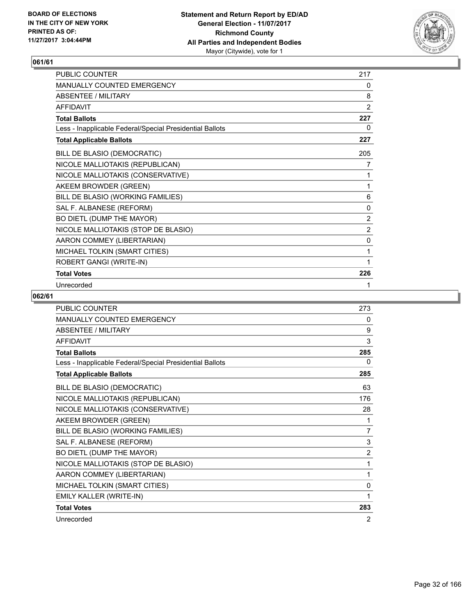

| <b>PUBLIC COUNTER</b>                                    | 217          |
|----------------------------------------------------------|--------------|
| <b>MANUALLY COUNTED EMERGENCY</b>                        | 0            |
| ABSENTEE / MILITARY                                      | 8            |
| <b>AFFIDAVIT</b>                                         | 2            |
| <b>Total Ballots</b>                                     | 227          |
| Less - Inapplicable Federal/Special Presidential Ballots | 0            |
| <b>Total Applicable Ballots</b>                          | 227          |
| BILL DE BLASIO (DEMOCRATIC)                              | 205          |
| NICOLE MALLIOTAKIS (REPUBLICAN)                          | 7            |
| NICOLE MALLIOTAKIS (CONSERVATIVE)                        | 1            |
| AKEEM BROWDER (GREEN)                                    | 1            |
| BILL DE BLASIO (WORKING FAMILIES)                        | 6            |
| SAL F. ALBANESE (REFORM)                                 | $\mathbf{0}$ |
| BO DIETL (DUMP THE MAYOR)                                | 2            |
| NICOLE MALLIOTAKIS (STOP DE BLASIO)                      | 2            |
| AARON COMMEY (LIBERTARIAN)                               | 0            |
| MICHAEL TOLKIN (SMART CITIES)                            | 1            |
| ROBERT GANGI (WRITE-IN)                                  | 1            |
| <b>Total Votes</b>                                       | 226          |
| Unrecorded                                               | 1            |

| <b>PUBLIC COUNTER</b>                                    | 273 |
|----------------------------------------------------------|-----|
| <b>MANUALLY COUNTED EMERGENCY</b>                        | 0   |
| <b>ABSENTEE / MILITARY</b>                               | 9   |
| <b>AFFIDAVIT</b>                                         | 3   |
| <b>Total Ballots</b>                                     | 285 |
| Less - Inapplicable Federal/Special Presidential Ballots | 0   |
| <b>Total Applicable Ballots</b>                          | 285 |
| BILL DE BLASIO (DEMOCRATIC)                              | 63  |
| NICOLE MALLIOTAKIS (REPUBLICAN)                          | 176 |
| NICOLE MALLIOTAKIS (CONSERVATIVE)                        | 28  |
| AKEEM BROWDER (GREEN)                                    | 1   |
| BILL DE BLASIO (WORKING FAMILIES)                        | 7   |
| SAL F. ALBANESE (REFORM)                                 | 3   |
| BO DIETL (DUMP THE MAYOR)                                | 2   |
| NICOLE MALLIOTAKIS (STOP DE BLASIO)                      | 1   |
| AARON COMMEY (LIBERTARIAN)                               | 1   |
| MICHAEL TOLKIN (SMART CITIES)                            | 0   |
| EMILY KALLER (WRITE-IN)                                  | 1   |
| <b>Total Votes</b>                                       | 283 |
| Unrecorded                                               | 2   |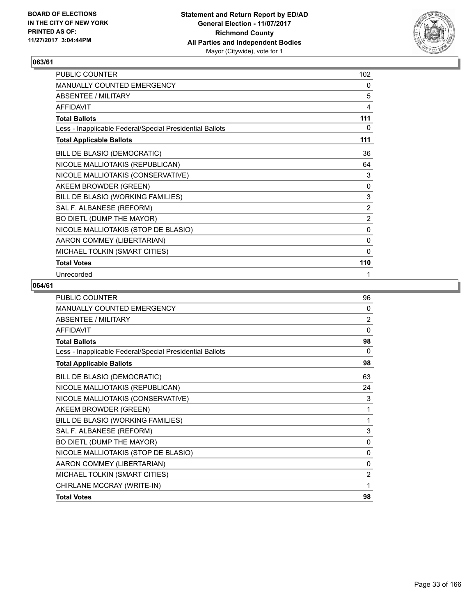

| PUBLIC COUNTER                                           | 102            |
|----------------------------------------------------------|----------------|
| <b>MANUALLY COUNTED EMERGENCY</b>                        | 0              |
| <b>ABSENTEE / MILITARY</b>                               | 5              |
| <b>AFFIDAVIT</b>                                         | 4              |
| <b>Total Ballots</b>                                     | 111            |
| Less - Inapplicable Federal/Special Presidential Ballots | 0              |
| <b>Total Applicable Ballots</b>                          | 111            |
| BILL DE BLASIO (DEMOCRATIC)                              | 36             |
| NICOLE MALLIOTAKIS (REPUBLICAN)                          | 64             |
| NICOLE MALLIOTAKIS (CONSERVATIVE)                        | 3              |
| AKEEM BROWDER (GREEN)                                    | 0              |
| BILL DE BLASIO (WORKING FAMILIES)                        | 3              |
| SAL F. ALBANESE (REFORM)                                 | $\overline{2}$ |
| BO DIETL (DUMP THE MAYOR)                                | $\overline{2}$ |
| NICOLE MALLIOTAKIS (STOP DE BLASIO)                      | $\mathbf 0$    |
| AARON COMMEY (LIBERTARIAN)                               | $\mathbf 0$    |
| MICHAEL TOLKIN (SMART CITIES)                            | $\Omega$       |
| <b>Total Votes</b>                                       | 110            |
| Unrecorded                                               | 1              |

| <b>PUBLIC COUNTER</b>                                    | 96             |
|----------------------------------------------------------|----------------|
| <b>MANUALLY COUNTED EMERGENCY</b>                        | 0              |
| <b>ABSENTEE / MILITARY</b>                               | $\overline{2}$ |
| <b>AFFIDAVIT</b>                                         | $\Omega$       |
| <b>Total Ballots</b>                                     | 98             |
| Less - Inapplicable Federal/Special Presidential Ballots | 0              |
| <b>Total Applicable Ballots</b>                          | 98             |
| BILL DE BLASIO (DEMOCRATIC)                              | 63             |
| NICOLE MALLIOTAKIS (REPUBLICAN)                          | 24             |
| NICOLE MALLIOTAKIS (CONSERVATIVE)                        | 3              |
| AKEEM BROWDER (GREEN)                                    | 1              |
| BILL DE BLASIO (WORKING FAMILIES)                        | 1              |
| SAL F. ALBANESE (REFORM)                                 | 3              |
| BO DIETL (DUMP THE MAYOR)                                | $\mathbf{0}$   |
| NICOLE MALLIOTAKIS (STOP DE BLASIO)                      | $\mathbf{0}$   |
| AARON COMMEY (LIBERTARIAN)                               | $\mathbf{0}$   |
| MICHAEL TOLKIN (SMART CITIES)                            | $\overline{2}$ |
| CHIRLANE MCCRAY (WRITE-IN)                               | 1              |
| <b>Total Votes</b>                                       | 98             |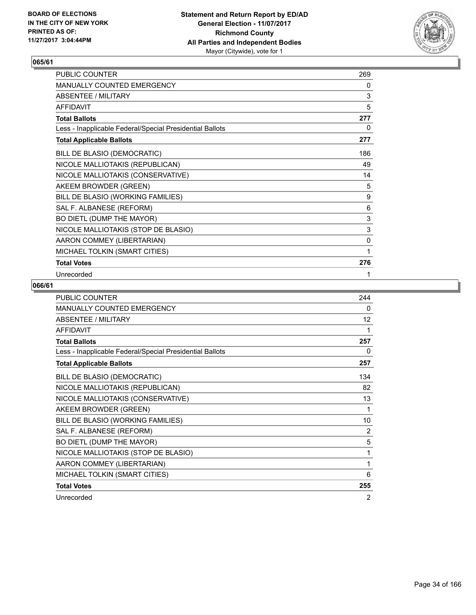

| PUBLIC COUNTER                                           | 269         |
|----------------------------------------------------------|-------------|
| MANUALLY COUNTED EMERGENCY                               | 0           |
| <b>ABSENTEE / MILITARY</b>                               | 3           |
| <b>AFFIDAVIT</b>                                         | 5           |
| <b>Total Ballots</b>                                     | 277         |
| Less - Inapplicable Federal/Special Presidential Ballots | 0           |
| <b>Total Applicable Ballots</b>                          | 277         |
| BILL DE BLASIO (DEMOCRATIC)                              | 186         |
| NICOLE MALLIOTAKIS (REPUBLICAN)                          | 49          |
| NICOLE MALLIOTAKIS (CONSERVATIVE)                        | 14          |
| AKEEM BROWDER (GREEN)                                    | 5           |
| BILL DE BLASIO (WORKING FAMILIES)                        | 9           |
| SAL F. ALBANESE (REFORM)                                 | 6           |
| BO DIETL (DUMP THE MAYOR)                                | $\mathsf 3$ |
| NICOLE MALLIOTAKIS (STOP DE BLASIO)                      | $\mathsf 3$ |
| AARON COMMEY (LIBERTARIAN)                               | 0           |
| MICHAEL TOLKIN (SMART CITIES)                            | 1           |
| <b>Total Votes</b>                                       | 276         |
| Unrecorded                                               | 1           |

| <b>PUBLIC COUNTER</b>                                    | 244 |
|----------------------------------------------------------|-----|
| <b>MANUALLY COUNTED EMERGENCY</b>                        | 0   |
| <b>ABSENTEE / MILITARY</b>                               | 12  |
| <b>AFFIDAVIT</b>                                         | 1   |
| <b>Total Ballots</b>                                     | 257 |
| Less - Inapplicable Federal/Special Presidential Ballots | 0   |
| <b>Total Applicable Ballots</b>                          | 257 |
| BILL DE BLASIO (DEMOCRATIC)                              | 134 |
| NICOLE MALLIOTAKIS (REPUBLICAN)                          | 82  |
| NICOLE MALLIOTAKIS (CONSERVATIVE)                        | 13  |
| AKEEM BROWDER (GREEN)                                    | 1   |
| BILL DE BLASIO (WORKING FAMILIES)                        | 10  |
| SAL F. ALBANESE (REFORM)                                 | 2   |
| BO DIETL (DUMP THE MAYOR)                                | 5   |
| NICOLE MALLIOTAKIS (STOP DE BLASIO)                      | 1   |
| AARON COMMEY (LIBERTARIAN)                               | 1   |
| MICHAEL TOLKIN (SMART CITIES)                            | 6   |
| <b>Total Votes</b>                                       | 255 |
| Unrecorded                                               | 2   |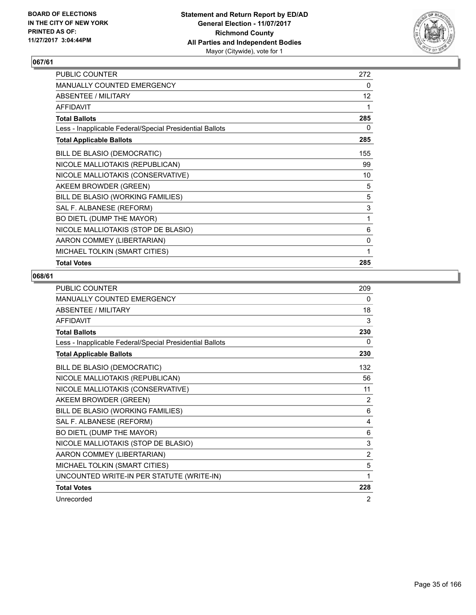

| <b>PUBLIC COUNTER</b>                                    | 272 |
|----------------------------------------------------------|-----|
| <b>MANUALLY COUNTED EMERGENCY</b>                        | 0   |
| ABSENTEE / MILITARY                                      | 12  |
| <b>AFFIDAVIT</b>                                         | 1   |
| <b>Total Ballots</b>                                     | 285 |
| Less - Inapplicable Federal/Special Presidential Ballots | 0   |
| <b>Total Applicable Ballots</b>                          | 285 |
| BILL DE BLASIO (DEMOCRATIC)                              | 155 |
| NICOLE MALLIOTAKIS (REPUBLICAN)                          | 99  |
| NICOLE MALLIOTAKIS (CONSERVATIVE)                        | 10  |
| AKEEM BROWDER (GREEN)                                    | 5   |
| BILL DE BLASIO (WORKING FAMILIES)                        | 5   |
| SAL F. ALBANESE (REFORM)                                 | 3   |
| BO DIETL (DUMP THE MAYOR)                                | 1   |
| NICOLE MALLIOTAKIS (STOP DE BLASIO)                      | 6   |
| AARON COMMEY (LIBERTARIAN)                               | 0   |
| MICHAEL TOLKIN (SMART CITIES)                            | 1   |
| <b>Total Votes</b>                                       | 285 |

| <b>PUBLIC COUNTER</b>                                    | 209 |
|----------------------------------------------------------|-----|
| <b>MANUALLY COUNTED EMERGENCY</b>                        | 0   |
| <b>ABSENTEE / MILITARY</b>                               | 18  |
| <b>AFFIDAVIT</b>                                         | 3   |
| <b>Total Ballots</b>                                     | 230 |
| Less - Inapplicable Federal/Special Presidential Ballots | 0   |
| <b>Total Applicable Ballots</b>                          | 230 |
| BILL DE BLASIO (DEMOCRATIC)                              | 132 |
| NICOLE MALLIOTAKIS (REPUBLICAN)                          | 56  |
| NICOLE MALLIOTAKIS (CONSERVATIVE)                        | 11  |
| AKEEM BROWDER (GREEN)                                    | 2   |
| BILL DE BLASIO (WORKING FAMILIES)                        | 6   |
| SAL F. ALBANESE (REFORM)                                 | 4   |
| BO DIETL (DUMP THE MAYOR)                                | 6   |
| NICOLE MALLIOTAKIS (STOP DE BLASIO)                      | 3   |
| AARON COMMEY (LIBERTARIAN)                               | 2   |
| MICHAEL TOLKIN (SMART CITIES)                            | 5   |
| UNCOUNTED WRITE-IN PER STATUTE (WRITE-IN)                | 1   |
| <b>Total Votes</b>                                       | 228 |
| Unrecorded                                               | 2   |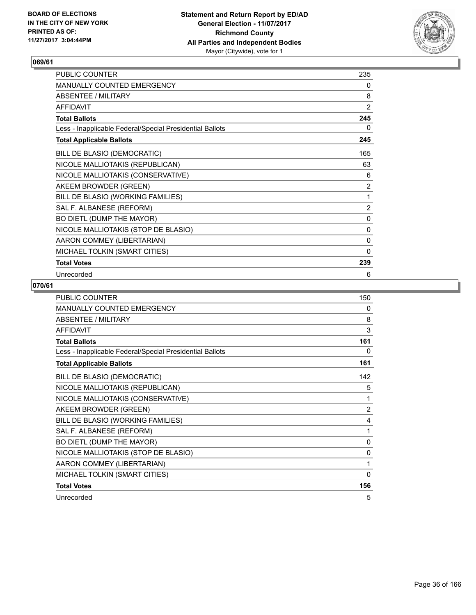

| PUBLIC COUNTER                                           | 235            |
|----------------------------------------------------------|----------------|
| MANUALLY COUNTED EMERGENCY                               | 0              |
| <b>ABSENTEE / MILITARY</b>                               | 8              |
| <b>AFFIDAVIT</b>                                         | 2              |
| <b>Total Ballots</b>                                     | 245            |
| Less - Inapplicable Federal/Special Presidential Ballots | 0              |
| <b>Total Applicable Ballots</b>                          | 245            |
| BILL DE BLASIO (DEMOCRATIC)                              | 165            |
| NICOLE MALLIOTAKIS (REPUBLICAN)                          | 63             |
| NICOLE MALLIOTAKIS (CONSERVATIVE)                        | 6              |
| AKEEM BROWDER (GREEN)                                    | $\overline{2}$ |
| BILL DE BLASIO (WORKING FAMILIES)                        | 1              |
| SAL F. ALBANESE (REFORM)                                 | 2              |
| BO DIETL (DUMP THE MAYOR)                                | 0              |
| NICOLE MALLIOTAKIS (STOP DE BLASIO)                      | 0              |
| AARON COMMEY (LIBERTARIAN)                               | 0              |
| MICHAEL TOLKIN (SMART CITIES)                            | $\mathbf{0}$   |
| <b>Total Votes</b>                                       | 239            |
| Unrecorded                                               | 6              |

| <b>PUBLIC COUNTER</b>                                    | 150            |
|----------------------------------------------------------|----------------|
| <b>MANUALLY COUNTED EMERGENCY</b>                        | 0              |
| <b>ABSENTEE / MILITARY</b>                               | 8              |
| <b>AFFIDAVIT</b>                                         | 3              |
| <b>Total Ballots</b>                                     | 161            |
| Less - Inapplicable Federal/Special Presidential Ballots | 0              |
| <b>Total Applicable Ballots</b>                          | 161            |
| BILL DE BLASIO (DEMOCRATIC)                              | 142            |
| NICOLE MALLIOTAKIS (REPUBLICAN)                          | 5              |
| NICOLE MALLIOTAKIS (CONSERVATIVE)                        | 1              |
| AKEEM BROWDER (GREEN)                                    | $\overline{2}$ |
| BILL DE BLASIO (WORKING FAMILIES)                        | 4              |
| SAL F. ALBANESE (REFORM)                                 | 1              |
| BO DIETL (DUMP THE MAYOR)                                | 0              |
| NICOLE MALLIOTAKIS (STOP DE BLASIO)                      | $\mathbf{0}$   |
| AARON COMMEY (LIBERTARIAN)                               | 1              |
| MICHAEL TOLKIN (SMART CITIES)                            | $\mathbf{0}$   |
| <b>Total Votes</b>                                       | 156            |
| Unrecorded                                               | 5              |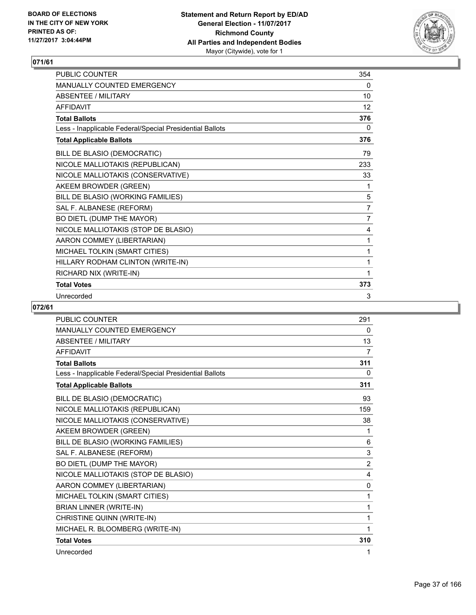

| <b>PUBLIC COUNTER</b>                                    | 354            |
|----------------------------------------------------------|----------------|
| <b>MANUALLY COUNTED EMERGENCY</b>                        | 0              |
| <b>ABSENTEE / MILITARY</b>                               | 10             |
| <b>AFFIDAVIT</b>                                         | 12             |
| <b>Total Ballots</b>                                     | 376            |
| Less - Inapplicable Federal/Special Presidential Ballots | 0              |
| <b>Total Applicable Ballots</b>                          | 376            |
| BILL DE BLASIO (DEMOCRATIC)                              | 79             |
| NICOLE MALLIOTAKIS (REPUBLICAN)                          | 233            |
| NICOLE MALLIOTAKIS (CONSERVATIVE)                        | 33             |
| AKEEM BROWDER (GREEN)                                    | 1              |
| BILL DE BLASIO (WORKING FAMILIES)                        | 5              |
| SAL F. ALBANESE (REFORM)                                 | $\overline{7}$ |
| BO DIETL (DUMP THE MAYOR)                                | 7              |
| NICOLE MALLIOTAKIS (STOP DE BLASIO)                      | 4              |
| AARON COMMEY (LIBERTARIAN)                               | 1              |
| MICHAEL TOLKIN (SMART CITIES)                            | 1              |
| HILLARY RODHAM CLINTON (WRITE-IN)                        | 1              |
| RICHARD NIX (WRITE-IN)                                   | 1              |
| <b>Total Votes</b>                                       | 373            |
| Unrecorded                                               | 3              |

| <b>PUBLIC COUNTER</b>                                    | 291            |
|----------------------------------------------------------|----------------|
| <b>MANUALLY COUNTED EMERGENCY</b>                        | 0              |
| <b>ABSENTEE / MILITARY</b>                               | 13             |
| <b>AFFIDAVIT</b>                                         | $\overline{7}$ |
| <b>Total Ballots</b>                                     | 311            |
| Less - Inapplicable Federal/Special Presidential Ballots | 0              |
| <b>Total Applicable Ballots</b>                          | 311            |
| BILL DE BLASIO (DEMOCRATIC)                              | 93             |
| NICOLE MALLIOTAKIS (REPUBLICAN)                          | 159            |
| NICOLE MALLIOTAKIS (CONSERVATIVE)                        | 38             |
| AKEEM BROWDER (GREEN)                                    | 1              |
| BILL DE BLASIO (WORKING FAMILIES)                        | 6              |
| SAL F. ALBANESE (REFORM)                                 | $\mathsf 3$    |
| BO DIETL (DUMP THE MAYOR)                                | $\overline{2}$ |
| NICOLE MALLIOTAKIS (STOP DE BLASIO)                      | 4              |
| AARON COMMEY (LIBERTARIAN)                               | 0              |
| MICHAEL TOLKIN (SMART CITIES)                            | 1              |
| <b>BRIAN LINNER (WRITE-IN)</b>                           | 1              |
| CHRISTINE QUINN (WRITE-IN)                               | 1              |
| MICHAEL R. BLOOMBERG (WRITE-IN)                          | 1              |
| <b>Total Votes</b>                                       | 310            |
| Unrecorded                                               | 1              |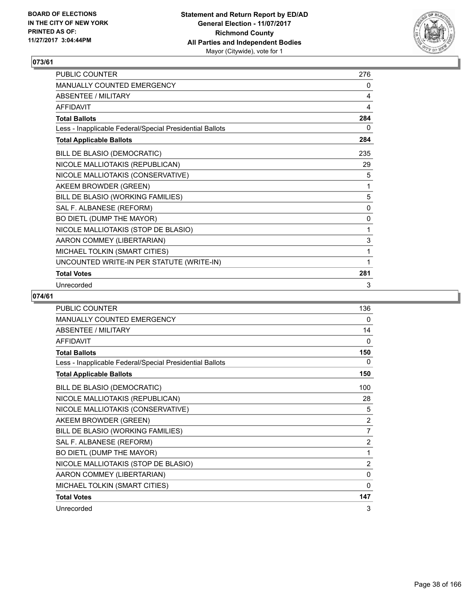

| <b>PUBLIC COUNTER</b>                                    | 276          |
|----------------------------------------------------------|--------------|
| <b>MANUALLY COUNTED EMERGENCY</b>                        | 0            |
| ABSENTEE / MILITARY                                      | 4            |
| <b>AFFIDAVIT</b>                                         | 4            |
| <b>Total Ballots</b>                                     | 284          |
| Less - Inapplicable Federal/Special Presidential Ballots | 0            |
| <b>Total Applicable Ballots</b>                          | 284          |
| BILL DE BLASIO (DEMOCRATIC)                              | 235          |
| NICOLE MALLIOTAKIS (REPUBLICAN)                          | 29           |
| NICOLE MALLIOTAKIS (CONSERVATIVE)                        | 5            |
| AKEEM BROWDER (GREEN)                                    | 1            |
| BILL DE BLASIO (WORKING FAMILIES)                        | 5            |
| SAL F. ALBANESE (REFORM)                                 | 0            |
| BO DIETL (DUMP THE MAYOR)                                | $\mathbf{0}$ |
| NICOLE MALLIOTAKIS (STOP DE BLASIO)                      | 1            |
| AARON COMMEY (LIBERTARIAN)                               | 3            |
| MICHAEL TOLKIN (SMART CITIES)                            | 1            |
| UNCOUNTED WRITE-IN PER STATUTE (WRITE-IN)                | 1            |
| <b>Total Votes</b>                                       | 281          |
| Unrecorded                                               | 3            |

| <b>PUBLIC COUNTER</b>                                    | 136            |
|----------------------------------------------------------|----------------|
| <b>MANUALLY COUNTED EMERGENCY</b>                        | 0              |
| <b>ABSENTEE / MILITARY</b>                               | 14             |
| <b>AFFIDAVIT</b>                                         | 0              |
| <b>Total Ballots</b>                                     | 150            |
| Less - Inapplicable Federal/Special Presidential Ballots | 0              |
| <b>Total Applicable Ballots</b>                          | 150            |
| BILL DE BLASIO (DEMOCRATIC)                              | 100            |
| NICOLE MALLIOTAKIS (REPUBLICAN)                          | 28             |
| NICOLE MALLIOTAKIS (CONSERVATIVE)                        | 5              |
| AKEEM BROWDER (GREEN)                                    | 2              |
| BILL DE BLASIO (WORKING FAMILIES)                        | $\overline{7}$ |
| SAL F. ALBANESE (REFORM)                                 | $\overline{2}$ |
| BO DIETL (DUMP THE MAYOR)                                | 1              |
| NICOLE MALLIOTAKIS (STOP DE BLASIO)                      | 2              |
| AARON COMMEY (LIBERTARIAN)                               | 0              |
| MICHAEL TOLKIN (SMART CITIES)                            | $\Omega$       |
| <b>Total Votes</b>                                       | 147            |
| Unrecorded                                               | 3              |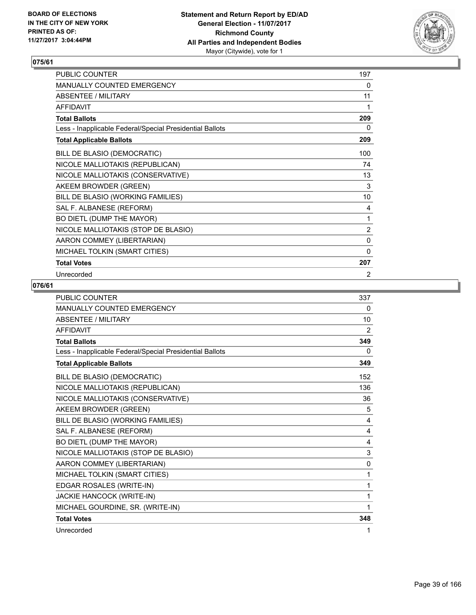

| <b>PUBLIC COUNTER</b>                                    | 197          |
|----------------------------------------------------------|--------------|
| <b>MANUALLY COUNTED EMERGENCY</b>                        | 0            |
| <b>ABSENTEE / MILITARY</b>                               | 11           |
| <b>AFFIDAVIT</b>                                         | 1            |
| <b>Total Ballots</b>                                     | 209          |
| Less - Inapplicable Federal/Special Presidential Ballots | 0            |
| <b>Total Applicable Ballots</b>                          | 209          |
| BILL DE BLASIO (DEMOCRATIC)                              | 100          |
| NICOLE MALLIOTAKIS (REPUBLICAN)                          | 74           |
| NICOLE MALLIOTAKIS (CONSERVATIVE)                        | 13           |
| AKEEM BROWDER (GREEN)                                    | 3            |
| BILL DE BLASIO (WORKING FAMILIES)                        | 10           |
| SAL F. ALBANESE (REFORM)                                 | 4            |
| BO DIETL (DUMP THE MAYOR)                                | 1            |
| NICOLE MALLIOTAKIS (STOP DE BLASIO)                      | 2            |
| AARON COMMEY (LIBERTARIAN)                               | $\mathbf 0$  |
| MICHAEL TOLKIN (SMART CITIES)                            | $\mathbf{0}$ |
| <b>Total Votes</b>                                       | 207          |
| Unrecorded                                               | 2            |

| <b>PUBLIC COUNTER</b>                                    | 337 |
|----------------------------------------------------------|-----|
| MANUALLY COUNTED EMERGENCY                               | 0   |
| <b>ABSENTEE / MILITARY</b>                               | 10  |
| <b>AFFIDAVIT</b>                                         | 2   |
| <b>Total Ballots</b>                                     | 349 |
| Less - Inapplicable Federal/Special Presidential Ballots | 0   |
| <b>Total Applicable Ballots</b>                          | 349 |
| BILL DE BLASIO (DEMOCRATIC)                              | 152 |
| NICOLE MALLIOTAKIS (REPUBLICAN)                          | 136 |
| NICOLE MALLIOTAKIS (CONSERVATIVE)                        | 36  |
| AKEEM BROWDER (GREEN)                                    | 5   |
| BILL DE BLASIO (WORKING FAMILIES)                        | 4   |
| SAL F. ALBANESE (REFORM)                                 | 4   |
| BO DIETL (DUMP THE MAYOR)                                | 4   |
| NICOLE MALLIOTAKIS (STOP DE BLASIO)                      | 3   |
| AARON COMMEY (LIBERTARIAN)                               | 0   |
| MICHAEL TOLKIN (SMART CITIES)                            | 1   |
| EDGAR ROSALES (WRITE-IN)                                 | 1   |
| JACKIE HANCOCK (WRITE-IN)                                | 1   |
| MICHAEL GOURDINE, SR. (WRITE-IN)                         | 1   |
| <b>Total Votes</b>                                       | 348 |
| Unrecorded                                               | 1   |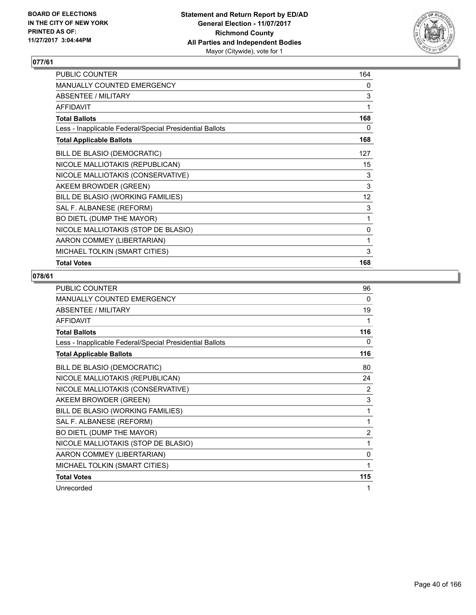

| PUBLIC COUNTER                                           | 164 |
|----------------------------------------------------------|-----|
| <b>MANUALLY COUNTED EMERGENCY</b>                        | 0   |
| <b>ABSENTEE / MILITARY</b>                               | 3   |
| <b>AFFIDAVIT</b>                                         | 1   |
| <b>Total Ballots</b>                                     | 168 |
| Less - Inapplicable Federal/Special Presidential Ballots | 0   |
| <b>Total Applicable Ballots</b>                          | 168 |
| BILL DE BLASIO (DEMOCRATIC)                              | 127 |
| NICOLE MALLIOTAKIS (REPUBLICAN)                          | 15  |
| NICOLE MALLIOTAKIS (CONSERVATIVE)                        | 3   |
| AKEEM BROWDER (GREEN)                                    | 3   |
| BILL DE BLASIO (WORKING FAMILIES)                        | 12  |
| SAL F. ALBANESE (REFORM)                                 | 3   |
| BO DIETL (DUMP THE MAYOR)                                | 1   |
| NICOLE MALLIOTAKIS (STOP DE BLASIO)                      | 0   |
| AARON COMMEY (LIBERTARIAN)                               | 1   |
| MICHAEL TOLKIN (SMART CITIES)                            | 3   |
| <b>Total Votes</b>                                       | 168 |

| <b>PUBLIC COUNTER</b>                                    | 96             |
|----------------------------------------------------------|----------------|
| <b>MANUALLY COUNTED EMERGENCY</b>                        | 0              |
| <b>ABSENTEE / MILITARY</b>                               | 19             |
| AFFIDAVIT                                                | 1              |
| <b>Total Ballots</b>                                     | 116            |
| Less - Inapplicable Federal/Special Presidential Ballots | 0              |
| <b>Total Applicable Ballots</b>                          | 116            |
| BILL DE BLASIO (DEMOCRATIC)                              | 80             |
| NICOLE MALLIOTAKIS (REPUBLICAN)                          | 24             |
| NICOLE MALLIOTAKIS (CONSERVATIVE)                        | 2              |
| AKEEM BROWDER (GREEN)                                    | 3              |
| BILL DE BLASIO (WORKING FAMILIES)                        | 1              |
| SAL F. ALBANESE (REFORM)                                 | 1              |
| BO DIETL (DUMP THE MAYOR)                                | $\overline{2}$ |
| NICOLE MALLIOTAKIS (STOP DE BLASIO)                      | 1              |
| AARON COMMEY (LIBERTARIAN)                               | 0              |
| MICHAEL TOLKIN (SMART CITIES)                            | 1              |
| <b>Total Votes</b>                                       | 115            |
| Unrecorded                                               | 1              |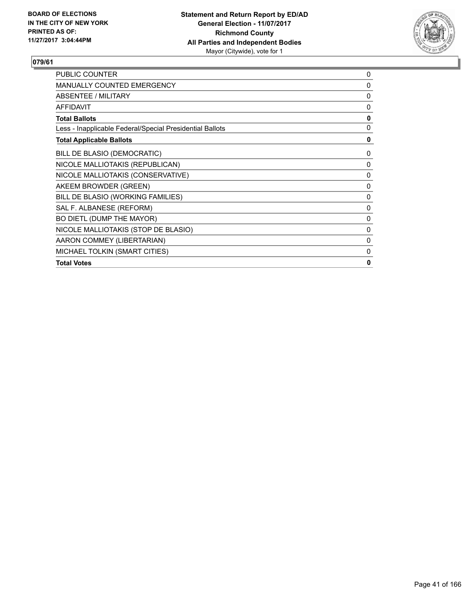

| <b>PUBLIC COUNTER</b>                                    | 0            |
|----------------------------------------------------------|--------------|
| <b>MANUALLY COUNTED EMERGENCY</b>                        | 0            |
| ABSENTEE / MILITARY                                      | 0            |
| <b>AFFIDAVIT</b>                                         | 0            |
| <b>Total Ballots</b>                                     | $\mathbf{0}$ |
| Less - Inapplicable Federal/Special Presidential Ballots | 0            |
| <b>Total Applicable Ballots</b>                          | 0            |
| BILL DE BLASIO (DEMOCRATIC)                              | 0            |
| NICOLE MALLIOTAKIS (REPUBLICAN)                          | 0            |
| NICOLE MALLIOTAKIS (CONSERVATIVE)                        | 0            |
| AKEEM BROWDER (GREEN)                                    | $\mathbf{0}$ |
| BILL DE BLASIO (WORKING FAMILIES)                        | 0            |
| SAL F. ALBANESE (REFORM)                                 | 0            |
| BO DIETL (DUMP THE MAYOR)                                | 0            |
| NICOLE MALLIOTAKIS (STOP DE BLASIO)                      | 0            |
| AARON COMMEY (LIBERTARIAN)                               | 0            |
| MICHAEL TOLKIN (SMART CITIES)                            | 0            |
| <b>Total Votes</b>                                       | 0            |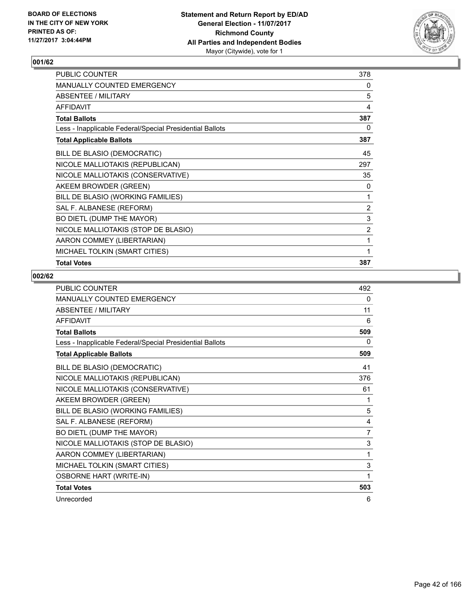

| PUBLIC COUNTER                                           | 378            |
|----------------------------------------------------------|----------------|
| <b>MANUALLY COUNTED EMERGENCY</b>                        | 0              |
| ABSENTEE / MILITARY                                      | 5              |
| <b>AFFIDAVIT</b>                                         | 4              |
| <b>Total Ballots</b>                                     | 387            |
| Less - Inapplicable Federal/Special Presidential Ballots | 0              |
| <b>Total Applicable Ballots</b>                          | 387            |
| BILL DE BLASIO (DEMOCRATIC)                              | 45             |
| NICOLE MALLIOTAKIS (REPUBLICAN)                          | 297            |
| NICOLE MALLIOTAKIS (CONSERVATIVE)                        | 35             |
| AKEEM BROWDER (GREEN)                                    | 0              |
| BILL DE BLASIO (WORKING FAMILIES)                        | 1              |
| SAL F. ALBANESE (REFORM)                                 | $\overline{2}$ |
| BO DIETL (DUMP THE MAYOR)                                | 3              |
| NICOLE MALLIOTAKIS (STOP DE BLASIO)                      | $\overline{2}$ |
| AARON COMMEY (LIBERTARIAN)                               | 1              |
| MICHAEL TOLKIN (SMART CITIES)                            |                |
| <b>Total Votes</b>                                       | 387            |

| <b>PUBLIC COUNTER</b>                                    | 492 |
|----------------------------------------------------------|-----|
| <b>MANUALLY COUNTED EMERGENCY</b>                        | 0   |
| <b>ABSENTEE / MILITARY</b>                               | 11  |
| <b>AFFIDAVIT</b>                                         | 6   |
| <b>Total Ballots</b>                                     | 509 |
| Less - Inapplicable Federal/Special Presidential Ballots | 0   |
| <b>Total Applicable Ballots</b>                          | 509 |
| BILL DE BLASIO (DEMOCRATIC)                              | 41  |
| NICOLE MALLIOTAKIS (REPUBLICAN)                          | 376 |
| NICOLE MALLIOTAKIS (CONSERVATIVE)                        | 61  |
| AKEEM BROWDER (GREEN)                                    | 1   |
| BILL DE BLASIO (WORKING FAMILIES)                        | 5   |
| SAL F. ALBANESE (REFORM)                                 | 4   |
| BO DIETL (DUMP THE MAYOR)                                | 7   |
| NICOLE MALLIOTAKIS (STOP DE BLASIO)                      | 3   |
| AARON COMMEY (LIBERTARIAN)                               | 1   |
| MICHAEL TOLKIN (SMART CITIES)                            | 3   |
| <b>OSBORNE HART (WRITE-IN)</b>                           | 1   |
| <b>Total Votes</b>                                       | 503 |
| Unrecorded                                               | 6   |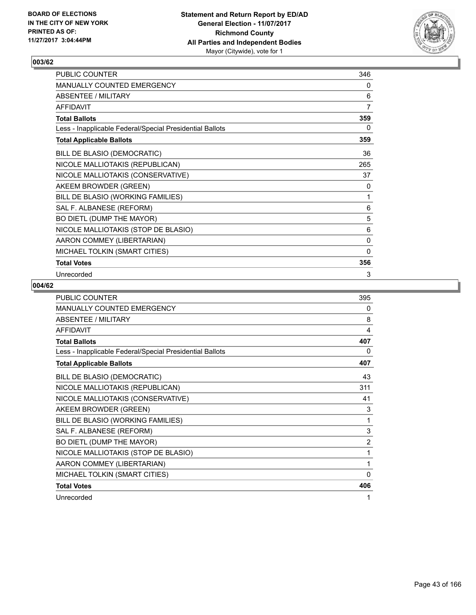

| PUBLIC COUNTER                                           | 346            |
|----------------------------------------------------------|----------------|
| MANUALLY COUNTED EMERGENCY                               | 0              |
| <b>ABSENTEE / MILITARY</b>                               | 6              |
| <b>AFFIDAVIT</b>                                         | $\overline{7}$ |
| <b>Total Ballots</b>                                     | 359            |
| Less - Inapplicable Federal/Special Presidential Ballots | 0              |
| <b>Total Applicable Ballots</b>                          | 359            |
| BILL DE BLASIO (DEMOCRATIC)                              | 36             |
| NICOLE MALLIOTAKIS (REPUBLICAN)                          | 265            |
| NICOLE MALLIOTAKIS (CONSERVATIVE)                        | 37             |
| AKEEM BROWDER (GREEN)                                    | 0              |
| BILL DE BLASIO (WORKING FAMILIES)                        | 1              |
| SAL F. ALBANESE (REFORM)                                 | 6              |
| BO DIETL (DUMP THE MAYOR)                                | 5              |
| NICOLE MALLIOTAKIS (STOP DE BLASIO)                      | 6              |
| AARON COMMEY (LIBERTARIAN)                               | 0              |
| MICHAEL TOLKIN (SMART CITIES)                            | $\mathbf{0}$   |
| <b>Total Votes</b>                                       | 356            |
| Unrecorded                                               | 3              |

| <b>PUBLIC COUNTER</b>                                    | 395            |
|----------------------------------------------------------|----------------|
| MANUALLY COUNTED EMERGENCY                               | 0              |
| <b>ABSENTEE / MILITARY</b>                               | 8              |
| <b>AFFIDAVIT</b>                                         | 4              |
| <b>Total Ballots</b>                                     | 407            |
| Less - Inapplicable Federal/Special Presidential Ballots | 0              |
| <b>Total Applicable Ballots</b>                          | 407            |
| BILL DE BLASIO (DEMOCRATIC)                              | 43             |
| NICOLE MALLIOTAKIS (REPUBLICAN)                          | 311            |
| NICOLE MALLIOTAKIS (CONSERVATIVE)                        | 41             |
| AKEEM BROWDER (GREEN)                                    | 3              |
| BILL DE BLASIO (WORKING FAMILIES)                        | 1              |
| SAL F. ALBANESE (REFORM)                                 | 3              |
| BO DIETL (DUMP THE MAYOR)                                | $\overline{2}$ |
| NICOLE MALLIOTAKIS (STOP DE BLASIO)                      | 1              |
| AARON COMMEY (LIBERTARIAN)                               | 1              |
| MICHAEL TOLKIN (SMART CITIES)                            | $\mathbf{0}$   |
| <b>Total Votes</b>                                       | 406            |
| Unrecorded                                               | 1              |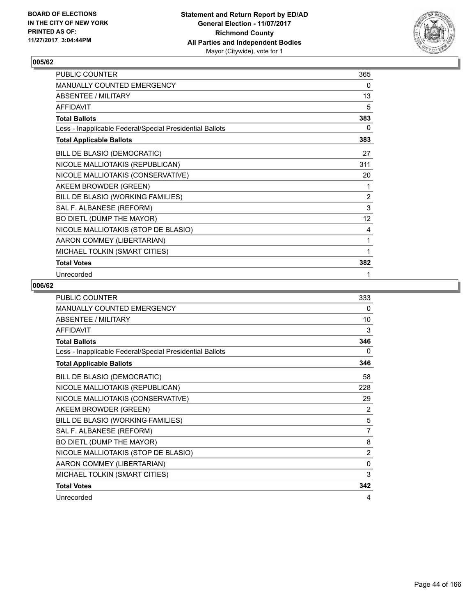

| PUBLIC COUNTER                                           | 365            |
|----------------------------------------------------------|----------------|
| MANUALLY COUNTED EMERGENCY                               | 0              |
| <b>ABSENTEE / MILITARY</b>                               | 13             |
| <b>AFFIDAVIT</b>                                         | 5              |
| <b>Total Ballots</b>                                     | 383            |
| Less - Inapplicable Federal/Special Presidential Ballots | 0              |
| <b>Total Applicable Ballots</b>                          | 383            |
| BILL DE BLASIO (DEMOCRATIC)                              | 27             |
| NICOLE MALLIOTAKIS (REPUBLICAN)                          | 311            |
| NICOLE MALLIOTAKIS (CONSERVATIVE)                        | 20             |
| AKEEM BROWDER (GREEN)                                    | 1              |
| BILL DE BLASIO (WORKING FAMILIES)                        | $\overline{2}$ |
| SAL F. ALBANESE (REFORM)                                 | 3              |
| BO DIETL (DUMP THE MAYOR)                                | 12             |
| NICOLE MALLIOTAKIS (STOP DE BLASIO)                      | 4              |
| AARON COMMEY (LIBERTARIAN)                               | 1              |
| MICHAEL TOLKIN (SMART CITIES)                            | 1              |
| <b>Total Votes</b>                                       | 382            |
| Unrecorded                                               | 1              |

| PUBLIC COUNTER                                           | 333            |
|----------------------------------------------------------|----------------|
| MANUALLY COUNTED EMERGENCY                               | 0              |
| <b>ABSENTEE / MILITARY</b>                               | 10             |
| <b>AFFIDAVIT</b>                                         | 3              |
| <b>Total Ballots</b>                                     | 346            |
| Less - Inapplicable Federal/Special Presidential Ballots | 0              |
| <b>Total Applicable Ballots</b>                          | 346            |
| BILL DE BLASIO (DEMOCRATIC)                              | 58             |
| NICOLE MALLIOTAKIS (REPUBLICAN)                          | 228            |
| NICOLE MALLIOTAKIS (CONSERVATIVE)                        | 29             |
| AKEEM BROWDER (GREEN)                                    | 2              |
| BILL DE BLASIO (WORKING FAMILIES)                        | 5              |
| SAL F. ALBANESE (REFORM)                                 | $\overline{7}$ |
| BO DIETL (DUMP THE MAYOR)                                | 8              |
| NICOLE MALLIOTAKIS (STOP DE BLASIO)                      | $\overline{2}$ |
| AARON COMMEY (LIBERTARIAN)                               | $\Omega$       |
| MICHAEL TOLKIN (SMART CITIES)                            | 3              |
| <b>Total Votes</b>                                       | 342            |
| Unrecorded                                               | 4              |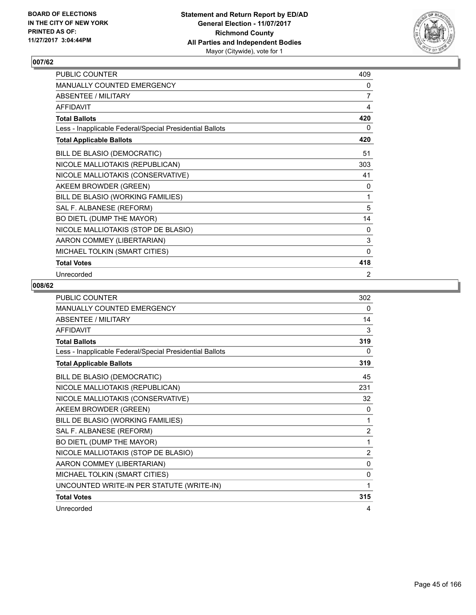

| PUBLIC COUNTER                                           | 409            |
|----------------------------------------------------------|----------------|
| MANUALLY COUNTED EMERGENCY                               | 0              |
| <b>ABSENTEE / MILITARY</b>                               | $\overline{7}$ |
| <b>AFFIDAVIT</b>                                         | 4              |
| <b>Total Ballots</b>                                     | 420            |
| Less - Inapplicable Federal/Special Presidential Ballots | 0              |
| <b>Total Applicable Ballots</b>                          | 420            |
| BILL DE BLASIO (DEMOCRATIC)                              | 51             |
| NICOLE MALLIOTAKIS (REPUBLICAN)                          | 303            |
| NICOLE MALLIOTAKIS (CONSERVATIVE)                        | 41             |
| AKEEM BROWDER (GREEN)                                    | 0              |
| BILL DE BLASIO (WORKING FAMILIES)                        | 1              |
| SAL F. ALBANESE (REFORM)                                 | 5              |
| BO DIETL (DUMP THE MAYOR)                                | 14             |
| NICOLE MALLIOTAKIS (STOP DE BLASIO)                      | 0              |
| AARON COMMEY (LIBERTARIAN)                               | $\mathsf 3$    |
| MICHAEL TOLKIN (SMART CITIES)                            | $\Omega$       |
| <b>Total Votes</b>                                       | 418            |
| Unrecorded                                               | 2              |

| <b>PUBLIC COUNTER</b>                                    | 302            |
|----------------------------------------------------------|----------------|
| <b>MANUALLY COUNTED EMERGENCY</b>                        | 0              |
| <b>ABSENTEE / MILITARY</b>                               | 14             |
| AFFIDAVIT                                                | 3              |
| <b>Total Ballots</b>                                     | 319            |
| Less - Inapplicable Federal/Special Presidential Ballots | 0              |
| <b>Total Applicable Ballots</b>                          | 319            |
| BILL DE BLASIO (DEMOCRATIC)                              | 45             |
| NICOLE MALLIOTAKIS (REPUBLICAN)                          | 231            |
| NICOLE MALLIOTAKIS (CONSERVATIVE)                        | 32             |
| AKEEM BROWDER (GREEN)                                    | $\Omega$       |
| BILL DE BLASIO (WORKING FAMILIES)                        | 1              |
| SAL F. ALBANESE (REFORM)                                 | 2              |
| BO DIETL (DUMP THE MAYOR)                                | 1              |
| NICOLE MALLIOTAKIS (STOP DE BLASIO)                      | $\overline{2}$ |
| AARON COMMEY (LIBERTARIAN)                               | $\mathbf{0}$   |
| MICHAEL TOLKIN (SMART CITIES)                            | 0              |
| UNCOUNTED WRITE-IN PER STATUTE (WRITE-IN)                | 1              |
| <b>Total Votes</b>                                       | 315            |
| Unrecorded                                               | 4              |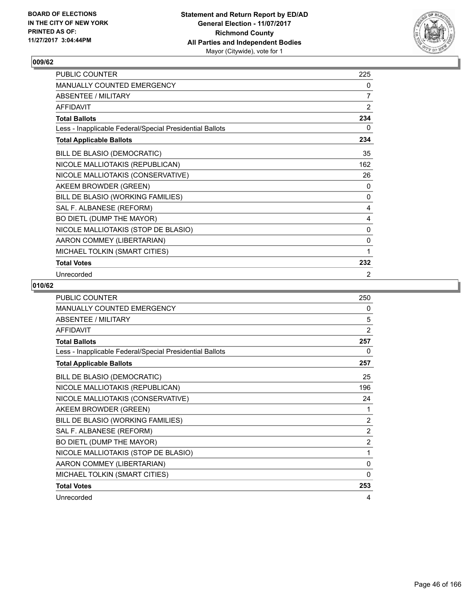

| PUBLIC COUNTER                                           | 225            |
|----------------------------------------------------------|----------------|
| MANUALLY COUNTED EMERGENCY                               | 0              |
| <b>ABSENTEE / MILITARY</b>                               | $\overline{7}$ |
| <b>AFFIDAVIT</b>                                         | $\overline{2}$ |
| <b>Total Ballots</b>                                     | 234            |
| Less - Inapplicable Federal/Special Presidential Ballots | 0              |
| <b>Total Applicable Ballots</b>                          | 234            |
| BILL DE BLASIO (DEMOCRATIC)                              | 35             |
| NICOLE MALLIOTAKIS (REPUBLICAN)                          | 162            |
| NICOLE MALLIOTAKIS (CONSERVATIVE)                        | 26             |
| AKEEM BROWDER (GREEN)                                    | 0              |
| BILL DE BLASIO (WORKING FAMILIES)                        | 0              |
| SAL F. ALBANESE (REFORM)                                 | 4              |
| BO DIETL (DUMP THE MAYOR)                                | 4              |
| NICOLE MALLIOTAKIS (STOP DE BLASIO)                      | 0              |
| AARON COMMEY (LIBERTARIAN)                               | 0              |
| MICHAEL TOLKIN (SMART CITIES)                            | 1              |
| <b>Total Votes</b>                                       | 232            |
| Unrecorded                                               | 2              |

| PUBLIC COUNTER                                           | 250          |
|----------------------------------------------------------|--------------|
| MANUALLY COUNTED EMERGENCY                               | 0            |
| <b>ABSENTEE / MILITARY</b>                               | 5            |
| <b>AFFIDAVIT</b>                                         | 2            |
| <b>Total Ballots</b>                                     | 257          |
| Less - Inapplicable Federal/Special Presidential Ballots | 0            |
| <b>Total Applicable Ballots</b>                          | 257          |
| BILL DE BLASIO (DEMOCRATIC)                              | 25           |
| NICOLE MALLIOTAKIS (REPUBLICAN)                          | 196          |
| NICOLE MALLIOTAKIS (CONSERVATIVE)                        | 24           |
| AKEEM BROWDER (GREEN)                                    | 1            |
| BILL DE BLASIO (WORKING FAMILIES)                        | 2            |
| SAL F. ALBANESE (REFORM)                                 | 2            |
| BO DIETL (DUMP THE MAYOR)                                | 2            |
| NICOLE MALLIOTAKIS (STOP DE BLASIO)                      | 1            |
| AARON COMMEY (LIBERTARIAN)                               | $\mathbf{0}$ |
| MICHAEL TOLKIN (SMART CITIES)                            | $\mathbf{0}$ |
| <b>Total Votes</b>                                       | 253          |
| Unrecorded                                               | 4            |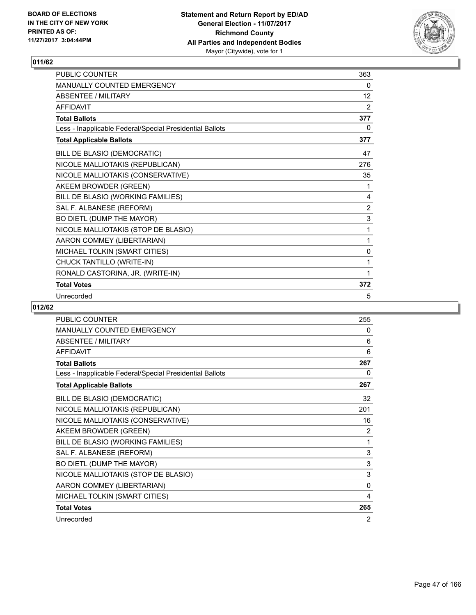

| <b>PUBLIC COUNTER</b>                                    | 363          |
|----------------------------------------------------------|--------------|
| <b>MANUALLY COUNTED EMERGENCY</b>                        | 0            |
| <b>ABSENTEE / MILITARY</b><br><b>AFFIDAVIT</b>           | 12           |
|                                                          | 2            |
| <b>Total Ballots</b>                                     | 377          |
| Less - Inapplicable Federal/Special Presidential Ballots | 0            |
| <b>Total Applicable Ballots</b>                          | 377          |
| BILL DE BLASIO (DEMOCRATIC)                              | 47           |
| NICOLE MALLIOTAKIS (REPUBLICAN)                          | 276          |
| NICOLE MALLIOTAKIS (CONSERVATIVE)                        | 35           |
| AKEEM BROWDER (GREEN)                                    | 1            |
| BILL DE BLASIO (WORKING FAMILIES)                        | 4            |
| SAL F. ALBANESE (REFORM)                                 | 2            |
| BO DIETL (DUMP THE MAYOR)                                | 3            |
| NICOLE MALLIOTAKIS (STOP DE BLASIO)                      | 1            |
| AARON COMMEY (LIBERTARIAN)                               | 1            |
| MICHAEL TOLKIN (SMART CITIES)                            | $\mathbf{0}$ |
| CHUCK TANTILLO (WRITE-IN)                                | 1            |
| RONALD CASTORINA, JR. (WRITE-IN)                         | 1            |
| <b>Total Votes</b>                                       | 372          |
| Unrecorded                                               | 5            |

| <b>PUBLIC COUNTER</b>                                    | 255            |
|----------------------------------------------------------|----------------|
| <b>MANUALLY COUNTED EMERGENCY</b>                        | 0              |
| <b>ABSENTEE / MILITARY</b>                               | 6              |
| <b>AFFIDAVIT</b>                                         | 6              |
| <b>Total Ballots</b>                                     | 267            |
| Less - Inapplicable Federal/Special Presidential Ballots | 0              |
| <b>Total Applicable Ballots</b>                          | 267            |
| BILL DE BLASIO (DEMOCRATIC)                              | 32             |
| NICOLE MALLIOTAKIS (REPUBLICAN)                          | 201            |
| NICOLE MALLIOTAKIS (CONSERVATIVE)                        | 16             |
| AKEEM BROWDER (GREEN)                                    | $\overline{2}$ |
| BILL DE BLASIO (WORKING FAMILIES)                        | 1              |
| SAL F. ALBANESE (REFORM)                                 | 3              |
| BO DIETL (DUMP THE MAYOR)                                | 3              |
| NICOLE MALLIOTAKIS (STOP DE BLASIO)                      | 3              |
| AARON COMMEY (LIBERTARIAN)                               | 0              |
| MICHAEL TOLKIN (SMART CITIES)                            | 4              |
| <b>Total Votes</b>                                       | 265            |
| Unrecorded                                               | $\overline{2}$ |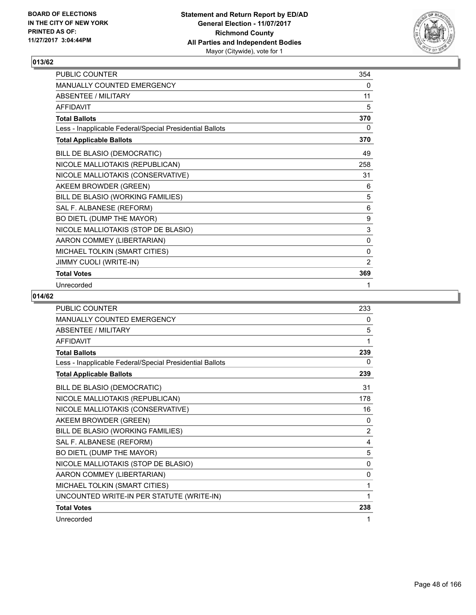

| PUBLIC COUNTER                                           | 354 |
|----------------------------------------------------------|-----|
| MANUALLY COUNTED EMERGENCY                               | 0   |
| <b>ABSENTEE / MILITARY</b>                               | 11  |
| <b>AFFIDAVIT</b>                                         | 5   |
| <b>Total Ballots</b>                                     | 370 |
| Less - Inapplicable Federal/Special Presidential Ballots | 0   |
| <b>Total Applicable Ballots</b>                          | 370 |
| BILL DE BLASIO (DEMOCRATIC)                              | 49  |
| NICOLE MALLIOTAKIS (REPUBLICAN)                          | 258 |
| NICOLE MALLIOTAKIS (CONSERVATIVE)                        | 31  |
| AKEEM BROWDER (GREEN)                                    | 6   |
| BILL DE BLASIO (WORKING FAMILIES)                        | 5   |
| SAL F. ALBANESE (REFORM)                                 | 6   |
| BO DIETL (DUMP THE MAYOR)                                | 9   |
| NICOLE MALLIOTAKIS (STOP DE BLASIO)                      | 3   |
| AARON COMMEY (LIBERTARIAN)                               | 0   |
| MICHAEL TOLKIN (SMART CITIES)                            | 0   |
| JIMMY CUOLI (WRITE-IN)                                   | 2   |
| <b>Total Votes</b>                                       | 369 |
| Unrecorded                                               | 1   |

| <b>PUBLIC COUNTER</b>                                    | 233 |
|----------------------------------------------------------|-----|
| <b>MANUALLY COUNTED EMERGENCY</b>                        | 0   |
| <b>ABSENTEE / MILITARY</b>                               | 5   |
| <b>AFFIDAVIT</b>                                         | 1   |
| <b>Total Ballots</b>                                     | 239 |
| Less - Inapplicable Federal/Special Presidential Ballots | 0   |
| <b>Total Applicable Ballots</b>                          | 239 |
| BILL DE BLASIO (DEMOCRATIC)                              | 31  |
| NICOLE MALLIOTAKIS (REPUBLICAN)                          | 178 |
| NICOLE MALLIOTAKIS (CONSERVATIVE)                        | 16  |
| AKEEM BROWDER (GREEN)                                    | 0   |
| BILL DE BLASIO (WORKING FAMILIES)                        | 2   |
| SAL F. ALBANESE (REFORM)                                 | 4   |
| BO DIETL (DUMP THE MAYOR)                                | 5   |
| NICOLE MALLIOTAKIS (STOP DE BLASIO)                      | 0   |
| AARON COMMEY (LIBERTARIAN)                               | 0   |
| MICHAEL TOLKIN (SMART CITIES)                            | 1   |
| UNCOUNTED WRITE-IN PER STATUTE (WRITE-IN)                | 1   |
| <b>Total Votes</b>                                       | 238 |
| Unrecorded                                               | 1   |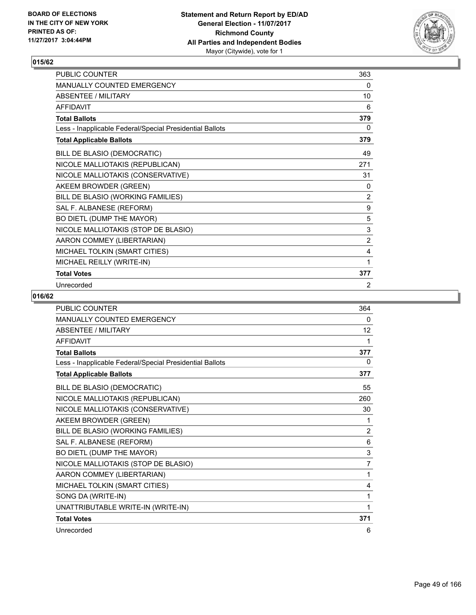

| <b>PUBLIC COUNTER</b>                                    | 363            |
|----------------------------------------------------------|----------------|
| <b>MANUALLY COUNTED EMERGENCY</b>                        | 0              |
| ABSENTEE / MILITARY                                      | 10             |
| <b>AFFIDAVIT</b>                                         | 6              |
| <b>Total Ballots</b>                                     | 379            |
| Less - Inapplicable Federal/Special Presidential Ballots | 0              |
| <b>Total Applicable Ballots</b>                          | 379            |
| BILL DE BLASIO (DEMOCRATIC)                              | 49             |
| NICOLE MALLIOTAKIS (REPUBLICAN)                          | 271            |
| NICOLE MALLIOTAKIS (CONSERVATIVE)                        | 31             |
| AKEEM BROWDER (GREEN)                                    | 0              |
| BILL DE BLASIO (WORKING FAMILIES)                        | $\overline{2}$ |
| SAL F. ALBANESE (REFORM)                                 | 9              |
| BO DIETL (DUMP THE MAYOR)                                | 5              |
| NICOLE MALLIOTAKIS (STOP DE BLASIO)                      | 3              |
| AARON COMMEY (LIBERTARIAN)                               | $\overline{2}$ |
| MICHAEL TOLKIN (SMART CITIES)                            | 4              |
| MICHAEL REILLY (WRITE-IN)                                | 1              |
| <b>Total Votes</b>                                       | 377            |
| Unrecorded                                               | 2              |

| <b>PUBLIC COUNTER</b>                                    | 364            |
|----------------------------------------------------------|----------------|
| <b>MANUALLY COUNTED EMERGENCY</b>                        | 0              |
| <b>ABSENTEE / MILITARY</b>                               | 12             |
| <b>AFFIDAVIT</b>                                         | 1              |
| <b>Total Ballots</b>                                     | 377            |
| Less - Inapplicable Federal/Special Presidential Ballots | $\Omega$       |
| <b>Total Applicable Ballots</b>                          | 377            |
| BILL DE BLASIO (DEMOCRATIC)                              | 55             |
| NICOLE MALLIOTAKIS (REPUBLICAN)                          | 260            |
| NICOLE MALLIOTAKIS (CONSERVATIVE)                        | 30             |
| AKEEM BROWDER (GREEN)                                    | 1              |
| BILL DE BLASIO (WORKING FAMILIES)                        | $\overline{2}$ |
| SAL F. ALBANESE (REFORM)                                 | 6              |
| BO DIETL (DUMP THE MAYOR)                                | 3              |
| NICOLE MALLIOTAKIS (STOP DE BLASIO)                      | 7              |
| AARON COMMEY (LIBERTARIAN)                               | 1              |
| MICHAEL TOLKIN (SMART CITIES)                            | 4              |
| SONG DA (WRITE-IN)                                       | 1              |
| UNATTRIBUTABLE WRITE-IN (WRITE-IN)                       | 1              |
| <b>Total Votes</b>                                       | 371            |
| Unrecorded                                               | 6              |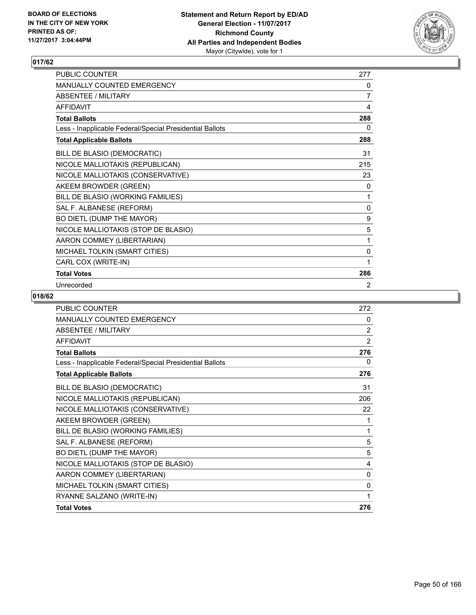

| <b>PUBLIC COUNTER</b>                                    | 277 |
|----------------------------------------------------------|-----|
| <b>MANUALLY COUNTED EMERGENCY</b>                        | 0   |
| ABSENTEE / MILITARY                                      | 7   |
| <b>AFFIDAVIT</b>                                         | 4   |
| <b>Total Ballots</b>                                     | 288 |
| Less - Inapplicable Federal/Special Presidential Ballots | 0   |
| <b>Total Applicable Ballots</b>                          | 288 |
| BILL DE BLASIO (DEMOCRATIC)                              | 31  |
| NICOLE MALLIOTAKIS (REPUBLICAN)                          | 215 |
| NICOLE MALLIOTAKIS (CONSERVATIVE)                        | 23  |
| AKEEM BROWDER (GREEN)                                    | 0   |
| BILL DE BLASIO (WORKING FAMILIES)                        | 1   |
| SAL F. ALBANESE (REFORM)                                 | 0   |
| BO DIETL (DUMP THE MAYOR)                                | 9   |
| NICOLE MALLIOTAKIS (STOP DE BLASIO)                      | 5   |
| AARON COMMEY (LIBERTARIAN)                               | 1   |
| MICHAEL TOLKIN (SMART CITIES)                            | 0   |
| CARL COX (WRITE-IN)                                      | 1   |
| <b>Total Votes</b>                                       | 286 |
| Unrecorded                                               | 2   |

| <b>PUBLIC COUNTER</b>                                    | 272            |
|----------------------------------------------------------|----------------|
| <b>MANUALLY COUNTED EMERGENCY</b>                        | $\Omega$       |
| <b>ABSENTEE / MILITARY</b>                               | $\overline{2}$ |
| <b>AFFIDAVIT</b>                                         | $\overline{2}$ |
| <b>Total Ballots</b>                                     | 276            |
| Less - Inapplicable Federal/Special Presidential Ballots | $\mathbf{0}$   |
| <b>Total Applicable Ballots</b>                          | 276            |
| BILL DE BLASIO (DEMOCRATIC)                              | 31             |
| NICOLE MALLIOTAKIS (REPUBLICAN)                          | 206            |
| NICOLE MALLIOTAKIS (CONSERVATIVE)                        | 22             |
| AKEEM BROWDER (GREEN)                                    | 1              |
| BILL DE BLASIO (WORKING FAMILIES)                        | 1              |
| SAL F. ALBANESE (REFORM)                                 | 5              |
| BO DIETL (DUMP THE MAYOR)                                | 5              |
| NICOLE MALLIOTAKIS (STOP DE BLASIO)                      | 4              |
| AARON COMMEY (LIBERTARIAN)                               | 0              |
| MICHAEL TOLKIN (SMART CITIES)                            | 0              |
| RYANNE SALZANO (WRITE-IN)                                | 1              |
| <b>Total Votes</b>                                       | 276            |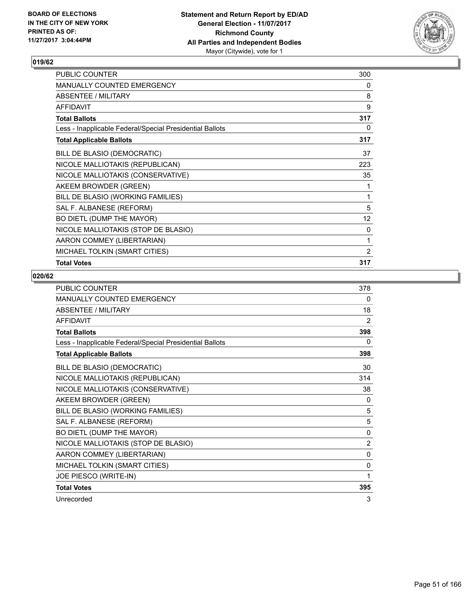

| PUBLIC COUNTER                                           | 300          |
|----------------------------------------------------------|--------------|
| <b>MANUALLY COUNTED EMERGENCY</b>                        | 0            |
| ABSENTEE / MILITARY                                      | 8            |
| <b>AFFIDAVIT</b>                                         | 9            |
| <b>Total Ballots</b>                                     | 317          |
| Less - Inapplicable Federal/Special Presidential Ballots | 0            |
| <b>Total Applicable Ballots</b>                          | 317          |
| BILL DE BLASIO (DEMOCRATIC)                              | 37           |
| NICOLE MALLIOTAKIS (REPUBLICAN)                          | 223          |
| NICOLE MALLIOTAKIS (CONSERVATIVE)                        | 35           |
| AKEEM BROWDER (GREEN)                                    | 1            |
| BILL DE BLASIO (WORKING FAMILIES)                        | 1            |
| SAL F. ALBANESE (REFORM)                                 | 5            |
| BO DIETL (DUMP THE MAYOR)                                | 12           |
| NICOLE MALLIOTAKIS (STOP DE BLASIO)                      | $\mathbf{0}$ |
| AARON COMMEY (LIBERTARIAN)                               | 1            |
| MICHAEL TOLKIN (SMART CITIES)                            | 2            |
| <b>Total Votes</b>                                       | 317          |

| <b>PUBLIC COUNTER</b>                                    | 378          |
|----------------------------------------------------------|--------------|
| MANUALLY COUNTED EMERGENCY                               | 0            |
| <b>ABSENTEE / MILITARY</b>                               | 18           |
| <b>AFFIDAVIT</b>                                         | 2            |
| <b>Total Ballots</b>                                     | 398          |
| Less - Inapplicable Federal/Special Presidential Ballots | 0            |
| <b>Total Applicable Ballots</b>                          | 398          |
| BILL DE BLASIO (DEMOCRATIC)                              | 30           |
| NICOLE MALLIOTAKIS (REPUBLICAN)                          | 314          |
| NICOLE MALLIOTAKIS (CONSERVATIVE)                        | 38           |
| AKEEM BROWDER (GREEN)                                    | 0            |
| BILL DE BLASIO (WORKING FAMILIES)                        | 5            |
| SAL F. ALBANESE (REFORM)                                 | 5            |
| BO DIETL (DUMP THE MAYOR)                                | 0            |
| NICOLE MALLIOTAKIS (STOP DE BLASIO)                      | 2            |
| AARON COMMEY (LIBERTARIAN)                               | $\mathbf{0}$ |
| MICHAEL TOLKIN (SMART CITIES)                            | 0            |
| JOE PIESCO (WRITE-IN)                                    | 1            |
| <b>Total Votes</b>                                       | 395          |
| Unrecorded                                               | 3            |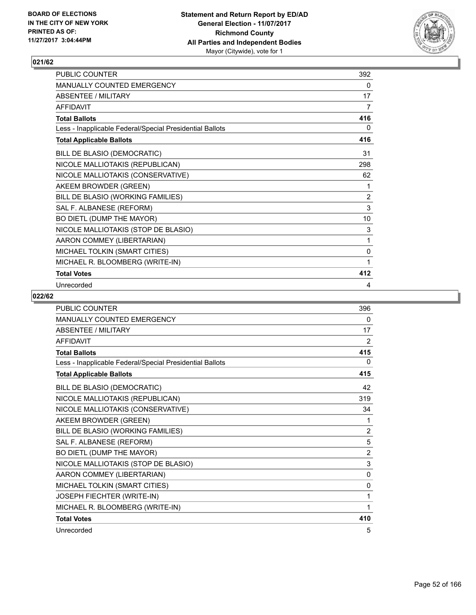

| <b>PUBLIC COUNTER</b>                                    | 392 |
|----------------------------------------------------------|-----|
| <b>MANUALLY COUNTED EMERGENCY</b>                        | 0   |
| ABSENTEE / MILITARY                                      | 17  |
| <b>AFFIDAVIT</b>                                         | 7   |
| <b>Total Ballots</b>                                     | 416 |
| Less - Inapplicable Federal/Special Presidential Ballots | 0   |
| <b>Total Applicable Ballots</b>                          | 416 |
| BILL DE BLASIO (DEMOCRATIC)                              | 31  |
| NICOLE MALLIOTAKIS (REPUBLICAN)                          | 298 |
| NICOLE MALLIOTAKIS (CONSERVATIVE)                        | 62  |
| AKEEM BROWDER (GREEN)                                    | 1   |
| BILL DE BLASIO (WORKING FAMILIES)                        | 2   |
| SAL F. ALBANESE (REFORM)                                 | 3   |
| BO DIETL (DUMP THE MAYOR)                                | 10  |
| NICOLE MALLIOTAKIS (STOP DE BLASIO)                      | 3   |
| AARON COMMEY (LIBERTARIAN)                               | 1   |
| MICHAEL TOLKIN (SMART CITIES)                            | 0   |
| MICHAEL R. BLOOMBERG (WRITE-IN)                          | 1   |
| <b>Total Votes</b>                                       | 412 |
| Unrecorded                                               | 4   |

| <b>PUBLIC COUNTER</b>                                    | 396            |
|----------------------------------------------------------|----------------|
| <b>MANUALLY COUNTED EMERGENCY</b>                        | 0              |
| <b>ABSENTEE / MILITARY</b>                               | 17             |
| <b>AFFIDAVIT</b>                                         | 2              |
| <b>Total Ballots</b>                                     | 415            |
| Less - Inapplicable Federal/Special Presidential Ballots | 0              |
| <b>Total Applicable Ballots</b>                          | 415            |
| BILL DE BLASIO (DEMOCRATIC)                              | 42             |
| NICOLE MALLIOTAKIS (REPUBLICAN)                          | 319            |
| NICOLE MALLIOTAKIS (CONSERVATIVE)                        | 34             |
| AKEEM BROWDER (GREEN)                                    | 1              |
| BILL DE BLASIO (WORKING FAMILIES)                        | $\overline{2}$ |
| SAL F. ALBANESE (REFORM)                                 | 5              |
| BO DIETL (DUMP THE MAYOR)                                | $\overline{2}$ |
| NICOLE MALLIOTAKIS (STOP DE BLASIO)                      | 3              |
| AARON COMMEY (LIBERTARIAN)                               | $\mathbf{0}$   |
| MICHAEL TOLKIN (SMART CITIES)                            | 0              |
| JOSEPH FIECHTER (WRITE-IN)                               | 1              |
| MICHAEL R. BLOOMBERG (WRITE-IN)                          | 1              |
| <b>Total Votes</b>                                       | 410            |
| Unrecorded                                               | 5              |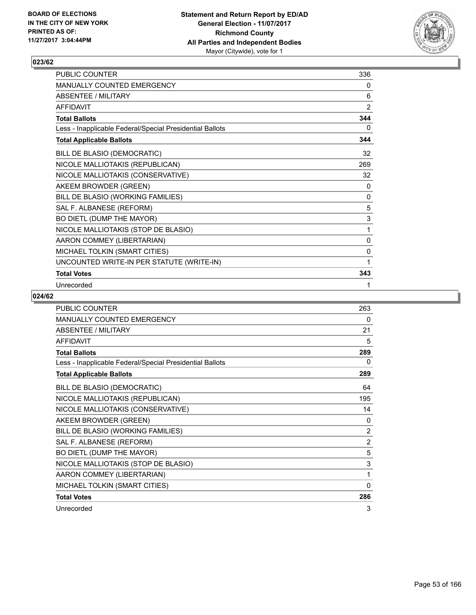

| PUBLIC COUNTER                                           | 336 |
|----------------------------------------------------------|-----|
| <b>MANUALLY COUNTED EMERGENCY</b>                        | 0   |
| <b>ABSENTEE / MILITARY</b>                               | 6   |
| <b>AFFIDAVIT</b>                                         | 2   |
| <b>Total Ballots</b>                                     | 344 |
| Less - Inapplicable Federal/Special Presidential Ballots | 0   |
| <b>Total Applicable Ballots</b>                          | 344 |
| BILL DE BLASIO (DEMOCRATIC)                              | 32  |
| NICOLE MALLIOTAKIS (REPUBLICAN)                          | 269 |
| NICOLE MALLIOTAKIS (CONSERVATIVE)                        | 32  |
| AKEEM BROWDER (GREEN)                                    | 0   |
| BILL DE BLASIO (WORKING FAMILIES)                        | 0   |
| SAL F. ALBANESE (REFORM)                                 | 5   |
| BO DIETL (DUMP THE MAYOR)                                | 3   |
| NICOLE MALLIOTAKIS (STOP DE BLASIO)                      | 1   |
| AARON COMMEY (LIBERTARIAN)                               | 0   |
| MICHAEL TOLKIN (SMART CITIES)                            | 0   |
| UNCOUNTED WRITE-IN PER STATUTE (WRITE-IN)                | 1   |
| <b>Total Votes</b>                                       | 343 |
| Unrecorded                                               | 1   |

| <b>PUBLIC COUNTER</b>                                    | 263            |
|----------------------------------------------------------|----------------|
| <b>MANUALLY COUNTED EMERGENCY</b>                        | 0              |
| ABSENTEE / MII ITARY                                     | 21             |
| <b>AFFIDAVIT</b>                                         | 5              |
| <b>Total Ballots</b>                                     | 289            |
| Less - Inapplicable Federal/Special Presidential Ballots | 0              |
| <b>Total Applicable Ballots</b>                          | 289            |
| BILL DE BLASIO (DEMOCRATIC)                              | 64             |
| NICOLE MALLIOTAKIS (REPUBLICAN)                          | 195            |
| NICOLE MALLIOTAKIS (CONSERVATIVE)                        | 14             |
| AKEEM BROWDER (GREEN)                                    | 0              |
| BILL DE BLASIO (WORKING FAMILIES)                        | $\overline{2}$ |
| SAL F. ALBANESE (REFORM)                                 | $\overline{2}$ |
| BO DIETL (DUMP THE MAYOR)                                | 5              |
| NICOLE MALLIOTAKIS (STOP DE BLASIO)                      | 3              |
| AARON COMMEY (LIBERTARIAN)                               | 1              |
| MICHAEL TOLKIN (SMART CITIES)                            | 0              |
| <b>Total Votes</b>                                       | 286            |
| Unrecorded                                               | 3              |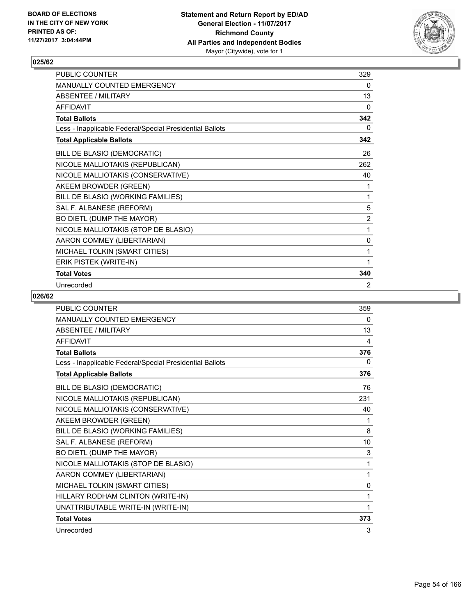

| PUBLIC COUNTER                                           | 329            |
|----------------------------------------------------------|----------------|
| <b>MANUALLY COUNTED EMERGENCY</b>                        | 0              |
| <b>ABSENTEE / MILITARY</b>                               | 13             |
| <b>AFFIDAVIT</b>                                         | 0              |
| <b>Total Ballots</b>                                     | 342            |
| Less - Inapplicable Federal/Special Presidential Ballots | 0              |
| <b>Total Applicable Ballots</b>                          | 342            |
| BILL DE BLASIO (DEMOCRATIC)                              | 26             |
| NICOLE MALLIOTAKIS (REPUBLICAN)                          | 262            |
| NICOLE MALLIOTAKIS (CONSERVATIVE)                        | 40             |
| AKEEM BROWDER (GREEN)                                    | 1              |
| BILL DE BLASIO (WORKING FAMILIES)                        | 1              |
| SAL F. ALBANESE (REFORM)                                 | 5              |
| BO DIETL (DUMP THE MAYOR)                                | $\overline{2}$ |
| NICOLE MALLIOTAKIS (STOP DE BLASIO)                      | 1              |
| AARON COMMEY (LIBERTARIAN)                               | 0              |
| MICHAEL TOLKIN (SMART CITIES)                            | 1              |
| ERIK PISTEK (WRITE-IN)                                   | 1              |
| <b>Total Votes</b>                                       | 340            |
| Unrecorded                                               | 2              |

| <b>PUBLIC COUNTER</b>                                    | 359          |
|----------------------------------------------------------|--------------|
| <b>MANUALLY COUNTED EMERGENCY</b>                        | 0            |
| <b>ABSENTEE / MILITARY</b>                               | 13           |
| <b>AFFIDAVIT</b>                                         | 4            |
| <b>Total Ballots</b>                                     | 376          |
| Less - Inapplicable Federal/Special Presidential Ballots | 0            |
| <b>Total Applicable Ballots</b>                          | 376          |
| BILL DE BLASIO (DEMOCRATIC)                              | 76           |
| NICOLE MALLIOTAKIS (REPUBLICAN)                          | 231          |
| NICOLE MALLIOTAKIS (CONSERVATIVE)                        | 40           |
| AKEEM BROWDER (GREEN)                                    | 1            |
| BILL DE BLASIO (WORKING FAMILIES)                        | 8            |
| SAL F. ALBANESE (REFORM)                                 | 10           |
| BO DIETL (DUMP THE MAYOR)                                | 3            |
| NICOLE MALLIOTAKIS (STOP DE BLASIO)                      | 1            |
| AARON COMMEY (LIBERTARIAN)                               | 1            |
| MICHAEL TOLKIN (SMART CITIES)                            | $\mathbf{0}$ |
| HILLARY RODHAM CLINTON (WRITE-IN)                        | 1            |
| UNATTRIBUTABLE WRITE-IN (WRITE-IN)                       | 1            |
| <b>Total Votes</b>                                       | 373          |
| Unrecorded                                               | 3            |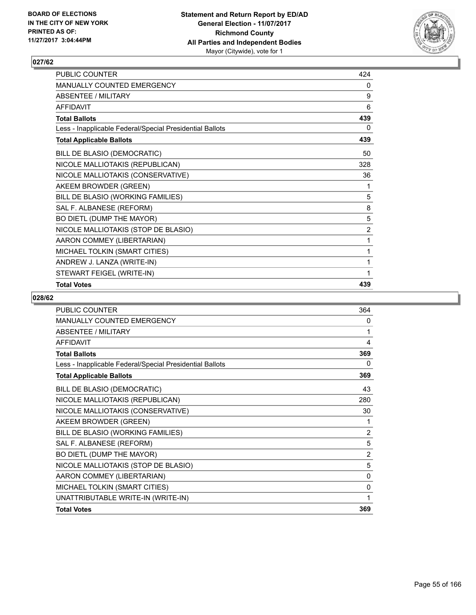

| PUBLIC COUNTER                                           | 424 |
|----------------------------------------------------------|-----|
| MANUALLY COUNTED EMERGENCY                               | 0   |
| <b>ABSENTEE / MILITARY</b>                               | 9   |
| <b>AFFIDAVIT</b>                                         | 6   |
| <b>Total Ballots</b>                                     | 439 |
| Less - Inapplicable Federal/Special Presidential Ballots | 0   |
| <b>Total Applicable Ballots</b>                          | 439 |
| BILL DE BLASIO (DEMOCRATIC)                              | 50  |
| NICOLE MALLIOTAKIS (REPUBLICAN)                          | 328 |
| NICOLE MALLIOTAKIS (CONSERVATIVE)                        | 36  |
| AKEEM BROWDER (GREEN)                                    | 1   |
| BILL DE BLASIO (WORKING FAMILIES)                        | 5   |
| SAL F. ALBANESE (REFORM)                                 | 8   |
| BO DIETL (DUMP THE MAYOR)                                | 5   |
| NICOLE MALLIOTAKIS (STOP DE BLASIO)                      | 2   |
| AARON COMMEY (LIBERTARIAN)                               | 1   |
| MICHAEL TOLKIN (SMART CITIES)                            | 1   |
| ANDREW J. LANZA (WRITE-IN)                               | 1   |
| STEWART FEIGEL (WRITE-IN)                                | 1   |
| <b>Total Votes</b>                                       | 439 |

| <b>PUBLIC COUNTER</b>                                    | 364            |
|----------------------------------------------------------|----------------|
| <b>MANUALLY COUNTED EMERGENCY</b>                        | 0              |
| <b>ABSENTEE / MILITARY</b>                               | 1              |
| <b>AFFIDAVIT</b>                                         | 4              |
| <b>Total Ballots</b>                                     | 369            |
| Less - Inapplicable Federal/Special Presidential Ballots | 0              |
| <b>Total Applicable Ballots</b>                          | 369            |
| BILL DE BLASIO (DEMOCRATIC)                              | 43             |
| NICOLE MALLIOTAKIS (REPUBLICAN)                          | 280            |
| NICOLE MALLIOTAKIS (CONSERVATIVE)                        | 30             |
| AKEEM BROWDER (GREEN)                                    | 1              |
| BILL DE BLASIO (WORKING FAMILIES)                        | $\overline{2}$ |
| SAL F. ALBANESE (REFORM)                                 | 5              |
| BO DIETL (DUMP THE MAYOR)                                | $\overline{2}$ |
| NICOLE MALLIOTAKIS (STOP DE BLASIO)                      | 5              |
| AARON COMMEY (LIBERTARIAN)                               | 0              |
| MICHAEL TOLKIN (SMART CITIES)                            | 0              |
| UNATTRIBUTABLE WRITE-IN (WRITE-IN)                       | 1              |
| <b>Total Votes</b>                                       | 369            |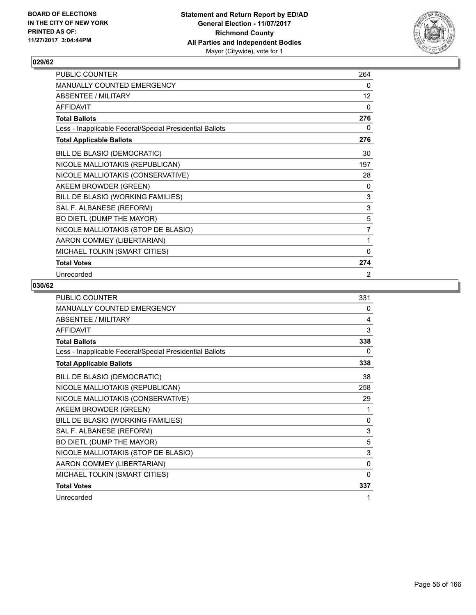

| PUBLIC COUNTER                                           | 264         |
|----------------------------------------------------------|-------------|
| MANUALLY COUNTED EMERGENCY                               | 0           |
| <b>ABSENTEE / MILITARY</b>                               | 12          |
| <b>AFFIDAVIT</b>                                         | 0           |
| <b>Total Ballots</b>                                     | 276         |
| Less - Inapplicable Federal/Special Presidential Ballots | 0           |
| <b>Total Applicable Ballots</b>                          | 276         |
| BILL DE BLASIO (DEMOCRATIC)                              | 30          |
| NICOLE MALLIOTAKIS (REPUBLICAN)                          | 197         |
| NICOLE MALLIOTAKIS (CONSERVATIVE)                        | 28          |
| AKEEM BROWDER (GREEN)                                    | 0           |
| BILL DE BLASIO (WORKING FAMILIES)                        | $\mathsf 3$ |
| SAL F. ALBANESE (REFORM)                                 | $\mathsf 3$ |
| BO DIETL (DUMP THE MAYOR)                                | 5           |
| NICOLE MALLIOTAKIS (STOP DE BLASIO)                      | 7           |
| AARON COMMEY (LIBERTARIAN)                               | 1           |
| MICHAEL TOLKIN (SMART CITIES)                            | 0           |
| <b>Total Votes</b>                                       | 274         |
| Unrecorded                                               | 2           |

| PUBLIC COUNTER                                           | 331          |
|----------------------------------------------------------|--------------|
| <b>MANUALLY COUNTED EMERGENCY</b>                        | 0            |
| <b>ABSENTEE / MILITARY</b>                               | 4            |
| <b>AFFIDAVIT</b>                                         | 3            |
| <b>Total Ballots</b>                                     | 338          |
| Less - Inapplicable Federal/Special Presidential Ballots | 0            |
| <b>Total Applicable Ballots</b>                          | 338          |
| BILL DE BLASIO (DEMOCRATIC)                              | 38           |
| NICOLE MALLIOTAKIS (REPUBLICAN)                          | 258          |
| NICOLE MALLIOTAKIS (CONSERVATIVE)                        | 29           |
| AKEEM BROWDER (GREEN)                                    | 1            |
| BILL DE BLASIO (WORKING FAMILIES)                        | $\mathbf{0}$ |
| SAL F. ALBANESE (REFORM)                                 | 3            |
| BO DIETL (DUMP THE MAYOR)                                | 5            |
| NICOLE MALLIOTAKIS (STOP DE BLASIO)                      | 3            |
| AARON COMMEY (LIBERTARIAN)                               | 0            |
| MICHAEL TOLKIN (SMART CITIES)                            | $\Omega$     |
| <b>Total Votes</b>                                       | 337          |
| Unrecorded                                               | 1            |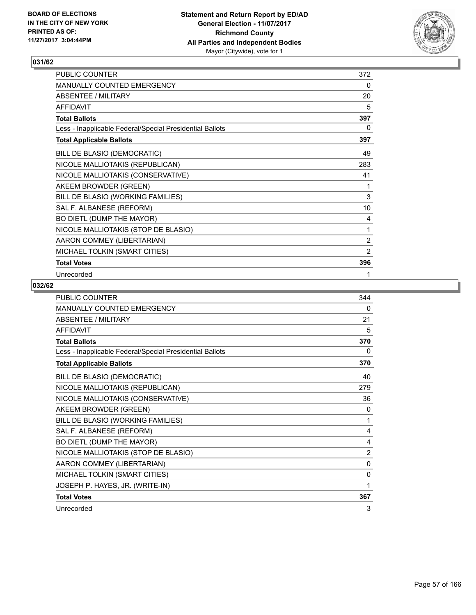

| PUBLIC COUNTER                                           | 372            |
|----------------------------------------------------------|----------------|
| MANUALLY COUNTED EMERGENCY                               | 0              |
| ABSENTEE / MILITARY                                      | 20             |
| <b>AFFIDAVIT</b>                                         | 5              |
| <b>Total Ballots</b>                                     | 397            |
| Less - Inapplicable Federal/Special Presidential Ballots | 0              |
| <b>Total Applicable Ballots</b>                          | 397            |
| BILL DE BLASIO (DEMOCRATIC)                              | 49             |
| NICOLE MALLIOTAKIS (REPUBLICAN)                          | 283            |
| NICOLE MALLIOTAKIS (CONSERVATIVE)                        | 41             |
| AKEEM BROWDER (GREEN)                                    | 1              |
| BILL DE BLASIO (WORKING FAMILIES)                        | 3              |
| SAL F. ALBANESE (REFORM)                                 | 10             |
| BO DIETL (DUMP THE MAYOR)                                | 4              |
| NICOLE MALLIOTAKIS (STOP DE BLASIO)                      | 1              |
| AARON COMMEY (LIBERTARIAN)                               | $\overline{2}$ |
| MICHAEL TOLKIN (SMART CITIES)                            | 2              |
| <b>Total Votes</b>                                       | 396            |
| Unrecorded                                               | 1              |

| PUBLIC COUNTER                                           | 344          |
|----------------------------------------------------------|--------------|
| <b>MANUALLY COUNTED EMERGENCY</b>                        | 0            |
| <b>ABSENTEE / MILITARY</b>                               | 21           |
| <b>AFFIDAVIT</b>                                         | 5            |
| <b>Total Ballots</b>                                     | 370          |
| Less - Inapplicable Federal/Special Presidential Ballots | 0            |
| <b>Total Applicable Ballots</b>                          | 370          |
| BILL DE BLASIO (DEMOCRATIC)                              | 40           |
| NICOLE MALLIOTAKIS (REPUBLICAN)                          | 279          |
| NICOLE MALLIOTAKIS (CONSERVATIVE)                        | 36           |
| AKEEM BROWDER (GREEN)                                    | $\Omega$     |
| BILL DE BLASIO (WORKING FAMILIES)                        | 1            |
| SAL F. ALBANESE (REFORM)                                 | 4            |
| BO DIETL (DUMP THE MAYOR)                                | 4            |
| NICOLE MALLIOTAKIS (STOP DE BLASIO)                      | 2            |
| AARON COMMEY (LIBERTARIAN)                               | $\mathbf{0}$ |
| MICHAEL TOLKIN (SMART CITIES)                            | 0            |
| JOSEPH P. HAYES, JR. (WRITE-IN)                          | 1            |
| <b>Total Votes</b>                                       | 367          |
| Unrecorded                                               | 3            |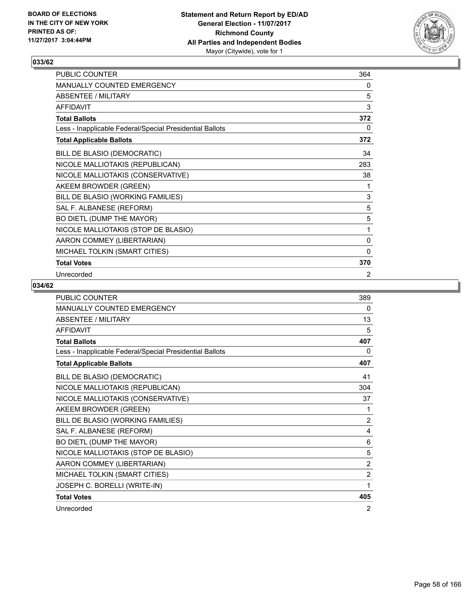

| PUBLIC COUNTER                                           | 364          |
|----------------------------------------------------------|--------------|
| MANUALLY COUNTED EMERGENCY                               | 0            |
| <b>ABSENTEE / MILITARY</b>                               | 5            |
| <b>AFFIDAVIT</b>                                         | 3            |
| <b>Total Ballots</b>                                     | 372          |
| Less - Inapplicable Federal/Special Presidential Ballots | 0            |
| <b>Total Applicable Ballots</b>                          | 372          |
| BILL DE BLASIO (DEMOCRATIC)                              | 34           |
| NICOLE MALLIOTAKIS (REPUBLICAN)                          | 283          |
| NICOLE MALLIOTAKIS (CONSERVATIVE)                        | 38           |
| AKEEM BROWDER (GREEN)                                    | 1            |
| BILL DE BLASIO (WORKING FAMILIES)                        | 3            |
| SAL F. ALBANESE (REFORM)                                 | 5            |
| BO DIETL (DUMP THE MAYOR)                                | 5            |
| NICOLE MALLIOTAKIS (STOP DE BLASIO)                      | 1            |
| AARON COMMEY (LIBERTARIAN)                               | 0            |
| MICHAEL TOLKIN (SMART CITIES)                            | $\mathbf{0}$ |
| <b>Total Votes</b>                                       | 370          |
| Unrecorded                                               | 2            |

| <b>PUBLIC COUNTER</b>                                    | 389            |
|----------------------------------------------------------|----------------|
| <b>MANUALLY COUNTED EMERGENCY</b>                        | 0              |
| <b>ABSENTEE / MILITARY</b>                               | 13             |
| <b>AFFIDAVIT</b>                                         | 5              |
| <b>Total Ballots</b>                                     | 407            |
| Less - Inapplicable Federal/Special Presidential Ballots | 0              |
| <b>Total Applicable Ballots</b>                          | 407            |
| BILL DE BLASIO (DEMOCRATIC)                              | 41             |
| NICOLE MALLIOTAKIS (REPUBLICAN)                          | 304            |
| NICOLE MALLIOTAKIS (CONSERVATIVE)                        | 37             |
| AKEEM BROWDER (GREEN)                                    | 1              |
| BILL DE BLASIO (WORKING FAMILIES)                        | 2              |
| SAL F. ALBANESE (REFORM)                                 | 4              |
| BO DIETL (DUMP THE MAYOR)                                | 6              |
| NICOLE MALLIOTAKIS (STOP DE BLASIO)                      | 5              |
| AARON COMMEY (LIBERTARIAN)                               | 2              |
| MICHAEL TOLKIN (SMART CITIES)                            | $\overline{2}$ |
| JOSEPH C. BORELLI (WRITE-IN)                             | 1              |
| <b>Total Votes</b>                                       | 405            |
| Unrecorded                                               | 2              |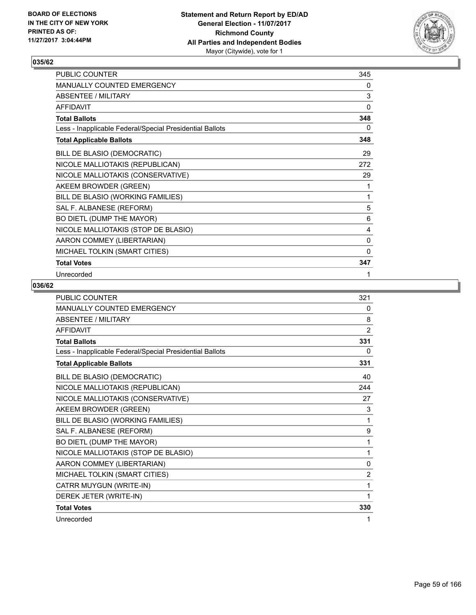

| PUBLIC COUNTER                                           | 345          |
|----------------------------------------------------------|--------------|
| MANUALLY COUNTED EMERGENCY                               | 0            |
| <b>ABSENTEE / MILITARY</b>                               | 3            |
| <b>AFFIDAVIT</b>                                         | 0            |
| <b>Total Ballots</b>                                     | 348          |
| Less - Inapplicable Federal/Special Presidential Ballots | 0            |
| <b>Total Applicable Ballots</b>                          | 348          |
| BILL DE BLASIO (DEMOCRATIC)                              | 29           |
| NICOLE MALLIOTAKIS (REPUBLICAN)                          | 272          |
| NICOLE MALLIOTAKIS (CONSERVATIVE)                        | 29           |
| AKEEM BROWDER (GREEN)                                    | 1            |
| BILL DE BLASIO (WORKING FAMILIES)                        | 1            |
| SAL F. ALBANESE (REFORM)                                 | 5            |
| BO DIETL (DUMP THE MAYOR)                                | 6            |
| NICOLE MALLIOTAKIS (STOP DE BLASIO)                      | 4            |
| AARON COMMEY (LIBERTARIAN)                               | 0            |
| MICHAEL TOLKIN (SMART CITIES)                            | $\mathbf{0}$ |
| <b>Total Votes</b>                                       | 347          |
| Unrecorded                                               | 1            |

| <b>PUBLIC COUNTER</b>                                    | 321            |
|----------------------------------------------------------|----------------|
| MANUALLY COUNTED EMERGENCY                               | 0              |
| <b>ABSENTEE / MILITARY</b>                               | 8              |
| <b>AFFIDAVIT</b>                                         | $\overline{2}$ |
| <b>Total Ballots</b>                                     | 331            |
| Less - Inapplicable Federal/Special Presidential Ballots | 0              |
| <b>Total Applicable Ballots</b>                          | 331            |
| BILL DE BLASIO (DEMOCRATIC)                              | 40             |
| NICOLE MALLIOTAKIS (REPUBLICAN)                          | 244            |
| NICOLE MALLIOTAKIS (CONSERVATIVE)                        | 27             |
| AKEEM BROWDER (GREEN)                                    | 3              |
| BILL DE BLASIO (WORKING FAMILIES)                        | 1              |
| SAL F. ALBANESE (REFORM)                                 | 9              |
| BO DIETL (DUMP THE MAYOR)                                | 1              |
| NICOLE MALLIOTAKIS (STOP DE BLASIO)                      | 1              |
| AARON COMMEY (LIBERTARIAN)                               | 0              |
| MICHAEL TOLKIN (SMART CITIES)                            | 2              |
| CATRR MUYGUN (WRITE-IN)                                  | 1              |
| DEREK JETER (WRITE-IN)                                   | 1              |
| <b>Total Votes</b>                                       | 330            |
| Unrecorded                                               | 1              |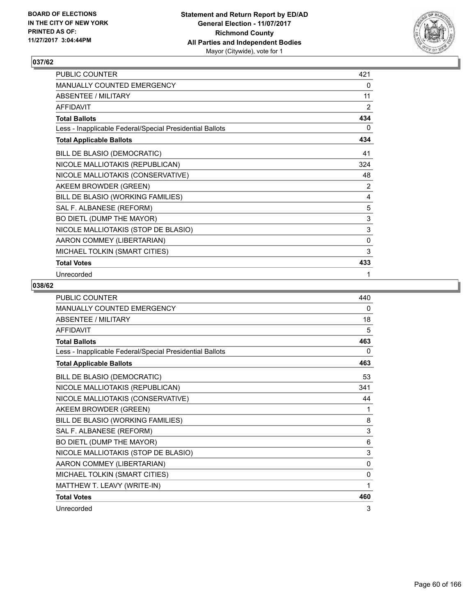

| PUBLIC COUNTER                                           | 421 |
|----------------------------------------------------------|-----|
| MANUALLY COUNTED EMERGENCY                               | 0   |
| <b>ABSENTEE / MILITARY</b>                               | 11  |
| <b>AFFIDAVIT</b>                                         | 2   |
| <b>Total Ballots</b>                                     | 434 |
| Less - Inapplicable Federal/Special Presidential Ballots | 0   |
| <b>Total Applicable Ballots</b>                          | 434 |
| BILL DE BLASIO (DEMOCRATIC)                              | 41  |
| NICOLE MALLIOTAKIS (REPUBLICAN)                          | 324 |
| NICOLE MALLIOTAKIS (CONSERVATIVE)                        | 48  |
| AKEEM BROWDER (GREEN)                                    | 2   |
| BILL DE BLASIO (WORKING FAMILIES)                        | 4   |
| SAL F. ALBANESE (REFORM)                                 | 5   |
| BO DIETL (DUMP THE MAYOR)                                | 3   |
| NICOLE MALLIOTAKIS (STOP DE BLASIO)                      | 3   |
| AARON COMMEY (LIBERTARIAN)                               | 0   |
| MICHAEL TOLKIN (SMART CITIES)                            | 3   |
| <b>Total Votes</b>                                       | 433 |
| Unrecorded                                               | 1   |

| <b>PUBLIC COUNTER</b>                                    | 440          |
|----------------------------------------------------------|--------------|
| <b>MANUALLY COUNTED EMERGENCY</b>                        | 0            |
| <b>ABSENTEE / MILITARY</b>                               | 18           |
| <b>AFFIDAVIT</b>                                         | 5            |
| <b>Total Ballots</b>                                     | 463          |
| Less - Inapplicable Federal/Special Presidential Ballots | 0            |
| <b>Total Applicable Ballots</b>                          | 463          |
| BILL DE BLASIO (DEMOCRATIC)                              | 53           |
| NICOLE MALLIOTAKIS (REPUBLICAN)                          | 341          |
| NICOLE MALLIOTAKIS (CONSERVATIVE)                        | 44           |
| AKEEM BROWDER (GREEN)                                    | 1            |
| BILL DE BLASIO (WORKING FAMILIES)                        | 8            |
| SAL F. ALBANESE (REFORM)                                 | 3            |
| BO DIETL (DUMP THE MAYOR)                                | 6            |
| NICOLE MALLIOTAKIS (STOP DE BLASIO)                      | 3            |
| AARON COMMEY (LIBERTARIAN)                               | $\mathbf{0}$ |
| MICHAEL TOLKIN (SMART CITIES)                            | $\mathbf{0}$ |
| MATTHEW T. LEAVY (WRITE-IN)                              | 1            |
| <b>Total Votes</b>                                       | 460          |
| Unrecorded                                               | 3            |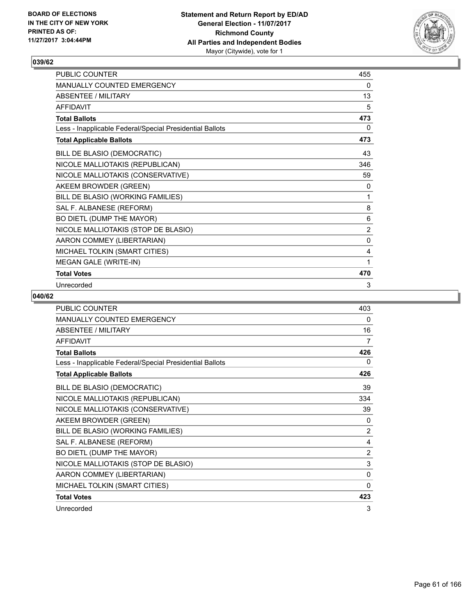

| PUBLIC COUNTER                                           | 455 |
|----------------------------------------------------------|-----|
| <b>MANUALLY COUNTED EMERGENCY</b>                        | 0   |
| <b>ABSENTEE / MILITARY</b>                               | 13  |
| <b>AFFIDAVIT</b>                                         | 5   |
| <b>Total Ballots</b>                                     | 473 |
| Less - Inapplicable Federal/Special Presidential Ballots | 0   |
| <b>Total Applicable Ballots</b>                          | 473 |
| BILL DE BLASIO (DEMOCRATIC)                              | 43  |
| NICOLE MALLIOTAKIS (REPUBLICAN)                          | 346 |
| NICOLE MALLIOTAKIS (CONSERVATIVE)                        | 59  |
| AKEEM BROWDER (GREEN)                                    | 0   |
| BILL DE BLASIO (WORKING FAMILIES)                        | 1   |
| SAL F. ALBANESE (REFORM)                                 | 8   |
| BO DIETL (DUMP THE MAYOR)                                | 6   |
| NICOLE MALLIOTAKIS (STOP DE BLASIO)                      | 2   |
| AARON COMMEY (LIBERTARIAN)                               | 0   |
| MICHAEL TOLKIN (SMART CITIES)                            | 4   |
| MEGAN GALE (WRITE-IN)                                    | 1   |
| <b>Total Votes</b>                                       | 470 |
| Unrecorded                                               | 3   |

| <b>PUBLIC COUNTER</b>                                    | 403            |
|----------------------------------------------------------|----------------|
| <b>MANUALLY COUNTED EMERGENCY</b>                        | 0              |
| <b>ABSENTEE / MILITARY</b>                               | 16             |
| <b>AFFIDAVIT</b>                                         | 7              |
| <b>Total Ballots</b>                                     | 426            |
| Less - Inapplicable Federal/Special Presidential Ballots | 0              |
| <b>Total Applicable Ballots</b>                          | 426            |
| BILL DE BLASIO (DEMOCRATIC)                              | 39             |
| NICOLE MALLIOTAKIS (REPUBLICAN)                          | 334            |
| NICOLE MALLIOTAKIS (CONSERVATIVE)                        | 39             |
| AKEEM BROWDER (GREEN)                                    | 0              |
| BILL DE BLASIO (WORKING FAMILIES)                        | $\overline{2}$ |
| SAL F. ALBANESE (REFORM)                                 | 4              |
| BO DIETL (DUMP THE MAYOR)                                | $\overline{2}$ |
| NICOLE MALLIOTAKIS (STOP DE BLASIO)                      | 3              |
| AARON COMMEY (LIBERTARIAN)                               | 0              |
| MICHAEL TOLKIN (SMART CITIES)                            | 0              |
| <b>Total Votes</b>                                       | 423            |
| Unrecorded                                               | 3              |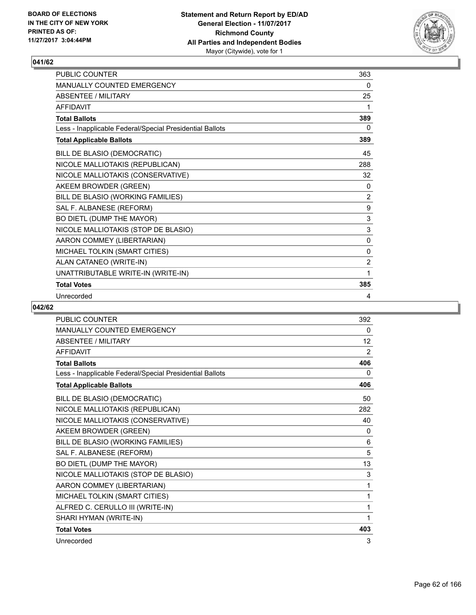

| <b>PUBLIC COUNTER</b>                                    | 363          |
|----------------------------------------------------------|--------------|
| <b>MANUALLY COUNTED EMERGENCY</b>                        | 0            |
| <b>ABSENTEE / MILITARY</b>                               | 25           |
| <b>AFFIDAVIT</b>                                         | 1            |
| <b>Total Ballots</b>                                     | 389          |
| Less - Inapplicable Federal/Special Presidential Ballots | 0            |
| <b>Total Applicable Ballots</b>                          | 389          |
| BILL DE BLASIO (DEMOCRATIC)                              | 45           |
| NICOLE MALLIOTAKIS (REPUBLICAN)                          | 288          |
| NICOLE MALLIOTAKIS (CONSERVATIVE)                        | 32           |
| AKEEM BROWDER (GREEN)                                    | 0            |
| BILL DE BLASIO (WORKING FAMILIES)                        | 2            |
| SAL F. ALBANESE (REFORM)                                 | 9            |
| BO DIETL (DUMP THE MAYOR)                                | 3            |
| NICOLE MALLIOTAKIS (STOP DE BLASIO)                      | 3            |
| AARON COMMEY (LIBERTARIAN)                               | $\mathbf{0}$ |
| MICHAEL TOLKIN (SMART CITIES)                            | $\mathbf{0}$ |
| ALAN CATANEO (WRITE-IN)                                  | 2            |
| UNATTRIBUTABLE WRITE-IN (WRITE-IN)                       | 1            |
| <b>Total Votes</b>                                       | 385          |
| Unrecorded                                               | 4            |

| PUBLIC COUNTER                                           | 392 |
|----------------------------------------------------------|-----|
| MANUALLY COUNTED EMERGENCY                               | 0   |
| <b>ABSENTEE / MILITARY</b>                               | 12  |
| <b>AFFIDAVIT</b>                                         | 2   |
| <b>Total Ballots</b>                                     | 406 |
| Less - Inapplicable Federal/Special Presidential Ballots | 0   |
| <b>Total Applicable Ballots</b>                          | 406 |
| BILL DE BLASIO (DEMOCRATIC)                              | 50  |
| NICOLE MALLIOTAKIS (REPUBLICAN)                          | 282 |
| NICOLE MALLIOTAKIS (CONSERVATIVE)                        | 40  |
| AKEEM BROWDER (GREEN)                                    | 0   |
| BILL DE BLASIO (WORKING FAMILIES)                        | 6   |
| SAL F. ALBANESE (REFORM)                                 | 5   |
| BO DIETL (DUMP THE MAYOR)                                | 13  |
| NICOLE MALLIOTAKIS (STOP DE BLASIO)                      | 3   |
| AARON COMMEY (LIBERTARIAN)                               | 1   |
| MICHAEL TOLKIN (SMART CITIES)                            | 1   |
| ALFRED C. CERULLO III (WRITE-IN)                         | 1   |
| SHARI HYMAN (WRITE-IN)                                   | 1   |
| <b>Total Votes</b>                                       | 403 |
| Unrecorded                                               | 3   |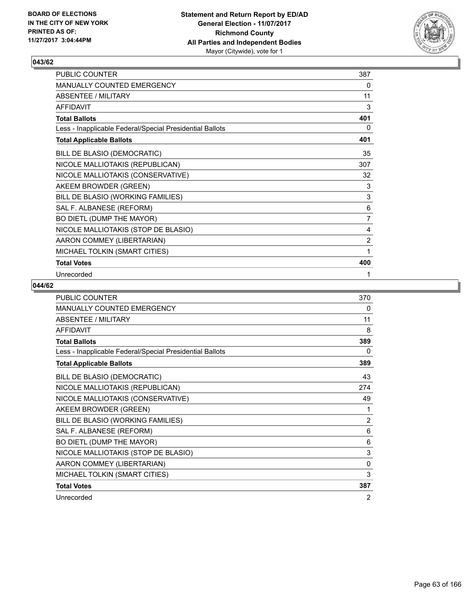

| PUBLIC COUNTER                                           | 387            |
|----------------------------------------------------------|----------------|
| MANUALLY COUNTED EMERGENCY                               | 0              |
| <b>ABSENTEE / MILITARY</b>                               | 11             |
| <b>AFFIDAVIT</b>                                         | 3              |
| <b>Total Ballots</b>                                     | 401            |
| Less - Inapplicable Federal/Special Presidential Ballots | 0              |
| <b>Total Applicable Ballots</b>                          | 401            |
| BILL DE BLASIO (DEMOCRATIC)                              | 35             |
| NICOLE MALLIOTAKIS (REPUBLICAN)                          | 307            |
| NICOLE MALLIOTAKIS (CONSERVATIVE)                        | 32             |
| AKEEM BROWDER (GREEN)                                    | 3              |
| BILL DE BLASIO (WORKING FAMILIES)                        | $\mathsf 3$    |
| SAL F. ALBANESE (REFORM)                                 | 6              |
| BO DIETL (DUMP THE MAYOR)                                | $\overline{7}$ |
| NICOLE MALLIOTAKIS (STOP DE BLASIO)                      | 4              |
| AARON COMMEY (LIBERTARIAN)                               | $\overline{2}$ |
| MICHAEL TOLKIN (SMART CITIES)                            | 1              |
| <b>Total Votes</b>                                       | 400            |
| Unrecorded                                               | 1              |

| PUBLIC COUNTER                                           | 370            |
|----------------------------------------------------------|----------------|
| <b>MANUALLY COUNTED EMERGENCY</b>                        | 0              |
| <b>ABSENTEE / MILITARY</b>                               | 11             |
| <b>AFFIDAVIT</b>                                         | 8              |
| <b>Total Ballots</b>                                     | 389            |
| Less - Inapplicable Federal/Special Presidential Ballots | 0              |
| <b>Total Applicable Ballots</b>                          | 389            |
| BILL DE BLASIO (DEMOCRATIC)                              | 43             |
| NICOLE MALLIOTAKIS (REPUBLICAN)                          | 274            |
| NICOLE MALLIOTAKIS (CONSERVATIVE)                        | 49             |
| AKEEM BROWDER (GREEN)                                    | 1              |
| BILL DE BLASIO (WORKING FAMILIES)                        | $\overline{2}$ |
| SAL F. ALBANESE (REFORM)                                 | 6              |
| BO DIETL (DUMP THE MAYOR)                                | 6              |
| NICOLE MALLIOTAKIS (STOP DE BLASIO)                      | 3              |
| AARON COMMEY (LIBERTARIAN)                               | $\mathbf{0}$   |
| MICHAEL TOLKIN (SMART CITIES)                            | 3              |
| <b>Total Votes</b>                                       | 387            |
| Unrecorded                                               | 2              |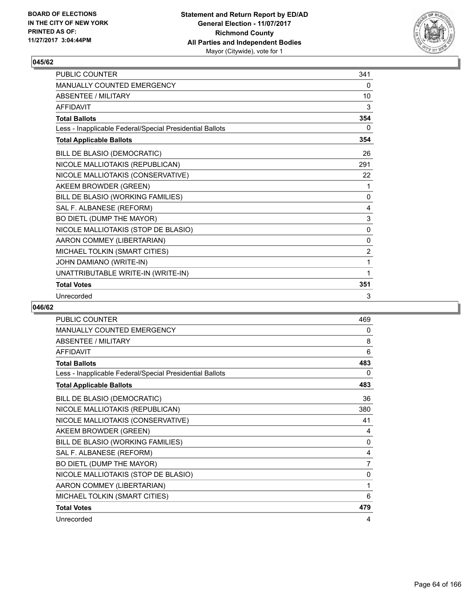

| <b>PUBLIC COUNTER</b>                                    | 341            |
|----------------------------------------------------------|----------------|
| <b>MANUALLY COUNTED EMERGENCY</b>                        | 0              |
| ABSENTEE / MILITARY                                      | 10             |
| <b>AFFIDAVIT</b>                                         | 3              |
| <b>Total Ballots</b>                                     | 354            |
| Less - Inapplicable Federal/Special Presidential Ballots | 0              |
| <b>Total Applicable Ballots</b>                          | 354            |
| BILL DE BLASIO (DEMOCRATIC)                              | 26             |
| NICOLE MALLIOTAKIS (REPUBLICAN)                          | 291            |
| NICOLE MALLIOTAKIS (CONSERVATIVE)                        | 22             |
| AKEEM BROWDER (GREEN)                                    | 1              |
| BILL DE BLASIO (WORKING FAMILIES)                        | 0              |
| SAL F. ALBANESE (REFORM)                                 | 4              |
| BO DIETL (DUMP THE MAYOR)                                | 3              |
| NICOLE MALLIOTAKIS (STOP DE BLASIO)                      | 0              |
| AARON COMMEY (LIBERTARIAN)                               | 0              |
| MICHAEL TOLKIN (SMART CITIES)                            | $\overline{2}$ |
| JOHN DAMIANO (WRITE-IN)                                  | 1              |
| UNATTRIBUTABLE WRITE-IN (WRITE-IN)                       | 1              |
| <b>Total Votes</b>                                       | 351            |
| Unrecorded                                               | 3              |

| <b>PUBLIC COUNTER</b>                                    | 469 |
|----------------------------------------------------------|-----|
| <b>MANUALLY COUNTED EMERGENCY</b>                        | 0   |
| <b>ABSENTEE / MILITARY</b>                               | 8   |
| <b>AFFIDAVIT</b>                                         | 6   |
| <b>Total Ballots</b>                                     | 483 |
| Less - Inapplicable Federal/Special Presidential Ballots | 0   |
| <b>Total Applicable Ballots</b>                          | 483 |
| BILL DE BLASIO (DEMOCRATIC)                              | 36  |
| NICOLE MALLIOTAKIS (REPUBLICAN)                          | 380 |
| NICOLE MALLIOTAKIS (CONSERVATIVE)                        | 41  |
| AKEEM BROWDER (GREEN)                                    | 4   |
| BILL DE BLASIO (WORKING FAMILIES)                        | 0   |
| SAL F. ALBANESE (REFORM)                                 | 4   |
| BO DIETL (DUMP THE MAYOR)                                | 7   |
| NICOLE MALLIOTAKIS (STOP DE BLASIO)                      | 0   |
| AARON COMMEY (LIBERTARIAN)                               | 1   |
| MICHAEL TOLKIN (SMART CITIES)                            | 6   |
| <b>Total Votes</b>                                       | 479 |
| Unrecorded                                               | 4   |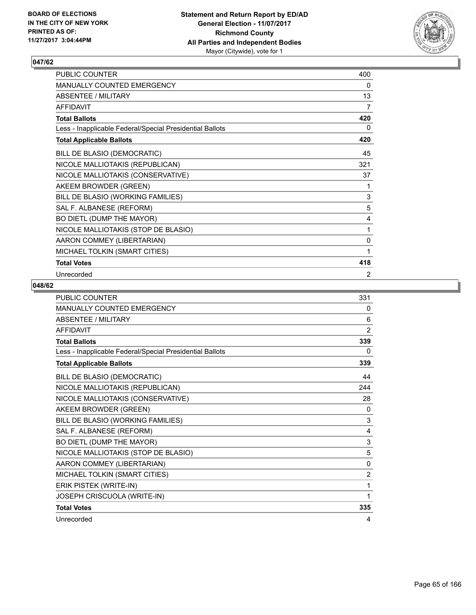

| PUBLIC COUNTER                                           | 400 |
|----------------------------------------------------------|-----|
| MANUALLY COUNTED EMERGENCY                               | 0   |
| <b>ABSENTEE / MILITARY</b>                               | 13  |
| <b>AFFIDAVIT</b>                                         | 7   |
| <b>Total Ballots</b>                                     | 420 |
| Less - Inapplicable Federal/Special Presidential Ballots | 0   |
| <b>Total Applicable Ballots</b>                          | 420 |
| BILL DE BLASIO (DEMOCRATIC)                              | 45  |
| NICOLE MALLIOTAKIS (REPUBLICAN)                          | 321 |
| NICOLE MALLIOTAKIS (CONSERVATIVE)                        | 37  |
| AKEEM BROWDER (GREEN)                                    | 1   |
| BILL DE BLASIO (WORKING FAMILIES)                        | 3   |
| SAL F. ALBANESE (REFORM)                                 | 5   |
| BO DIETL (DUMP THE MAYOR)                                | 4   |
| NICOLE MALLIOTAKIS (STOP DE BLASIO)                      | 1   |
| AARON COMMEY (LIBERTARIAN)                               | 0   |
| MICHAEL TOLKIN (SMART CITIES)                            | 1   |
| <b>Total Votes</b>                                       | 418 |
| Unrecorded                                               | 2   |

| <b>PUBLIC COUNTER</b>                                    | 331            |
|----------------------------------------------------------|----------------|
| <b>MANUALLY COUNTED EMERGENCY</b>                        | 0              |
| <b>ABSENTEE / MILITARY</b>                               | 6              |
| <b>AFFIDAVIT</b>                                         | $\overline{2}$ |
| <b>Total Ballots</b>                                     | 339            |
| Less - Inapplicable Federal/Special Presidential Ballots | 0              |
| <b>Total Applicable Ballots</b>                          | 339            |
| BILL DE BLASIO (DEMOCRATIC)                              | 44             |
| NICOLE MALLIOTAKIS (REPUBLICAN)                          | 244            |
| NICOLE MALLIOTAKIS (CONSERVATIVE)                        | 28             |
| AKEEM BROWDER (GREEN)                                    | $\Omega$       |
| BILL DE BLASIO (WORKING FAMILIES)                        | 3              |
| SAL F. ALBANESE (REFORM)                                 | 4              |
| BO DIETL (DUMP THE MAYOR)                                | 3              |
| NICOLE MALLIOTAKIS (STOP DE BLASIO)                      | 5              |
| AARON COMMEY (LIBERTARIAN)                               | $\mathbf{0}$   |
| MICHAEL TOLKIN (SMART CITIES)                            | $\overline{2}$ |
| ERIK PISTEK (WRITE-IN)                                   | 1              |
| JOSEPH CRISCUOLA (WRITE-IN)                              | 1              |
| <b>Total Votes</b>                                       | 335            |
| Unrecorded                                               | 4              |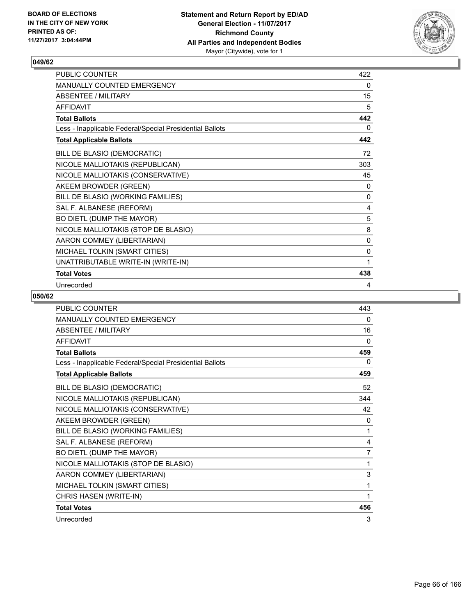

| PUBLIC COUNTER                                           | 422 |
|----------------------------------------------------------|-----|
| <b>MANUALLY COUNTED EMERGENCY</b>                        | 0   |
| <b>ABSENTEE / MILITARY</b>                               | 15  |
| <b>AFFIDAVIT</b>                                         | 5   |
| <b>Total Ballots</b>                                     | 442 |
| Less - Inapplicable Federal/Special Presidential Ballots | 0   |
| <b>Total Applicable Ballots</b>                          | 442 |
| BILL DE BLASIO (DEMOCRATIC)                              | 72  |
| NICOLE MALLIOTAKIS (REPUBLICAN)                          | 303 |
| NICOLE MALLIOTAKIS (CONSERVATIVE)                        | 45  |
| AKEEM BROWDER (GREEN)                                    | 0   |
| BILL DE BLASIO (WORKING FAMILIES)                        | 0   |
| SAL F. ALBANESE (REFORM)                                 | 4   |
| BO DIETL (DUMP THE MAYOR)                                | 5   |
| NICOLE MALLIOTAKIS (STOP DE BLASIO)                      | 8   |
| AARON COMMEY (LIBERTARIAN)                               | 0   |
| MICHAEL TOLKIN (SMART CITIES)                            | 0   |
| UNATTRIBUTABLE WRITE-IN (WRITE-IN)                       | 1   |
| <b>Total Votes</b>                                       | 438 |
| Unrecorded                                               | 4   |

| <b>PUBLIC COUNTER</b>                                    | 443 |
|----------------------------------------------------------|-----|
| <b>MANUALLY COUNTED EMERGENCY</b>                        | 0   |
| <b>ABSENTEE / MILITARY</b>                               | 16  |
| <b>AFFIDAVIT</b>                                         | 0   |
| <b>Total Ballots</b>                                     | 459 |
| Less - Inapplicable Federal/Special Presidential Ballots | 0   |
| <b>Total Applicable Ballots</b>                          | 459 |
| BILL DE BLASIO (DEMOCRATIC)                              | 52  |
| NICOLE MALLIOTAKIS (REPUBLICAN)                          | 344 |
| NICOLE MALLIOTAKIS (CONSERVATIVE)                        | 42  |
| AKEEM BROWDER (GREEN)                                    | 0   |
| BILL DE BLASIO (WORKING FAMILIES)                        | 1   |
| SAL F. ALBANESE (REFORM)                                 | 4   |
| BO DIETL (DUMP THE MAYOR)                                | 7   |
| NICOLE MALLIOTAKIS (STOP DE BLASIO)                      | 1   |
| AARON COMMEY (LIBERTARIAN)                               | 3   |
| MICHAEL TOLKIN (SMART CITIES)                            | 1   |
| CHRIS HASEN (WRITE-IN)                                   | 1   |
| <b>Total Votes</b>                                       | 456 |
| Unrecorded                                               | 3   |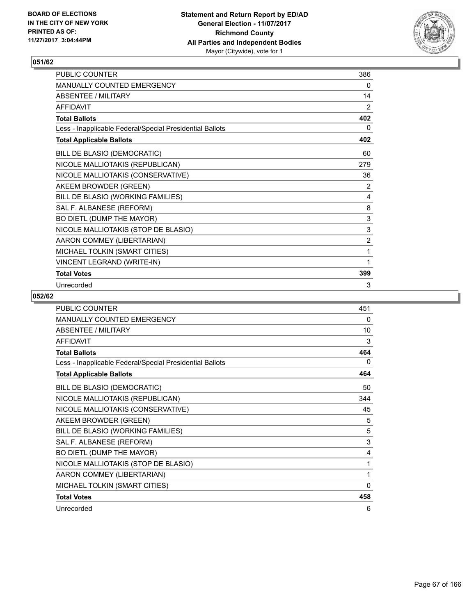

| <b>PUBLIC COUNTER</b>                                    | 386            |
|----------------------------------------------------------|----------------|
| <b>MANUALLY COUNTED EMERGENCY</b>                        | 0              |
| <b>ABSENTEE / MILITARY</b>                               | 14             |
| <b>AFFIDAVIT</b>                                         | 2              |
| <b>Total Ballots</b>                                     | 402            |
| Less - Inapplicable Federal/Special Presidential Ballots | 0              |
| <b>Total Applicable Ballots</b>                          | 402            |
| BILL DE BLASIO (DEMOCRATIC)                              | 60             |
| NICOLE MALLIOTAKIS (REPUBLICAN)                          | 279            |
| NICOLE MALLIOTAKIS (CONSERVATIVE)                        | 36             |
| AKEEM BROWDER (GREEN)                                    | 2              |
| BILL DE BLASIO (WORKING FAMILIES)                        | 4              |
| SAL F. ALBANESE (REFORM)                                 | 8              |
| BO DIETL (DUMP THE MAYOR)                                | 3              |
| NICOLE MALLIOTAKIS (STOP DE BLASIO)                      | 3              |
| AARON COMMEY (LIBERTARIAN)                               | $\overline{2}$ |
| MICHAEL TOLKIN (SMART CITIES)                            | 1              |
| VINCENT LEGRAND (WRITE-IN)                               | 1              |
| <b>Total Votes</b>                                       | 399            |
| Unrecorded                                               | 3              |

| <b>PUBLIC COUNTER</b>                                    | 451      |
|----------------------------------------------------------|----------|
| <b>MANUALLY COUNTED EMERGENCY</b>                        | 0        |
| <b>ABSENTEE / MILITARY</b>                               | 10       |
| <b>AFFIDAVIT</b>                                         | 3        |
| <b>Total Ballots</b>                                     | 464      |
| Less - Inapplicable Federal/Special Presidential Ballots | $\Omega$ |
| <b>Total Applicable Ballots</b>                          | 464      |
| BILL DE BLASIO (DEMOCRATIC)                              | 50       |
| NICOLE MALLIOTAKIS (REPUBLICAN)                          | 344      |
| NICOLE MALLIOTAKIS (CONSERVATIVE)                        | 45       |
| AKEEM BROWDER (GREEN)                                    | 5        |
| BILL DE BLASIO (WORKING FAMILIES)                        | 5        |
| SAL F. ALBANESE (REFORM)                                 | 3        |
| BO DIETL (DUMP THE MAYOR)                                | 4        |
| NICOLE MALLIOTAKIS (STOP DE BLASIO)                      | 1        |
| AARON COMMEY (LIBERTARIAN)                               | 1        |
| MICHAEL TOLKIN (SMART CITIES)                            | 0        |
| <b>Total Votes</b>                                       | 458      |
| Unrecorded                                               | 6        |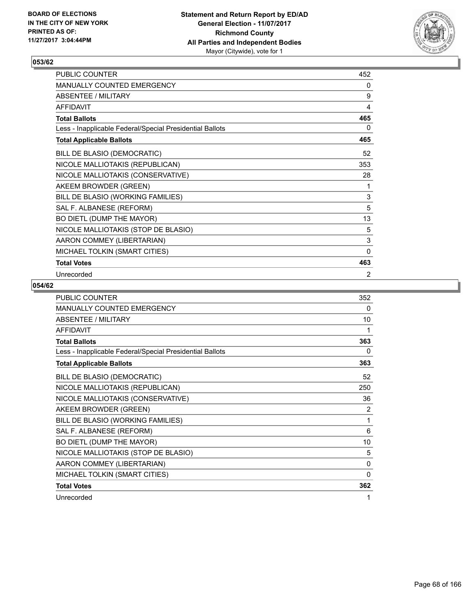

| PUBLIC COUNTER                                           | 452         |
|----------------------------------------------------------|-------------|
| MANUALLY COUNTED EMERGENCY                               | 0           |
| <b>ABSENTEE / MILITARY</b>                               | 9           |
| <b>AFFIDAVIT</b>                                         | 4           |
| <b>Total Ballots</b>                                     | 465         |
| Less - Inapplicable Federal/Special Presidential Ballots | 0           |
| <b>Total Applicable Ballots</b>                          | 465         |
| BILL DE BLASIO (DEMOCRATIC)                              | 52          |
| NICOLE MALLIOTAKIS (REPUBLICAN)                          | 353         |
| NICOLE MALLIOTAKIS (CONSERVATIVE)                        | 28          |
| AKEEM BROWDER (GREEN)                                    | 1           |
| BILL DE BLASIO (WORKING FAMILIES)                        | 3           |
| SAL F. ALBANESE (REFORM)                                 | 5           |
| BO DIETL (DUMP THE MAYOR)                                | 13          |
| NICOLE MALLIOTAKIS (STOP DE BLASIO)                      | 5           |
| AARON COMMEY (LIBERTARIAN)                               | $\mathsf 3$ |
| MICHAEL TOLKIN (SMART CITIES)                            | $\Omega$    |
| <b>Total Votes</b>                                       | 463         |
| Unrecorded                                               | 2           |

| <b>PUBLIC COUNTER</b>                                    | 352      |
|----------------------------------------------------------|----------|
| <b>MANUALLY COUNTED EMERGENCY</b>                        | 0        |
| <b>ABSENTEE / MILITARY</b>                               | 10       |
| <b>AFFIDAVIT</b>                                         | 1        |
| <b>Total Ballots</b>                                     | 363      |
| Less - Inapplicable Federal/Special Presidential Ballots | 0        |
| <b>Total Applicable Ballots</b>                          | 363      |
| BILL DE BLASIO (DEMOCRATIC)                              | 52       |
| NICOLE MALLIOTAKIS (REPUBLICAN)                          | 250      |
| NICOLE MALLIOTAKIS (CONSERVATIVE)                        | 36       |
| AKEEM BROWDER (GREEN)                                    | 2        |
| BILL DE BLASIO (WORKING FAMILIES)                        | 1        |
| SAL F. ALBANESE (REFORM)                                 | 6        |
| BO DIETL (DUMP THE MAYOR)                                | 10       |
| NICOLE MALLIOTAKIS (STOP DE BLASIO)                      | 5        |
| AARON COMMEY (LIBERTARIAN)                               | 0        |
| MICHAEL TOLKIN (SMART CITIES)                            | $\Omega$ |
| <b>Total Votes</b>                                       | 362      |
| Unrecorded                                               | 1        |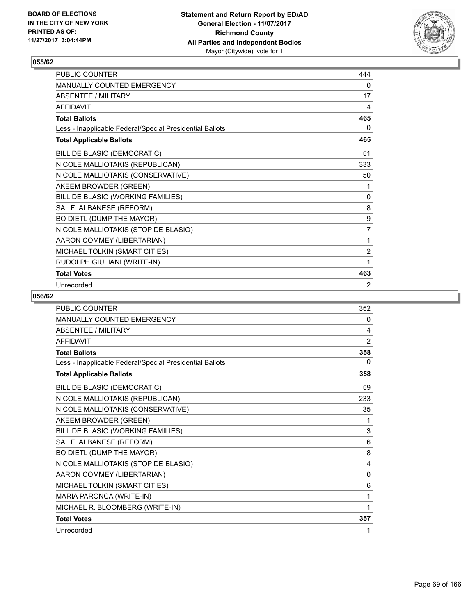

| <b>PUBLIC COUNTER</b>                                    | 444            |
|----------------------------------------------------------|----------------|
| <b>MANUALLY COUNTED EMERGENCY</b>                        | 0              |
| ABSENTEE / MILITARY                                      | 17             |
| <b>AFFIDAVIT</b>                                         | 4              |
| <b>Total Ballots</b>                                     | 465            |
| Less - Inapplicable Federal/Special Presidential Ballots | 0              |
| <b>Total Applicable Ballots</b>                          | 465            |
| BILL DE BLASIO (DEMOCRATIC)                              | 51             |
| NICOLE MALLIOTAKIS (REPUBLICAN)                          | 333            |
| NICOLE MALLIOTAKIS (CONSERVATIVE)                        | 50             |
| AKEEM BROWDER (GREEN)                                    | 1              |
| BILL DE BLASIO (WORKING FAMILIES)                        | 0              |
| SAL F. ALBANESE (REFORM)                                 | 8              |
| BO DIETL (DUMP THE MAYOR)                                | 9              |
| NICOLE MALLIOTAKIS (STOP DE BLASIO)                      | 7              |
| AARON COMMEY (LIBERTARIAN)                               | 1              |
| MICHAEL TOLKIN (SMART CITIES)                            | $\overline{2}$ |
| RUDOLPH GIULIANI (WRITE-IN)                              | 1              |
| <b>Total Votes</b>                                       | 463            |
| Unrecorded                                               | 2              |

| <b>PUBLIC COUNTER</b>                                    | 352 |
|----------------------------------------------------------|-----|
| <b>MANUALLY COUNTED EMERGENCY</b>                        | 0   |
| <b>ABSENTEE / MILITARY</b>                               | 4   |
| <b>AFFIDAVIT</b>                                         | 2   |
| <b>Total Ballots</b>                                     | 358 |
| Less - Inapplicable Federal/Special Presidential Ballots | 0   |
| <b>Total Applicable Ballots</b>                          | 358 |
| BILL DE BLASIO (DEMOCRATIC)                              | 59  |
| NICOLE MALLIOTAKIS (REPUBLICAN)                          | 233 |
| NICOLE MALLIOTAKIS (CONSERVATIVE)                        | 35  |
| AKEEM BROWDER (GREEN)                                    | 1   |
| BILL DE BLASIO (WORKING FAMILIES)                        | 3   |
| SAL F. ALBANESE (REFORM)                                 | 6   |
| BO DIETL (DUMP THE MAYOR)                                | 8   |
| NICOLE MALLIOTAKIS (STOP DE BLASIO)                      | 4   |
| AARON COMMEY (LIBERTARIAN)                               | 0   |
| MICHAEL TOLKIN (SMART CITIES)                            | 6   |
| MARIA PARONCA (WRITE-IN)                                 | 1   |
| MICHAEL R. BLOOMBERG (WRITE-IN)                          | 1   |
| <b>Total Votes</b>                                       | 357 |
| Unrecorded                                               | 1   |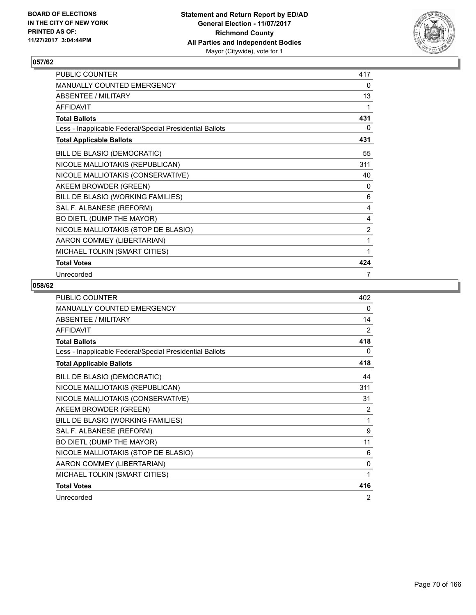

| PUBLIC COUNTER                                           | 417            |
|----------------------------------------------------------|----------------|
| MANUALLY COUNTED EMERGENCY                               | 0              |
| <b>ABSENTEE / MILITARY</b>                               | 13             |
| <b>AFFIDAVIT</b>                                         | 1              |
| <b>Total Ballots</b>                                     | 431            |
| Less - Inapplicable Federal/Special Presidential Ballots | 0              |
| <b>Total Applicable Ballots</b>                          | 431            |
| BILL DE BLASIO (DEMOCRATIC)                              | 55             |
| NICOLE MALLIOTAKIS (REPUBLICAN)                          | 311            |
| NICOLE MALLIOTAKIS (CONSERVATIVE)                        | 40             |
| AKEEM BROWDER (GREEN)                                    | 0              |
| BILL DE BLASIO (WORKING FAMILIES)                        | 6              |
| SAL F. ALBANESE (REFORM)                                 | 4              |
| BO DIETL (DUMP THE MAYOR)                                | 4              |
| NICOLE MALLIOTAKIS (STOP DE BLASIO)                      | $\overline{2}$ |
| AARON COMMEY (LIBERTARIAN)                               | 1              |
| MICHAEL TOLKIN (SMART CITIES)                            | 1              |
| <b>Total Votes</b>                                       | 424            |
| Unrecorded                                               | 7              |

| <b>PUBLIC COUNTER</b>                                    | 402 |
|----------------------------------------------------------|-----|
| <b>MANUALLY COUNTED EMERGENCY</b>                        | 0   |
| <b>ABSENTEE / MILITARY</b>                               | 14  |
| <b>AFFIDAVIT</b>                                         | 2   |
| <b>Total Ballots</b>                                     | 418 |
| Less - Inapplicable Federal/Special Presidential Ballots | 0   |
| <b>Total Applicable Ballots</b>                          | 418 |
| BILL DE BLASIO (DEMOCRATIC)                              | 44  |
| NICOLE MALLIOTAKIS (REPUBLICAN)                          | 311 |
| NICOLE MALLIOTAKIS (CONSERVATIVE)                        | 31  |
| AKEEM BROWDER (GREEN)                                    | 2   |
| BILL DE BLASIO (WORKING FAMILIES)                        | 1   |
| SAL F. ALBANESE (REFORM)                                 | 9   |
| BO DIETL (DUMP THE MAYOR)                                | 11  |
| NICOLE MALLIOTAKIS (STOP DE BLASIO)                      | 6   |
| AARON COMMEY (LIBERTARIAN)                               | 0   |
| MICHAEL TOLKIN (SMART CITIES)                            | 1   |
| <b>Total Votes</b>                                       | 416 |
| Unrecorded                                               | 2   |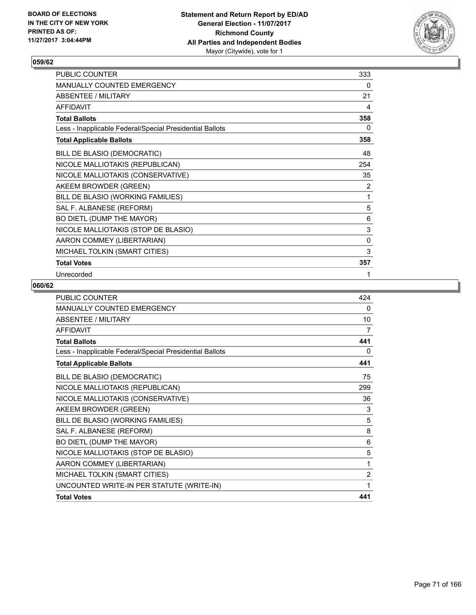

| PUBLIC COUNTER                                           | 333         |
|----------------------------------------------------------|-------------|
| MANUALLY COUNTED EMERGENCY                               | 0           |
| <b>ABSENTEE / MILITARY</b>                               | 21          |
| <b>AFFIDAVIT</b>                                         | 4           |
| <b>Total Ballots</b>                                     | 358         |
| Less - Inapplicable Federal/Special Presidential Ballots | 0           |
| <b>Total Applicable Ballots</b>                          | 358         |
| BILL DE BLASIO (DEMOCRATIC)                              | 48          |
| NICOLE MALLIOTAKIS (REPUBLICAN)                          | 254         |
| NICOLE MALLIOTAKIS (CONSERVATIVE)                        | 35          |
| AKEEM BROWDER (GREEN)                                    | 2           |
| BILL DE BLASIO (WORKING FAMILIES)                        | 1           |
| SAL F. ALBANESE (REFORM)                                 | 5           |
| BO DIETL (DUMP THE MAYOR)                                | 6           |
| NICOLE MALLIOTAKIS (STOP DE BLASIO)                      | $\mathsf 3$ |
| AARON COMMEY (LIBERTARIAN)                               | $\mathbf 0$ |
| MICHAEL TOLKIN (SMART CITIES)                            | 3           |
| <b>Total Votes</b>                                       | 357         |
| Unrecorded                                               | 1           |

| <b>PUBLIC COUNTER</b>                                    | 424            |
|----------------------------------------------------------|----------------|
| <b>MANUALLY COUNTED EMERGENCY</b>                        | 0              |
| <b>ABSENTEE / MILITARY</b>                               | 10             |
| <b>AFFIDAVIT</b>                                         | 7              |
| <b>Total Ballots</b>                                     | 441            |
| Less - Inapplicable Federal/Special Presidential Ballots | 0              |
| <b>Total Applicable Ballots</b>                          | 441            |
| BILL DE BLASIO (DEMOCRATIC)                              | 75             |
| NICOLE MALLIOTAKIS (REPUBLICAN)                          | 299            |
| NICOLE MALLIOTAKIS (CONSERVATIVE)                        | 36             |
| AKEEM BROWDER (GREEN)                                    | 3              |
| BILL DE BLASIO (WORKING FAMILIES)                        | 5              |
| SAL F. ALBANESE (REFORM)                                 | 8              |
| BO DIETL (DUMP THE MAYOR)                                | 6              |
| NICOLE MALLIOTAKIS (STOP DE BLASIO)                      | 5              |
| AARON COMMEY (LIBERTARIAN)                               | 1              |
| MICHAEL TOLKIN (SMART CITIES)                            | $\overline{2}$ |
| UNCOUNTED WRITE-IN PER STATUTE (WRITE-IN)                | 1              |
| <b>Total Votes</b>                                       | 441            |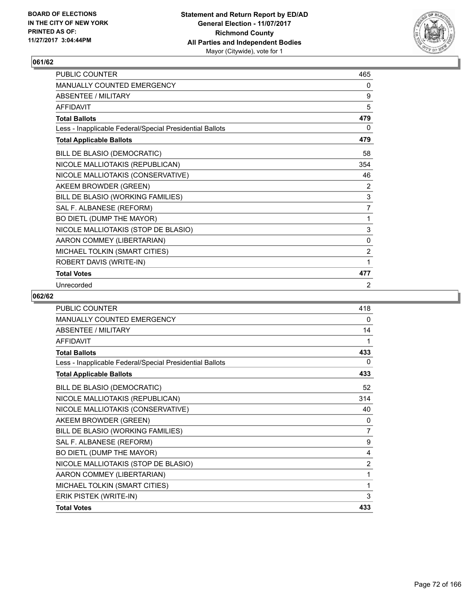

| <b>PUBLIC COUNTER</b>                                    | 465            |
|----------------------------------------------------------|----------------|
| <b>MANUALLY COUNTED EMERGENCY</b>                        | 0              |
| <b>ABSENTEE / MILITARY</b>                               | 9              |
| <b>AFFIDAVIT</b>                                         | 5              |
| <b>Total Ballots</b>                                     | 479            |
| Less - Inapplicable Federal/Special Presidential Ballots | 0              |
| <b>Total Applicable Ballots</b>                          | 479            |
| BILL DE BLASIO (DEMOCRATIC)                              | 58             |
| NICOLE MALLIOTAKIS (REPUBLICAN)                          | 354            |
| NICOLE MALLIOTAKIS (CONSERVATIVE)                        | 46             |
| AKEEM BROWDER (GREEN)                                    | 2              |
| BILL DE BLASIO (WORKING FAMILIES)                        | 3              |
| SAL F. ALBANESE (REFORM)                                 | $\overline{7}$ |
| BO DIETL (DUMP THE MAYOR)                                | 1              |
| NICOLE MALLIOTAKIS (STOP DE BLASIO)                      | 3              |
| AARON COMMEY (LIBERTARIAN)                               | 0              |
| MICHAEL TOLKIN (SMART CITIES)                            | $\overline{2}$ |
| ROBERT DAVIS (WRITE-IN)                                  | 1              |
| <b>Total Votes</b>                                       | 477            |
| Unrecorded                                               | 2              |

| <b>PUBLIC COUNTER</b>                                    | 418      |
|----------------------------------------------------------|----------|
| <b>MANUALLY COUNTED EMERGENCY</b>                        | 0        |
| <b>ABSENTEE / MILITARY</b>                               | 14       |
| <b>AFFIDAVIT</b>                                         | 1        |
| <b>Total Ballots</b>                                     | 433      |
| Less - Inapplicable Federal/Special Presidential Ballots | $\Omega$ |
| <b>Total Applicable Ballots</b>                          | 433      |
| BILL DE BLASIO (DEMOCRATIC)                              | 52       |
| NICOLE MALLIOTAKIS (REPUBLICAN)                          | 314      |
| NICOLE MALLIOTAKIS (CONSERVATIVE)                        | 40       |
| AKEEM BROWDER (GREEN)                                    | 0        |
| BILL DE BLASIO (WORKING FAMILIES)                        | 7        |
| SAL F. ALBANESE (REFORM)                                 | 9        |
| BO DIETL (DUMP THE MAYOR)                                | 4        |
| NICOLE MALLIOTAKIS (STOP DE BLASIO)                      | 2        |
| AARON COMMEY (LIBERTARIAN)                               | 1        |
| MICHAEL TOLKIN (SMART CITIES)                            | 1        |
| ERIK PISTEK (WRITE-IN)                                   | 3        |
| <b>Total Votes</b>                                       | 433      |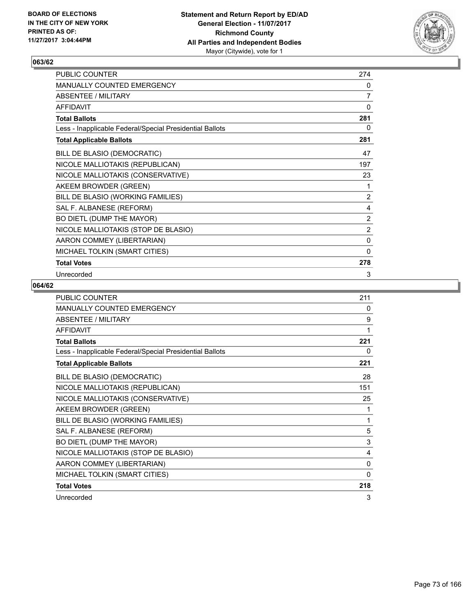

| PUBLIC COUNTER                                           | 274            |
|----------------------------------------------------------|----------------|
| MANUALLY COUNTED EMERGENCY                               | 0              |
| <b>ABSENTEE / MILITARY</b>                               | $\overline{7}$ |
| <b>AFFIDAVIT</b>                                         | 0              |
| <b>Total Ballots</b>                                     | 281            |
| Less - Inapplicable Federal/Special Presidential Ballots | 0              |
| <b>Total Applicable Ballots</b>                          | 281            |
| BILL DE BLASIO (DEMOCRATIC)                              | 47             |
| NICOLE MALLIOTAKIS (REPUBLICAN)                          | 197            |
| NICOLE MALLIOTAKIS (CONSERVATIVE)                        | 23             |
| AKEEM BROWDER (GREEN)                                    | 1              |
| BILL DE BLASIO (WORKING FAMILIES)                        | $\overline{2}$ |
| SAL F. ALBANESE (REFORM)                                 | 4              |
| BO DIETL (DUMP THE MAYOR)                                | 2              |
| NICOLE MALLIOTAKIS (STOP DE BLASIO)                      | $\overline{2}$ |
| AARON COMMEY (LIBERTARIAN)                               | 0              |
| MICHAEL TOLKIN (SMART CITIES)                            | $\mathbf{0}$   |
| <b>Total Votes</b>                                       | 278            |
| Unrecorded                                               | 3              |

| <b>PUBLIC COUNTER</b>                                    | 211 |
|----------------------------------------------------------|-----|
| <b>MANUALLY COUNTED EMERGENCY</b>                        | 0   |
| <b>ABSENTEE / MILITARY</b>                               | 9   |
| <b>AFFIDAVIT</b>                                         | 1   |
| <b>Total Ballots</b>                                     | 221 |
| Less - Inapplicable Federal/Special Presidential Ballots | 0   |
| <b>Total Applicable Ballots</b>                          | 221 |
| BILL DE BLASIO (DEMOCRATIC)                              | 28  |
| NICOLE MALLIOTAKIS (REPUBLICAN)                          | 151 |
| NICOLE MALLIOTAKIS (CONSERVATIVE)                        | 25  |
| AKEEM BROWDER (GREEN)                                    | 1   |
| BILL DE BLASIO (WORKING FAMILIES)                        | 1   |
| SAL F. ALBANESE (REFORM)                                 | 5   |
| BO DIETL (DUMP THE MAYOR)                                | 3   |
| NICOLE MALLIOTAKIS (STOP DE BLASIO)                      | 4   |
| AARON COMMEY (LIBERTARIAN)                               | 0   |
| MICHAEL TOLKIN (SMART CITIES)                            | 0   |
| <b>Total Votes</b>                                       | 218 |
| Unrecorded                                               | 3   |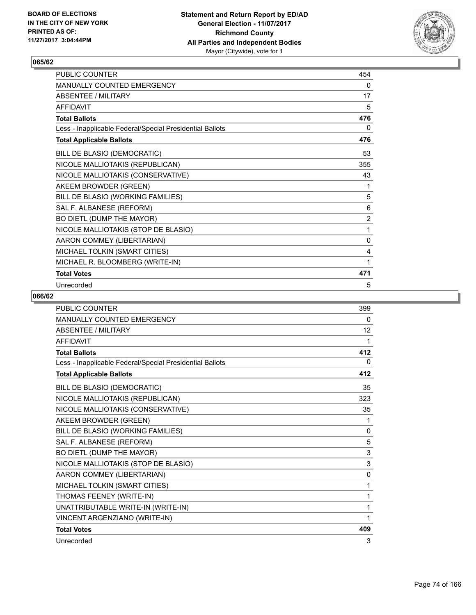

| PUBLIC COUNTER                                           | 454 |
|----------------------------------------------------------|-----|
| <b>MANUALLY COUNTED EMERGENCY</b>                        | 0   |
| <b>ABSENTEE / MILITARY</b>                               | 17  |
| <b>AFFIDAVIT</b>                                         | 5   |
| <b>Total Ballots</b>                                     | 476 |
| Less - Inapplicable Federal/Special Presidential Ballots | 0   |
| <b>Total Applicable Ballots</b>                          | 476 |
| BILL DE BLASIO (DEMOCRATIC)                              | 53  |
| NICOLE MALLIOTAKIS (REPUBLICAN)                          | 355 |
| NICOLE MALLIOTAKIS (CONSERVATIVE)                        | 43  |
| AKEEM BROWDER (GREEN)                                    | 1   |
| BILL DE BLASIO (WORKING FAMILIES)                        | 5   |
| SAL F. ALBANESE (REFORM)                                 | 6   |
| BO DIETL (DUMP THE MAYOR)                                | 2   |
| NICOLE MALLIOTAKIS (STOP DE BLASIO)                      | 1   |
| AARON COMMEY (LIBERTARIAN)                               | 0   |
| MICHAEL TOLKIN (SMART CITIES)                            | 4   |
| MICHAEL R. BLOOMBERG (WRITE-IN)                          | 1   |
| <b>Total Votes</b>                                       | 471 |
| Unrecorded                                               | 5   |

| <b>PUBLIC COUNTER</b>                                    | 399 |
|----------------------------------------------------------|-----|
| <b>MANUALLY COUNTED EMERGENCY</b>                        | 0   |
| <b>ABSENTEE / MILITARY</b>                               | 12  |
| <b>AFFIDAVIT</b>                                         | 1   |
| <b>Total Ballots</b>                                     | 412 |
| Less - Inapplicable Federal/Special Presidential Ballots | 0   |
| <b>Total Applicable Ballots</b>                          | 412 |
| BILL DE BLASIO (DEMOCRATIC)                              | 35  |
| NICOLE MALLIOTAKIS (REPUBLICAN)                          | 323 |
| NICOLE MALLIOTAKIS (CONSERVATIVE)                        | 35  |
| AKEEM BROWDER (GREEN)                                    | 1   |
| BILL DE BLASIO (WORKING FAMILIES)                        | 0   |
| SAL F. ALBANESE (REFORM)                                 | 5   |
| BO DIETL (DUMP THE MAYOR)                                | 3   |
| NICOLE MALLIOTAKIS (STOP DE BLASIO)                      | 3   |
| AARON COMMEY (LIBERTARIAN)                               | 0   |
| MICHAEL TOLKIN (SMART CITIES)                            | 1   |
| THOMAS FEENEY (WRITE-IN)                                 | 1   |
| UNATTRIBUTABLE WRITE-IN (WRITE-IN)                       | 1   |
| VINCENT ARGENZIANO (WRITE-IN)                            | 1   |
| <b>Total Votes</b>                                       | 409 |
| Unrecorded                                               | 3   |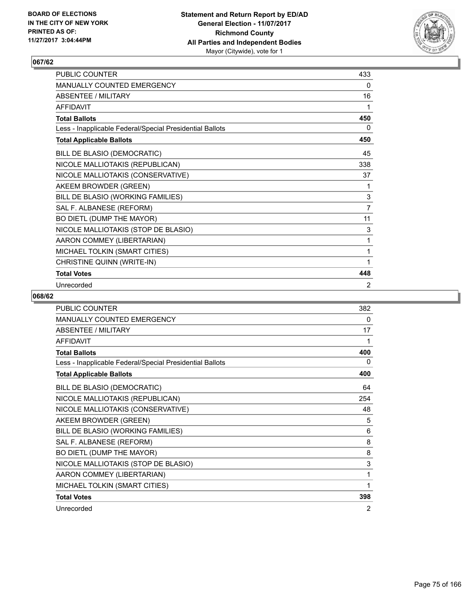

| PUBLIC COUNTER                                           | 433            |
|----------------------------------------------------------|----------------|
| <b>MANUALLY COUNTED EMERGENCY</b>                        | 0              |
| <b>ABSENTEE / MILITARY</b>                               | 16             |
| <b>AFFIDAVIT</b>                                         | 1              |
| <b>Total Ballots</b>                                     | 450            |
| Less - Inapplicable Federal/Special Presidential Ballots | 0              |
| <b>Total Applicable Ballots</b>                          | 450            |
| BILL DE BLASIO (DEMOCRATIC)                              | 45             |
| NICOLE MALLIOTAKIS (REPUBLICAN)                          | 338            |
| NICOLE MALLIOTAKIS (CONSERVATIVE)                        | 37             |
| AKEEM BROWDER (GREEN)                                    | 1              |
| BILL DE BLASIO (WORKING FAMILIES)                        | 3              |
| SAL F. ALBANESE (REFORM)                                 | $\overline{7}$ |
| BO DIETL (DUMP THE MAYOR)                                | 11             |
| NICOLE MALLIOTAKIS (STOP DE BLASIO)                      | 3              |
| AARON COMMEY (LIBERTARIAN)                               | 1              |
| MICHAEL TOLKIN (SMART CITIES)                            | 1              |
| CHRISTINE QUINN (WRITE-IN)                               | 1              |
| <b>Total Votes</b>                                       | 448            |
| Unrecorded                                               | 2              |

| PUBLIC COUNTER                                           | 382 |
|----------------------------------------------------------|-----|
| MANUALLY COUNTED EMERGENCY                               | 0   |
| <b>ABSENTEE / MILITARY</b>                               | 17  |
| <b>AFFIDAVIT</b>                                         | 1   |
| <b>Total Ballots</b>                                     | 400 |
| Less - Inapplicable Federal/Special Presidential Ballots | 0   |
| <b>Total Applicable Ballots</b>                          | 400 |
| BILL DE BLASIO (DEMOCRATIC)                              | 64  |
| NICOLE MALLIOTAKIS (REPUBLICAN)                          | 254 |
| NICOLE MALLIOTAKIS (CONSERVATIVE)                        | 48  |
| AKEEM BROWDER (GREEN)                                    | 5   |
| BILL DE BLASIO (WORKING FAMILIES)                        | 6   |
| SAL F. ALBANESE (REFORM)                                 | 8   |
| BO DIETL (DUMP THE MAYOR)                                | 8   |
| NICOLE MALLIOTAKIS (STOP DE BLASIO)                      | 3   |
| AARON COMMEY (LIBERTARIAN)                               | 1   |
| MICHAEL TOLKIN (SMART CITIES)                            | 1   |
| <b>Total Votes</b>                                       | 398 |
| Unrecorded                                               | 2   |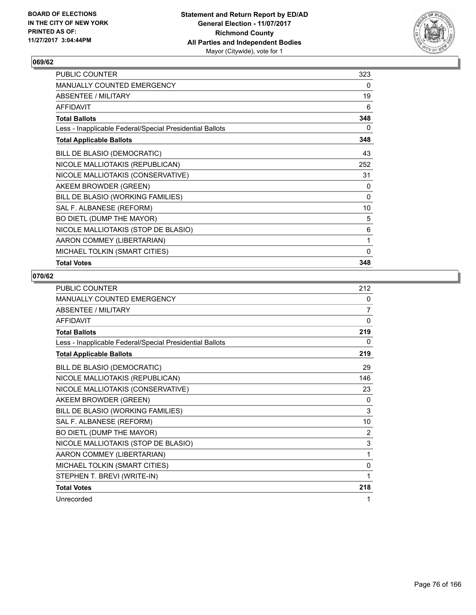

| PUBLIC COUNTER                                           | 323 |
|----------------------------------------------------------|-----|
| MANUALLY COUNTED EMERGENCY                               | 0   |
| ABSENTEE / MILITARY                                      | 19  |
| <b>AFFIDAVIT</b>                                         | 6   |
| <b>Total Ballots</b>                                     | 348 |
| Less - Inapplicable Federal/Special Presidential Ballots | 0   |
| <b>Total Applicable Ballots</b>                          | 348 |
| BILL DE BLASIO (DEMOCRATIC)                              | 43  |
| NICOLE MALLIOTAKIS (REPUBLICAN)                          | 252 |
| NICOLE MALLIOTAKIS (CONSERVATIVE)                        | 31  |
| AKEEM BROWDER (GREEN)                                    | 0   |
| BILL DE BLASIO (WORKING FAMILIES)                        | 0   |
| SAL F. ALBANESE (REFORM)                                 | 10  |
| BO DIETL (DUMP THE MAYOR)                                | 5   |
| NICOLE MALLIOTAKIS (STOP DE BLASIO)                      | 6   |
| AARON COMMEY (LIBERTARIAN)                               | 1   |
| MICHAEL TOLKIN (SMART CITIES)                            | 0   |
| <b>Total Votes</b>                                       | 348 |

| <b>PUBLIC COUNTER</b>                                    | 212      |
|----------------------------------------------------------|----------|
| MANUALLY COUNTED EMERGENCY                               | 0        |
| <b>ABSENTEE / MILITARY</b>                               | 7        |
| <b>AFFIDAVIT</b>                                         | $\Omega$ |
| <b>Total Ballots</b>                                     | 219      |
| Less - Inapplicable Federal/Special Presidential Ballots | 0        |
| <b>Total Applicable Ballots</b>                          | 219      |
| BILL DE BLASIO (DEMOCRATIC)                              | 29       |
| NICOLE MALLIOTAKIS (REPUBLICAN)                          | 146      |
| NICOLE MALLIOTAKIS (CONSERVATIVE)                        | 23       |
| AKEEM BROWDER (GREEN)                                    | 0        |
| BILL DE BLASIO (WORKING FAMILIES)                        | 3        |
| SAL F. ALBANESE (REFORM)                                 | 10       |
| BO DIETL (DUMP THE MAYOR)                                | 2        |
| NICOLE MALLIOTAKIS (STOP DE BLASIO)                      | 3        |
| AARON COMMEY (LIBERTARIAN)                               | 1        |
| MICHAEL TOLKIN (SMART CITIES)                            | 0        |
| STEPHEN T. BREVI (WRITE-IN)                              | 1        |
| <b>Total Votes</b>                                       | 218      |
| Unrecorded                                               | 1        |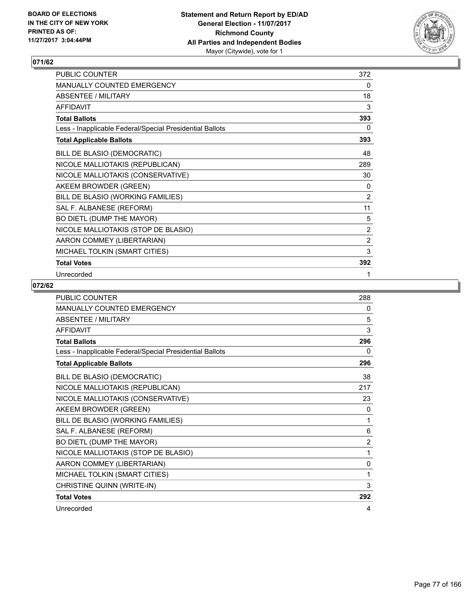

| PUBLIC COUNTER                                           | 372            |
|----------------------------------------------------------|----------------|
| MANUALLY COUNTED EMERGENCY                               | 0              |
| <b>ABSENTEE / MILITARY</b>                               | 18             |
| <b>AFFIDAVIT</b>                                         | 3              |
| <b>Total Ballots</b>                                     | 393            |
| Less - Inapplicable Federal/Special Presidential Ballots | 0              |
| <b>Total Applicable Ballots</b>                          | 393            |
| BILL DE BLASIO (DEMOCRATIC)                              | 48             |
| NICOLE MALLIOTAKIS (REPUBLICAN)                          | 289            |
| NICOLE MALLIOTAKIS (CONSERVATIVE)                        | 30             |
| AKEEM BROWDER (GREEN)                                    | 0              |
| BILL DE BLASIO (WORKING FAMILIES)                        | $\overline{2}$ |
| SAL F. ALBANESE (REFORM)                                 | 11             |
| BO DIETL (DUMP THE MAYOR)                                | 5              |
| NICOLE MALLIOTAKIS (STOP DE BLASIO)                      | $\overline{2}$ |
| AARON COMMEY (LIBERTARIAN)                               | $\overline{2}$ |
| MICHAEL TOLKIN (SMART CITIES)                            | 3              |
| <b>Total Votes</b>                                       | 392            |
| Unrecorded                                               | 1              |

| <b>PUBLIC COUNTER</b>                                    | 288            |
|----------------------------------------------------------|----------------|
| MANUALLY COUNTED EMERGENCY                               | 0              |
| <b>ABSENTEE / MILITARY</b>                               | 5              |
| <b>AFFIDAVIT</b>                                         | 3              |
| <b>Total Ballots</b>                                     | 296            |
| Less - Inapplicable Federal/Special Presidential Ballots | 0              |
| <b>Total Applicable Ballots</b>                          | 296            |
| BILL DE BLASIO (DEMOCRATIC)                              | 38             |
| NICOLE MALLIOTAKIS (REPUBLICAN)                          | 217            |
| NICOLE MALLIOTAKIS (CONSERVATIVE)                        | 23             |
| AKEEM BROWDER (GREEN)                                    | 0              |
| BILL DE BLASIO (WORKING FAMILIES)                        | 1              |
| SAL F. ALBANESE (REFORM)                                 | 6              |
| BO DIETL (DUMP THE MAYOR)                                | $\overline{2}$ |
| NICOLE MALLIOTAKIS (STOP DE BLASIO)                      | 1              |
| AARON COMMEY (LIBERTARIAN)                               | $\mathbf{0}$   |
| MICHAEL TOLKIN (SMART CITIES)                            | 1              |
| CHRISTINE QUINN (WRITE-IN)                               | 3              |
| <b>Total Votes</b>                                       | 292            |
| Unrecorded                                               | 4              |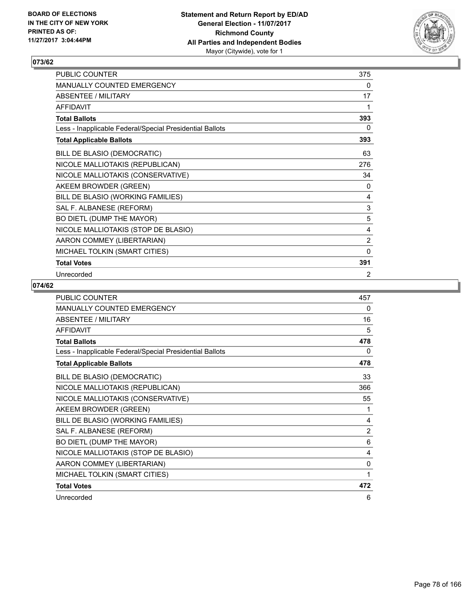

| PUBLIC COUNTER                                           | 375            |
|----------------------------------------------------------|----------------|
| MANUALLY COUNTED EMERGENCY                               | 0              |
| <b>ABSENTEE / MILITARY</b>                               | 17             |
| <b>AFFIDAVIT</b>                                         | 1              |
| <b>Total Ballots</b>                                     | 393            |
| Less - Inapplicable Federal/Special Presidential Ballots | 0              |
| <b>Total Applicable Ballots</b>                          | 393            |
| BILL DE BLASIO (DEMOCRATIC)                              | 63             |
| NICOLE MALLIOTAKIS (REPUBLICAN)                          | 276            |
| NICOLE MALLIOTAKIS (CONSERVATIVE)                        | 34             |
| AKEEM BROWDER (GREEN)                                    | 0              |
| BILL DE BLASIO (WORKING FAMILIES)                        | 4              |
| SAL F. ALBANESE (REFORM)                                 | $\mathsf 3$    |
| BO DIETL (DUMP THE MAYOR)                                | 5              |
| NICOLE MALLIOTAKIS (STOP DE BLASIO)                      | 4              |
| AARON COMMEY (LIBERTARIAN)                               | $\overline{2}$ |
| MICHAEL TOLKIN (SMART CITIES)                            | $\mathbf{0}$   |
| <b>Total Votes</b>                                       | 391            |
| Unrecorded                                               | 2              |

| <b>PUBLIC COUNTER</b>                                    | 457 |
|----------------------------------------------------------|-----|
| <b>MANUALLY COUNTED EMERGENCY</b>                        | 0   |
| <b>ABSENTEE / MILITARY</b>                               | 16  |
| <b>AFFIDAVIT</b>                                         | 5   |
| <b>Total Ballots</b>                                     | 478 |
| Less - Inapplicable Federal/Special Presidential Ballots | 0   |
| <b>Total Applicable Ballots</b>                          | 478 |
| BILL DE BLASIO (DEMOCRATIC)                              | 33  |
| NICOLE MALLIOTAKIS (REPUBLICAN)                          | 366 |
| NICOLE MALLIOTAKIS (CONSERVATIVE)                        | 55  |
| AKEEM BROWDER (GREEN)                                    | 1   |
| BILL DE BLASIO (WORKING FAMILIES)                        | 4   |
| SAL F. ALBANESE (REFORM)                                 | 2   |
| BO DIETL (DUMP THE MAYOR)                                | 6   |
| NICOLE MALLIOTAKIS (STOP DE BLASIO)                      | 4   |
| AARON COMMEY (LIBERTARIAN)                               | 0   |
| MICHAEL TOLKIN (SMART CITIES)                            | 1   |
| <b>Total Votes</b>                                       | 472 |
| Unrecorded                                               | 6   |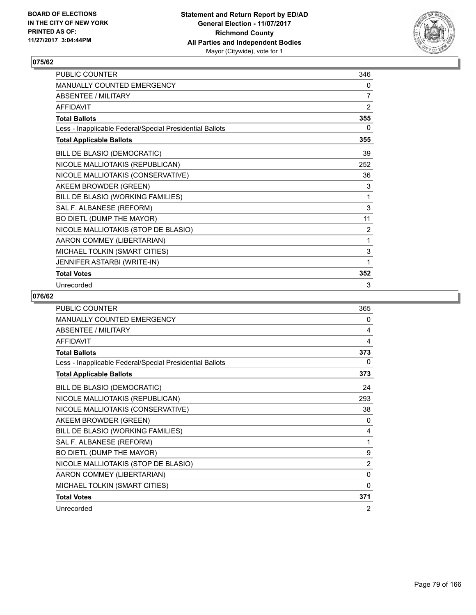

| PUBLIC COUNTER                                           | 346            |
|----------------------------------------------------------|----------------|
| <b>MANUALLY COUNTED EMERGENCY</b>                        | 0              |
| <b>ABSENTEE / MILITARY</b>                               | $\overline{7}$ |
| <b>AFFIDAVIT</b>                                         | 2              |
| <b>Total Ballots</b>                                     | 355            |
| Less - Inapplicable Federal/Special Presidential Ballots | 0              |
| <b>Total Applicable Ballots</b>                          | 355            |
| BILL DE BLASIO (DEMOCRATIC)                              | 39             |
| NICOLE MALLIOTAKIS (REPUBLICAN)                          | 252            |
| NICOLE MALLIOTAKIS (CONSERVATIVE)                        | 36             |
| AKEEM BROWDER (GREEN)                                    | 3              |
| BILL DE BLASIO (WORKING FAMILIES)                        | 1              |
| SAL F. ALBANESE (REFORM)                                 | 3              |
| BO DIETL (DUMP THE MAYOR)                                | 11             |
| NICOLE MALLIOTAKIS (STOP DE BLASIO)                      | 2              |
| AARON COMMEY (LIBERTARIAN)                               | 1              |
| MICHAEL TOLKIN (SMART CITIES)                            | 3              |
| JENNIFER ASTARBI (WRITE-IN)                              | 1              |
| <b>Total Votes</b>                                       | 352            |
| Unrecorded                                               | 3              |

| <b>PUBLIC COUNTER</b>                                    | 365      |
|----------------------------------------------------------|----------|
| <b>MANUALLY COUNTED EMERGENCY</b>                        | 0        |
| <b>ABSENTEE / MILITARY</b>                               | 4        |
| <b>AFFIDAVIT</b>                                         | 4        |
| <b>Total Ballots</b>                                     | 373      |
| Less - Inapplicable Federal/Special Presidential Ballots | 0        |
| <b>Total Applicable Ballots</b>                          | 373      |
| BILL DE BLASIO (DEMOCRATIC)                              | 24       |
| NICOLE MALLIOTAKIS (REPUBLICAN)                          | 293      |
| NICOLE MALLIOTAKIS (CONSERVATIVE)                        | 38       |
| AKEEM BROWDER (GREEN)                                    | 0        |
| BILL DE BLASIO (WORKING FAMILIES)                        | 4        |
| SAL F. ALBANESE (REFORM)                                 | 1        |
| BO DIETL (DUMP THE MAYOR)                                | 9        |
| NICOLE MALLIOTAKIS (STOP DE BLASIO)                      | 2        |
| AARON COMMEY (LIBERTARIAN)                               | $\Omega$ |
| MICHAEL TOLKIN (SMART CITIES)                            | 0        |
| <b>Total Votes</b>                                       | 371      |
| Unrecorded                                               | 2        |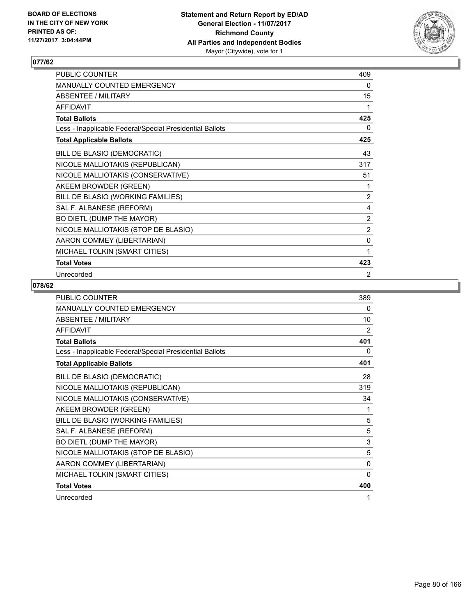

| PUBLIC COUNTER                                           | 409            |
|----------------------------------------------------------|----------------|
| MANUALLY COUNTED EMERGENCY                               | 0              |
| <b>ABSENTEE / MILITARY</b>                               | 15             |
| <b>AFFIDAVIT</b>                                         | 1              |
| <b>Total Ballots</b>                                     | 425            |
| Less - Inapplicable Federal/Special Presidential Ballots | 0              |
| <b>Total Applicable Ballots</b>                          | 425            |
| BILL DE BLASIO (DEMOCRATIC)                              | 43             |
| NICOLE MALLIOTAKIS (REPUBLICAN)                          | 317            |
| NICOLE MALLIOTAKIS (CONSERVATIVE)                        | 51             |
| AKEEM BROWDER (GREEN)                                    | 1              |
| BILL DE BLASIO (WORKING FAMILIES)                        | 2              |
| SAL F. ALBANESE (REFORM)                                 | 4              |
| BO DIETL (DUMP THE MAYOR)                                | 2              |
| NICOLE MALLIOTAKIS (STOP DE BLASIO)                      | $\overline{2}$ |
| AARON COMMEY (LIBERTARIAN)                               | $\mathbf 0$    |
| MICHAEL TOLKIN (SMART CITIES)                            | 1              |
| <b>Total Votes</b>                                       | 423            |
| Unrecorded                                               | 2              |

| <b>PUBLIC COUNTER</b>                                    | 389 |
|----------------------------------------------------------|-----|
| MANUALLY COUNTED EMERGENCY                               | 0   |
| <b>ABSENTEE / MILITARY</b>                               | 10  |
| <b>AFFIDAVIT</b>                                         | 2   |
| <b>Total Ballots</b>                                     | 401 |
| Less - Inapplicable Federal/Special Presidential Ballots | 0   |
| <b>Total Applicable Ballots</b>                          | 401 |
| BILL DE BLASIO (DEMOCRATIC)                              | 28  |
| NICOLE MALLIOTAKIS (REPUBLICAN)                          | 319 |
| NICOLE MALLIOTAKIS (CONSERVATIVE)                        | 34  |
| AKEEM BROWDER (GREEN)                                    | 1   |
| BILL DE BLASIO (WORKING FAMILIES)                        | 5   |
| SAL F. ALBANESE (REFORM)                                 | 5   |
| BO DIETL (DUMP THE MAYOR)                                | 3   |
| NICOLE MALLIOTAKIS (STOP DE BLASIO)                      | 5   |
| AARON COMMEY (LIBERTARIAN)                               | 0   |
| MICHAEL TOLKIN (SMART CITIES)                            | 0   |
| <b>Total Votes</b>                                       | 400 |
| Unrecorded                                               | 1   |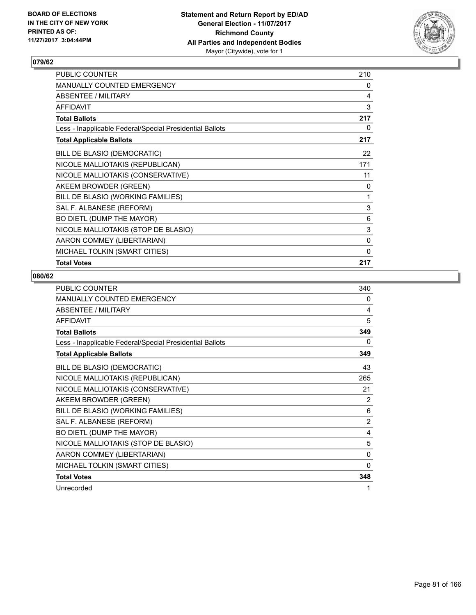

| <b>PUBLIC COUNTER</b>                                    | 210          |
|----------------------------------------------------------|--------------|
| <b>MANUALLY COUNTED EMERGENCY</b>                        | 0            |
| ABSENTEE / MILITARY                                      | 4            |
| <b>AFFIDAVIT</b>                                         | 3            |
| <b>Total Ballots</b>                                     | 217          |
| Less - Inapplicable Federal/Special Presidential Ballots | 0            |
| <b>Total Applicable Ballots</b>                          | 217          |
| BILL DE BLASIO (DEMOCRATIC)                              | 22           |
| NICOLE MALLIOTAKIS (REPUBLICAN)                          | 171          |
| NICOLE MALLIOTAKIS (CONSERVATIVE)                        | 11           |
| AKEEM BROWDER (GREEN)                                    | 0            |
| BILL DE BLASIO (WORKING FAMILIES)                        | 1            |
| SAL F. ALBANESE (REFORM)                                 | 3            |
| BO DIETL (DUMP THE MAYOR)                                | 6            |
| NICOLE MALLIOTAKIS (STOP DE BLASIO)                      | 3            |
| AARON COMMEY (LIBERTARIAN)                               | $\mathbf{0}$ |
| MICHAEL TOLKIN (SMART CITIES)                            | $\Omega$     |
| <b>Total Votes</b>                                       | 217          |

| <b>PUBLIC COUNTER</b>                                    | 340      |
|----------------------------------------------------------|----------|
| <b>MANUALLY COUNTED EMERGENCY</b>                        | 0        |
| <b>ABSENTEE / MILITARY</b>                               | 4        |
| <b>AFFIDAVIT</b>                                         | 5        |
| <b>Total Ballots</b>                                     | 349      |
| Less - Inapplicable Federal/Special Presidential Ballots | $\Omega$ |
| <b>Total Applicable Ballots</b>                          | 349      |
| BILL DE BLASIO (DEMOCRATIC)                              | 43       |
| NICOLE MALLIOTAKIS (REPUBLICAN)                          | 265      |
| NICOLE MALLIOTAKIS (CONSERVATIVE)                        | 21       |
| AKEEM BROWDER (GREEN)                                    | 2        |
| BILL DE BLASIO (WORKING FAMILIES)                        | 6        |
| SAL F. ALBANESE (REFORM)                                 | 2        |
| BO DIETL (DUMP THE MAYOR)                                | 4        |
| NICOLE MALLIOTAKIS (STOP DE BLASIO)                      | 5        |
| AARON COMMEY (LIBERTARIAN)                               | 0        |
| MICHAEL TOLKIN (SMART CITIES)                            | 0        |
| <b>Total Votes</b>                                       | 348      |
| Unrecorded                                               | 1        |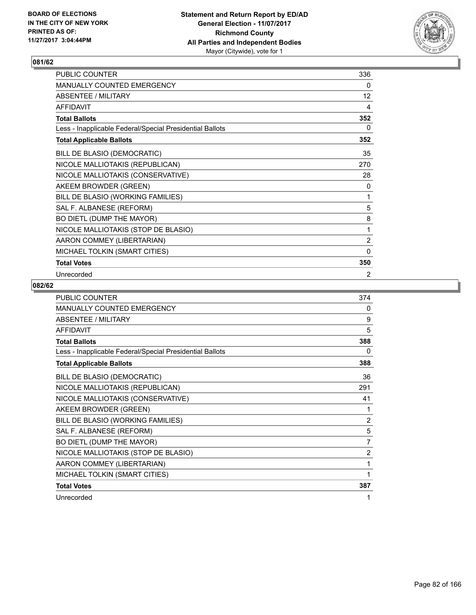

| PUBLIC COUNTER                                           | 336            |
|----------------------------------------------------------|----------------|
| MANUALLY COUNTED EMERGENCY                               | 0              |
| <b>ABSENTEE / MILITARY</b>                               | 12             |
| <b>AFFIDAVIT</b>                                         | 4              |
| <b>Total Ballots</b>                                     | 352            |
| Less - Inapplicable Federal/Special Presidential Ballots | 0              |
| <b>Total Applicable Ballots</b>                          | 352            |
| BILL DE BLASIO (DEMOCRATIC)                              | 35             |
| NICOLE MALLIOTAKIS (REPUBLICAN)                          | 270            |
| NICOLE MALLIOTAKIS (CONSERVATIVE)                        | 28             |
| AKEEM BROWDER (GREEN)                                    | 0              |
| BILL DE BLASIO (WORKING FAMILIES)                        | 1              |
| SAL F. ALBANESE (REFORM)                                 | 5              |
| BO DIETL (DUMP THE MAYOR)                                | 8              |
| NICOLE MALLIOTAKIS (STOP DE BLASIO)                      | 1              |
| AARON COMMEY (LIBERTARIAN)                               | $\overline{2}$ |
| MICHAEL TOLKIN (SMART CITIES)                            | 0              |
| <b>Total Votes</b>                                       | 350            |
| Unrecorded                                               | 2              |

| <b>PUBLIC COUNTER</b>                                    | 374            |
|----------------------------------------------------------|----------------|
| MANUALLY COUNTED EMERGENCY                               | 0              |
| <b>ABSENTEE / MILITARY</b>                               | 9              |
| <b>AFFIDAVIT</b>                                         | 5              |
| <b>Total Ballots</b>                                     | 388            |
| Less - Inapplicable Federal/Special Presidential Ballots | 0              |
| <b>Total Applicable Ballots</b>                          | 388            |
| BILL DE BLASIO (DEMOCRATIC)                              | 36             |
| NICOLE MALLIOTAKIS (REPUBLICAN)                          | 291            |
| NICOLE MALLIOTAKIS (CONSERVATIVE)                        | 41             |
| AKEEM BROWDER (GREEN)                                    | 1              |
| BILL DE BLASIO (WORKING FAMILIES)                        | $\overline{2}$ |
| SAL F. ALBANESE (REFORM)                                 | 5              |
| BO DIETL (DUMP THE MAYOR)                                | $\overline{7}$ |
| NICOLE MALLIOTAKIS (STOP DE BLASIO)                      | 2              |
| AARON COMMEY (LIBERTARIAN)                               | 1              |
| MICHAEL TOLKIN (SMART CITIES)                            | 1              |
| <b>Total Votes</b>                                       | 387            |
| Unrecorded                                               |                |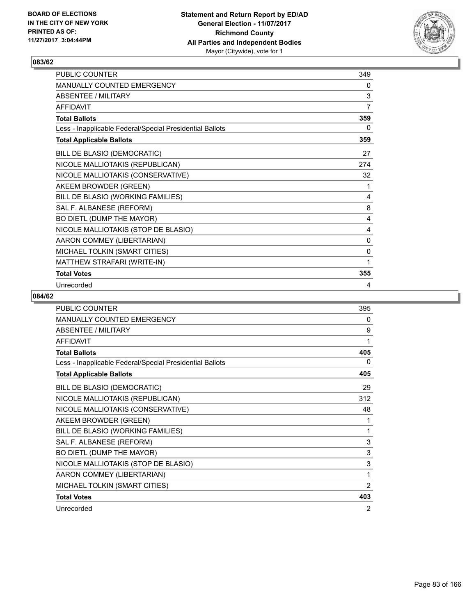

| PUBLIC COUNTER                                           | 349 |
|----------------------------------------------------------|-----|
| <b>MANUALLY COUNTED EMERGENCY</b>                        | 0   |
| <b>ABSENTEE / MILITARY</b>                               | 3   |
| <b>AFFIDAVIT</b>                                         | 7   |
| <b>Total Ballots</b>                                     | 359 |
| Less - Inapplicable Federal/Special Presidential Ballots | 0   |
| <b>Total Applicable Ballots</b>                          | 359 |
| BILL DE BLASIO (DEMOCRATIC)                              | 27  |
| NICOLE MALLIOTAKIS (REPUBLICAN)                          | 274 |
| NICOLE MALLIOTAKIS (CONSERVATIVE)                        | 32  |
| AKEEM BROWDER (GREEN)                                    | 1   |
| BILL DE BLASIO (WORKING FAMILIES)                        | 4   |
| SAL F. ALBANESE (REFORM)                                 | 8   |
| BO DIETL (DUMP THE MAYOR)                                | 4   |
| NICOLE MALLIOTAKIS (STOP DE BLASIO)                      | 4   |
| AARON COMMEY (LIBERTARIAN)                               | 0   |
| MICHAEL TOLKIN (SMART CITIES)                            | 0   |
| MATTHEW STRAFARI (WRITE-IN)                              | 1   |
| <b>Total Votes</b>                                       | 355 |
| Unrecorded                                               | 4   |

| <b>PUBLIC COUNTER</b>                                    | 395      |
|----------------------------------------------------------|----------|
| <b>MANUALLY COUNTED EMERGENCY</b>                        | 0        |
| <b>ABSENTEE / MILITARY</b>                               | 9        |
| <b>AFFIDAVIT</b>                                         | 1        |
| <b>Total Ballots</b>                                     | 405      |
| Less - Inapplicable Federal/Special Presidential Ballots | $\Omega$ |
| <b>Total Applicable Ballots</b>                          | 405      |
| BILL DE BLASIO (DEMOCRATIC)                              | 29       |
| NICOLE MALLIOTAKIS (REPUBLICAN)                          | 312      |
| NICOLE MALLIOTAKIS (CONSERVATIVE)                        | 48       |
| AKEEM BROWDER (GREEN)                                    | 1        |
| BILL DE BLASIO (WORKING FAMILIES)                        | 1        |
| SAL F. ALBANESE (REFORM)                                 | 3        |
| BO DIETL (DUMP THE MAYOR)                                | 3        |
| NICOLE MALLIOTAKIS (STOP DE BLASIO)                      | 3        |
| AARON COMMEY (LIBERTARIAN)                               | 1        |
| MICHAEL TOLKIN (SMART CITIES)                            | 2        |
| <b>Total Votes</b>                                       | 403      |
| Unrecorded                                               | 2        |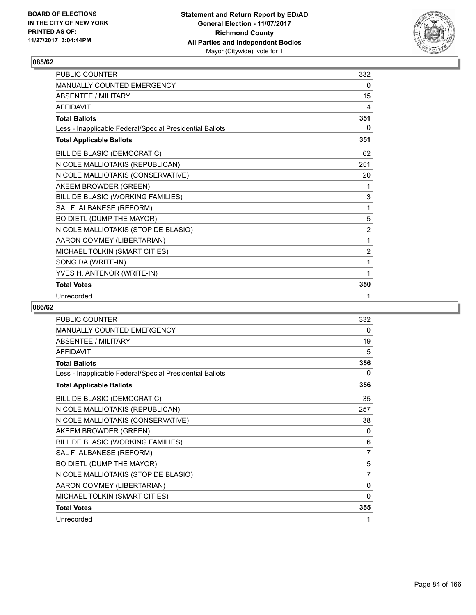

| <b>PUBLIC COUNTER</b>                                    | 332            |
|----------------------------------------------------------|----------------|
| <b>MANUALLY COUNTED EMERGENCY</b>                        | 0              |
| <b>ABSENTEE / MILITARY</b>                               | 15             |
| <b>AFFIDAVIT</b>                                         | 4              |
| <b>Total Ballots</b>                                     | 351            |
| Less - Inapplicable Federal/Special Presidential Ballots | 0              |
| <b>Total Applicable Ballots</b>                          | 351            |
| BILL DE BLASIO (DEMOCRATIC)                              | 62             |
| NICOLE MALLIOTAKIS (REPUBLICAN)                          | 251            |
| NICOLE MALLIOTAKIS (CONSERVATIVE)                        | 20             |
| AKEEM BROWDER (GREEN)                                    | 1              |
| BILL DE BLASIO (WORKING FAMILIES)                        | 3              |
| SAL F. ALBANESE (REFORM)                                 | 1              |
| BO DIETL (DUMP THE MAYOR)                                | 5              |
| NICOLE MALLIOTAKIS (STOP DE BLASIO)                      | $\overline{2}$ |
| AARON COMMEY (LIBERTARIAN)                               | 1              |
| MICHAEL TOLKIN (SMART CITIES)                            | $\overline{2}$ |
| SONG DA (WRITE-IN)                                       | 1              |
| YVES H. ANTENOR (WRITE-IN)                               | 1              |
| <b>Total Votes</b>                                       | 350            |
| Unrecorded                                               | 1              |

| PUBLIC COUNTER                                           | 332            |
|----------------------------------------------------------|----------------|
| <b>MANUALLY COUNTED EMERGENCY</b>                        | 0              |
| <b>ABSENTEE / MILITARY</b>                               | 19             |
| <b>AFFIDAVIT</b>                                         | 5              |
| <b>Total Ballots</b>                                     | 356            |
| Less - Inapplicable Federal/Special Presidential Ballots | 0              |
| <b>Total Applicable Ballots</b>                          | 356            |
| BILL DE BLASIO (DEMOCRATIC)                              | 35             |
| NICOLE MALLIOTAKIS (REPUBLICAN)                          | 257            |
| NICOLE MALLIOTAKIS (CONSERVATIVE)                        | 38             |
| AKEEM BROWDER (GREEN)                                    | 0              |
| BILL DE BLASIO (WORKING FAMILIES)                        | 6              |
| SAL F. ALBANESE (REFORM)                                 | $\overline{7}$ |
| BO DIETL (DUMP THE MAYOR)                                | 5              |
| NICOLE MALLIOTAKIS (STOP DE BLASIO)                      | 7              |
| AARON COMMEY (LIBERTARIAN)                               | 0              |
| MICHAEL TOLKIN (SMART CITIES)                            | 0              |
| <b>Total Votes</b>                                       | 355            |
| Unrecorded                                               | 1              |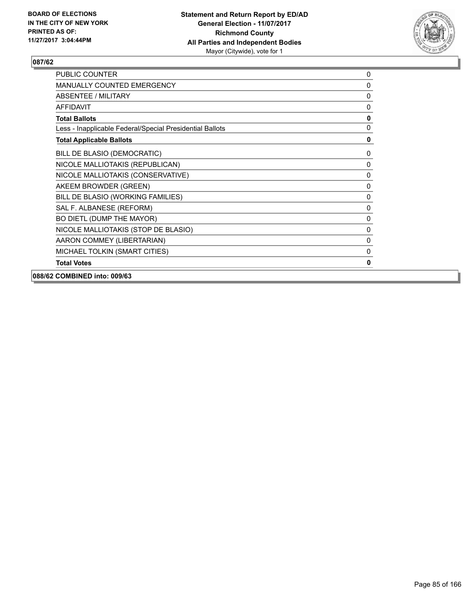

| <b>PUBLIC COUNTER</b>                                    | 0            |
|----------------------------------------------------------|--------------|
| <b>MANUALLY COUNTED EMERGENCY</b>                        | $\mathbf{0}$ |
| <b>ABSENTEE / MILITARY</b>                               | $\mathbf{0}$ |
| <b>AFFIDAVIT</b>                                         | $\mathbf{0}$ |
| <b>Total Ballots</b>                                     | $\mathbf{0}$ |
| Less - Inapplicable Federal/Special Presidential Ballots | 0            |
| <b>Total Applicable Ballots</b>                          | 0            |
| BILL DE BLASIO (DEMOCRATIC)                              | 0            |
| NICOLE MALLIOTAKIS (REPUBLICAN)                          | 0            |
| NICOLE MALLIOTAKIS (CONSERVATIVE)                        | 0            |
| AKEEM BROWDER (GREEN)                                    | 0            |
| BILL DE BLASIO (WORKING FAMILIES)                        | 0            |
| SAL F. ALBANESE (REFORM)                                 | 0            |
| BO DIETL (DUMP THE MAYOR)                                | $\mathbf{0}$ |
| NICOLE MALLIOTAKIS (STOP DE BLASIO)                      | $\mathbf{0}$ |
| AARON COMMEY (LIBERTARIAN)                               | $\mathbf{0}$ |
| MICHAEL TOLKIN (SMART CITIES)                            | 0            |
| <b>Total Votes</b>                                       | 0            |
| 088/62 COMBINED into: 009/63                             |              |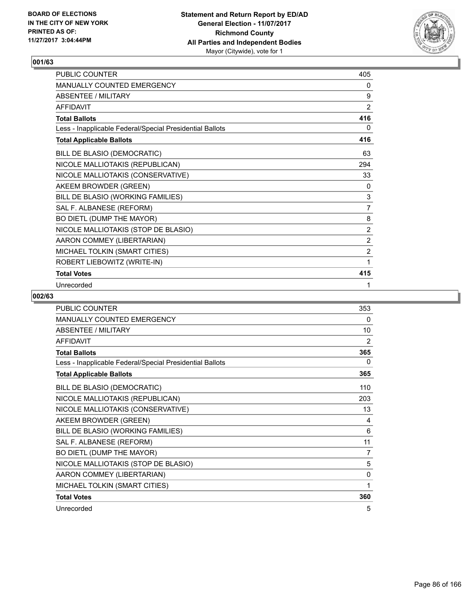

| <b>PUBLIC COUNTER</b>                                    | 405            |
|----------------------------------------------------------|----------------|
| <b>MANUALLY COUNTED EMERGENCY</b>                        | 0              |
| <b>ABSENTEE / MILITARY</b>                               | 9              |
| <b>AFFIDAVIT</b>                                         | 2              |
| <b>Total Ballots</b>                                     | 416            |
| Less - Inapplicable Federal/Special Presidential Ballots | 0              |
| <b>Total Applicable Ballots</b>                          | 416            |
| BILL DE BLASIO (DEMOCRATIC)                              | 63             |
| NICOLE MALLIOTAKIS (REPUBLICAN)                          | 294            |
| NICOLE MALLIOTAKIS (CONSERVATIVE)                        | 33             |
| AKEEM BROWDER (GREEN)                                    | 0              |
| BILL DE BLASIO (WORKING FAMILIES)                        | $\mathsf 3$    |
| SAL F. ALBANESE (REFORM)                                 | $\overline{7}$ |
| BO DIETL (DUMP THE MAYOR)                                | 8              |
| NICOLE MALLIOTAKIS (STOP DE BLASIO)                      | 2              |
| AARON COMMEY (LIBERTARIAN)                               | 2              |
| MICHAEL TOLKIN (SMART CITIES)                            | $\overline{2}$ |
| ROBERT LIEBOWITZ (WRITE-IN)                              | 1              |
| <b>Total Votes</b>                                       | 415            |
| Unrecorded                                               | 1              |

| PUBLIC COUNTER                                           | 353 |
|----------------------------------------------------------|-----|
| MANUALLY COUNTED EMERGENCY                               | 0   |
| <b>ABSENTEE / MILITARY</b>                               | 10  |
| <b>AFFIDAVIT</b>                                         | 2   |
| <b>Total Ballots</b>                                     | 365 |
| Less - Inapplicable Federal/Special Presidential Ballots | 0   |
| <b>Total Applicable Ballots</b>                          | 365 |
| BILL DE BLASIO (DEMOCRATIC)                              | 110 |
| NICOLE MALLIOTAKIS (REPUBLICAN)                          | 203 |
| NICOLE MALLIOTAKIS (CONSERVATIVE)                        | 13  |
| AKEEM BROWDER (GREEN)                                    | 4   |
| BILL DE BLASIO (WORKING FAMILIES)                        | 6   |
| SAL F. ALBANESE (REFORM)                                 | 11  |
| BO DIETL (DUMP THE MAYOR)                                | 7   |
| NICOLE MALLIOTAKIS (STOP DE BLASIO)                      | 5   |
| AARON COMMEY (LIBERTARIAN)                               | 0   |
| MICHAEL TOLKIN (SMART CITIES)                            | 1   |
| <b>Total Votes</b>                                       | 360 |
| Unrecorded                                               | 5   |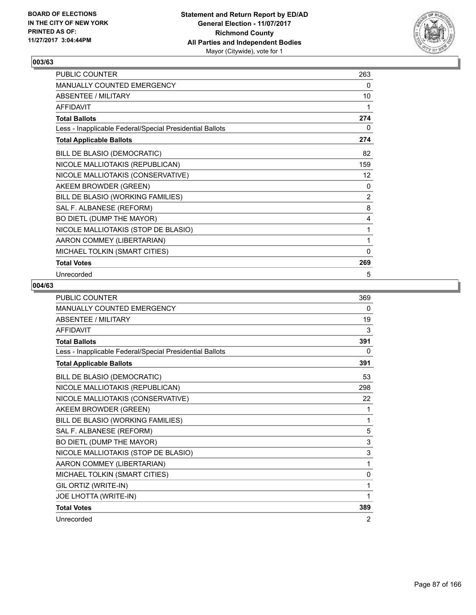

| PUBLIC COUNTER                                           | 263            |
|----------------------------------------------------------|----------------|
| MANUALLY COUNTED EMERGENCY                               | 0              |
| <b>ABSENTEE / MILITARY</b>                               | 10             |
| <b>AFFIDAVIT</b>                                         | 1              |
| <b>Total Ballots</b>                                     | 274            |
| Less - Inapplicable Federal/Special Presidential Ballots | 0              |
| <b>Total Applicable Ballots</b>                          | 274            |
| BILL DE BLASIO (DEMOCRATIC)                              | 82             |
| NICOLE MALLIOTAKIS (REPUBLICAN)                          | 159            |
| NICOLE MALLIOTAKIS (CONSERVATIVE)                        | 12             |
| AKEEM BROWDER (GREEN)                                    | 0              |
| BILL DE BLASIO (WORKING FAMILIES)                        | $\overline{2}$ |
| SAL F. ALBANESE (REFORM)                                 | 8              |
| BO DIETL (DUMP THE MAYOR)                                | 4              |
| NICOLE MALLIOTAKIS (STOP DE BLASIO)                      | 1              |
| AARON COMMEY (LIBERTARIAN)                               | 1              |
| MICHAEL TOLKIN (SMART CITIES)                            | $\mathbf{0}$   |
| <b>Total Votes</b>                                       | 269            |
| Unrecorded                                               | 5              |

| <b>PUBLIC COUNTER</b>                                    | 369          |
|----------------------------------------------------------|--------------|
| MANUALLY COUNTED EMERGENCY                               | 0            |
| <b>ABSENTEE / MILITARY</b>                               | 19           |
| <b>AFFIDAVIT</b>                                         | 3            |
| <b>Total Ballots</b>                                     | 391          |
| Less - Inapplicable Federal/Special Presidential Ballots | 0            |
| <b>Total Applicable Ballots</b>                          | 391          |
| BILL DE BLASIO (DEMOCRATIC)                              | 53           |
| NICOLE MALLIOTAKIS (REPUBLICAN)                          | 298          |
| NICOLE MALLIOTAKIS (CONSERVATIVE)                        | 22           |
| AKEEM BROWDER (GREEN)                                    | $\mathbf 1$  |
| BILL DE BLASIO (WORKING FAMILIES)                        | 1            |
| SAL F. ALBANESE (REFORM)                                 | 5            |
| BO DIETL (DUMP THE MAYOR)                                | 3            |
| NICOLE MALLIOTAKIS (STOP DE BLASIO)                      | 3            |
| AARON COMMEY (LIBERTARIAN)                               | 1            |
| MICHAEL TOLKIN (SMART CITIES)                            | $\mathbf{0}$ |
| GIL ORTIZ (WRITE-IN)                                     | 1            |
| JOE LHOTTA (WRITE-IN)                                    | 1            |
| <b>Total Votes</b>                                       | 389          |
| Unrecorded                                               | 2            |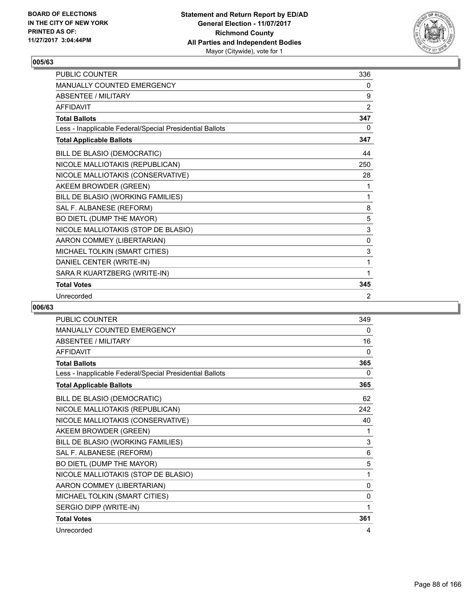

| PUBLIC COUNTER                                           | 336            |
|----------------------------------------------------------|----------------|
| <b>MANUALLY COUNTED EMERGENCY</b>                        | 0              |
| <b>ABSENTEE / MILITARY</b>                               | 9              |
| <b>AFFIDAVIT</b>                                         | $\overline{2}$ |
| <b>Total Ballots</b>                                     | 347            |
| Less - Inapplicable Federal/Special Presidential Ballots | 0              |
| <b>Total Applicable Ballots</b>                          | 347            |
| BILL DE BLASIO (DEMOCRATIC)                              | 44             |
| NICOLE MALLIOTAKIS (REPUBLICAN)                          | 250            |
| NICOLE MALLIOTAKIS (CONSERVATIVE)                        | 28             |
| AKEEM BROWDER (GREEN)                                    | 1              |
| BILL DE BLASIO (WORKING FAMILIES)                        | 1              |
| SAL F. ALBANESE (REFORM)                                 | 8              |
| BO DIETL (DUMP THE MAYOR)                                | 5              |
| NICOLE MALLIOTAKIS (STOP DE BLASIO)                      | 3              |
| AARON COMMEY (LIBERTARIAN)                               | 0              |
| MICHAEL TOLKIN (SMART CITIES)                            | 3              |
| DANIEL CENTER (WRITE-IN)                                 | 1              |
| SARA R KUARTZBERG (WRITE-IN)                             | 1              |
| <b>Total Votes</b>                                       | 345            |
| Unrecorded                                               | 2              |

| PUBLIC COUNTER                                           | 349 |
|----------------------------------------------------------|-----|
| <b>MANUALLY COUNTED EMERGENCY</b>                        | 0   |
| <b>ABSENTEE / MILITARY</b>                               | 16  |
| <b>AFFIDAVIT</b>                                         | 0   |
| <b>Total Ballots</b>                                     | 365 |
| Less - Inapplicable Federal/Special Presidential Ballots | 0   |
| <b>Total Applicable Ballots</b>                          | 365 |
| BILL DE BLASIO (DEMOCRATIC)                              | 62  |
| NICOLE MALLIOTAKIS (REPUBLICAN)                          | 242 |
| NICOLE MALLIOTAKIS (CONSERVATIVE)                        | 40  |
| AKEEM BROWDER (GREEN)                                    | 1   |
| BILL DE BLASIO (WORKING FAMILIES)                        | 3   |
| SAL F. ALBANESE (REFORM)                                 | 6   |
| BO DIETL (DUMP THE MAYOR)                                | 5   |
| NICOLE MALLIOTAKIS (STOP DE BLASIO)                      | 1   |
| AARON COMMEY (LIBERTARIAN)                               | 0   |
| MICHAEL TOLKIN (SMART CITIES)                            | 0   |
| SERGIO DIPP (WRITE-IN)                                   | 1   |
| <b>Total Votes</b>                                       | 361 |
| Unrecorded                                               | 4   |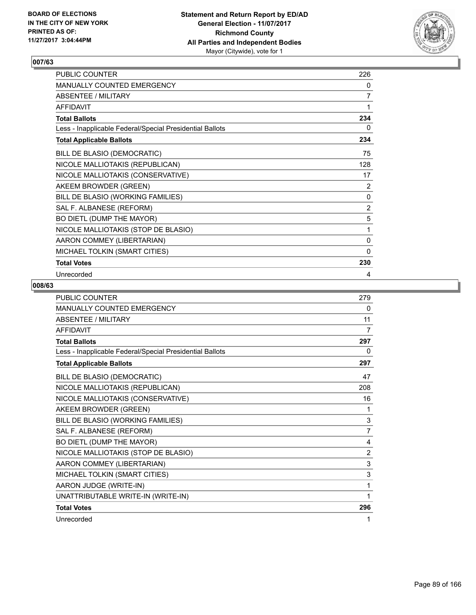

| PUBLIC COUNTER                                           | 226            |
|----------------------------------------------------------|----------------|
| MANUALLY COUNTED EMERGENCY                               | 0              |
| <b>ABSENTEE / MILITARY</b>                               | $\overline{7}$ |
| <b>AFFIDAVIT</b>                                         | 1              |
| <b>Total Ballots</b>                                     | 234            |
| Less - Inapplicable Federal/Special Presidential Ballots | 0              |
| <b>Total Applicable Ballots</b>                          | 234            |
| BILL DE BLASIO (DEMOCRATIC)                              | 75             |
| NICOLE MALLIOTAKIS (REPUBLICAN)                          | 128            |
| NICOLE MALLIOTAKIS (CONSERVATIVE)                        | 17             |
| AKEEM BROWDER (GREEN)                                    | 2              |
| BILL DE BLASIO (WORKING FAMILIES)                        | 0              |
| SAL F. ALBANESE (REFORM)                                 | 2              |
| BO DIETL (DUMP THE MAYOR)                                | 5              |
| NICOLE MALLIOTAKIS (STOP DE BLASIO)                      | 1              |
| AARON COMMEY (LIBERTARIAN)                               | 0              |
| MICHAEL TOLKIN (SMART CITIES)                            | $\mathbf{0}$   |
| <b>Total Votes</b>                                       | 230            |
| Unrecorded                                               | 4              |

| <b>PUBLIC COUNTER</b>                                    | 279            |
|----------------------------------------------------------|----------------|
| MANUALLY COUNTED EMERGENCY                               | 0              |
| <b>ABSENTEE / MILITARY</b>                               | 11             |
| <b>AFFIDAVIT</b>                                         | 7              |
| <b>Total Ballots</b>                                     | 297            |
| Less - Inapplicable Federal/Special Presidential Ballots | 0              |
| <b>Total Applicable Ballots</b>                          | 297            |
| BILL DE BLASIO (DEMOCRATIC)                              | 47             |
| NICOLE MALLIOTAKIS (REPUBLICAN)                          | 208            |
| NICOLE MALLIOTAKIS (CONSERVATIVE)                        | 16             |
| AKEEM BROWDER (GREEN)                                    | 1              |
| BILL DE BLASIO (WORKING FAMILIES)                        | 3              |
| SAL F. ALBANESE (REFORM)                                 | 7              |
| BO DIETL (DUMP THE MAYOR)                                | 4              |
| NICOLE MALLIOTAKIS (STOP DE BLASIO)                      | $\overline{2}$ |
| AARON COMMEY (LIBERTARIAN)                               | 3              |
| MICHAEL TOLKIN (SMART CITIES)                            | 3              |
| AARON JUDGE (WRITE-IN)                                   | 1              |
| UNATTRIBUTABLE WRITE-IN (WRITE-IN)                       | 1              |
| <b>Total Votes</b>                                       | 296            |
| Unrecorded                                               | 1              |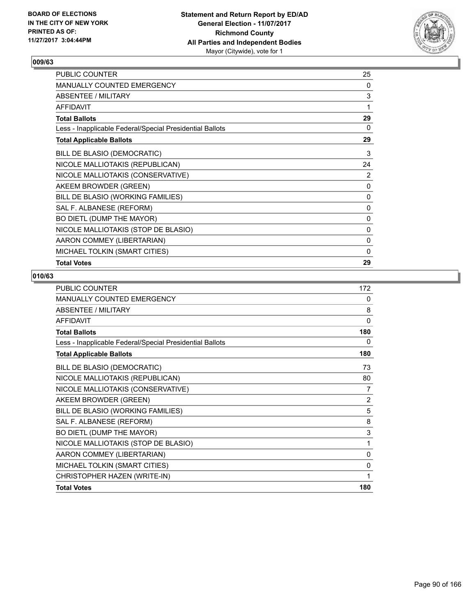

| PUBLIC COUNTER                                           | 25           |
|----------------------------------------------------------|--------------|
| <b>MANUALLY COUNTED EMERGENCY</b>                        | 0            |
| ABSENTEE / MILITARY                                      | 3            |
| <b>AFFIDAVIT</b>                                         | 1            |
| <b>Total Ballots</b>                                     | 29           |
| Less - Inapplicable Federal/Special Presidential Ballots | 0            |
| <b>Total Applicable Ballots</b>                          | 29           |
| BILL DE BLASIO (DEMOCRATIC)                              | 3            |
| NICOLE MALLIOTAKIS (REPUBLICAN)                          | 24           |
| NICOLE MALLIOTAKIS (CONSERVATIVE)                        | 2            |
| AKEEM BROWDER (GREEN)                                    | 0            |
| BILL DE BLASIO (WORKING FAMILIES)                        | 0            |
| SAL F. ALBANESE (REFORM)                                 | $\mathbf{0}$ |
| BO DIETL (DUMP THE MAYOR)                                | 0            |
| NICOLE MALLIOTAKIS (STOP DE BLASIO)                      | 0            |
| AARON COMMEY (LIBERTARIAN)                               | 0            |
| MICHAEL TOLKIN (SMART CITIES)                            | 0            |
| <b>Total Votes</b>                                       | 29           |

| <b>PUBLIC COUNTER</b>                                    | 172 |
|----------------------------------------------------------|-----|
| <b>MANUALLY COUNTED EMERGENCY</b>                        | 0   |
| ABSENTEE / MILITARY                                      | 8   |
| <b>AFFIDAVIT</b>                                         | 0   |
| <b>Total Ballots</b>                                     | 180 |
| Less - Inapplicable Federal/Special Presidential Ballots | 0   |
| <b>Total Applicable Ballots</b>                          | 180 |
| BILL DE BLASIO (DEMOCRATIC)                              | 73  |
| NICOLE MALLIOTAKIS (REPUBLICAN)                          | 80  |
| NICOLE MALLIOTAKIS (CONSERVATIVE)                        | 7   |
| AKEEM BROWDER (GREEN)                                    | 2   |
| BILL DE BLASIO (WORKING FAMILIES)                        | 5   |
| SAL F. ALBANESE (REFORM)                                 | 8   |
| BO DIETL (DUMP THE MAYOR)                                | 3   |
| NICOLE MALLIOTAKIS (STOP DE BLASIO)                      | 1   |
| AARON COMMEY (LIBERTARIAN)                               | 0   |
| MICHAEL TOLKIN (SMART CITIES)                            | 0   |
| CHRISTOPHER HAZEN (WRITE-IN)                             | 1   |
| <b>Total Votes</b>                                       | 180 |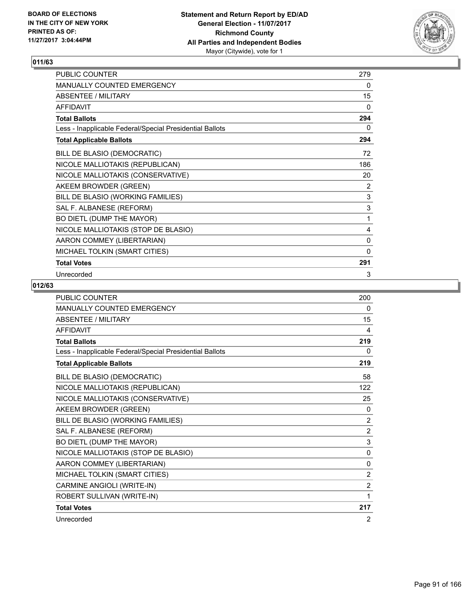

| PUBLIC COUNTER                                           | 279          |
|----------------------------------------------------------|--------------|
| MANUALLY COUNTED EMERGENCY                               | 0            |
| ABSENTEE / MILITARY                                      | 15           |
| <b>AFFIDAVIT</b>                                         | $\mathbf{0}$ |
| <b>Total Ballots</b>                                     | 294          |
| Less - Inapplicable Federal/Special Presidential Ballots | 0            |
| <b>Total Applicable Ballots</b>                          | 294          |
| BILL DE BLASIO (DEMOCRATIC)                              | 72           |
| NICOLE MALLIOTAKIS (REPUBLICAN)                          | 186          |
| NICOLE MALLIOTAKIS (CONSERVATIVE)                        | 20           |
| AKEEM BROWDER (GREEN)                                    | 2            |
| BILL DE BLASIO (WORKING FAMILIES)                        | 3            |
| SAL F. ALBANESE (REFORM)                                 | 3            |
| BO DIETL (DUMP THE MAYOR)                                | 1            |
| NICOLE MALLIOTAKIS (STOP DE BLASIO)                      | 4            |
| AARON COMMEY (LIBERTARIAN)                               | 0            |
| MICHAEL TOLKIN (SMART CITIES)                            | $\mathbf{0}$ |
| <b>Total Votes</b>                                       | 291          |
| Unrecorded                                               | 3            |

| <b>PUBLIC COUNTER</b>                                    | 200      |
|----------------------------------------------------------|----------|
| <b>MANUALLY COUNTED EMERGENCY</b>                        | 0        |
| <b>ABSENTEE / MILITARY</b>                               | 15       |
| <b>AFFIDAVIT</b>                                         | 4        |
| <b>Total Ballots</b>                                     | 219      |
| Less - Inapplicable Federal/Special Presidential Ballots | 0        |
| <b>Total Applicable Ballots</b>                          | 219      |
| BILL DE BLASIO (DEMOCRATIC)                              | 58       |
| NICOLE MALLIOTAKIS (REPUBLICAN)                          | 122      |
| NICOLE MALLIOTAKIS (CONSERVATIVE)                        | 25       |
| AKEEM BROWDER (GREEN)                                    | 0        |
| BILL DE BLASIO (WORKING FAMILIES)                        | 2        |
| SAL F. ALBANESE (REFORM)                                 | 2        |
| BO DIETL (DUMP THE MAYOR)                                | 3        |
| NICOLE MALLIOTAKIS (STOP DE BLASIO)                      | $\Omega$ |
| AARON COMMEY (LIBERTARIAN)                               | 0        |
| MICHAEL TOLKIN (SMART CITIES)                            | 2        |
| CARMINE ANGIOLI (WRITE-IN)                               | 2        |
| ROBERT SULLIVAN (WRITE-IN)                               | 1        |
| <b>Total Votes</b>                                       | 217      |
| Unrecorded                                               | 2        |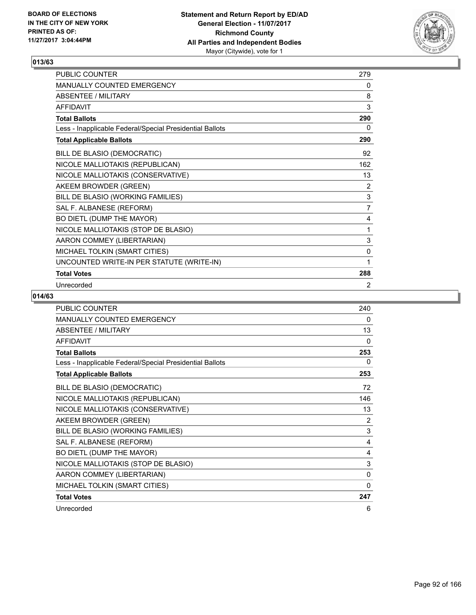

| <b>PUBLIC COUNTER</b>                                    | 279            |
|----------------------------------------------------------|----------------|
| <b>MANUALLY COUNTED EMERGENCY</b>                        | 0              |
| ABSENTEE / MILITARY                                      | 8              |
| <b>AFFIDAVIT</b>                                         | 3              |
| <b>Total Ballots</b>                                     | 290            |
| Less - Inapplicable Federal/Special Presidential Ballots | 0              |
| <b>Total Applicable Ballots</b>                          | 290            |
| BILL DE BLASIO (DEMOCRATIC)                              | 92             |
| NICOLE MALLIOTAKIS (REPUBLICAN)                          | 162            |
| NICOLE MALLIOTAKIS (CONSERVATIVE)                        | 13             |
| AKEEM BROWDER (GREEN)                                    | 2              |
| BILL DE BLASIO (WORKING FAMILIES)                        | $\mathsf 3$    |
| SAL F. ALBANESE (REFORM)                                 | $\overline{7}$ |
| BO DIETL (DUMP THE MAYOR)                                | 4              |
| NICOLE MALLIOTAKIS (STOP DE BLASIO)                      | 1              |
| AARON COMMEY (LIBERTARIAN)                               | 3              |
| MICHAEL TOLKIN (SMART CITIES)                            | 0              |
| UNCOUNTED WRITE-IN PER STATUTE (WRITE-IN)                | 1              |
| <b>Total Votes</b>                                       | 288            |
| Unrecorded                                               | 2              |

| <b>PUBLIC COUNTER</b>                                    | 240      |
|----------------------------------------------------------|----------|
| <b>MANUALLY COUNTED EMERGENCY</b>                        | 0        |
| <b>ABSENTEE / MILITARY</b>                               | 13       |
| <b>AFFIDAVIT</b>                                         | 0        |
| <b>Total Ballots</b>                                     | 253      |
| Less - Inapplicable Federal/Special Presidential Ballots | $\Omega$ |
| <b>Total Applicable Ballots</b>                          | 253      |
| BILL DE BLASIO (DEMOCRATIC)                              | 72       |
| NICOLE MALLIOTAKIS (REPUBLICAN)                          | 146      |
| NICOLE MALLIOTAKIS (CONSERVATIVE)                        | 13       |
| AKEEM BROWDER (GREEN)                                    | 2        |
| BILL DE BLASIO (WORKING FAMILIES)                        | 3        |
| SAL F. ALBANESE (REFORM)                                 | 4        |
| BO DIETL (DUMP THE MAYOR)                                | 4        |
| NICOLE MALLIOTAKIS (STOP DE BLASIO)                      | 3        |
| AARON COMMEY (LIBERTARIAN)                               | 0        |
| MICHAEL TOLKIN (SMART CITIES)                            | 0        |
| <b>Total Votes</b>                                       | 247      |
| Unrecorded                                               | 6        |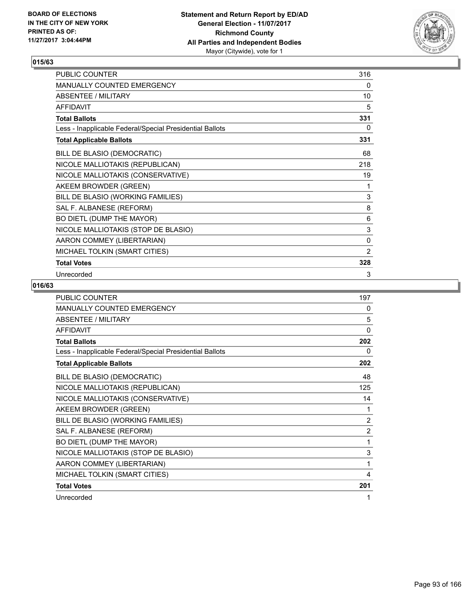

| PUBLIC COUNTER                                           | 316            |
|----------------------------------------------------------|----------------|
| MANUALLY COUNTED EMERGENCY                               | 0              |
| ABSENTEE / MILITARY                                      | 10             |
| <b>AFFIDAVIT</b>                                         | 5              |
| <b>Total Ballots</b>                                     | 331            |
| Less - Inapplicable Federal/Special Presidential Ballots | 0              |
| <b>Total Applicable Ballots</b>                          | 331            |
| BILL DE BLASIO (DEMOCRATIC)                              | 68             |
| NICOLE MALLIOTAKIS (REPUBLICAN)                          | 218            |
| NICOLE MALLIOTAKIS (CONSERVATIVE)                        | 19             |
| AKEEM BROWDER (GREEN)                                    | 1              |
| BILL DE BLASIO (WORKING FAMILIES)                        | 3              |
| SAL F. ALBANESE (REFORM)                                 | 8              |
| BO DIETL (DUMP THE MAYOR)                                | 6              |
| NICOLE MALLIOTAKIS (STOP DE BLASIO)                      | 3              |
| AARON COMMEY (LIBERTARIAN)                               | 0              |
| MICHAEL TOLKIN (SMART CITIES)                            | $\overline{2}$ |
| <b>Total Votes</b>                                       | 328            |
| Unrecorded                                               | 3              |

| PUBLIC COUNTER                                           | 197            |
|----------------------------------------------------------|----------------|
| <b>MANUALLY COUNTED EMERGENCY</b>                        | 0              |
| ABSENTEE / MILITARY                                      | 5              |
| <b>AFFIDAVIT</b>                                         | $\mathbf{0}$   |
| <b>Total Ballots</b>                                     | 202            |
| Less - Inapplicable Federal/Special Presidential Ballots | 0              |
| <b>Total Applicable Ballots</b>                          | 202            |
| BILL DE BLASIO (DEMOCRATIC)                              | 48             |
| NICOLE MALLIOTAKIS (REPUBLICAN)                          | 125            |
| NICOLE MALLIOTAKIS (CONSERVATIVE)                        | 14             |
| AKEEM BROWDER (GREEN)                                    | 1              |
| BILL DE BLASIO (WORKING FAMILIES)                        | 2              |
| SAL F. ALBANESE (REFORM)                                 | $\overline{2}$ |
| BO DIETL (DUMP THE MAYOR)                                | 1              |
| NICOLE MALLIOTAKIS (STOP DE BLASIO)                      | 3              |
| AARON COMMEY (LIBERTARIAN)                               | 1              |
| MICHAEL TOLKIN (SMART CITIES)                            | 4              |
| <b>Total Votes</b>                                       | 201            |
| Unrecorded                                               | 1              |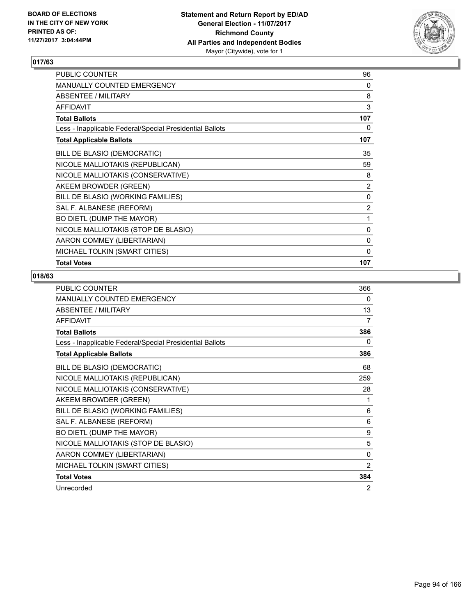

| PUBLIC COUNTER                                           | 96             |
|----------------------------------------------------------|----------------|
| MANUALLY COUNTED EMERGENCY                               | 0              |
| ABSENTEE / MILITARY                                      | 8              |
| <b>AFFIDAVIT</b>                                         | 3              |
| <b>Total Ballots</b>                                     | 107            |
| Less - Inapplicable Federal/Special Presidential Ballots | 0              |
| <b>Total Applicable Ballots</b>                          | 107            |
| BILL DE BLASIO (DEMOCRATIC)                              | 35             |
| NICOLE MALLIOTAKIS (REPUBLICAN)                          | 59             |
| NICOLE MALLIOTAKIS (CONSERVATIVE)                        | 8              |
| AKEEM BROWDER (GREEN)                                    | $\overline{2}$ |
| BILL DE BLASIO (WORKING FAMILIES)                        | 0              |
| SAL F. ALBANESE (REFORM)                                 | $\overline{2}$ |
| BO DIETL (DUMP THE MAYOR)                                | 1              |
| NICOLE MALLIOTAKIS (STOP DE BLASIO)                      | 0              |
| AARON COMMEY (LIBERTARIAN)                               | 0              |
| MICHAEL TOLKIN (SMART CITIES)                            | 0              |
| <b>Total Votes</b>                                       | 107            |

| <b>PUBLIC COUNTER</b>                                    | 366 |
|----------------------------------------------------------|-----|
| <b>MANUALLY COUNTED EMERGENCY</b>                        | 0   |
| <b>ABSENTEE / MILITARY</b>                               | 13  |
| <b>AFFIDAVIT</b>                                         | 7   |
| <b>Total Ballots</b>                                     | 386 |
| Less - Inapplicable Federal/Special Presidential Ballots | 0   |
| <b>Total Applicable Ballots</b>                          | 386 |
| BILL DE BLASIO (DEMOCRATIC)                              | 68  |
| NICOLE MALLIOTAKIS (REPUBLICAN)                          | 259 |
| NICOLE MALLIOTAKIS (CONSERVATIVE)                        | 28  |
| AKEEM BROWDER (GREEN)                                    | 1   |
| BILL DE BLASIO (WORKING FAMILIES)                        | 6   |
| SAL F. ALBANESE (REFORM)                                 | 6   |
| BO DIETL (DUMP THE MAYOR)                                | 9   |
| NICOLE MALLIOTAKIS (STOP DE BLASIO)                      | 5   |
| AARON COMMEY (LIBERTARIAN)                               | 0   |
| MICHAEL TOLKIN (SMART CITIES)                            | 2   |
| <b>Total Votes</b>                                       | 384 |
| Unrecorded                                               | 2   |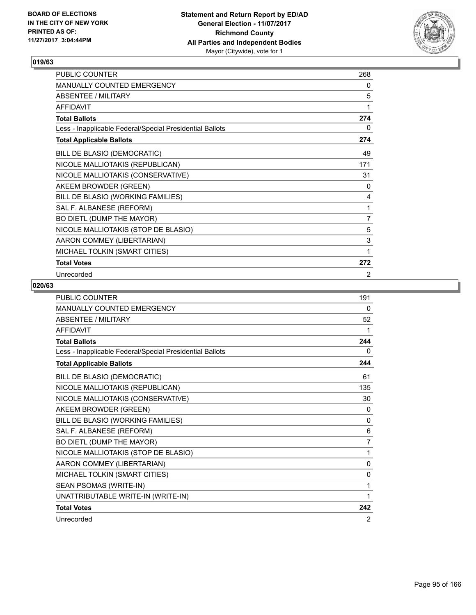

| <b>PUBLIC COUNTER</b>                                    | 268 |
|----------------------------------------------------------|-----|
| <b>MANUALLY COUNTED EMERGENCY</b>                        | 0   |
| <b>ABSENTEE / MILITARY</b>                               | 5   |
| <b>AFFIDAVIT</b>                                         | 1   |
| <b>Total Ballots</b>                                     | 274 |
| Less - Inapplicable Federal/Special Presidential Ballots | 0   |
| <b>Total Applicable Ballots</b>                          | 274 |
| BILL DE BLASIO (DEMOCRATIC)                              | 49  |
| NICOLE MALLIOTAKIS (REPUBLICAN)                          | 171 |
| NICOLE MALLIOTAKIS (CONSERVATIVE)                        | 31  |
| AKEEM BROWDER (GREEN)                                    | 0   |
| BILL DE BLASIO (WORKING FAMILIES)                        | 4   |
| SAL F. ALBANESE (REFORM)                                 | 1   |
| BO DIETL (DUMP THE MAYOR)                                | 7   |
| NICOLE MALLIOTAKIS (STOP DE BLASIO)                      | 5   |
| AARON COMMEY (LIBERTARIAN)                               | 3   |
| MICHAEL TOLKIN (SMART CITIES)                            | 1   |
| <b>Total Votes</b>                                       | 272 |
| Unrecorded                                               | 2   |

| <b>PUBLIC COUNTER</b>                                    | 191            |
|----------------------------------------------------------|----------------|
| <b>MANUALLY COUNTED EMERGENCY</b>                        | 0              |
| <b>ABSENTEE / MILITARY</b>                               | 52             |
| <b>AFFIDAVIT</b>                                         | 1              |
| <b>Total Ballots</b>                                     | 244            |
| Less - Inapplicable Federal/Special Presidential Ballots | 0              |
| <b>Total Applicable Ballots</b>                          | 244            |
| BILL DE BLASIO (DEMOCRATIC)                              | 61             |
| NICOLE MALLIOTAKIS (REPUBLICAN)                          | 135            |
| NICOLE MALLIOTAKIS (CONSERVATIVE)                        | 30             |
| AKEEM BROWDER (GREEN)                                    | $\Omega$       |
| BILL DE BLASIO (WORKING FAMILIES)                        | $\mathbf{0}$   |
| SAL F. ALBANESE (REFORM)                                 | 6              |
| BO DIETL (DUMP THE MAYOR)                                | $\overline{7}$ |
| NICOLE MALLIOTAKIS (STOP DE BLASIO)                      | 1              |
| AARON COMMEY (LIBERTARIAN)                               | $\mathbf{0}$   |
| MICHAEL TOLKIN (SMART CITIES)                            | $\mathbf{0}$   |
| SEAN PSOMAS (WRITE-IN)                                   | 1              |
| UNATTRIBUTABLE WRITE-IN (WRITE-IN)                       | 1              |
| <b>Total Votes</b>                                       | 242            |
| Unrecorded                                               | 2              |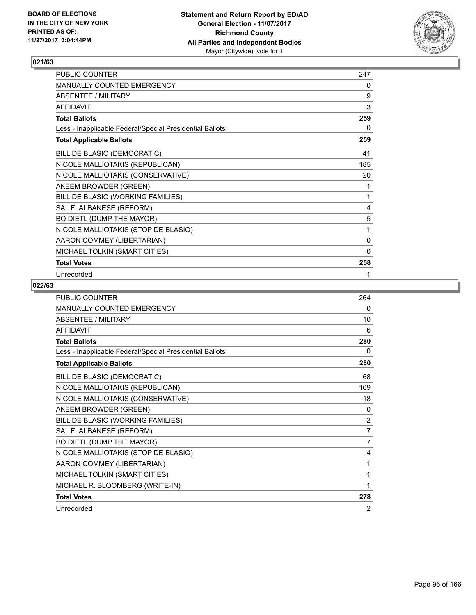

| PUBLIC COUNTER                                           | 247          |
|----------------------------------------------------------|--------------|
| MANUALLY COUNTED EMERGENCY                               | 0            |
| <b>ABSENTEE / MILITARY</b>                               | 9            |
| <b>AFFIDAVIT</b>                                         | 3            |
| <b>Total Ballots</b>                                     | 259          |
| Less - Inapplicable Federal/Special Presidential Ballots | 0            |
| <b>Total Applicable Ballots</b>                          | 259          |
| BILL DE BLASIO (DEMOCRATIC)                              | 41           |
| NICOLE MALLIOTAKIS (REPUBLICAN)                          | 185          |
| NICOLE MALLIOTAKIS (CONSERVATIVE)                        | 20           |
| AKEEM BROWDER (GREEN)                                    | 1            |
| BILL DE BLASIO (WORKING FAMILIES)                        | 1            |
| SAL F. ALBANESE (REFORM)                                 | 4            |
| BO DIETL (DUMP THE MAYOR)                                | 5            |
| NICOLE MALLIOTAKIS (STOP DE BLASIO)                      | 1            |
| AARON COMMEY (LIBERTARIAN)                               | 0            |
| MICHAEL TOLKIN (SMART CITIES)                            | $\mathbf{0}$ |
| <b>Total Votes</b>                                       | 258          |
| Unrecorded                                               | 1            |

| PUBLIC COUNTER                                           | 264            |
|----------------------------------------------------------|----------------|
| <b>MANUALLY COUNTED EMERGENCY</b>                        | 0              |
| <b>ABSENTEE / MILITARY</b>                               | 10             |
| <b>AFFIDAVIT</b>                                         | 6              |
| <b>Total Ballots</b>                                     | 280            |
| Less - Inapplicable Federal/Special Presidential Ballots | 0              |
| <b>Total Applicable Ballots</b>                          | 280            |
| BILL DE BLASIO (DEMOCRATIC)                              | 68             |
| NICOLE MALLIOTAKIS (REPUBLICAN)                          | 169            |
| NICOLE MALLIOTAKIS (CONSERVATIVE)                        | 18             |
| AKEEM BROWDER (GREEN)                                    | $\mathbf{0}$   |
| BILL DE BLASIO (WORKING FAMILIES)                        | $\overline{2}$ |
| SAL F. ALBANESE (REFORM)                                 | 7              |
| BO DIETL (DUMP THE MAYOR)                                | $\overline{7}$ |
| NICOLE MALLIOTAKIS (STOP DE BLASIO)                      | 4              |
| AARON COMMEY (LIBERTARIAN)                               | 1              |
| MICHAEL TOLKIN (SMART CITIES)                            | 1              |
| MICHAEL R. BLOOMBERG (WRITE-IN)                          | 1              |
| <b>Total Votes</b>                                       | 278            |
| Unrecorded                                               | 2              |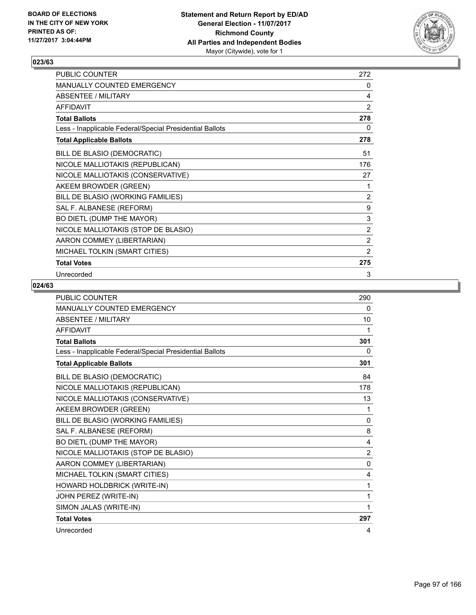

| PUBLIC COUNTER                                           | 272              |
|----------------------------------------------------------|------------------|
| MANUALLY COUNTED EMERGENCY                               | 0                |
| <b>ABSENTEE / MILITARY</b>                               | 4                |
| <b>AFFIDAVIT</b>                                         | $\overline{2}$   |
| <b>Total Ballots</b>                                     | 278              |
| Less - Inapplicable Federal/Special Presidential Ballots | 0                |
| <b>Total Applicable Ballots</b>                          | 278              |
| BILL DE BLASIO (DEMOCRATIC)                              | 51               |
| NICOLE MALLIOTAKIS (REPUBLICAN)                          | 176              |
| NICOLE MALLIOTAKIS (CONSERVATIVE)                        | 27               |
| AKEEM BROWDER (GREEN)                                    | 1                |
| BILL DE BLASIO (WORKING FAMILIES)                        | 2                |
| SAL F. ALBANESE (REFORM)                                 | $\boldsymbol{9}$ |
| BO DIETL (DUMP THE MAYOR)                                | 3                |
| NICOLE MALLIOTAKIS (STOP DE BLASIO)                      | $\overline{2}$   |
| AARON COMMEY (LIBERTARIAN)                               | $\overline{2}$   |
| MICHAEL TOLKIN (SMART CITIES)                            | $\overline{2}$   |
| <b>Total Votes</b>                                       | 275              |
| Unrecorded                                               | 3                |

| <b>PUBLIC COUNTER</b>                                    | 290            |
|----------------------------------------------------------|----------------|
| MANUALLY COUNTED EMERGENCY                               | 0              |
| <b>ABSENTEE / MILITARY</b>                               | 10             |
| <b>AFFIDAVIT</b>                                         | 1              |
| <b>Total Ballots</b>                                     | 301            |
| Less - Inapplicable Federal/Special Presidential Ballots | 0              |
| <b>Total Applicable Ballots</b>                          | 301            |
| BILL DE BLASIO (DEMOCRATIC)                              | 84             |
| NICOLE MALLIOTAKIS (REPUBLICAN)                          | 178            |
| NICOLE MALLIOTAKIS (CONSERVATIVE)                        | 13             |
| AKEEM BROWDER (GREEN)                                    | 1              |
| BILL DE BLASIO (WORKING FAMILIES)                        | 0              |
| SAL F. ALBANESE (REFORM)                                 | 8              |
| BO DIETL (DUMP THE MAYOR)                                | 4              |
| NICOLE MALLIOTAKIS (STOP DE BLASIO)                      | $\overline{2}$ |
| AARON COMMEY (LIBERTARIAN)                               | $\mathbf{0}$   |
| MICHAEL TOLKIN (SMART CITIES)                            | 4              |
| HOWARD HOLDBRICK (WRITE-IN)                              | 1              |
| JOHN PEREZ (WRITE-IN)                                    | 1              |
| SIMON JALAS (WRITE-IN)                                   | 1              |
| <b>Total Votes</b>                                       | 297            |
| Unrecorded                                               | 4              |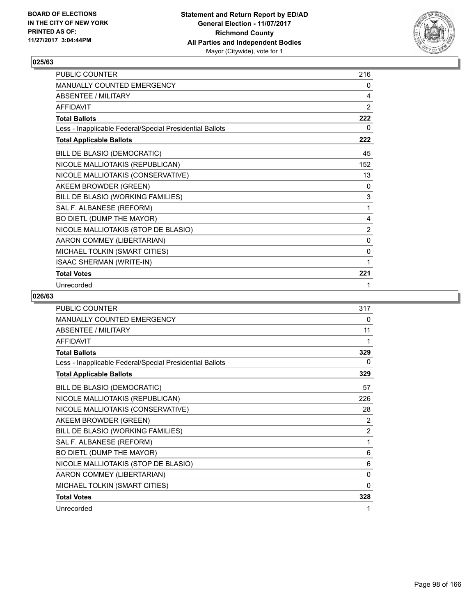

| <b>PUBLIC COUNTER</b>                                    | 216 |
|----------------------------------------------------------|-----|
| <b>MANUALLY COUNTED EMERGENCY</b>                        | 0   |
| ABSENTEE / MILITARY                                      | 4   |
| <b>AFFIDAVIT</b>                                         | 2   |
| <b>Total Ballots</b>                                     | 222 |
| Less - Inapplicable Federal/Special Presidential Ballots | 0   |
| <b>Total Applicable Ballots</b>                          | 222 |
| BILL DE BLASIO (DEMOCRATIC)                              | 45  |
| NICOLE MALLIOTAKIS (REPUBLICAN)                          | 152 |
| NICOLE MALLIOTAKIS (CONSERVATIVE)                        | 13  |
| AKEEM BROWDER (GREEN)                                    | 0   |
| BILL DE BLASIO (WORKING FAMILIES)                        | 3   |
| SAL F. ALBANESE (REFORM)                                 | 1   |
| BO DIETL (DUMP THE MAYOR)                                | 4   |
| NICOLE MALLIOTAKIS (STOP DE BLASIO)                      | 2   |
| AARON COMMEY (LIBERTARIAN)                               | 0   |
| MICHAEL TOLKIN (SMART CITIES)                            | 0   |
| <b>ISAAC SHERMAN (WRITE-IN)</b>                          | 1   |
| <b>Total Votes</b>                                       | 221 |
| Unrecorded                                               | 1   |

| <b>PUBLIC COUNTER</b>                                    | 317            |
|----------------------------------------------------------|----------------|
| <b>MANUALLY COUNTED EMERGENCY</b>                        | 0              |
| <b>ABSENTEE / MILITARY</b>                               | 11             |
| <b>AFFIDAVIT</b>                                         | 1              |
| <b>Total Ballots</b>                                     | 329            |
| Less - Inapplicable Federal/Special Presidential Ballots | 0              |
| <b>Total Applicable Ballots</b>                          | 329            |
| BILL DE BLASIO (DEMOCRATIC)                              | 57             |
| NICOLE MALLIOTAKIS (REPUBLICAN)                          | 226            |
| NICOLE MALLIOTAKIS (CONSERVATIVE)                        | 28             |
| AKEEM BROWDER (GREEN)                                    | 2              |
| BILL DE BLASIO (WORKING FAMILIES)                        | $\overline{2}$ |
| SAL F. ALBANESE (REFORM)                                 | 1              |
| BO DIETL (DUMP THE MAYOR)                                | 6              |
| NICOLE MALLIOTAKIS (STOP DE BLASIO)                      | 6              |
| AARON COMMEY (LIBERTARIAN)                               | 0              |
| MICHAEL TOLKIN (SMART CITIES)                            | 0              |
| <b>Total Votes</b>                                       | 328            |
| Unrecorded                                               | 1              |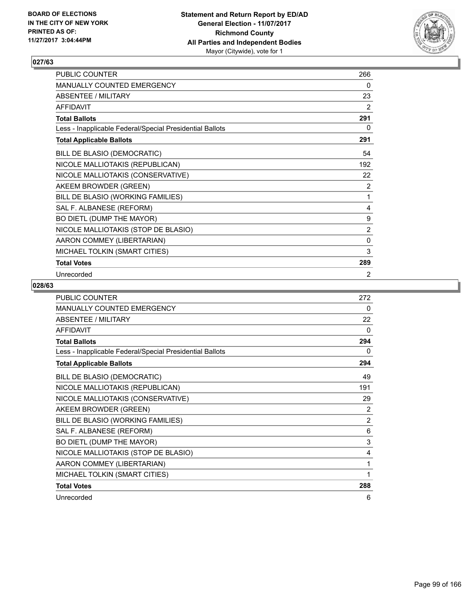

| PUBLIC COUNTER                                           | 266            |
|----------------------------------------------------------|----------------|
| MANUALLY COUNTED EMERGENCY                               | 0              |
| <b>ABSENTEE / MILITARY</b>                               | 23             |
| <b>AFFIDAVIT</b>                                         | 2              |
| <b>Total Ballots</b>                                     | 291            |
| Less - Inapplicable Federal/Special Presidential Ballots | 0              |
| <b>Total Applicable Ballots</b>                          | 291            |
| BILL DE BLASIO (DEMOCRATIC)                              | 54             |
| NICOLE MALLIOTAKIS (REPUBLICAN)                          | 192            |
| NICOLE MALLIOTAKIS (CONSERVATIVE)                        | 22             |
| AKEEM BROWDER (GREEN)                                    | 2              |
| BILL DE BLASIO (WORKING FAMILIES)                        | 1              |
| SAL F. ALBANESE (REFORM)                                 | 4              |
| BO DIETL (DUMP THE MAYOR)                                | 9              |
| NICOLE MALLIOTAKIS (STOP DE BLASIO)                      | $\overline{2}$ |
| AARON COMMEY (LIBERTARIAN)                               | $\mathbf 0$    |
| MICHAEL TOLKIN (SMART CITIES)                            | 3              |
| <b>Total Votes</b>                                       | 289            |
| Unrecorded                                               | 2              |

| <b>PUBLIC COUNTER</b>                                    | 272            |
|----------------------------------------------------------|----------------|
| <b>MANUALLY COUNTED EMERGENCY</b>                        | 0              |
| <b>ABSENTEE / MILITARY</b>                               | 22             |
| <b>AFFIDAVIT</b>                                         | $\Omega$       |
| <b>Total Ballots</b>                                     | 294            |
| Less - Inapplicable Federal/Special Presidential Ballots | 0              |
| <b>Total Applicable Ballots</b>                          | 294            |
| BILL DE BLASIO (DEMOCRATIC)                              | 49             |
| NICOLE MALLIOTAKIS (REPUBLICAN)                          | 191            |
| NICOLE MALLIOTAKIS (CONSERVATIVE)                        | 29             |
| AKEEM BROWDER (GREEN)                                    | $\overline{2}$ |
| BILL DE BLASIO (WORKING FAMILIES)                        | $\overline{2}$ |
| SAL F. ALBANESE (REFORM)                                 | 6              |
| BO DIETL (DUMP THE MAYOR)                                | 3              |
| NICOLE MALLIOTAKIS (STOP DE BLASIO)                      | 4              |
| AARON COMMEY (LIBERTARIAN)                               | 1              |
| MICHAEL TOLKIN (SMART CITIES)                            | 1              |
| <b>Total Votes</b>                                       | 288            |
| Unrecorded                                               | 6              |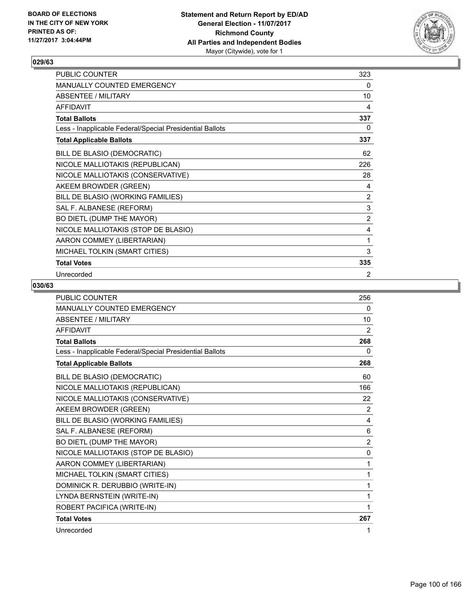

| PUBLIC COUNTER                                           | 323            |
|----------------------------------------------------------|----------------|
| MANUALLY COUNTED EMERGENCY                               | 0              |
| <b>ABSENTEE / MILITARY</b>                               | 10             |
| <b>AFFIDAVIT</b>                                         | 4              |
| <b>Total Ballots</b>                                     | 337            |
| Less - Inapplicable Federal/Special Presidential Ballots | 0              |
| <b>Total Applicable Ballots</b>                          | 337            |
| BILL DE BLASIO (DEMOCRATIC)                              | 62             |
| NICOLE MALLIOTAKIS (REPUBLICAN)                          | 226            |
| NICOLE MALLIOTAKIS (CONSERVATIVE)                        | 28             |
| AKEEM BROWDER (GREEN)                                    | 4              |
| BILL DE BLASIO (WORKING FAMILIES)                        | 2              |
| SAL F. ALBANESE (REFORM)                                 | $\mathsf 3$    |
| BO DIETL (DUMP THE MAYOR)                                | $\overline{2}$ |
| NICOLE MALLIOTAKIS (STOP DE BLASIO)                      | 4              |
| AARON COMMEY (LIBERTARIAN)                               | 1              |
| MICHAEL TOLKIN (SMART CITIES)                            | 3              |
| <b>Total Votes</b>                                       | 335            |
| Unrecorded                                               | 2              |

| <b>PUBLIC COUNTER</b>                                    | 256            |
|----------------------------------------------------------|----------------|
| MANUALLY COUNTED EMERGENCY                               | 0              |
| <b>ABSENTEE / MILITARY</b>                               | 10             |
| <b>AFFIDAVIT</b>                                         | 2              |
| <b>Total Ballots</b>                                     | 268            |
| Less - Inapplicable Federal/Special Presidential Ballots | 0              |
| <b>Total Applicable Ballots</b>                          | 268            |
| BILL DE BLASIO (DEMOCRATIC)                              | 60             |
| NICOLE MALLIOTAKIS (REPUBLICAN)                          | 166            |
| NICOLE MALLIOTAKIS (CONSERVATIVE)                        | 22             |
| AKEEM BROWDER (GREEN)                                    | 2              |
| BILL DE BLASIO (WORKING FAMILIES)                        | 4              |
| SAL F. ALBANESE (REFORM)                                 | 6              |
| BO DIETL (DUMP THE MAYOR)                                | $\overline{2}$ |
| NICOLE MALLIOTAKIS (STOP DE BLASIO)                      | 0              |
| AARON COMMEY (LIBERTARIAN)                               | 1              |
| MICHAEL TOLKIN (SMART CITIES)                            | 1              |
| DOMINICK R. DERUBBIO (WRITE-IN)                          | 1              |
| LYNDA BERNSTEIN (WRITE-IN)                               | 1              |
| ROBERT PACIFICA (WRITE-IN)                               | 1              |
| <b>Total Votes</b>                                       | 267            |
| Unrecorded                                               | 1              |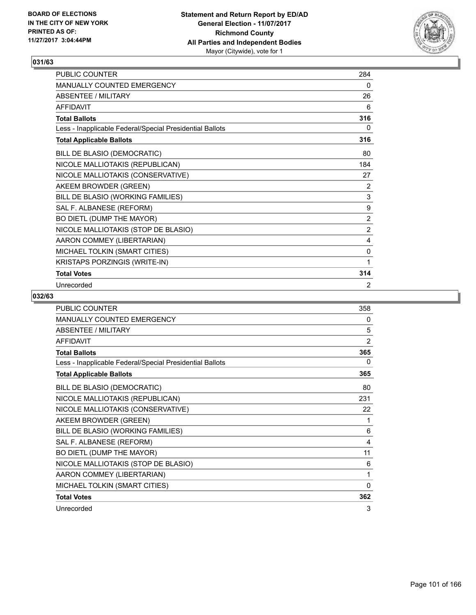

| PUBLIC COUNTER                                           | 284            |
|----------------------------------------------------------|----------------|
| <b>MANUALLY COUNTED EMERGENCY</b>                        | 0              |
| <b>ABSENTEE / MILITARY</b>                               | 26             |
| <b>AFFIDAVIT</b>                                         | 6              |
| <b>Total Ballots</b>                                     | 316            |
| Less - Inapplicable Federal/Special Presidential Ballots | 0              |
| <b>Total Applicable Ballots</b>                          | 316            |
| BILL DE BLASIO (DEMOCRATIC)                              | 80             |
| NICOLE MALLIOTAKIS (REPUBLICAN)                          | 184            |
| NICOLE MALLIOTAKIS (CONSERVATIVE)                        | 27             |
| AKEEM BROWDER (GREEN)                                    | 2              |
| BILL DE BLASIO (WORKING FAMILIES)                        | 3              |
| SAL F. ALBANESE (REFORM)                                 | 9              |
| BO DIETL (DUMP THE MAYOR)                                | $\overline{2}$ |
| NICOLE MALLIOTAKIS (STOP DE BLASIO)                      | 2              |
| AARON COMMEY (LIBERTARIAN)                               | 4              |
| MICHAEL TOLKIN (SMART CITIES)                            | 0              |
| KRISTAPS PORZINGIS (WRITE-IN)                            | 1              |
| <b>Total Votes</b>                                       | 314            |
| Unrecorded                                               | 2              |

| <b>PUBLIC COUNTER</b>                                    | 358 |
|----------------------------------------------------------|-----|
| <b>MANUALLY COUNTED EMERGENCY</b>                        | 0   |
| <b>ABSENTEE / MILITARY</b>                               | 5   |
| <b>AFFIDAVIT</b>                                         | 2   |
| <b>Total Ballots</b>                                     | 365 |
| Less - Inapplicable Federal/Special Presidential Ballots | 0   |
| <b>Total Applicable Ballots</b>                          | 365 |
| BILL DE BLASIO (DEMOCRATIC)                              | 80  |
| NICOLE MALLIOTAKIS (REPUBLICAN)                          | 231 |
| NICOLE MALLIOTAKIS (CONSERVATIVE)                        | 22  |
| AKEEM BROWDER (GREEN)                                    | 1   |
| BILL DE BLASIO (WORKING FAMILIES)                        | 6   |
| SAL F. ALBANESE (REFORM)                                 | 4   |
| BO DIETL (DUMP THE MAYOR)                                | 11  |
| NICOLE MALLIOTAKIS (STOP DE BLASIO)                      | 6   |
| AARON COMMEY (LIBERTARIAN)                               | 1   |
| MICHAEL TOLKIN (SMART CITIES)                            | 0   |
| <b>Total Votes</b>                                       | 362 |
| Unrecorded                                               | 3   |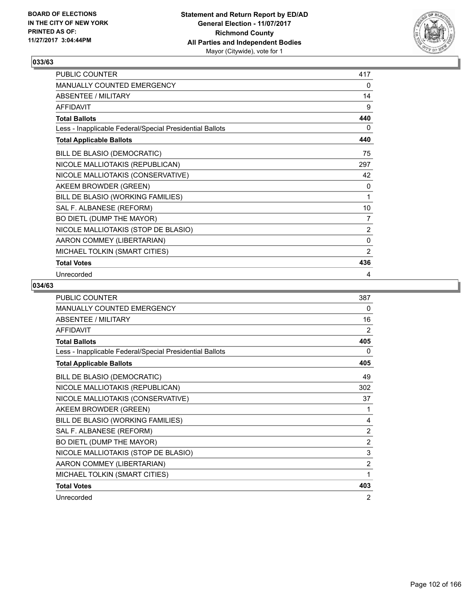

| PUBLIC COUNTER                                           | 417            |
|----------------------------------------------------------|----------------|
| MANUALLY COUNTED EMERGENCY                               | 0              |
| <b>ABSENTEE / MILITARY</b>                               | 14             |
| <b>AFFIDAVIT</b>                                         | 9              |
| <b>Total Ballots</b>                                     | 440            |
| Less - Inapplicable Federal/Special Presidential Ballots | 0              |
| <b>Total Applicable Ballots</b>                          | 440            |
| BILL DE BLASIO (DEMOCRATIC)                              | 75             |
| NICOLE MALLIOTAKIS (REPUBLICAN)                          | 297            |
| NICOLE MALLIOTAKIS (CONSERVATIVE)                        | 42             |
| AKEEM BROWDER (GREEN)                                    | 0              |
| BILL DE BLASIO (WORKING FAMILIES)                        | 1              |
| SAL F. ALBANESE (REFORM)                                 | 10             |
| BO DIETL (DUMP THE MAYOR)                                | 7              |
| NICOLE MALLIOTAKIS (STOP DE BLASIO)                      | $\overline{2}$ |
| AARON COMMEY (LIBERTARIAN)                               | $\mathbf{0}$   |
| MICHAEL TOLKIN (SMART CITIES)                            | 2              |
| <b>Total Votes</b>                                       | 436            |
| Unrecorded                                               | 4              |

| <b>PUBLIC COUNTER</b>                                    | 387            |
|----------------------------------------------------------|----------------|
| <b>MANUALLY COUNTED EMERGENCY</b>                        | 0              |
| <b>ABSENTEE / MILITARY</b>                               | 16             |
| <b>AFFIDAVIT</b>                                         | 2              |
| <b>Total Ballots</b>                                     | 405            |
| Less - Inapplicable Federal/Special Presidential Ballots | 0              |
| <b>Total Applicable Ballots</b>                          | 405            |
| BILL DE BLASIO (DEMOCRATIC)                              | 49             |
| NICOLE MALLIOTAKIS (REPUBLICAN)                          | 302            |
| NICOLE MALLIOTAKIS (CONSERVATIVE)                        | 37             |
| AKEEM BROWDER (GREEN)                                    | 1              |
| BILL DE BLASIO (WORKING FAMILIES)                        | 4              |
| SAL F. ALBANESE (REFORM)                                 | $\overline{2}$ |
| BO DIETL (DUMP THE MAYOR)                                | $\overline{2}$ |
| NICOLE MALLIOTAKIS (STOP DE BLASIO)                      | 3              |
| AARON COMMEY (LIBERTARIAN)                               | $\overline{2}$ |
| MICHAEL TOLKIN (SMART CITIES)                            | 1              |
| <b>Total Votes</b>                                       | 403            |
| Unrecorded                                               | 2              |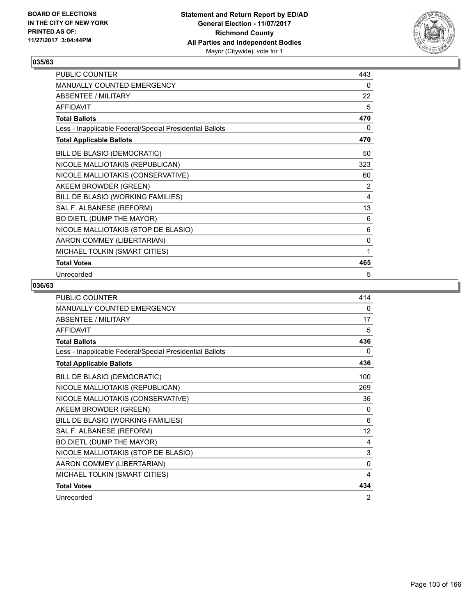

| PUBLIC COUNTER                                           | 443 |
|----------------------------------------------------------|-----|
| MANUALLY COUNTED EMERGENCY                               | 0   |
| <b>ABSENTEE / MILITARY</b>                               | 22  |
| <b>AFFIDAVIT</b>                                         | 5   |
| <b>Total Ballots</b>                                     | 470 |
| Less - Inapplicable Federal/Special Presidential Ballots | 0   |
| <b>Total Applicable Ballots</b>                          | 470 |
| BILL DE BLASIO (DEMOCRATIC)                              | 50  |
| NICOLE MALLIOTAKIS (REPUBLICAN)                          | 323 |
| NICOLE MALLIOTAKIS (CONSERVATIVE)                        | 60  |
| AKEEM BROWDER (GREEN)                                    | 2   |
| BILL DE BLASIO (WORKING FAMILIES)                        | 4   |
| SAL F. ALBANESE (REFORM)                                 | 13  |
| BO DIETL (DUMP THE MAYOR)                                | 6   |
| NICOLE MALLIOTAKIS (STOP DE BLASIO)                      | 6   |
| AARON COMMEY (LIBERTARIAN)                               | 0   |
| MICHAEL TOLKIN (SMART CITIES)                            | 1   |
| <b>Total Votes</b>                                       | 465 |
| Unrecorded                                               | 5   |

| <b>PUBLIC COUNTER</b>                                    | 414 |
|----------------------------------------------------------|-----|
| <b>MANUALLY COUNTED EMERGENCY</b>                        | 0   |
| <b>ABSENTEE / MILITARY</b>                               | 17  |
| <b>AFFIDAVIT</b>                                         | 5   |
| <b>Total Ballots</b>                                     | 436 |
| Less - Inapplicable Federal/Special Presidential Ballots | 0   |
| <b>Total Applicable Ballots</b>                          | 436 |
| BILL DE BLASIO (DEMOCRATIC)                              | 100 |
| NICOLE MALLIOTAKIS (REPUBLICAN)                          | 269 |
| NICOLE MALLIOTAKIS (CONSERVATIVE)                        | 36  |
| AKEEM BROWDER (GREEN)                                    | 0   |
| BILL DE BLASIO (WORKING FAMILIES)                        | 6   |
| SAL F. ALBANESE (REFORM)                                 | 12  |
| BO DIETL (DUMP THE MAYOR)                                | 4   |
| NICOLE MALLIOTAKIS (STOP DE BLASIO)                      | 3   |
| AARON COMMEY (LIBERTARIAN)                               | 0   |
| MICHAEL TOLKIN (SMART CITIES)                            | 4   |
| <b>Total Votes</b>                                       | 434 |
| Unrecorded                                               | 2   |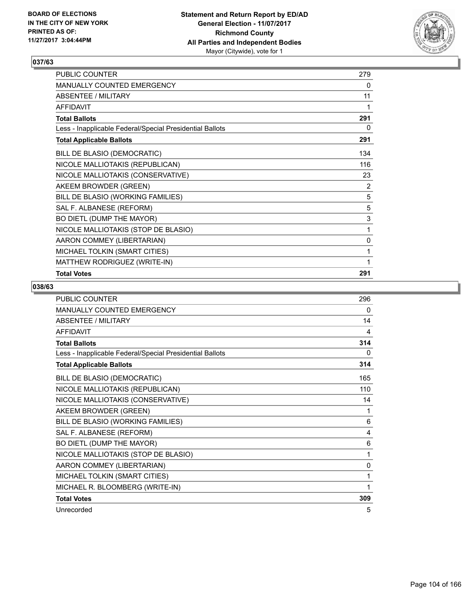

| PUBLIC COUNTER                                           | 279 |
|----------------------------------------------------------|-----|
| MANUALLY COUNTED EMERGENCY                               | 0   |
| <b>ABSENTEE / MILITARY</b>                               | 11  |
| <b>AFFIDAVIT</b>                                         | 1   |
| <b>Total Ballots</b>                                     | 291 |
| Less - Inapplicable Federal/Special Presidential Ballots | 0   |
| <b>Total Applicable Ballots</b>                          | 291 |
| BILL DE BLASIO (DEMOCRATIC)                              | 134 |
| NICOLE MALLIOTAKIS (REPUBLICAN)                          | 116 |
| NICOLE MALLIOTAKIS (CONSERVATIVE)                        | 23  |
| AKEEM BROWDER (GREEN)                                    | 2   |
| BILL DE BLASIO (WORKING FAMILIES)                        | 5   |
| SAL F. ALBANESE (REFORM)                                 | 5   |
| BO DIETL (DUMP THE MAYOR)                                | 3   |
| NICOLE MALLIOTAKIS (STOP DE BLASIO)                      | 1   |
| AARON COMMEY (LIBERTARIAN)                               | 0   |
| MICHAEL TOLKIN (SMART CITIES)                            | 1   |
| MATTHEW RODRIGUEZ (WRITE-IN)                             | 1   |
| <b>Total Votes</b>                                       | 291 |

| <b>PUBLIC COUNTER</b>                                    | 296 |
|----------------------------------------------------------|-----|
| MANUALLY COUNTED EMERGENCY                               | 0   |
| <b>ABSENTEE / MILITARY</b>                               | 14  |
| <b>AFFIDAVIT</b>                                         | 4   |
| <b>Total Ballots</b>                                     | 314 |
| Less - Inapplicable Federal/Special Presidential Ballots | 0   |
| <b>Total Applicable Ballots</b>                          | 314 |
| BILL DE BLASIO (DEMOCRATIC)                              | 165 |
| NICOLE MALLIOTAKIS (REPUBLICAN)                          | 110 |
| NICOLE MALLIOTAKIS (CONSERVATIVE)                        | 14  |
| AKEEM BROWDER (GREEN)                                    | 1   |
| BILL DE BLASIO (WORKING FAMILIES)                        | 6   |
| SAL F. ALBANESE (REFORM)                                 | 4   |
| BO DIETL (DUMP THE MAYOR)                                | 6   |
| NICOLE MALLIOTAKIS (STOP DE BLASIO)                      | 1   |
| AARON COMMEY (LIBERTARIAN)                               | 0   |
| MICHAEL TOLKIN (SMART CITIES)                            | 1   |
| MICHAEL R. BLOOMBERG (WRITE-IN)                          | 1   |
| <b>Total Votes</b>                                       | 309 |
| Unrecorded                                               | 5   |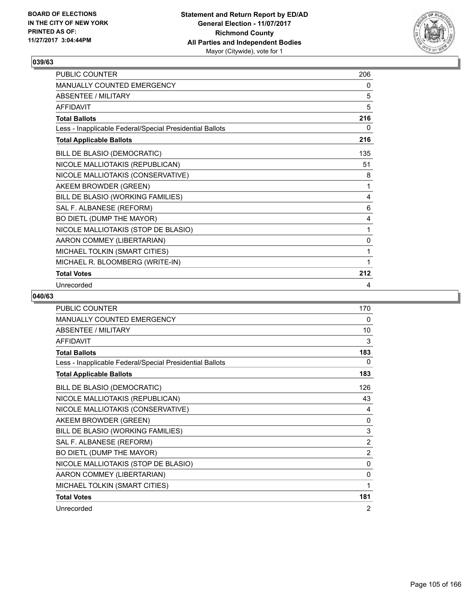

| PUBLIC COUNTER                                           | 206 |
|----------------------------------------------------------|-----|
| <b>MANUALLY COUNTED EMERGENCY</b>                        | 0   |
| <b>ABSENTEE / MILITARY</b>                               | 5   |
| <b>AFFIDAVIT</b>                                         | 5   |
| <b>Total Ballots</b>                                     | 216 |
| Less - Inapplicable Federal/Special Presidential Ballots | 0   |
| <b>Total Applicable Ballots</b>                          | 216 |
| BILL DE BLASIO (DEMOCRATIC)                              | 135 |
| NICOLE MALLIOTAKIS (REPUBLICAN)                          | 51  |
| NICOLE MALLIOTAKIS (CONSERVATIVE)                        | 8   |
| AKEEM BROWDER (GREEN)                                    | 1   |
| BILL DE BLASIO (WORKING FAMILIES)                        | 4   |
| SAL F. ALBANESE (REFORM)                                 | 6   |
| BO DIETL (DUMP THE MAYOR)                                | 4   |
| NICOLE MALLIOTAKIS (STOP DE BLASIO)                      | 1   |
| AARON COMMEY (LIBERTARIAN)                               | 0   |
| MICHAEL TOLKIN (SMART CITIES)                            | 1   |
| MICHAEL R. BLOOMBERG (WRITE-IN)                          | 1   |
| <b>Total Votes</b>                                       | 212 |
| Unrecorded                                               | 4   |

| <b>PUBLIC COUNTER</b>                                    | 170            |
|----------------------------------------------------------|----------------|
| <b>MANUALLY COUNTED EMERGENCY</b>                        | 0              |
| <b>ABSENTEE / MILITARY</b>                               | 10             |
| <b>AFFIDAVIT</b>                                         | 3              |
| <b>Total Ballots</b>                                     | 183            |
| Less - Inapplicable Federal/Special Presidential Ballots | 0              |
| <b>Total Applicable Ballots</b>                          | 183            |
| BILL DE BLASIO (DEMOCRATIC)                              | 126            |
| NICOLE MALLIOTAKIS (REPUBLICAN)                          | 43             |
| NICOLE MALLIOTAKIS (CONSERVATIVE)                        | 4              |
| AKEEM BROWDER (GREEN)                                    | 0              |
| BILL DE BLASIO (WORKING FAMILIES)                        | 3              |
| SAL F. ALBANESE (REFORM)                                 | $\overline{2}$ |
| BO DIETL (DUMP THE MAYOR)                                | $\overline{2}$ |
| NICOLE MALLIOTAKIS (STOP DE BLASIO)                      | 0              |
| AARON COMMEY (LIBERTARIAN)                               | 0              |
| MICHAEL TOLKIN (SMART CITIES)                            | 1              |
| <b>Total Votes</b>                                       | 181            |
| Unrecorded                                               | 2              |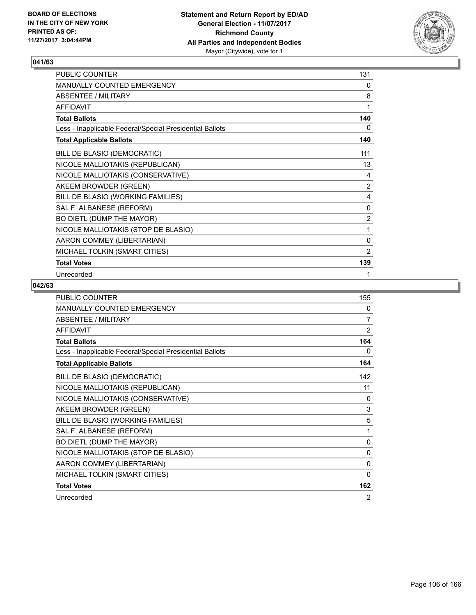

| PUBLIC COUNTER                                           | 131            |
|----------------------------------------------------------|----------------|
| MANUALLY COUNTED EMERGENCY                               | 0              |
| <b>ABSENTEE / MILITARY</b>                               | 8              |
| <b>AFFIDAVIT</b>                                         | 1              |
| <b>Total Ballots</b>                                     | 140            |
| Less - Inapplicable Federal/Special Presidential Ballots | 0              |
| <b>Total Applicable Ballots</b>                          | 140            |
| BILL DE BLASIO (DEMOCRATIC)                              | 111            |
| NICOLE MALLIOTAKIS (REPUBLICAN)                          | 13             |
| NICOLE MALLIOTAKIS (CONSERVATIVE)                        | 4              |
| AKEEM BROWDER (GREEN)                                    | 2              |
| BILL DE BLASIO (WORKING FAMILIES)                        | 4              |
| SAL F. ALBANESE (REFORM)                                 | 0              |
| BO DIETL (DUMP THE MAYOR)                                | 2              |
| NICOLE MALLIOTAKIS (STOP DE BLASIO)                      | 1              |
| AARON COMMEY (LIBERTARIAN)                               | 0              |
| MICHAEL TOLKIN (SMART CITIES)                            | $\overline{2}$ |
| <b>Total Votes</b>                                       | 139            |
| Unrecorded                                               | 1              |

| <b>PUBLIC COUNTER</b>                                    | 155            |
|----------------------------------------------------------|----------------|
| <b>MANUALLY COUNTED EMERGENCY</b>                        | $\mathbf{0}$   |
| <b>ABSENTEE / MILITARY</b>                               | 7              |
| <b>AFFIDAVIT</b>                                         | $\overline{2}$ |
| <b>Total Ballots</b>                                     | 164            |
| Less - Inapplicable Federal/Special Presidential Ballots | 0              |
| <b>Total Applicable Ballots</b>                          | 164            |
| BILL DE BLASIO (DEMOCRATIC)                              | 142            |
| NICOLE MALLIOTAKIS (REPUBLICAN)                          | 11             |
| NICOLE MALLIOTAKIS (CONSERVATIVE)                        | 0              |
| AKEEM BROWDER (GREEN)                                    | 3              |
| BILL DE BLASIO (WORKING FAMILIES)                        | 5              |
| SAL F. ALBANESE (REFORM)                                 | 1              |
| BO DIETL (DUMP THE MAYOR)                                | $\mathbf{0}$   |
| NICOLE MALLIOTAKIS (STOP DE BLASIO)                      | $\mathbf{0}$   |
| AARON COMMEY (LIBERTARIAN)                               | $\mathbf{0}$   |
| MICHAEL TOLKIN (SMART CITIES)                            | $\mathbf{0}$   |
| <b>Total Votes</b>                                       | 162            |
| Unrecorded                                               | 2              |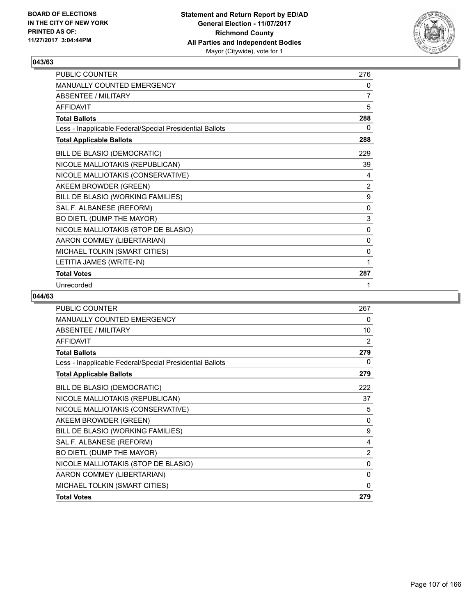

| PUBLIC COUNTER                                           | 276            |
|----------------------------------------------------------|----------------|
| <b>MANUALLY COUNTED EMERGENCY</b>                        | 0              |
| <b>ABSENTEE / MILITARY</b>                               | $\overline{7}$ |
| <b>AFFIDAVIT</b>                                         | 5              |
| <b>Total Ballots</b>                                     | 288            |
| Less - Inapplicable Federal/Special Presidential Ballots | 0              |
| <b>Total Applicable Ballots</b>                          | 288            |
| BILL DE BLASIO (DEMOCRATIC)                              | 229            |
| NICOLE MALLIOTAKIS (REPUBLICAN)                          | 39             |
| NICOLE MALLIOTAKIS (CONSERVATIVE)                        | 4              |
| AKEEM BROWDER (GREEN)                                    | 2              |
| BILL DE BLASIO (WORKING FAMILIES)                        | 9              |
| SAL F. ALBANESE (REFORM)                                 | $\mathbf 0$    |
| BO DIETL (DUMP THE MAYOR)                                | 3              |
| NICOLE MALLIOTAKIS (STOP DE BLASIO)                      | 0              |
| AARON COMMEY (LIBERTARIAN)                               | $\mathbf{0}$   |
| MICHAEL TOLKIN (SMART CITIES)                            | 0              |
| LETITIA JAMES (WRITE-IN)                                 | 1              |
| <b>Total Votes</b>                                       | 287            |
| Unrecorded                                               | 1              |

| <b>PUBLIC COUNTER</b>                                    | 267 |
|----------------------------------------------------------|-----|
| <b>MANUALLY COUNTED EMERGENCY</b>                        | 0   |
| <b>ABSENTEE / MILITARY</b>                               | 10  |
| <b>AFFIDAVIT</b>                                         | 2   |
| <b>Total Ballots</b>                                     | 279 |
| Less - Inapplicable Federal/Special Presidential Ballots | 0   |
| <b>Total Applicable Ballots</b>                          | 279 |
| BILL DE BLASIO (DEMOCRATIC)                              | 222 |
| NICOLE MALLIOTAKIS (REPUBLICAN)                          | 37  |
| NICOLE MALLIOTAKIS (CONSERVATIVE)                        | 5   |
| AKEEM BROWDER (GREEN)                                    | 0   |
| BILL DE BLASIO (WORKING FAMILIES)                        | 9   |
| SAL F. ALBANESE (REFORM)                                 | 4   |
| BO DIETL (DUMP THE MAYOR)                                | 2   |
| NICOLE MALLIOTAKIS (STOP DE BLASIO)                      | 0   |
| AARON COMMEY (LIBERTARIAN)                               | 0   |
| MICHAEL TOLKIN (SMART CITIES)                            | 0   |
| <b>Total Votes</b>                                       | 279 |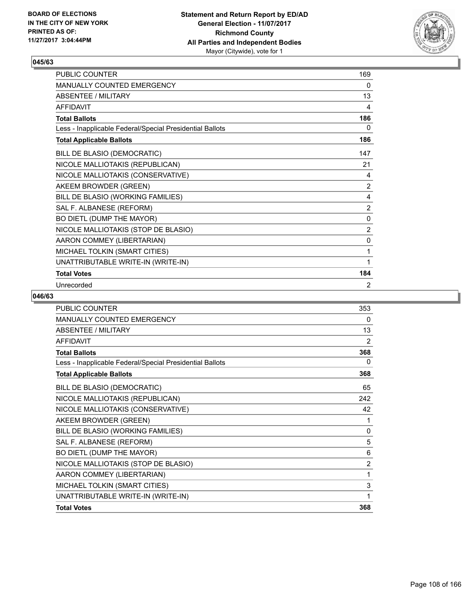

| <b>PUBLIC COUNTER</b>                                    | 169            |
|----------------------------------------------------------|----------------|
| <b>MANUALLY COUNTED EMERGENCY</b>                        | 0              |
| ABSENTEE / MILITARY                                      | 13             |
| <b>AFFIDAVIT</b>                                         | 4              |
| <b>Total Ballots</b>                                     | 186            |
| Less - Inapplicable Federal/Special Presidential Ballots | 0              |
| <b>Total Applicable Ballots</b>                          | 186            |
| BILL DE BLASIO (DEMOCRATIC)                              | 147            |
| NICOLE MALLIOTAKIS (REPUBLICAN)                          | 21             |
| NICOLE MALLIOTAKIS (CONSERVATIVE)                        | 4              |
| AKEEM BROWDER (GREEN)                                    | 2              |
| BILL DE BLASIO (WORKING FAMILIES)                        | 4              |
| SAL F. ALBANESE (REFORM)                                 | $\overline{2}$ |
| BO DIETL (DUMP THE MAYOR)                                | 0              |
| NICOLE MALLIOTAKIS (STOP DE BLASIO)                      | 2              |
| AARON COMMEY (LIBERTARIAN)                               | 0              |
| MICHAEL TOLKIN (SMART CITIES)                            | 1              |
| UNATTRIBUTABLE WRITE-IN (WRITE-IN)                       | 1              |
| <b>Total Votes</b>                                       | 184            |
| Unrecorded                                               | 2              |

| <b>PUBLIC COUNTER</b>                                    | 353            |
|----------------------------------------------------------|----------------|
| <b>MANUALLY COUNTED EMERGENCY</b>                        | 0              |
| <b>ABSENTEE / MILITARY</b>                               | 13             |
| <b>AFFIDAVIT</b>                                         | 2              |
| <b>Total Ballots</b>                                     | 368            |
| Less - Inapplicable Federal/Special Presidential Ballots | 0              |
| <b>Total Applicable Ballots</b>                          | 368            |
| BILL DE BLASIO (DEMOCRATIC)                              | 65             |
| NICOLE MALLIOTAKIS (REPUBLICAN)                          | 242            |
| NICOLE MALLIOTAKIS (CONSERVATIVE)                        | 42             |
| AKEEM BROWDER (GREEN)                                    | 1              |
| BILL DE BLASIO (WORKING FAMILIES)                        | 0              |
| SAL F. ALBANESE (REFORM)                                 | 5              |
| BO DIETL (DUMP THE MAYOR)                                | 6              |
| NICOLE MALLIOTAKIS (STOP DE BLASIO)                      | $\overline{2}$ |
| AARON COMMEY (LIBERTARIAN)                               | 1              |
| MICHAEL TOLKIN (SMART CITIES)                            | 3              |
| UNATTRIBUTABLE WRITE-IN (WRITE-IN)                       | 1              |
| <b>Total Votes</b>                                       | 368            |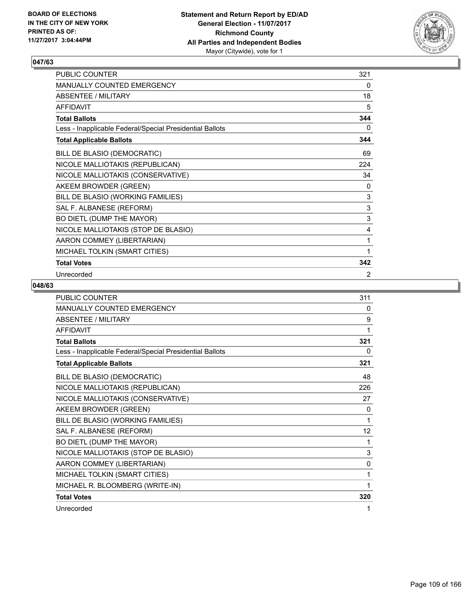

| PUBLIC COUNTER                                           | 321 |
|----------------------------------------------------------|-----|
| MANUALLY COUNTED EMERGENCY                               | 0   |
| <b>ABSENTEE / MILITARY</b>                               | 18  |
| <b>AFFIDAVIT</b>                                         | 5   |
| <b>Total Ballots</b>                                     | 344 |
| Less - Inapplicable Federal/Special Presidential Ballots | 0   |
| <b>Total Applicable Ballots</b>                          | 344 |
| BILL DE BLASIO (DEMOCRATIC)                              | 69  |
| NICOLE MALLIOTAKIS (REPUBLICAN)                          | 224 |
| NICOLE MALLIOTAKIS (CONSERVATIVE)                        | 34  |
| AKEEM BROWDER (GREEN)                                    | 0   |
| BILL DE BLASIO (WORKING FAMILIES)                        | 3   |
| SAL F. ALBANESE (REFORM)                                 | 3   |
| BO DIETL (DUMP THE MAYOR)                                | 3   |
| NICOLE MALLIOTAKIS (STOP DE BLASIO)                      | 4   |
| AARON COMMEY (LIBERTARIAN)                               | 1   |
| MICHAEL TOLKIN (SMART CITIES)                            | 1   |
| <b>Total Votes</b>                                       | 342 |
| Unrecorded                                               | 2   |

| PUBLIC COUNTER                                           | 311          |
|----------------------------------------------------------|--------------|
| MANUALLY COUNTED EMERGENCY                               | 0            |
| ABSENTEE / MILITARY                                      | 9            |
| <b>AFFIDAVIT</b>                                         | 1            |
| <b>Total Ballots</b>                                     | 321          |
| Less - Inapplicable Federal/Special Presidential Ballots | 0            |
| <b>Total Applicable Ballots</b>                          | 321          |
| BILL DE BLASIO (DEMOCRATIC)                              | 48           |
| NICOLE MALLIOTAKIS (REPUBLICAN)                          | 226          |
| NICOLE MALLIOTAKIS (CONSERVATIVE)                        | 27           |
| AKEEM BROWDER (GREEN)                                    | 0            |
| BILL DE BLASIO (WORKING FAMILIES)                        | 1            |
| SAL F. ALBANESE (REFORM)                                 | 12           |
| BO DIETL (DUMP THE MAYOR)                                | 1            |
| NICOLE MALLIOTAKIS (STOP DE BLASIO)                      | 3            |
| AARON COMMEY (LIBERTARIAN)                               | $\mathbf{0}$ |
| MICHAEL TOLKIN (SMART CITIES)                            | 1            |
| MICHAEL R. BLOOMBERG (WRITE-IN)                          | 1            |
| <b>Total Votes</b>                                       | 320          |
| Unrecorded                                               | 1            |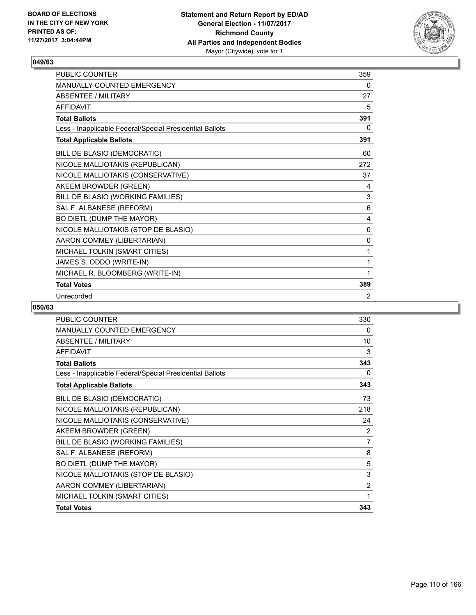

| <b>PUBLIC COUNTER</b>                                    | 359 |
|----------------------------------------------------------|-----|
| <b>MANUALLY COUNTED EMERGENCY</b>                        | 0   |
| <b>ABSENTEE / MILITARY</b>                               | 27  |
| <b>AFFIDAVIT</b>                                         | 5   |
| <b>Total Ballots</b>                                     | 391 |
| Less - Inapplicable Federal/Special Presidential Ballots | 0   |
| <b>Total Applicable Ballots</b>                          | 391 |
| BILL DE BLASIO (DEMOCRATIC)                              | 60  |
| NICOLE MALLIOTAKIS (REPUBLICAN)                          | 272 |
| NICOLE MALLIOTAKIS (CONSERVATIVE)                        | 37  |
| AKEEM BROWDER (GREEN)                                    | 4   |
| BILL DE BLASIO (WORKING FAMILIES)                        | 3   |
| SAL F. ALBANESE (REFORM)                                 | 6   |
| BO DIETL (DUMP THE MAYOR)                                | 4   |
| NICOLE MALLIOTAKIS (STOP DE BLASIO)                      | 0   |
| AARON COMMEY (LIBERTARIAN)                               | 0   |
| MICHAEL TOLKIN (SMART CITIES)                            | 1   |
| JAMES S. ODDO (WRITE-IN)                                 | 1   |
| MICHAEL R. BLOOMBERG (WRITE-IN)                          | 1   |
| <b>Total Votes</b>                                       | 389 |
| Unrecorded                                               | 2   |

| PUBLIC COUNTER                                           | 330            |
|----------------------------------------------------------|----------------|
| <b>MANUALLY COUNTED EMERGENCY</b>                        | 0              |
| <b>ABSENTEE / MILITARY</b>                               | 10             |
| <b>AFFIDAVIT</b>                                         | 3              |
| <b>Total Ballots</b>                                     | 343            |
| Less - Inapplicable Federal/Special Presidential Ballots | 0              |
| <b>Total Applicable Ballots</b>                          | 343            |
| BILL DE BLASIO (DEMOCRATIC)                              | 73             |
| NICOLE MALLIOTAKIS (REPUBLICAN)                          | 218            |
| NICOLE MALLIOTAKIS (CONSERVATIVE)                        | 24             |
| AKEEM BROWDER (GREEN)                                    | $\overline{2}$ |
| BILL DE BLASIO (WORKING FAMILIES)                        | $\overline{7}$ |
| SAL F. ALBANESE (REFORM)                                 | 8              |
| BO DIETL (DUMP THE MAYOR)                                | 5              |
| NICOLE MALLIOTAKIS (STOP DE BLASIO)                      | 3              |
| AARON COMMEY (LIBERTARIAN)                               | $\overline{2}$ |
| MICHAEL TOLKIN (SMART CITIES)                            | 1              |
| <b>Total Votes</b>                                       | 343            |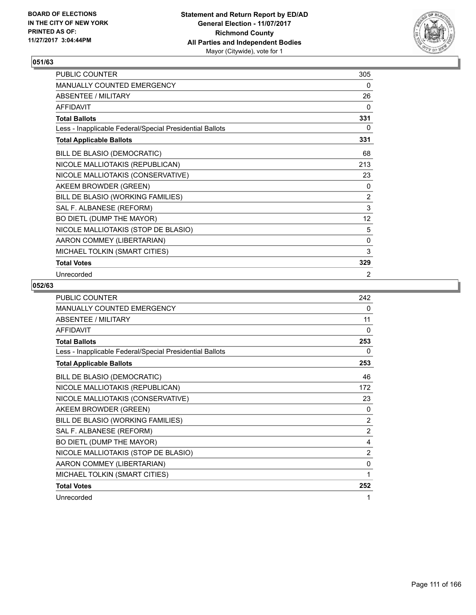

| PUBLIC COUNTER                                           | 305 |
|----------------------------------------------------------|-----|
| MANUALLY COUNTED EMERGENCY                               | 0   |
| <b>ABSENTEE / MILITARY</b>                               | 26  |
| <b>AFFIDAVIT</b>                                         | 0   |
| <b>Total Ballots</b>                                     | 331 |
| Less - Inapplicable Federal/Special Presidential Ballots | 0   |
| <b>Total Applicable Ballots</b>                          | 331 |
| BILL DE BLASIO (DEMOCRATIC)                              | 68  |
| NICOLE MALLIOTAKIS (REPUBLICAN)                          | 213 |
| NICOLE MALLIOTAKIS (CONSERVATIVE)                        | 23  |
| AKEEM BROWDER (GREEN)                                    | 0   |
| BILL DE BLASIO (WORKING FAMILIES)                        | 2   |
| SAL F. ALBANESE (REFORM)                                 | 3   |
| BO DIETL (DUMP THE MAYOR)                                | 12  |
| NICOLE MALLIOTAKIS (STOP DE BLASIO)                      | 5   |
| AARON COMMEY (LIBERTARIAN)                               | 0   |
| MICHAEL TOLKIN (SMART CITIES)                            | 3   |
| <b>Total Votes</b>                                       | 329 |
| Unrecorded                                               | 2   |

| <b>PUBLIC COUNTER</b>                                    | 242            |
|----------------------------------------------------------|----------------|
| MANUALLY COUNTED EMERGENCY                               | 0              |
| <b>ABSENTEE / MILITARY</b>                               | 11             |
| <b>AFFIDAVIT</b>                                         | 0              |
| <b>Total Ballots</b>                                     | 253            |
| Less - Inapplicable Federal/Special Presidential Ballots | 0              |
| <b>Total Applicable Ballots</b>                          | 253            |
| BILL DE BLASIO (DEMOCRATIC)                              | 46             |
| NICOLE MALLIOTAKIS (REPUBLICAN)                          | 172            |
| NICOLE MALLIOTAKIS (CONSERVATIVE)                        | 23             |
| AKEEM BROWDER (GREEN)                                    | 0              |
| BILL DE BLASIO (WORKING FAMILIES)                        | $\overline{2}$ |
| SAL F. ALBANESE (REFORM)                                 | 2              |
| BO DIETL (DUMP THE MAYOR)                                | 4              |
| NICOLE MALLIOTAKIS (STOP DE BLASIO)                      | $\overline{2}$ |
| AARON COMMEY (LIBERTARIAN)                               | $\mathbf{0}$   |
| MICHAEL TOLKIN (SMART CITIES)                            | 1              |
| <b>Total Votes</b>                                       | 252            |
| Unrecorded                                               | 1              |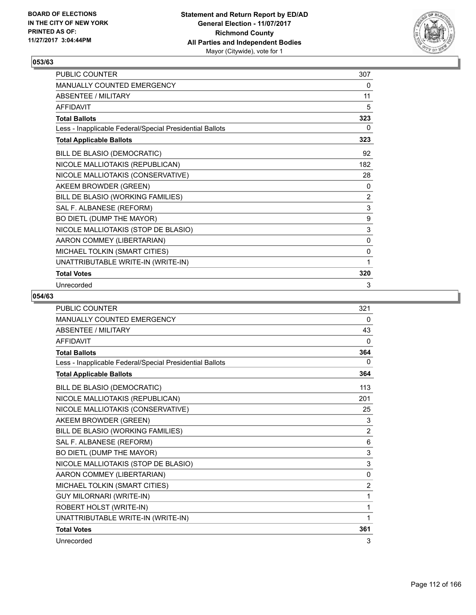

| <b>PUBLIC COUNTER</b>                                    | 307          |
|----------------------------------------------------------|--------------|
| <b>MANUALLY COUNTED EMERGENCY</b>                        | 0            |
| ABSENTEE / MILITARY                                      | 11           |
| <b>AFFIDAVIT</b>                                         | 5            |
| <b>Total Ballots</b>                                     | 323          |
| Less - Inapplicable Federal/Special Presidential Ballots | 0            |
| <b>Total Applicable Ballots</b>                          | 323          |
| BILL DE BLASIO (DEMOCRATIC)                              | 92           |
| NICOLE MALLIOTAKIS (REPUBLICAN)                          | 182          |
| NICOLE MALLIOTAKIS (CONSERVATIVE)                        | 28           |
| AKEEM BROWDER (GREEN)                                    | 0            |
| BILL DE BLASIO (WORKING FAMILIES)                        | 2            |
| SAL F. ALBANESE (REFORM)                                 | $\mathbf{3}$ |
| BO DIETL (DUMP THE MAYOR)                                | 9            |
| NICOLE MALLIOTAKIS (STOP DE BLASIO)                      | 3            |
| AARON COMMEY (LIBERTARIAN)                               | 0            |
| MICHAEL TOLKIN (SMART CITIES)                            | 0            |
| UNATTRIBUTABLE WRITE-IN (WRITE-IN)                       | 1            |
| <b>Total Votes</b>                                       | 320          |
| Unrecorded                                               | 3            |

| <b>PUBLIC COUNTER</b>                                    | 321            |
|----------------------------------------------------------|----------------|
| <b>MANUALLY COUNTED EMERGENCY</b>                        | 0              |
| <b>ABSENTEE / MILITARY</b>                               | 43             |
| <b>AFFIDAVIT</b>                                         | $\mathbf{0}$   |
| <b>Total Ballots</b>                                     | 364            |
| Less - Inapplicable Federal/Special Presidential Ballots | 0              |
| <b>Total Applicable Ballots</b>                          | 364            |
| BILL DE BLASIO (DEMOCRATIC)                              | 113            |
| NICOLE MALLIOTAKIS (REPUBLICAN)                          | 201            |
| NICOLE MALLIOTAKIS (CONSERVATIVE)                        | 25             |
| AKEEM BROWDER (GREEN)                                    | 3              |
| BILL DE BLASIO (WORKING FAMILIES)                        | $\overline{2}$ |
| SAL F. ALBANESE (REFORM)                                 | 6              |
| BO DIETL (DUMP THE MAYOR)                                | 3              |
| NICOLE MALLIOTAKIS (STOP DE BLASIO)                      | 3              |
| AARON COMMEY (LIBERTARIAN)                               | $\Omega$       |
| MICHAEL TOLKIN (SMART CITIES)                            | $\overline{2}$ |
| <b>GUY MILORNARI (WRITE-IN)</b>                          | 1              |
| ROBERT HOLST (WRITE-IN)                                  | 1              |
| UNATTRIBUTABLE WRITE-IN (WRITE-IN)                       | 1              |
| <b>Total Votes</b>                                       | 361            |
| Unrecorded                                               | 3              |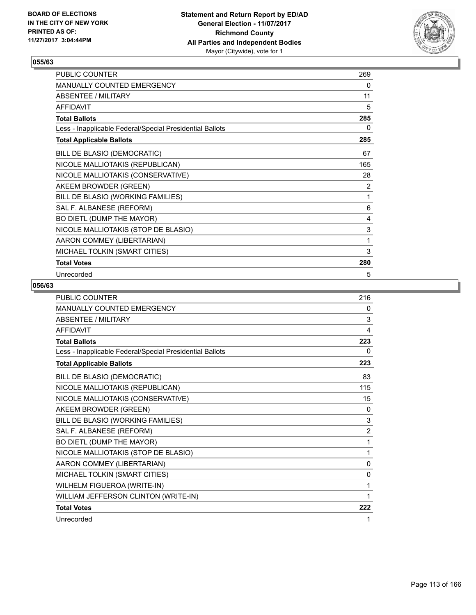

| PUBLIC COUNTER                                           | 269 |
|----------------------------------------------------------|-----|
| MANUALLY COUNTED EMERGENCY                               | 0   |
| <b>ABSENTEE / MILITARY</b>                               | 11  |
| <b>AFFIDAVIT</b>                                         | 5   |
| <b>Total Ballots</b>                                     | 285 |
| Less - Inapplicable Federal/Special Presidential Ballots | 0   |
| <b>Total Applicable Ballots</b>                          | 285 |
| BILL DE BLASIO (DEMOCRATIC)                              | 67  |
| NICOLE MALLIOTAKIS (REPUBLICAN)                          | 165 |
| NICOLE MALLIOTAKIS (CONSERVATIVE)                        | 28  |
| AKEEM BROWDER (GREEN)                                    | 2   |
| BILL DE BLASIO (WORKING FAMILIES)                        | 1   |
| SAL F. ALBANESE (REFORM)                                 | 6   |
| BO DIETL (DUMP THE MAYOR)                                | 4   |
| NICOLE MALLIOTAKIS (STOP DE BLASIO)                      | 3   |
| AARON COMMEY (LIBERTARIAN)                               | 1   |
| MICHAEL TOLKIN (SMART CITIES)                            | 3   |
| <b>Total Votes</b>                                       | 280 |
| Unrecorded                                               | 5   |

| <b>PUBLIC COUNTER</b>                                    | 216            |
|----------------------------------------------------------|----------------|
| MANUALLY COUNTED EMERGENCY                               | 0              |
| <b>ABSENTEE / MILITARY</b>                               | 3              |
| <b>AFFIDAVIT</b>                                         | 4              |
| <b>Total Ballots</b>                                     | 223            |
| Less - Inapplicable Federal/Special Presidential Ballots | 0              |
| <b>Total Applicable Ballots</b>                          | 223            |
| BILL DE BLASIO (DEMOCRATIC)                              | 83             |
| NICOLE MALLIOTAKIS (REPUBLICAN)                          | 115            |
| NICOLE MALLIOTAKIS (CONSERVATIVE)                        | 15             |
| AKEEM BROWDER (GREEN)                                    | $\Omega$       |
| BILL DE BLASIO (WORKING FAMILIES)                        | 3              |
| SAL F. ALBANESE (REFORM)                                 | $\overline{2}$ |
| BO DIETL (DUMP THE MAYOR)                                | 1              |
| NICOLE MALLIOTAKIS (STOP DE BLASIO)                      | 1              |
| AARON COMMEY (LIBERTARIAN)                               | $\mathbf{0}$   |
| MICHAEL TOLKIN (SMART CITIES)                            | $\Omega$       |
| WILHELM FIGUEROA (WRITE-IN)                              | 1              |
| WILLIAM JEFFERSON CLINTON (WRITE-IN)                     | 1              |
| <b>Total Votes</b>                                       | 222            |
| Unrecorded                                               | 1              |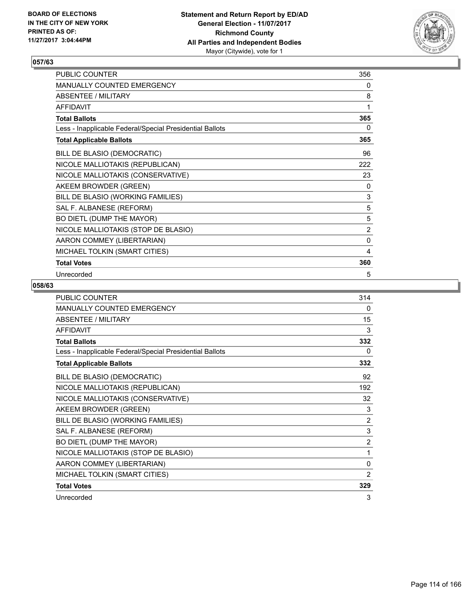

| PUBLIC COUNTER                                           | 356            |
|----------------------------------------------------------|----------------|
| MANUALLY COUNTED EMERGENCY                               | 0              |
| <b>ABSENTEE / MILITARY</b>                               | 8              |
| <b>AFFIDAVIT</b>                                         | 1              |
| <b>Total Ballots</b>                                     | 365            |
| Less - Inapplicable Federal/Special Presidential Ballots | 0              |
| <b>Total Applicable Ballots</b>                          | 365            |
| BILL DE BLASIO (DEMOCRATIC)                              | 96             |
| NICOLE MALLIOTAKIS (REPUBLICAN)                          | 222            |
| NICOLE MALLIOTAKIS (CONSERVATIVE)                        | 23             |
| AKEEM BROWDER (GREEN)                                    | 0              |
| BILL DE BLASIO (WORKING FAMILIES)                        | 3              |
| SAL F. ALBANESE (REFORM)                                 | 5              |
| BO DIETL (DUMP THE MAYOR)                                | 5              |
| NICOLE MALLIOTAKIS (STOP DE BLASIO)                      | $\overline{2}$ |
| AARON COMMEY (LIBERTARIAN)                               | $\mathbf 0$    |
| MICHAEL TOLKIN (SMART CITIES)                            | 4              |
| <b>Total Votes</b>                                       | 360            |
| Unrecorded                                               | 5              |

| PUBLIC COUNTER                                           | 314            |
|----------------------------------------------------------|----------------|
| <b>MANUALLY COUNTED EMERGENCY</b>                        | 0              |
| <b>ABSENTEE / MILITARY</b>                               | 15             |
| <b>AFFIDAVIT</b>                                         | 3              |
| <b>Total Ballots</b>                                     | 332            |
| Less - Inapplicable Federal/Special Presidential Ballots | 0              |
| <b>Total Applicable Ballots</b>                          | 332            |
| BILL DE BLASIO (DEMOCRATIC)                              | 92             |
| NICOLE MALLIOTAKIS (REPUBLICAN)                          | 192            |
| NICOLE MALLIOTAKIS (CONSERVATIVE)                        | 32             |
| AKEEM BROWDER (GREEN)                                    | 3              |
| BILL DE BLASIO (WORKING FAMILIES)                        | 2              |
| SAL F. ALBANESE (REFORM)                                 | 3              |
| BO DIETL (DUMP THE MAYOR)                                | $\overline{c}$ |
| NICOLE MALLIOTAKIS (STOP DE BLASIO)                      | 1              |
| AARON COMMEY (LIBERTARIAN)                               | 0              |
| MICHAEL TOLKIN (SMART CITIES)                            | $\overline{2}$ |
| <b>Total Votes</b>                                       | 329            |
| Unrecorded                                               | 3              |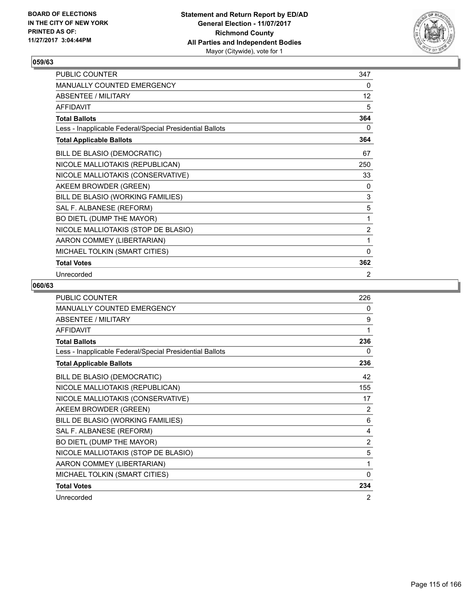

| PUBLIC COUNTER                                           | 347            |
|----------------------------------------------------------|----------------|
| MANUALLY COUNTED EMERGENCY                               | 0              |
| <b>ABSENTEE / MILITARY</b>                               | 12             |
| <b>AFFIDAVIT</b>                                         | 5              |
| <b>Total Ballots</b>                                     | 364            |
| Less - Inapplicable Federal/Special Presidential Ballots | 0              |
| <b>Total Applicable Ballots</b>                          | 364            |
| BILL DE BLASIO (DEMOCRATIC)                              | 67             |
| NICOLE MALLIOTAKIS (REPUBLICAN)                          | 250            |
| NICOLE MALLIOTAKIS (CONSERVATIVE)                        | 33             |
| AKEEM BROWDER (GREEN)                                    | 0              |
| BILL DE BLASIO (WORKING FAMILIES)                        | 3              |
| SAL F. ALBANESE (REFORM)                                 | 5              |
| BO DIETL (DUMP THE MAYOR)                                | 1              |
| NICOLE MALLIOTAKIS (STOP DE BLASIO)                      | $\overline{2}$ |
| AARON COMMEY (LIBERTARIAN)                               | 1              |
| MICHAEL TOLKIN (SMART CITIES)                            | 0              |
| <b>Total Votes</b>                                       | 362            |
| Unrecorded                                               | $\overline{2}$ |

| <b>PUBLIC COUNTER</b>                                    | 226            |
|----------------------------------------------------------|----------------|
| <b>MANUALLY COUNTED EMERGENCY</b>                        | 0              |
| <b>ABSENTEE / MILITARY</b>                               | 9              |
| <b>AFFIDAVIT</b>                                         | 1              |
| <b>Total Ballots</b>                                     | 236            |
| Less - Inapplicable Federal/Special Presidential Ballots | 0              |
| <b>Total Applicable Ballots</b>                          | 236            |
| BILL DE BLASIO (DEMOCRATIC)                              | 42             |
| NICOLE MALLIOTAKIS (REPUBLICAN)                          | 155            |
| NICOLE MALLIOTAKIS (CONSERVATIVE)                        | 17             |
| AKEEM BROWDER (GREEN)                                    | 2              |
| BILL DE BLASIO (WORKING FAMILIES)                        | 6              |
| SAL F. ALBANESE (REFORM)                                 | 4              |
| BO DIETL (DUMP THE MAYOR)                                | $\overline{2}$ |
| NICOLE MALLIOTAKIS (STOP DE BLASIO)                      | 5              |
| AARON COMMEY (LIBERTARIAN)                               | 1              |
| MICHAEL TOLKIN (SMART CITIES)                            | $\Omega$       |
| <b>Total Votes</b>                                       | 234            |
| Unrecorded                                               | 2              |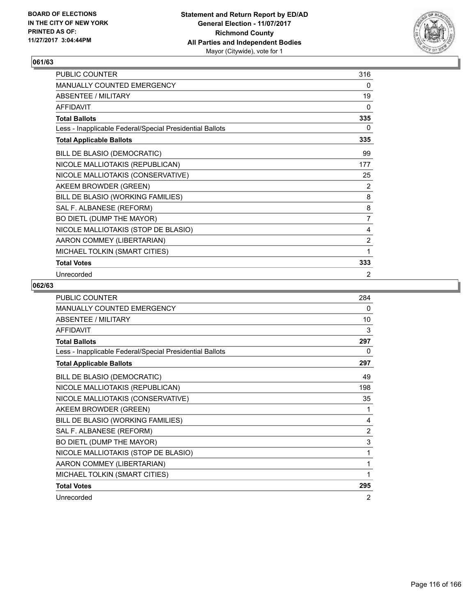

| PUBLIC COUNTER                                           | 316            |
|----------------------------------------------------------|----------------|
| MANUALLY COUNTED EMERGENCY                               | 0              |
| <b>ABSENTEE / MILITARY</b>                               | 19             |
| <b>AFFIDAVIT</b>                                         | $\mathbf{0}$   |
| <b>Total Ballots</b>                                     | 335            |
| Less - Inapplicable Federal/Special Presidential Ballots | 0              |
| <b>Total Applicable Ballots</b>                          | 335            |
| BILL DE BLASIO (DEMOCRATIC)                              | 99             |
| NICOLE MALLIOTAKIS (REPUBLICAN)                          | 177            |
| NICOLE MALLIOTAKIS (CONSERVATIVE)                        | 25             |
| AKEEM BROWDER (GREEN)                                    | 2              |
| BILL DE BLASIO (WORKING FAMILIES)                        | 8              |
| SAL F. ALBANESE (REFORM)                                 | 8              |
| BO DIETL (DUMP THE MAYOR)                                | $\overline{7}$ |
| NICOLE MALLIOTAKIS (STOP DE BLASIO)                      | 4              |
| AARON COMMEY (LIBERTARIAN)                               | $\overline{2}$ |
| MICHAEL TOLKIN (SMART CITIES)                            | 1              |
| <b>Total Votes</b>                                       | 333            |
| Unrecorded                                               | 2              |

| <b>PUBLIC COUNTER</b>                                    | 284            |
|----------------------------------------------------------|----------------|
| <b>MANUALLY COUNTED EMERGENCY</b>                        | 0              |
| <b>ABSENTEE / MILITARY</b>                               | 10             |
| <b>AFFIDAVIT</b>                                         | 3              |
| <b>Total Ballots</b>                                     | 297            |
| Less - Inapplicable Federal/Special Presidential Ballots | 0              |
| <b>Total Applicable Ballots</b>                          | 297            |
| BILL DE BLASIO (DEMOCRATIC)                              | 49             |
| NICOLE MALLIOTAKIS (REPUBLICAN)                          | 198            |
| NICOLE MALLIOTAKIS (CONSERVATIVE)                        | 35             |
| AKEEM BROWDER (GREEN)                                    | 1              |
| BILL DE BLASIO (WORKING FAMILIES)                        | 4              |
| SAL F. ALBANESE (REFORM)                                 | $\overline{2}$ |
| BO DIETL (DUMP THE MAYOR)                                | 3              |
| NICOLE MALLIOTAKIS (STOP DE BLASIO)                      | 1              |
| AARON COMMEY (LIBERTARIAN)                               | 1              |
| MICHAEL TOLKIN (SMART CITIES)                            | 1              |
| <b>Total Votes</b>                                       | 295            |
| Unrecorded                                               | 2              |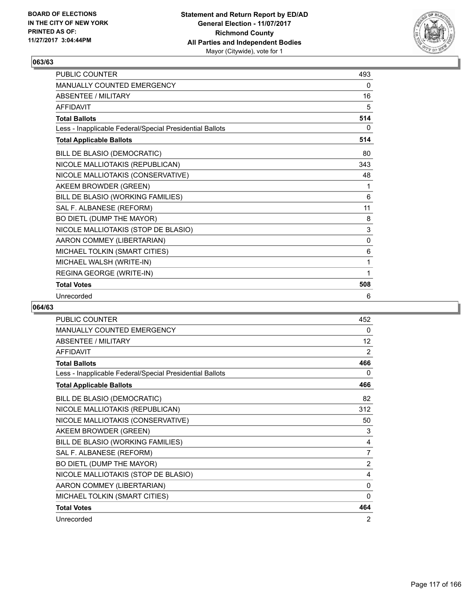

| <b>PUBLIC COUNTER</b>                                    | 493          |
|----------------------------------------------------------|--------------|
| <b>MANUALLY COUNTED EMERGENCY</b>                        | 0            |
| ABSENTEE / MII ITARY                                     | 16           |
| <b>AFFIDAVIT</b>                                         | 5            |
| <b>Total Ballots</b>                                     | 514          |
| Less - Inapplicable Federal/Special Presidential Ballots | 0            |
| <b>Total Applicable Ballots</b>                          | 514          |
| BILL DE BLASIO (DEMOCRATIC)                              | 80           |
| NICOLE MALLIOTAKIS (REPUBLICAN)                          | 343          |
| NICOLE MALLIOTAKIS (CONSERVATIVE)                        | 48           |
| AKEEM BROWDER (GREEN)                                    | 1            |
| BILL DE BLASIO (WORKING FAMILIES)                        | 6            |
| SAL F. ALBANESE (REFORM)                                 | 11           |
| BO DIETL (DUMP THE MAYOR)                                | 8            |
| NICOLE MALLIOTAKIS (STOP DE BLASIO)                      | 3            |
| AARON COMMEY (LIBERTARIAN)                               | $\mathbf{0}$ |
| MICHAEL TOLKIN (SMART CITIES)                            | 6            |
| MICHAEL WALSH (WRITE-IN)                                 | 1            |
| REGINA GEORGE (WRITE-IN)                                 | 1            |
| <b>Total Votes</b>                                       | 508          |
| Unrecorded                                               | 6            |

| PUBLIC COUNTER                                           | 452            |
|----------------------------------------------------------|----------------|
| <b>MANUALLY COUNTED EMERGENCY</b>                        | 0              |
| <b>ABSENTEE / MILITARY</b>                               | 12             |
| <b>AFFIDAVIT</b>                                         | 2              |
| <b>Total Ballots</b>                                     | 466            |
| Less - Inapplicable Federal/Special Presidential Ballots | 0              |
| <b>Total Applicable Ballots</b>                          | 466            |
| BILL DE BLASIO (DEMOCRATIC)                              | 82             |
| NICOLE MALLIOTAKIS (REPUBLICAN)                          | 312            |
| NICOLE MALLIOTAKIS (CONSERVATIVE)                        | 50             |
| AKEEM BROWDER (GREEN)                                    | 3              |
| BILL DE BLASIO (WORKING FAMILIES)                        | 4              |
| SAL F. ALBANESE (REFORM)                                 | $\overline{7}$ |
| BO DIETL (DUMP THE MAYOR)                                | 2              |
| NICOLE MALLIOTAKIS (STOP DE BLASIO)                      | 4              |
| AARON COMMEY (LIBERTARIAN)                               | 0              |
| MICHAEL TOLKIN (SMART CITIES)                            | 0              |
| <b>Total Votes</b>                                       | 464            |
| Unrecorded                                               | $\overline{2}$ |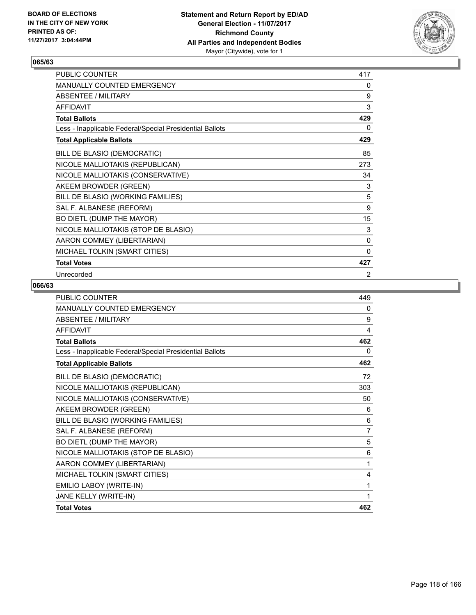

| PUBLIC COUNTER                                           | 417          |
|----------------------------------------------------------|--------------|
| MANUALLY COUNTED EMERGENCY                               | 0            |
| <b>ABSENTEE / MILITARY</b>                               | 9            |
| <b>AFFIDAVIT</b>                                         | 3            |
| <b>Total Ballots</b>                                     | 429          |
| Less - Inapplicable Federal/Special Presidential Ballots | 0            |
| <b>Total Applicable Ballots</b>                          | 429          |
| BILL DE BLASIO (DEMOCRATIC)                              | 85           |
| NICOLE MALLIOTAKIS (REPUBLICAN)                          | 273          |
| NICOLE MALLIOTAKIS (CONSERVATIVE)                        | 34           |
| AKEEM BROWDER (GREEN)                                    | 3            |
| BILL DE BLASIO (WORKING FAMILIES)                        | 5            |
| SAL F. ALBANESE (REFORM)                                 | 9            |
| BO DIETL (DUMP THE MAYOR)                                | 15           |
| NICOLE MALLIOTAKIS (STOP DE BLASIO)                      | 3            |
| AARON COMMEY (LIBERTARIAN)                               | 0            |
| MICHAEL TOLKIN (SMART CITIES)                            | $\mathbf{0}$ |
| <b>Total Votes</b>                                       | 427          |
| Unrecorded                                               | 2            |

| PUBLIC COUNTER                                           | 449 |
|----------------------------------------------------------|-----|
| MANUALLY COUNTED EMERGENCY                               | 0   |
| <b>ABSENTEE / MILITARY</b>                               | 9   |
| <b>AFFIDAVIT</b>                                         | 4   |
| <b>Total Ballots</b>                                     | 462 |
| Less - Inapplicable Federal/Special Presidential Ballots | 0   |
| <b>Total Applicable Ballots</b>                          | 462 |
| BILL DE BLASIO (DEMOCRATIC)                              | 72  |
| NICOLE MALLIOTAKIS (REPUBLICAN)                          | 303 |
| NICOLE MALLIOTAKIS (CONSERVATIVE)                        | 50  |
| AKEEM BROWDER (GREEN)                                    | 6   |
| BILL DE BLASIO (WORKING FAMILIES)                        | 6   |
| SAL F. ALBANESE (REFORM)                                 | 7   |
| BO DIETL (DUMP THE MAYOR)                                | 5   |
| NICOLE MALLIOTAKIS (STOP DE BLASIO)                      | 6   |
| AARON COMMEY (LIBERTARIAN)                               | 1   |
| MICHAEL TOLKIN (SMART CITIES)                            | 4   |
| EMILIO LABOY (WRITE-IN)                                  | 1   |
| JANE KELLY (WRITE-IN)                                    | 1   |
| <b>Total Votes</b>                                       | 462 |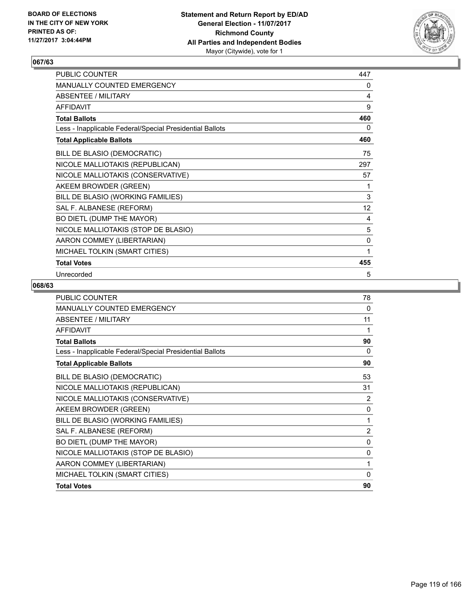

| PUBLIC COUNTER                                           | 447         |
|----------------------------------------------------------|-------------|
| MANUALLY COUNTED EMERGENCY                               | 0           |
| <b>ABSENTEE / MILITARY</b>                               | 4           |
| <b>AFFIDAVIT</b>                                         | 9           |
| <b>Total Ballots</b>                                     | 460         |
| Less - Inapplicable Federal/Special Presidential Ballots | 0           |
| <b>Total Applicable Ballots</b>                          | 460         |
| BILL DE BLASIO (DEMOCRATIC)                              | 75          |
| NICOLE MALLIOTAKIS (REPUBLICAN)                          | 297         |
| NICOLE MALLIOTAKIS (CONSERVATIVE)                        | 57          |
| AKEEM BROWDER (GREEN)                                    | 1           |
| BILL DE BLASIO (WORKING FAMILIES)                        | $\mathsf 3$ |
| SAL F. ALBANESE (REFORM)                                 | 12          |
| BO DIETL (DUMP THE MAYOR)                                | 4           |
| NICOLE MALLIOTAKIS (STOP DE BLASIO)                      | 5           |
| AARON COMMEY (LIBERTARIAN)                               | 0           |
| MICHAEL TOLKIN (SMART CITIES)                            | 1           |
| <b>Total Votes</b>                                       | 455         |
| Unrecorded                                               | 5           |

| <b>PUBLIC COUNTER</b>                                    | 78             |
|----------------------------------------------------------|----------------|
| <b>MANUALLY COUNTED EMERGENCY</b>                        | $\Omega$       |
| <b>ABSENTEE / MILITARY</b>                               | 11             |
| <b>AFFIDAVIT</b>                                         | 1              |
| <b>Total Ballots</b>                                     | 90             |
| Less - Inapplicable Federal/Special Presidential Ballots | $\Omega$       |
| <b>Total Applicable Ballots</b>                          | 90             |
| BILL DE BLASIO (DEMOCRATIC)                              | 53             |
| NICOLE MALLIOTAKIS (REPUBLICAN)                          | 31             |
| NICOLE MALLIOTAKIS (CONSERVATIVE)                        | 2              |
| AKEEM BROWDER (GREEN)                                    | $\Omega$       |
| BILL DE BLASIO (WORKING FAMILIES)                        | 1              |
| SAL F. ALBANESE (REFORM)                                 | $\overline{c}$ |
| BO DIETL (DUMP THE MAYOR)                                | $\mathbf 0$    |
| NICOLE MALLIOTAKIS (STOP DE BLASIO)                      | $\Omega$       |
| AARON COMMEY (LIBERTARIAN)                               | 1              |
| MICHAEL TOLKIN (SMART CITIES)                            | $\Omega$       |
| <b>Total Votes</b>                                       | 90             |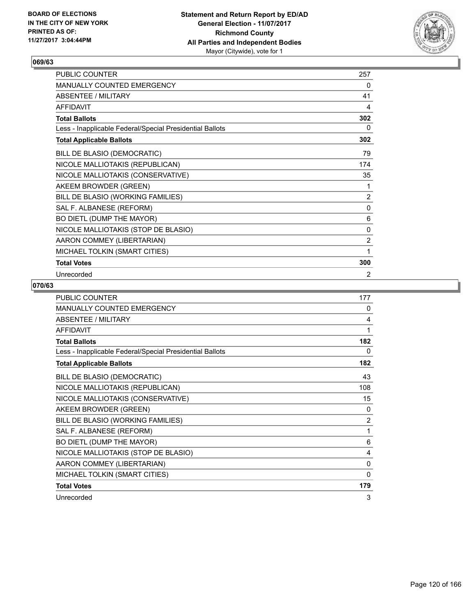

| PUBLIC COUNTER                                           | 257            |
|----------------------------------------------------------|----------------|
| MANUALLY COUNTED EMERGENCY                               | 0              |
| <b>ABSENTEE / MILITARY</b>                               | 41             |
| <b>AFFIDAVIT</b>                                         | 4              |
| <b>Total Ballots</b>                                     | 302            |
| Less - Inapplicable Federal/Special Presidential Ballots | 0              |
| <b>Total Applicable Ballots</b>                          | 302            |
| BILL DE BLASIO (DEMOCRATIC)                              | 79             |
| NICOLE MALLIOTAKIS (REPUBLICAN)                          | 174            |
| NICOLE MALLIOTAKIS (CONSERVATIVE)                        | 35             |
| AKEEM BROWDER (GREEN)                                    | 1              |
| BILL DE BLASIO (WORKING FAMILIES)                        | 2              |
| SAL F. ALBANESE (REFORM)                                 | 0              |
| BO DIETL (DUMP THE MAYOR)                                | 6              |
| NICOLE MALLIOTAKIS (STOP DE BLASIO)                      | 0              |
| AARON COMMEY (LIBERTARIAN)                               | $\overline{2}$ |
| MICHAEL TOLKIN (SMART CITIES)                            | 1              |
| <b>Total Votes</b>                                       | 300            |
| Unrecorded                                               | 2              |

| <b>PUBLIC COUNTER</b>                                    | 177            |
|----------------------------------------------------------|----------------|
| <b>MANUALLY COUNTED EMERGENCY</b>                        | 0              |
| <b>ABSENTEE / MILITARY</b>                               | 4              |
| <b>AFFIDAVIT</b>                                         | 1              |
| <b>Total Ballots</b>                                     | 182            |
| Less - Inapplicable Federal/Special Presidential Ballots | 0              |
| <b>Total Applicable Ballots</b>                          | 182            |
| BILL DE BLASIO (DEMOCRATIC)                              | 43             |
| NICOLE MALLIOTAKIS (REPUBLICAN)                          | 108            |
| NICOLE MALLIOTAKIS (CONSERVATIVE)                        | 15             |
| AKEEM BROWDER (GREEN)                                    | 0              |
| BILL DE BLASIO (WORKING FAMILIES)                        | $\overline{2}$ |
| SAL F. ALBANESE (REFORM)                                 | 1              |
| BO DIETL (DUMP THE MAYOR)                                | 6              |
| NICOLE MALLIOTAKIS (STOP DE BLASIO)                      | 4              |
| AARON COMMEY (LIBERTARIAN)                               | 0              |
| MICHAEL TOLKIN (SMART CITIES)                            | $\Omega$       |
| <b>Total Votes</b>                                       | 179            |
| Unrecorded                                               | 3              |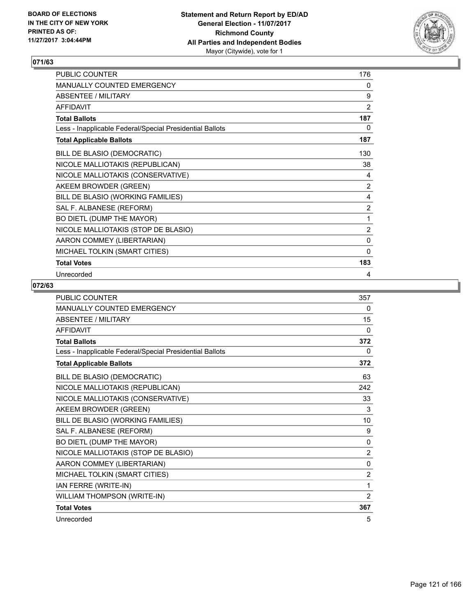

| PUBLIC COUNTER                                           | 176            |
|----------------------------------------------------------|----------------|
| MANUALLY COUNTED EMERGENCY                               | 0              |
| <b>ABSENTEE / MILITARY</b>                               | 9              |
| <b>AFFIDAVIT</b>                                         | $\overline{2}$ |
| <b>Total Ballots</b>                                     | 187            |
| Less - Inapplicable Federal/Special Presidential Ballots | 0              |
| <b>Total Applicable Ballots</b>                          | 187            |
| BILL DE BLASIO (DEMOCRATIC)                              | 130            |
| NICOLE MALLIOTAKIS (REPUBLICAN)                          | 38             |
| NICOLE MALLIOTAKIS (CONSERVATIVE)                        | 4              |
| AKEEM BROWDER (GREEN)                                    | 2              |
| BILL DE BLASIO (WORKING FAMILIES)                        | 4              |
| SAL F. ALBANESE (REFORM)                                 | 2              |
| BO DIETL (DUMP THE MAYOR)                                | 1              |
| NICOLE MALLIOTAKIS (STOP DE BLASIO)                      | $\overline{2}$ |
| AARON COMMEY (LIBERTARIAN)                               | 0              |
| MICHAEL TOLKIN (SMART CITIES)                            | $\mathbf{0}$   |
| <b>Total Votes</b>                                       | 183            |
| Unrecorded                                               | 4              |

| PUBLIC COUNTER                                           | 357            |
|----------------------------------------------------------|----------------|
| <b>MANUALLY COUNTED EMERGENCY</b>                        | 0              |
| <b>ABSENTEE / MILITARY</b>                               | 15             |
| <b>AFFIDAVIT</b>                                         | $\mathbf{0}$   |
| <b>Total Ballots</b>                                     | 372            |
| Less - Inapplicable Federal/Special Presidential Ballots | $\Omega$       |
| <b>Total Applicable Ballots</b>                          | 372            |
| BILL DE BLASIO (DEMOCRATIC)                              | 63             |
| NICOLE MALLIOTAKIS (REPUBLICAN)                          | 242            |
| NICOLE MALLIOTAKIS (CONSERVATIVE)                        | 33             |
| AKEEM BROWDER (GREEN)                                    | 3              |
| BILL DE BLASIO (WORKING FAMILIES)                        | 10             |
| SAL F. ALBANESE (REFORM)                                 | 9              |
| BO DIETL (DUMP THE MAYOR)                                | $\mathbf{0}$   |
| NICOLE MALLIOTAKIS (STOP DE BLASIO)                      | $\overline{2}$ |
| AARON COMMEY (LIBERTARIAN)                               | $\mathbf{0}$   |
| MICHAEL TOLKIN (SMART CITIES)                            | $\overline{2}$ |
| IAN FERRE (WRITE-IN)                                     | 1              |
| WILLIAM THOMPSON (WRITE-IN)                              | $\overline{2}$ |
| <b>Total Votes</b>                                       | 367            |
| Unrecorded                                               | 5              |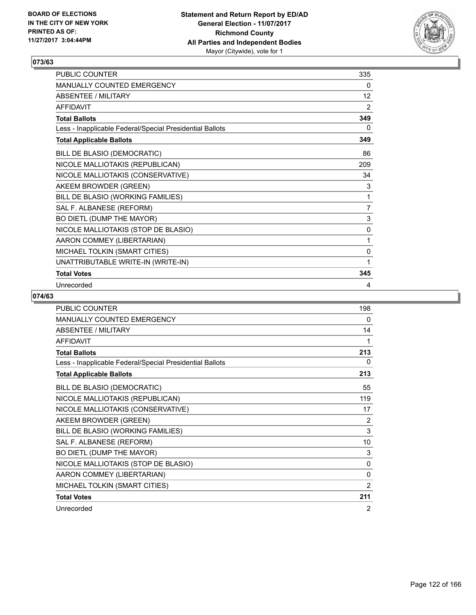

| <b>PUBLIC COUNTER</b>                                    | 335            |
|----------------------------------------------------------|----------------|
| <b>MANUALLY COUNTED EMERGENCY</b>                        | 0              |
| ABSENTEE / MILITARY                                      | 12             |
| AFFIDAVIT                                                | 2              |
| <b>Total Ballots</b>                                     | 349            |
| Less - Inapplicable Federal/Special Presidential Ballots | 0              |
| <b>Total Applicable Ballots</b>                          | 349            |
| BILL DE BLASIO (DEMOCRATIC)                              | 86             |
| NICOLE MALLIOTAKIS (REPUBLICAN)                          | 209            |
| NICOLE MALLIOTAKIS (CONSERVATIVE)                        | 34             |
| AKEEM BROWDER (GREEN)                                    | 3              |
| BILL DE BLASIO (WORKING FAMILIES)                        | 1              |
| SAL F. ALBANESE (REFORM)                                 | $\overline{7}$ |
| BO DIETL (DUMP THE MAYOR)                                | 3              |
| NICOLE MALLIOTAKIS (STOP DE BLASIO)                      | 0              |
| AARON COMMEY (LIBERTARIAN)                               | 1              |
| MICHAEL TOLKIN (SMART CITIES)                            | 0              |
| UNATTRIBUTABLE WRITE-IN (WRITE-IN)                       | 1              |
| <b>Total Votes</b>                                       | 345            |
| Unrecorded                                               | 4              |

| <b>PUBLIC COUNTER</b>                                    | 198 |
|----------------------------------------------------------|-----|
| <b>MANUALLY COUNTED EMERGENCY</b>                        | 0   |
| <b>ABSENTEE / MILITARY</b>                               | 14  |
| <b>AFFIDAVIT</b>                                         | 1   |
| <b>Total Ballots</b>                                     | 213 |
| Less - Inapplicable Federal/Special Presidential Ballots | 0   |
| <b>Total Applicable Ballots</b>                          | 213 |
| BILL DE BLASIO (DEMOCRATIC)                              | 55  |
| NICOLE MALLIOTAKIS (REPUBLICAN)                          | 119 |
| NICOLE MALLIOTAKIS (CONSERVATIVE)                        | 17  |
| AKEEM BROWDER (GREEN)                                    | 2   |
| BILL DE BLASIO (WORKING FAMILIES)                        | 3   |
| SAL F. ALBANESE (REFORM)                                 | 10  |
| BO DIETL (DUMP THE MAYOR)                                | 3   |
| NICOLE MALLIOTAKIS (STOP DE BLASIO)                      | 0   |
| AARON COMMEY (LIBERTARIAN)                               | 0   |
| MICHAEL TOLKIN (SMART CITIES)                            | 2   |
| <b>Total Votes</b>                                       | 211 |
| Unrecorded                                               | 2   |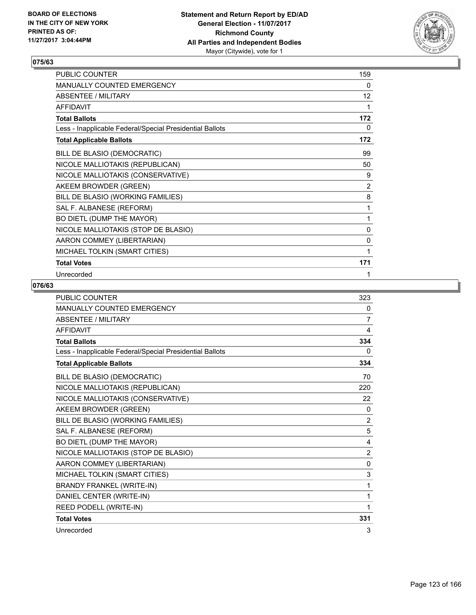

| PUBLIC COUNTER                                           | 159            |
|----------------------------------------------------------|----------------|
| MANUALLY COUNTED EMERGENCY                               | 0              |
| <b>ABSENTEE / MILITARY</b>                               | 12             |
| <b>AFFIDAVIT</b>                                         | 1              |
| <b>Total Ballots</b>                                     | 172            |
| Less - Inapplicable Federal/Special Presidential Ballots | 0              |
| <b>Total Applicable Ballots</b>                          | 172            |
| BILL DE BLASIO (DEMOCRATIC)                              | 99             |
| NICOLE MALLIOTAKIS (REPUBLICAN)                          | 50             |
| NICOLE MALLIOTAKIS (CONSERVATIVE)                        | 9              |
| AKEEM BROWDER (GREEN)                                    | $\overline{2}$ |
| BILL DE BLASIO (WORKING FAMILIES)                        | 8              |
| SAL F. ALBANESE (REFORM)                                 | 1              |
| BO DIETL (DUMP THE MAYOR)                                | 1              |
| NICOLE MALLIOTAKIS (STOP DE BLASIO)                      | 0              |
| AARON COMMEY (LIBERTARIAN)                               | 0              |
| MICHAEL TOLKIN (SMART CITIES)                            | 1              |
| <b>Total Votes</b>                                       | 171            |
| Unrecorded                                               | 1              |

| <b>PUBLIC COUNTER</b>                                    | 323            |
|----------------------------------------------------------|----------------|
| MANUALLY COUNTED EMERGENCY                               | 0              |
| ABSENTEE / MILITARY                                      | 7              |
| <b>AFFIDAVIT</b>                                         | 4              |
| <b>Total Ballots</b>                                     | 334            |
| Less - Inapplicable Federal/Special Presidential Ballots | 0              |
| <b>Total Applicable Ballots</b>                          | 334            |
| BILL DE BLASIO (DEMOCRATIC)                              | 70             |
| NICOLE MALLIOTAKIS (REPUBLICAN)                          | 220            |
| NICOLE MALLIOTAKIS (CONSERVATIVE)                        | 22             |
| AKEEM BROWDER (GREEN)                                    | 0              |
| BILL DE BLASIO (WORKING FAMILIES)                        | $\overline{2}$ |
| SAL F. ALBANESE (REFORM)                                 | 5              |
| BO DIETL (DUMP THE MAYOR)                                | 4              |
| NICOLE MALLIOTAKIS (STOP DE BLASIO)                      | $\overline{2}$ |
| AARON COMMEY (LIBERTARIAN)                               | $\mathbf{0}$   |
| MICHAEL TOLKIN (SMART CITIES)                            | 3              |
| <b>BRANDY FRANKEL (WRITE-IN)</b>                         | 1              |
| DANIEL CENTER (WRITE-IN)                                 | 1              |
| REED PODELL (WRITE-IN)                                   | 1              |
| <b>Total Votes</b>                                       | 331            |
| Unrecorded                                               | 3              |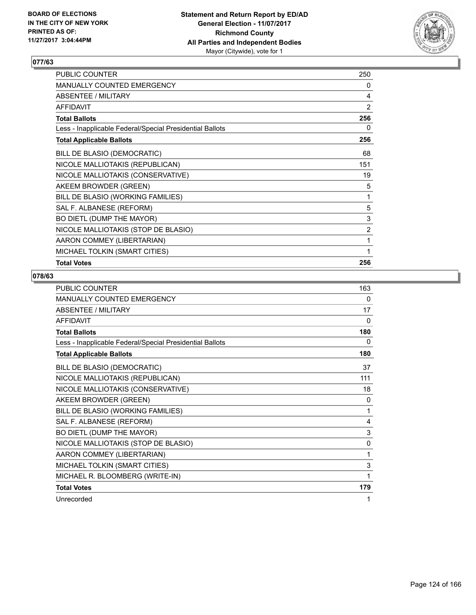

| PUBLIC COUNTER                                           | 250            |
|----------------------------------------------------------|----------------|
| MANUALLY COUNTED EMERGENCY                               | 0              |
| ABSENTEE / MILITARY                                      | 4              |
| <b>AFFIDAVIT</b>                                         | 2              |
| Total Ballots                                            | 256            |
| Less - Inapplicable Federal/Special Presidential Ballots | 0              |
| <b>Total Applicable Ballots</b>                          | 256            |
| BILL DE BLASIO (DEMOCRATIC)                              | 68             |
| NICOLE MALLIOTAKIS (REPUBLICAN)                          | 151            |
| NICOLE MALLIOTAKIS (CONSERVATIVE)                        | 19             |
| AKEEM BROWDER (GREEN)                                    | 5              |
| BILL DE BLASIO (WORKING FAMILIES)                        | 1              |
| SAL F. ALBANESE (REFORM)                                 | 5              |
| BO DIETL (DUMP THE MAYOR)                                | 3              |
| NICOLE MALLIOTAKIS (STOP DE BLASIO)                      | $\overline{2}$ |
| AARON COMMEY (LIBERTARIAN)                               | 1              |
| MICHAEL TOLKIN (SMART CITIES)                            | 1              |
| <b>Total Votes</b>                                       | 256            |

| <b>PUBLIC COUNTER</b>                                    | 163      |
|----------------------------------------------------------|----------|
| <b>MANUALLY COUNTED EMERGENCY</b>                        | 0        |
| <b>ABSENTEE / MILITARY</b>                               | 17       |
| <b>AFFIDAVIT</b>                                         | $\Omega$ |
| <b>Total Ballots</b>                                     | 180      |
| Less - Inapplicable Federal/Special Presidential Ballots | 0        |
| <b>Total Applicable Ballots</b>                          | 180      |
| BILL DE BLASIO (DEMOCRATIC)                              | 37       |
| NICOLE MALLIOTAKIS (REPUBLICAN)                          | 111      |
| NICOLE MALLIOTAKIS (CONSERVATIVE)                        | 18       |
| AKEEM BROWDER (GREEN)                                    | 0        |
| BILL DE BLASIO (WORKING FAMILIES)                        | 1        |
| SAL F. ALBANESE (REFORM)                                 | 4        |
| BO DIETL (DUMP THE MAYOR)                                | 3        |
| NICOLE MALLIOTAKIS (STOP DE BLASIO)                      | 0        |
| AARON COMMEY (LIBERTARIAN)                               | 1        |
| MICHAEL TOLKIN (SMART CITIES)                            | 3        |
| MICHAEL R. BLOOMBERG (WRITE-IN)                          | 1        |
| <b>Total Votes</b>                                       | 179      |
| Unrecorded                                               | 1        |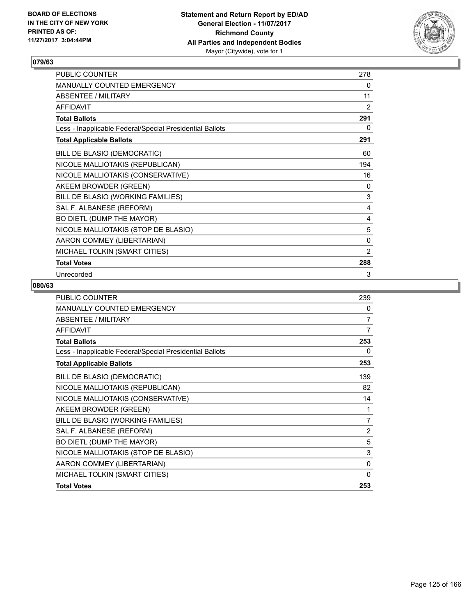

| PUBLIC COUNTER                                           | 278            |
|----------------------------------------------------------|----------------|
| MANUALLY COUNTED EMERGENCY                               | 0              |
| <b>ABSENTEE / MILITARY</b>                               | 11             |
| <b>AFFIDAVIT</b>                                         | 2              |
| <b>Total Ballots</b>                                     | 291            |
| Less - Inapplicable Federal/Special Presidential Ballots | 0              |
| <b>Total Applicable Ballots</b>                          | 291            |
| BILL DE BLASIO (DEMOCRATIC)                              | 60             |
| NICOLE MALLIOTAKIS (REPUBLICAN)                          | 194            |
| NICOLE MALLIOTAKIS (CONSERVATIVE)                        | 16             |
| AKEEM BROWDER (GREEN)                                    | 0              |
| BILL DE BLASIO (WORKING FAMILIES)                        | $\mathsf 3$    |
| SAL F. ALBANESE (REFORM)                                 | 4              |
| BO DIETL (DUMP THE MAYOR)                                | 4              |
| NICOLE MALLIOTAKIS (STOP DE BLASIO)                      | 5              |
| AARON COMMEY (LIBERTARIAN)                               | 0              |
| MICHAEL TOLKIN (SMART CITIES)                            | $\overline{2}$ |
| <b>Total Votes</b>                                       | 288            |
| Unrecorded                                               | 3              |

| <b>PUBLIC COUNTER</b>                                    | 239            |
|----------------------------------------------------------|----------------|
| MANUALLY COUNTED EMERGENCY                               | 0              |
| ABSENTEE / MILITARY                                      | 7              |
| <b>AFFIDAVIT</b>                                         | 7              |
| <b>Total Ballots</b>                                     | 253            |
| Less - Inapplicable Federal/Special Presidential Ballots | 0              |
| <b>Total Applicable Ballots</b>                          | 253            |
| BILL DE BLASIO (DEMOCRATIC)                              | 139            |
| NICOLE MALLIOTAKIS (REPUBLICAN)                          | 82             |
| NICOLE MALLIOTAKIS (CONSERVATIVE)                        | 14             |
| AKEEM BROWDER (GREEN)                                    | 1              |
| BILL DE BLASIO (WORKING FAMILIES)                        | $\overline{7}$ |
| SAL F. ALBANESE (REFORM)                                 | $\overline{2}$ |
| BO DIETL (DUMP THE MAYOR)                                | 5              |
| NICOLE MALLIOTAKIS (STOP DE BLASIO)                      | 3              |
| AARON COMMEY (LIBERTARIAN)                               | 0              |
| MICHAEL TOLKIN (SMART CITIES)                            | 0              |
| <b>Total Votes</b>                                       | 253            |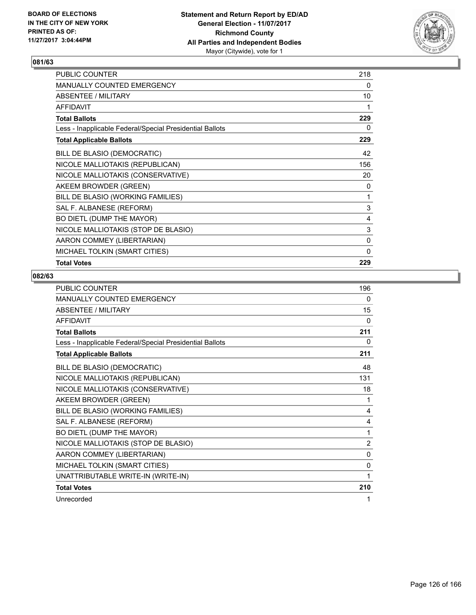

| PUBLIC COUNTER                                           | 218 |
|----------------------------------------------------------|-----|
| MANUALLY COUNTED EMERGENCY                               | 0   |
| ABSENTEE / MILITARY                                      | 10  |
| <b>AFFIDAVIT</b>                                         | 1   |
| <b>Total Ballots</b>                                     | 229 |
| Less - Inapplicable Federal/Special Presidential Ballots | 0   |
| <b>Total Applicable Ballots</b>                          | 229 |
| BILL DE BLASIO (DEMOCRATIC)                              | 42  |
| NICOLE MALLIOTAKIS (REPUBLICAN)                          | 156 |
| NICOLE MALLIOTAKIS (CONSERVATIVE)                        | 20  |
| AKEEM BROWDER (GREEN)                                    | 0   |
| BILL DE BLASIO (WORKING FAMILIES)                        | 1   |
| SAL F. ALBANESE (REFORM)                                 | 3   |
| BO DIETL (DUMP THE MAYOR)                                | 4   |
| NICOLE MALLIOTAKIS (STOP DE BLASIO)                      | 3   |
| AARON COMMEY (LIBERTARIAN)                               | 0   |
| MICHAEL TOLKIN (SMART CITIES)                            | 0   |
| <b>Total Votes</b>                                       | 229 |

| <b>PUBLIC COUNTER</b>                                    | 196            |
|----------------------------------------------------------|----------------|
| MANUALLY COUNTED EMERGENCY                               | 0              |
| <b>ABSENTEE / MILITARY</b>                               | 15             |
| <b>AFFIDAVIT</b>                                         | $\Omega$       |
| <b>Total Ballots</b>                                     | 211            |
| Less - Inapplicable Federal/Special Presidential Ballots | 0              |
| <b>Total Applicable Ballots</b>                          | 211            |
| BILL DE BLASIO (DEMOCRATIC)                              | 48             |
| NICOLE MALLIOTAKIS (REPUBLICAN)                          | 131            |
| NICOLE MALLIOTAKIS (CONSERVATIVE)                        | 18             |
| AKEEM BROWDER (GREEN)                                    | 1              |
| BILL DE BLASIO (WORKING FAMILIES)                        | 4              |
| SAL F. ALBANESE (REFORM)                                 | 4              |
| BO DIETL (DUMP THE MAYOR)                                | 1              |
| NICOLE MALLIOTAKIS (STOP DE BLASIO)                      | $\overline{2}$ |
| AARON COMMEY (LIBERTARIAN)                               | $\mathbf{0}$   |
| MICHAEL TOLKIN (SMART CITIES)                            | 0              |
| UNATTRIBUTABLE WRITE-IN (WRITE-IN)                       | 1              |
| <b>Total Votes</b>                                       | 210            |
| Unrecorded                                               | 1              |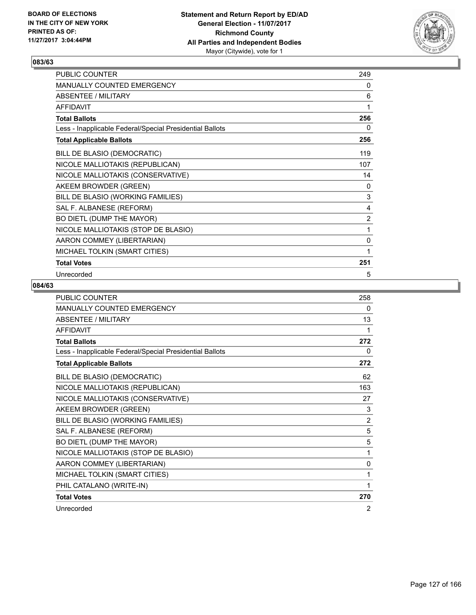

| PUBLIC COUNTER                                           | 249            |
|----------------------------------------------------------|----------------|
| MANUALLY COUNTED EMERGENCY                               | 0              |
| <b>ABSENTEE / MILITARY</b>                               | 6              |
| <b>AFFIDAVIT</b>                                         | 1              |
| <b>Total Ballots</b>                                     | 256            |
| Less - Inapplicable Federal/Special Presidential Ballots | 0              |
| <b>Total Applicable Ballots</b>                          | 256            |
| BILL DE BLASIO (DEMOCRATIC)                              | 119            |
| NICOLE MALLIOTAKIS (REPUBLICAN)                          | 107            |
| NICOLE MALLIOTAKIS (CONSERVATIVE)                        | 14             |
| AKEEM BROWDER (GREEN)                                    | 0              |
| BILL DE BLASIO (WORKING FAMILIES)                        | 3              |
| SAL F. ALBANESE (REFORM)                                 | 4              |
| BO DIETL (DUMP THE MAYOR)                                | $\overline{2}$ |
| NICOLE MALLIOTAKIS (STOP DE BLASIO)                      | 1              |
| AARON COMMEY (LIBERTARIAN)                               | 0              |
| MICHAEL TOLKIN (SMART CITIES)                            | 1              |
| <b>Total Votes</b>                                       | 251            |
| Unrecorded                                               | 5              |

| <b>PUBLIC COUNTER</b>                                    | 258            |
|----------------------------------------------------------|----------------|
| <b>MANUALLY COUNTED EMERGENCY</b>                        | 0              |
| <b>ABSENTEE / MILITARY</b>                               | 13             |
| <b>AFFIDAVIT</b>                                         | 1              |
| <b>Total Ballots</b>                                     | 272            |
| Less - Inapplicable Federal/Special Presidential Ballots | 0              |
| <b>Total Applicable Ballots</b>                          | 272            |
| BILL DE BLASIO (DEMOCRATIC)                              | 62             |
| NICOLE MALLIOTAKIS (REPUBLICAN)                          | 163            |
| NICOLE MALLIOTAKIS (CONSERVATIVE)                        | 27             |
| AKEEM BROWDER (GREEN)                                    | 3              |
| BILL DE BLASIO (WORKING FAMILIES)                        | $\overline{2}$ |
| SAL F. ALBANESE (REFORM)                                 | 5              |
| BO DIETL (DUMP THE MAYOR)                                | 5              |
| NICOLE MALLIOTAKIS (STOP DE BLASIO)                      | 1              |
| AARON COMMEY (LIBERTARIAN)                               | $\mathbf{0}$   |
| MICHAEL TOLKIN (SMART CITIES)                            | 1              |
| PHIL CATALANO (WRITE-IN)                                 | 1              |
| <b>Total Votes</b>                                       | 270            |
| Unrecorded                                               | 2              |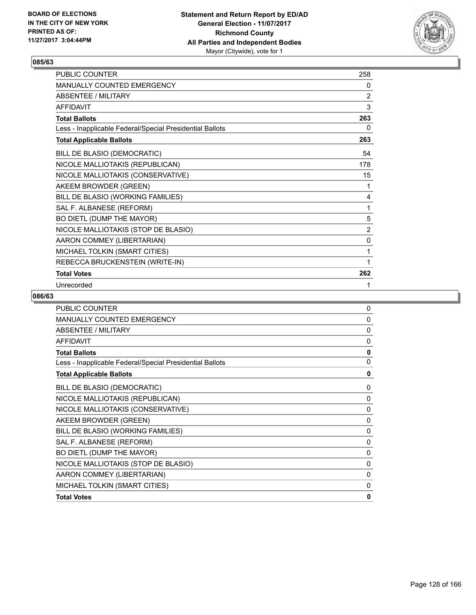

| PUBLIC COUNTER                                           | 258 |
|----------------------------------------------------------|-----|
| <b>MANUALLY COUNTED EMERGENCY</b>                        | 0   |
| <b>ABSENTEE / MILITARY</b>                               | 2   |
| <b>AFFIDAVIT</b>                                         | 3   |
| <b>Total Ballots</b>                                     | 263 |
| Less - Inapplicable Federal/Special Presidential Ballots | 0   |
| <b>Total Applicable Ballots</b>                          | 263 |
| BILL DE BLASIO (DEMOCRATIC)                              | 54  |
| NICOLE MALLIOTAKIS (REPUBLICAN)                          | 178 |
| NICOLE MALLIOTAKIS (CONSERVATIVE)                        | 15  |
| AKEEM BROWDER (GREEN)                                    | 1   |
| BILL DE BLASIO (WORKING FAMILIES)                        | 4   |
| SAL F. ALBANESE (REFORM)                                 | 1   |
| BO DIETL (DUMP THE MAYOR)                                | 5   |
| NICOLE MALLIOTAKIS (STOP DE BLASIO)                      | 2   |
| AARON COMMEY (LIBERTARIAN)                               | 0   |
| MICHAEL TOLKIN (SMART CITIES)                            | 1   |
| REBECCA BRUCKENSTEIN (WRITE-IN)                          | 1   |
| <b>Total Votes</b>                                       | 262 |
| Unrecorded                                               | 1   |

| <b>PUBLIC COUNTER</b>                                    | 0            |
|----------------------------------------------------------|--------------|
| <b>MANUALLY COUNTED EMERGENCY</b>                        | 0            |
| <b>ABSENTEE / MILITARY</b>                               | 0            |
| <b>AFFIDAVIT</b>                                         | $\mathbf 0$  |
| <b>Total Ballots</b>                                     | $\mathbf{0}$ |
| Less - Inapplicable Federal/Special Presidential Ballots | $\mathbf{0}$ |
| <b>Total Applicable Ballots</b>                          | 0            |
| BILL DE BLASIO (DEMOCRATIC)                              | 0            |
| NICOLE MALLIOTAKIS (REPUBLICAN)                          | 0            |
| NICOLE MALLIOTAKIS (CONSERVATIVE)                        | 0            |
| AKEEM BROWDER (GREEN)                                    | 0            |
| BILL DE BLASIO (WORKING FAMILIES)                        | 0            |
| SAL F. ALBANESE (REFORM)                                 | 0            |
| BO DIETL (DUMP THE MAYOR)                                | 0            |
| NICOLE MALLIOTAKIS (STOP DE BLASIO)                      | 0            |
| AARON COMMEY (LIBERTARIAN)                               | 0            |
| MICHAEL TOLKIN (SMART CITIES)                            | 0            |
| <b>Total Votes</b>                                       | 0            |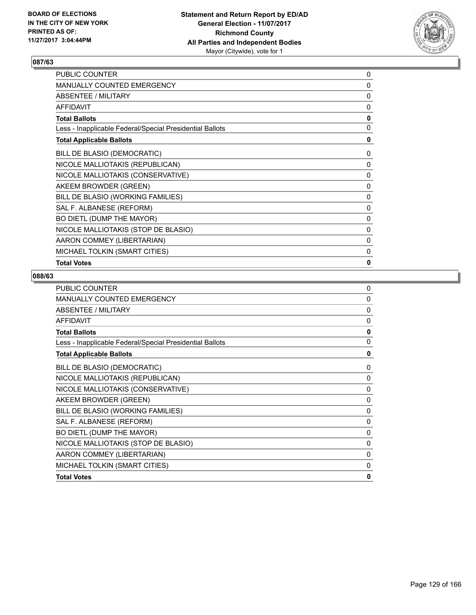

| PUBLIC COUNTER                                           | 0            |
|----------------------------------------------------------|--------------|
| <b>MANUALLY COUNTED EMERGENCY</b>                        | 0            |
| ABSENTEE / MILITARY                                      | 0            |
| <b>AFFIDAVIT</b>                                         | 0            |
| <b>Total Ballots</b>                                     | 0            |
| Less - Inapplicable Federal/Special Presidential Ballots | 0            |
| <b>Total Applicable Ballots</b>                          | 0            |
| BILL DE BLASIO (DEMOCRATIC)                              | 0            |
| NICOLE MALLIOTAKIS (REPUBLICAN)                          | 0            |
| NICOLE MALLIOTAKIS (CONSERVATIVE)                        | 0            |
| AKEEM BROWDER (GREEN)                                    | $\mathbf{0}$ |
| BILL DE BLASIO (WORKING FAMILIES)                        | 0            |
| SAL F. ALBANESE (REFORM)                                 | 0            |
| BO DIETL (DUMP THE MAYOR)                                | 0            |
| NICOLE MALLIOTAKIS (STOP DE BLASIO)                      | 0            |
| AARON COMMEY (LIBERTARIAN)                               | 0            |
| MICHAEL TOLKIN (SMART CITIES)                            | 0            |
| <b>Total Votes</b>                                       | 0            |

| <b>PUBLIC COUNTER</b>                                    | $\Omega$     |
|----------------------------------------------------------|--------------|
| MANUALLY COUNTED EMERGENCY                               | $\mathbf{0}$ |
| <b>ABSENTEE / MILITARY</b>                               | $\mathbf{0}$ |
| <b>AFFIDAVIT</b>                                         | $\mathbf{0}$ |
| <b>Total Ballots</b>                                     | 0            |
| Less - Inapplicable Federal/Special Presidential Ballots | $\mathbf{0}$ |
| <b>Total Applicable Ballots</b>                          | $\mathbf{0}$ |
| BILL DE BLASIO (DEMOCRATIC)                              | 0            |
| NICOLE MALLIOTAKIS (REPUBLICAN)                          | 0            |
| NICOLE MALLIOTAKIS (CONSERVATIVE)                        | 0            |
| AKEEM BROWDER (GREEN)                                    | 0            |
| BILL DE BLASIO (WORKING FAMILIES)                        | 0            |
| SAL F. ALBANESE (REFORM)                                 | 0            |
| BO DIETL (DUMP THE MAYOR)                                | 0            |
| NICOLE MALLIOTAKIS (STOP DE BLASIO)                      | 0            |
| AARON COMMEY (LIBERTARIAN)                               | 0            |
| MICHAEL TOLKIN (SMART CITIES)                            | 0            |
| <b>Total Votes</b>                                       | 0            |
|                                                          |              |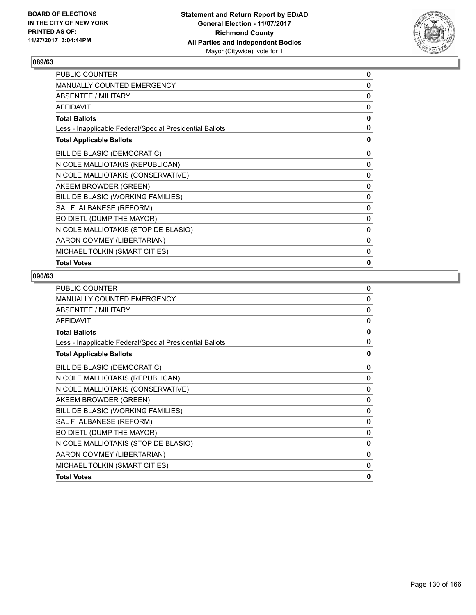

| PUBLIC COUNTER                                           | 0            |
|----------------------------------------------------------|--------------|
| <b>MANUALLY COUNTED EMERGENCY</b>                        | 0            |
| ABSENTEE / MILITARY                                      | 0            |
| <b>AFFIDAVIT</b>                                         | 0            |
| <b>Total Ballots</b>                                     | 0            |
| Less - Inapplicable Federal/Special Presidential Ballots | 0            |
| <b>Total Applicable Ballots</b>                          | 0            |
| BILL DE BLASIO (DEMOCRATIC)                              | 0            |
| NICOLE MALLIOTAKIS (REPUBLICAN)                          | 0            |
| NICOLE MALLIOTAKIS (CONSERVATIVE)                        | 0            |
| AKEEM BROWDER (GREEN)                                    | $\mathbf{0}$ |
| BILL DE BLASIO (WORKING FAMILIES)                        | 0            |
| SAL F. ALBANESE (REFORM)                                 | 0            |
| BO DIETL (DUMP THE MAYOR)                                | 0            |
| NICOLE MALLIOTAKIS (STOP DE BLASIO)                      | 0            |
| AARON COMMEY (LIBERTARIAN)                               | 0            |
| MICHAEL TOLKIN (SMART CITIES)                            | 0            |
| <b>Total Votes</b>                                       | 0            |

| <b>PUBLIC COUNTER</b>                                    | $\Omega$     |
|----------------------------------------------------------|--------------|
| MANUALLY COUNTED EMERGENCY                               | $\mathbf{0}$ |
| <b>ABSENTEE / MILITARY</b>                               | $\mathbf{0}$ |
| <b>AFFIDAVIT</b>                                         | $\mathbf{0}$ |
| <b>Total Ballots</b>                                     | 0            |
| Less - Inapplicable Federal/Special Presidential Ballots | $\mathbf{0}$ |
| <b>Total Applicable Ballots</b>                          | $\mathbf{0}$ |
| BILL DE BLASIO (DEMOCRATIC)                              | 0            |
| NICOLE MALLIOTAKIS (REPUBLICAN)                          | 0            |
| NICOLE MALLIOTAKIS (CONSERVATIVE)                        | 0            |
| AKEEM BROWDER (GREEN)                                    | 0            |
| BILL DE BLASIO (WORKING FAMILIES)                        | 0            |
| SAL F. ALBANESE (REFORM)                                 | 0            |
| BO DIETL (DUMP THE MAYOR)                                | 0            |
| NICOLE MALLIOTAKIS (STOP DE BLASIO)                      | 0            |
| AARON COMMEY (LIBERTARIAN)                               | 0            |
| MICHAEL TOLKIN (SMART CITIES)                            | 0            |
| <b>Total Votes</b>                                       | 0            |
|                                                          |              |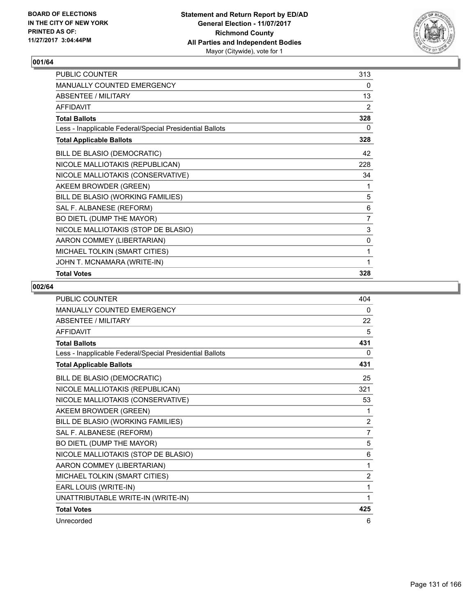

| PUBLIC COUNTER                                           | 313            |
|----------------------------------------------------------|----------------|
| MANUALLY COUNTED EMERGENCY                               | 0              |
| <b>ABSENTEE / MILITARY</b>                               | 13             |
| <b>AFFIDAVIT</b>                                         | 2              |
| <b>Total Ballots</b>                                     | 328            |
| Less - Inapplicable Federal/Special Presidential Ballots | 0              |
| <b>Total Applicable Ballots</b>                          | 328            |
| BILL DE BLASIO (DEMOCRATIC)                              | 42             |
| NICOLE MALLIOTAKIS (REPUBLICAN)                          | 228            |
| NICOLE MALLIOTAKIS (CONSERVATIVE)                        | 34             |
| AKEEM BROWDER (GREEN)                                    | 1              |
| BILL DE BLASIO (WORKING FAMILIES)                        | 5              |
| SAL F. ALBANESE (REFORM)                                 | 6              |
| BO DIETL (DUMP THE MAYOR)                                | $\overline{7}$ |
| NICOLE MALLIOTAKIS (STOP DE BLASIO)                      | 3              |
| AARON COMMEY (LIBERTARIAN)                               | 0              |
| MICHAEL TOLKIN (SMART CITIES)                            | 1              |
| JOHN T. MCNAMARA (WRITE-IN)                              | 1              |
| <b>Total Votes</b>                                       | 328            |

| <b>PUBLIC COUNTER</b>                                    | 404            |
|----------------------------------------------------------|----------------|
| MANUALLY COUNTED EMERGENCY                               | 0              |
| <b>ABSENTEE / MILITARY</b>                               | 22             |
| <b>AFFIDAVIT</b>                                         | 5              |
| <b>Total Ballots</b>                                     | 431            |
| Less - Inapplicable Federal/Special Presidential Ballots | 0              |
| <b>Total Applicable Ballots</b>                          | 431            |
| BILL DE BLASIO (DEMOCRATIC)                              | 25             |
| NICOLE MALLIOTAKIS (REPUBLICAN)                          | 321            |
| NICOLE MALLIOTAKIS (CONSERVATIVE)                        | 53             |
| AKEEM BROWDER (GREEN)                                    | 1              |
| BILL DE BLASIO (WORKING FAMILIES)                        | $\overline{2}$ |
| SAL F. ALBANESE (REFORM)                                 | 7              |
| BO DIETL (DUMP THE MAYOR)                                | 5              |
| NICOLE MALLIOTAKIS (STOP DE BLASIO)                      | 6              |
| AARON COMMEY (LIBERTARIAN)                               | 1              |
| MICHAEL TOLKIN (SMART CITIES)                            | 2              |
| EARL LOUIS (WRITE-IN)                                    | 1              |
| UNATTRIBUTABLE WRITE-IN (WRITE-IN)                       | 1              |
| <b>Total Votes</b>                                       | 425            |
| Unrecorded                                               | 6              |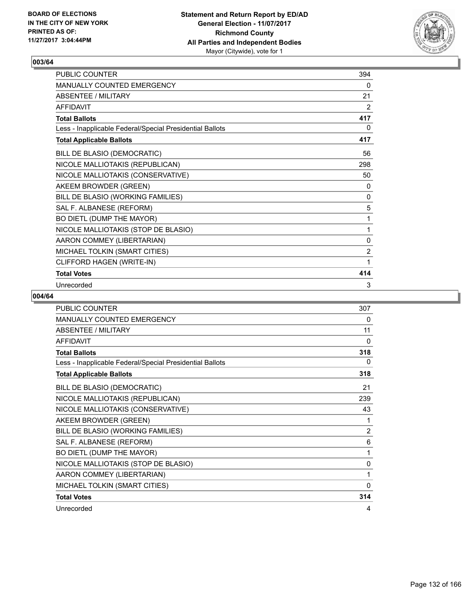

| PUBLIC COUNTER                                           | 394            |
|----------------------------------------------------------|----------------|
| <b>MANUALLY COUNTED EMERGENCY</b>                        | $\mathbf{0}$   |
| <b>ABSENTEE / MILITARY</b>                               | 21             |
| <b>AFFIDAVIT</b>                                         | 2              |
| <b>Total Ballots</b>                                     | 417            |
| Less - Inapplicable Federal/Special Presidential Ballots | 0              |
| <b>Total Applicable Ballots</b>                          | 417            |
| BILL DE BLASIO (DEMOCRATIC)                              | 56             |
| NICOLE MALLIOTAKIS (REPUBLICAN)                          | 298            |
| NICOLE MALLIOTAKIS (CONSERVATIVE)                        | 50             |
| AKEEM BROWDER (GREEN)                                    | 0              |
| BILL DE BLASIO (WORKING FAMILIES)                        | 0              |
| SAL F. ALBANESE (REFORM)                                 | 5              |
| BO DIETL (DUMP THE MAYOR)                                | 1              |
| NICOLE MALLIOTAKIS (STOP DE BLASIO)                      | 1              |
| AARON COMMEY (LIBERTARIAN)                               | 0              |
| MICHAEL TOLKIN (SMART CITIES)                            | $\overline{2}$ |
| CLIFFORD HAGEN (WRITE-IN)                                | 1              |
| <b>Total Votes</b>                                       | 414            |
| Unrecorded                                               | 3              |

| <b>PUBLIC COUNTER</b>                                    | 307 |
|----------------------------------------------------------|-----|
| <b>MANUALLY COUNTED EMERGENCY</b>                        | 0   |
| <b>ABSENTEE / MILITARY</b>                               | 11  |
| <b>AFFIDAVIT</b>                                         | 0   |
| <b>Total Ballots</b>                                     | 318 |
| Less - Inapplicable Federal/Special Presidential Ballots | 0   |
| <b>Total Applicable Ballots</b>                          | 318 |
| BILL DE BLASIO (DEMOCRATIC)                              | 21  |
| NICOLE MALLIOTAKIS (REPUBLICAN)                          | 239 |
| NICOLE MALLIOTAKIS (CONSERVATIVE)                        | 43  |
| AKEEM BROWDER (GREEN)                                    | 1   |
| BILL DE BLASIO (WORKING FAMILIES)                        | 2   |
| SAL F. ALBANESE (REFORM)                                 | 6   |
| BO DIETL (DUMP THE MAYOR)                                | 1   |
| NICOLE MALLIOTAKIS (STOP DE BLASIO)                      | 0   |
| AARON COMMEY (LIBERTARIAN)                               | 1   |
| MICHAEL TOLKIN (SMART CITIES)                            | 0   |
| <b>Total Votes</b>                                       | 314 |
| Unrecorded                                               | 4   |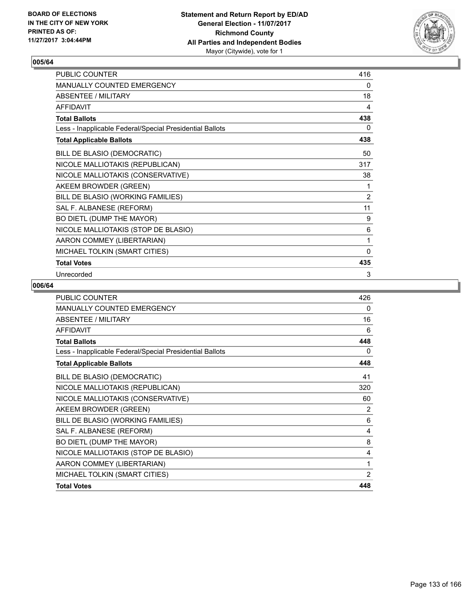

| PUBLIC COUNTER                                           | 416            |
|----------------------------------------------------------|----------------|
| MANUALLY COUNTED EMERGENCY                               | 0              |
| <b>ABSENTEE / MILITARY</b>                               | 18             |
| <b>AFFIDAVIT</b>                                         | 4              |
| <b>Total Ballots</b>                                     | 438            |
| Less - Inapplicable Federal/Special Presidential Ballots | 0              |
| <b>Total Applicable Ballots</b>                          | 438            |
| BILL DE BLASIO (DEMOCRATIC)                              | 50             |
| NICOLE MALLIOTAKIS (REPUBLICAN)                          | 317            |
| NICOLE MALLIOTAKIS (CONSERVATIVE)                        | 38             |
| AKEEM BROWDER (GREEN)                                    | 1              |
| BILL DE BLASIO (WORKING FAMILIES)                        | $\overline{2}$ |
| SAL F. ALBANESE (REFORM)                                 | 11             |
| BO DIETL (DUMP THE MAYOR)                                | 9              |
| NICOLE MALLIOTAKIS (STOP DE BLASIO)                      | 6              |
| AARON COMMEY (LIBERTARIAN)                               | 1              |
| MICHAEL TOLKIN (SMART CITIES)                            | $\mathbf{0}$   |
| <b>Total Votes</b>                                       | 435            |
| Unrecorded                                               | 3              |

| <b>PUBLIC COUNTER</b>                                    | 426 |
|----------------------------------------------------------|-----|
| <b>MANUALLY COUNTED EMERGENCY</b>                        | 0   |
| <b>ABSENTEE / MILITARY</b>                               | 16  |
| <b>AFFIDAVIT</b>                                         | 6   |
| <b>Total Ballots</b>                                     | 448 |
| Less - Inapplicable Federal/Special Presidential Ballots | 0   |
| <b>Total Applicable Ballots</b>                          | 448 |
| BILL DE BLASIO (DEMOCRATIC)                              | 41  |
| NICOLE MALLIOTAKIS (REPUBLICAN)                          | 320 |
| NICOLE MALLIOTAKIS (CONSERVATIVE)                        | 60  |
| AKEEM BROWDER (GREEN)                                    | 2   |
| BILL DE BLASIO (WORKING FAMILIES)                        | 6   |
| SAL F. ALBANESE (REFORM)                                 | 4   |
| BO DIETL (DUMP THE MAYOR)                                | 8   |
| NICOLE MALLIOTAKIS (STOP DE BLASIO)                      | 4   |
| AARON COMMEY (LIBERTARIAN)                               | 1   |
| MICHAEL TOLKIN (SMART CITIES)                            | 2   |
| <b>Total Votes</b>                                       | 448 |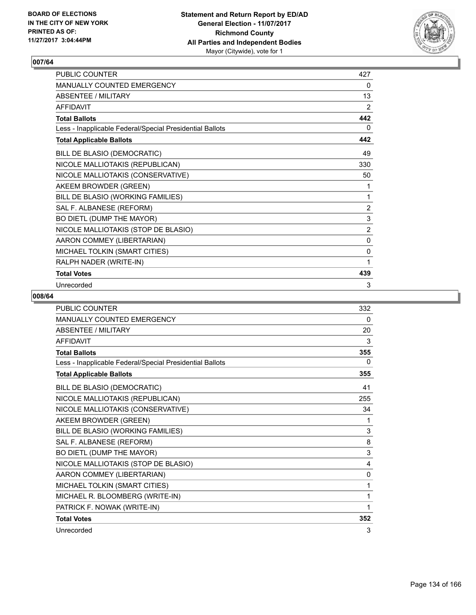

| <b>PUBLIC COUNTER</b>                                    | 427            |
|----------------------------------------------------------|----------------|
| <b>MANUALLY COUNTED EMERGENCY</b>                        | 0              |
| ABSENTEE / MILITARY                                      | 13             |
| <b>AFFIDAVIT</b>                                         | 2              |
| <b>Total Ballots</b>                                     | 442            |
| Less - Inapplicable Federal/Special Presidential Ballots | 0              |
| <b>Total Applicable Ballots</b>                          | 442            |
| BILL DE BLASIO (DEMOCRATIC)                              | 49             |
| NICOLE MALLIOTAKIS (REPUBLICAN)                          | 330            |
| NICOLE MALLIOTAKIS (CONSERVATIVE)                        | 50             |
| AKEEM BROWDER (GREEN)                                    | 1              |
| BILL DE BLASIO (WORKING FAMILIES)                        | 1              |
| SAL F. ALBANESE (REFORM)                                 | $\overline{2}$ |
| BO DIETL (DUMP THE MAYOR)                                | 3              |
| NICOLE MALLIOTAKIS (STOP DE BLASIO)                      | 2              |
| AARON COMMEY (LIBERTARIAN)                               | 0              |
| MICHAEL TOLKIN (SMART CITIES)                            | 0              |
| RALPH NADER (WRITE-IN)                                   | 1              |
| <b>Total Votes</b>                                       | 439            |
| Unrecorded                                               | 3              |

| <b>PUBLIC COUNTER</b>                                    | 332 |
|----------------------------------------------------------|-----|
| <b>MANUALLY COUNTED EMERGENCY</b>                        | 0   |
| <b>ABSENTEE / MILITARY</b>                               | 20  |
| <b>AFFIDAVIT</b>                                         | 3   |
| <b>Total Ballots</b>                                     | 355 |
| Less - Inapplicable Federal/Special Presidential Ballots | 0   |
| <b>Total Applicable Ballots</b>                          | 355 |
| BILL DE BLASIO (DEMOCRATIC)                              | 41  |
| NICOLE MALLIOTAKIS (REPUBLICAN)                          | 255 |
| NICOLE MALLIOTAKIS (CONSERVATIVE)                        | 34  |
| AKEEM BROWDER (GREEN)                                    | 1   |
| BILL DE BLASIO (WORKING FAMILIES)                        | 3   |
| SAL F. ALBANESE (REFORM)                                 | 8   |
| BO DIETL (DUMP THE MAYOR)                                | 3   |
| NICOLE MALLIOTAKIS (STOP DE BLASIO)                      | 4   |
| AARON COMMEY (LIBERTARIAN)                               | 0   |
| MICHAEL TOLKIN (SMART CITIES)                            | 1   |
| MICHAEL R. BLOOMBERG (WRITE-IN)                          | 1   |
| PATRICK F. NOWAK (WRITE-IN)                              | 1   |
| <b>Total Votes</b>                                       | 352 |
| Unrecorded                                               | 3   |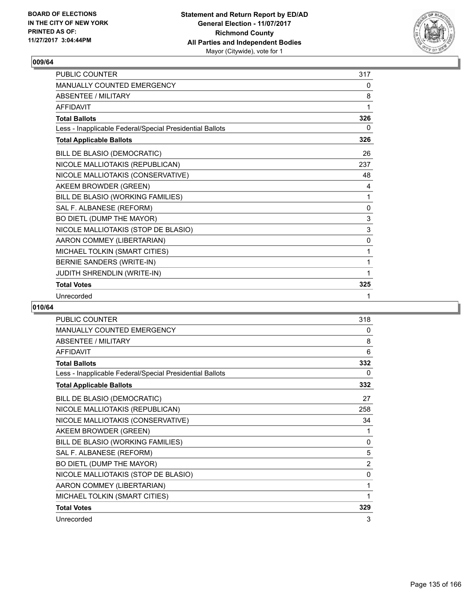

| <b>PUBLIC COUNTER</b>                                    | 317 |
|----------------------------------------------------------|-----|
| <b>MANUALLY COUNTED EMERGENCY</b>                        | 0   |
| ABSENTEE / MII ITARY                                     | 8   |
| <b>AFFIDAVIT</b>                                         | 1   |
| <b>Total Ballots</b>                                     | 326 |
| Less - Inapplicable Federal/Special Presidential Ballots | 0   |
| <b>Total Applicable Ballots</b>                          | 326 |
| BILL DE BLASIO (DEMOCRATIC)                              | 26  |
| NICOLE MALLIOTAKIS (REPUBLICAN)                          | 237 |
| NICOLE MALLIOTAKIS (CONSERVATIVE)                        | 48  |
| AKEEM BROWDER (GREEN)                                    | 4   |
| BILL DE BLASIO (WORKING FAMILIES)                        | 1   |
| SAL F. ALBANESE (REFORM)                                 | 0   |
| BO DIETL (DUMP THE MAYOR)                                | 3   |
| NICOLE MALLIOTAKIS (STOP DE BLASIO)                      | 3   |
| AARON COMMEY (LIBERTARIAN)                               | 0   |
| MICHAEL TOLKIN (SMART CITIES)                            | 1   |
| BERNIE SANDERS (WRITE-IN)                                | 1   |
| JUDITH SHRENDLIN (WRITE-IN)                              | 1   |
| <b>Total Votes</b>                                       | 325 |
| Unrecorded                                               | 1   |

| PUBLIC COUNTER                                           | 318            |
|----------------------------------------------------------|----------------|
| MANUALLY COUNTED EMERGENCY                               | 0              |
| <b>ABSENTEE / MILITARY</b>                               | 8              |
| <b>AFFIDAVIT</b>                                         | 6              |
| <b>Total Ballots</b>                                     | 332            |
| Less - Inapplicable Federal/Special Presidential Ballots | 0              |
| <b>Total Applicable Ballots</b>                          | 332            |
| BILL DE BLASIO (DEMOCRATIC)                              | 27             |
| NICOLE MALLIOTAKIS (REPUBLICAN)                          | 258            |
| NICOLE MALLIOTAKIS (CONSERVATIVE)                        | 34             |
| AKEEM BROWDER (GREEN)                                    | 1              |
| BILL DE BLASIO (WORKING FAMILIES)                        | 0              |
| SAL F. ALBANESE (REFORM)                                 | 5              |
| BO DIETL (DUMP THE MAYOR)                                | $\overline{2}$ |
| NICOLE MALLIOTAKIS (STOP DE BLASIO)                      | 0              |
| AARON COMMEY (LIBERTARIAN)                               | 1              |
| MICHAEL TOLKIN (SMART CITIES)                            | 1              |
| <b>Total Votes</b>                                       | 329            |
| Unrecorded                                               | 3              |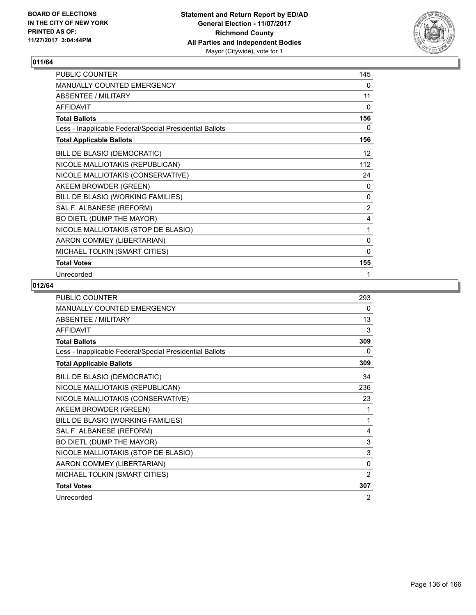

| PUBLIC COUNTER                                           | 145          |
|----------------------------------------------------------|--------------|
| MANUALLY COUNTED EMERGENCY                               | 0            |
| <b>ABSENTEE / MILITARY</b>                               | 11           |
| <b>AFFIDAVIT</b>                                         | $\mathbf{0}$ |
| <b>Total Ballots</b>                                     | 156          |
| Less - Inapplicable Federal/Special Presidential Ballots | 0            |
| <b>Total Applicable Ballots</b>                          | 156          |
| BILL DE BLASIO (DEMOCRATIC)                              | 12           |
| NICOLE MALLIOTAKIS (REPUBLICAN)                          | 112          |
| NICOLE MALLIOTAKIS (CONSERVATIVE)                        | 24           |
| AKEEM BROWDER (GREEN)                                    | 0            |
| BILL DE BLASIO (WORKING FAMILIES)                        | 0            |
| SAL F. ALBANESE (REFORM)                                 | 2            |
| BO DIETL (DUMP THE MAYOR)                                | 4            |
| NICOLE MALLIOTAKIS (STOP DE BLASIO)                      | 1            |
| AARON COMMEY (LIBERTARIAN)                               | 0            |
| MICHAEL TOLKIN (SMART CITIES)                            | $\mathbf{0}$ |
| <b>Total Votes</b>                                       | 155          |
| Unrecorded                                               | 1            |

| PUBLIC COUNTER                                           | 293            |
|----------------------------------------------------------|----------------|
| <b>MANUALLY COUNTED EMERGENCY</b>                        | 0              |
| <b>ABSENTEE / MILITARY</b>                               | 13             |
| <b>AFFIDAVIT</b>                                         | 3              |
| <b>Total Ballots</b>                                     | 309            |
| Less - Inapplicable Federal/Special Presidential Ballots | 0              |
| <b>Total Applicable Ballots</b>                          | 309            |
| BILL DE BLASIO (DEMOCRATIC)                              | 34             |
| NICOLE MALLIOTAKIS (REPUBLICAN)                          | 236            |
| NICOLE MALLIOTAKIS (CONSERVATIVE)                        | 23             |
| AKEEM BROWDER (GREEN)                                    | 1              |
| BILL DE BLASIO (WORKING FAMILIES)                        | 1              |
| SAL F. ALBANESE (REFORM)                                 | 4              |
| BO DIETL (DUMP THE MAYOR)                                | 3              |
| NICOLE MALLIOTAKIS (STOP DE BLASIO)                      | 3              |
| AARON COMMEY (LIBERTARIAN)                               | $\mathbf{0}$   |
| MICHAEL TOLKIN (SMART CITIES)                            | $\overline{2}$ |
| <b>Total Votes</b>                                       | 307            |
| Unrecorded                                               | 2              |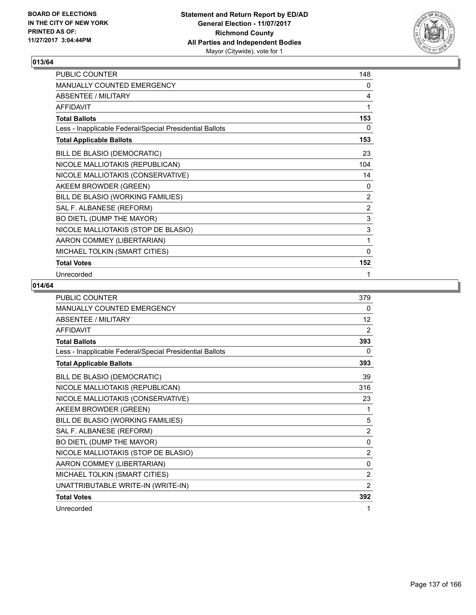

| <b>PUBLIC COUNTER</b>                                    | 148          |
|----------------------------------------------------------|--------------|
| <b>MANUALLY COUNTED EMERGENCY</b>                        | 0            |
| <b>ABSENTEE / MILITARY</b>                               | 4            |
| <b>AFFIDAVIT</b>                                         | 1            |
| <b>Total Ballots</b>                                     | 153          |
| Less - Inapplicable Federal/Special Presidential Ballots | 0            |
| <b>Total Applicable Ballots</b>                          | 153          |
| BILL DE BLASIO (DEMOCRATIC)                              | 23           |
| NICOLE MALLIOTAKIS (REPUBLICAN)                          | 104          |
| NICOLE MALLIOTAKIS (CONSERVATIVE)                        | 14           |
| AKEEM BROWDER (GREEN)                                    | 0            |
| BILL DE BLASIO (WORKING FAMILIES)                        | 2            |
| SAL F. ALBANESE (REFORM)                                 | 2            |
| BO DIETL (DUMP THE MAYOR)                                | $\mathsf 3$  |
| NICOLE MALLIOTAKIS (STOP DE BLASIO)                      | $\mathsf 3$  |
| AARON COMMEY (LIBERTARIAN)                               | 1            |
| MICHAEL TOLKIN (SMART CITIES)                            | $\mathbf{0}$ |
| <b>Total Votes</b>                                       | 152          |
| Unrecorded                                               | 1            |

| PUBLIC COUNTER                                           | 379            |
|----------------------------------------------------------|----------------|
| MANUALLY COUNTED EMERGENCY                               | 0              |
| <b>ABSENTEE / MILITARY</b>                               | 12             |
| <b>AFFIDAVIT</b>                                         | 2              |
| <b>Total Ballots</b>                                     | 393            |
| Less - Inapplicable Federal/Special Presidential Ballots | 0              |
| <b>Total Applicable Ballots</b>                          | 393            |
| BILL DE BLASIO (DEMOCRATIC)                              | 39             |
| NICOLE MALLIOTAKIS (REPUBLICAN)                          | 316            |
| NICOLE MALLIOTAKIS (CONSERVATIVE)                        | 23             |
| AKEEM BROWDER (GREEN)                                    | 1              |
| BILL DE BLASIO (WORKING FAMILIES)                        | 5              |
| SAL F. ALBANESE (REFORM)                                 | $\overline{2}$ |
| BO DIETL (DUMP THE MAYOR)                                | $\mathbf{0}$   |
| NICOLE MALLIOTAKIS (STOP DE BLASIO)                      | $\overline{2}$ |
| AARON COMMEY (LIBERTARIAN)                               | 0              |
| MICHAEL TOLKIN (SMART CITIES)                            | $\overline{2}$ |
| UNATTRIBUTABLE WRITE-IN (WRITE-IN)                       | $\overline{2}$ |
| <b>Total Votes</b>                                       | 392            |
| Unrecorded                                               | 1              |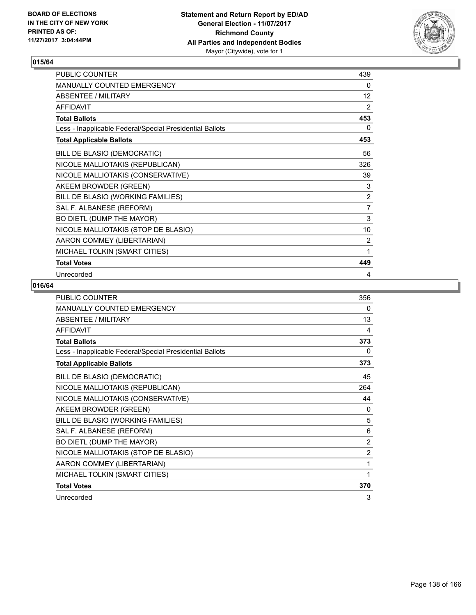

| PUBLIC COUNTER                                           | 439            |
|----------------------------------------------------------|----------------|
| MANUALLY COUNTED EMERGENCY                               | 0              |
| <b>ABSENTEE / MILITARY</b>                               | 12             |
| <b>AFFIDAVIT</b>                                         | 2              |
| <b>Total Ballots</b>                                     | 453            |
| Less - Inapplicable Federal/Special Presidential Ballots | 0              |
| <b>Total Applicable Ballots</b>                          | 453            |
| BILL DE BLASIO (DEMOCRATIC)                              | 56             |
| NICOLE MALLIOTAKIS (REPUBLICAN)                          | 326            |
| NICOLE MALLIOTAKIS (CONSERVATIVE)                        | 39             |
| AKEEM BROWDER (GREEN)                                    | 3              |
| BILL DE BLASIO (WORKING FAMILIES)                        | $\overline{2}$ |
| SAL F. ALBANESE (REFORM)                                 | $\overline{7}$ |
| BO DIETL (DUMP THE MAYOR)                                | $\mathsf 3$    |
| NICOLE MALLIOTAKIS (STOP DE BLASIO)                      | 10             |
| AARON COMMEY (LIBERTARIAN)                               | $\overline{2}$ |
| MICHAEL TOLKIN (SMART CITIES)                            | 1              |
| <b>Total Votes</b>                                       | 449            |
| Unrecorded                                               | 4              |

| PUBLIC COUNTER                                           | 356            |
|----------------------------------------------------------|----------------|
| <b>MANUALLY COUNTED EMERGENCY</b>                        | 0              |
| <b>ABSENTEE / MILITARY</b>                               | 13             |
| <b>AFFIDAVIT</b>                                         | 4              |
| <b>Total Ballots</b>                                     | 373            |
| Less - Inapplicable Federal/Special Presidential Ballots | 0              |
| <b>Total Applicable Ballots</b>                          | 373            |
| BILL DE BLASIO (DEMOCRATIC)                              | 45             |
| NICOLE MALLIOTAKIS (REPUBLICAN)                          | 264            |
| NICOLE MALLIOTAKIS (CONSERVATIVE)                        | 44             |
| AKEEM BROWDER (GREEN)                                    | 0              |
| BILL DE BLASIO (WORKING FAMILIES)                        | 5              |
| SAL F. ALBANESE (REFORM)                                 | 6              |
| BO DIETL (DUMP THE MAYOR)                                | $\overline{2}$ |
| NICOLE MALLIOTAKIS (STOP DE BLASIO)                      | $\overline{2}$ |
| AARON COMMEY (LIBERTARIAN)                               | 1              |
| MICHAEL TOLKIN (SMART CITIES)                            | 1              |
| <b>Total Votes</b>                                       | 370            |
| Unrecorded                                               | 3              |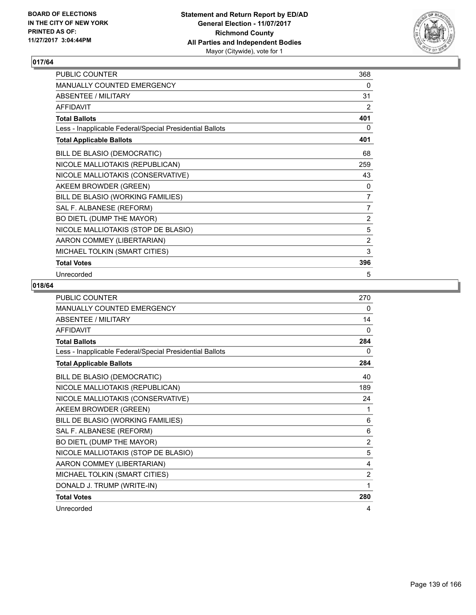

| PUBLIC COUNTER                                           | 368            |
|----------------------------------------------------------|----------------|
| MANUALLY COUNTED EMERGENCY                               | 0              |
| <b>ABSENTEE / MILITARY</b>                               | 31             |
| <b>AFFIDAVIT</b>                                         | 2              |
| <b>Total Ballots</b>                                     | 401            |
| Less - Inapplicable Federal/Special Presidential Ballots | 0              |
| <b>Total Applicable Ballots</b>                          | 401            |
| BILL DE BLASIO (DEMOCRATIC)                              | 68             |
| NICOLE MALLIOTAKIS (REPUBLICAN)                          | 259            |
| NICOLE MALLIOTAKIS (CONSERVATIVE)                        | 43             |
| AKEEM BROWDER (GREEN)                                    | 0              |
| BILL DE BLASIO (WORKING FAMILIES)                        | 7              |
| SAL F. ALBANESE (REFORM)                                 | $\overline{7}$ |
| BO DIETL (DUMP THE MAYOR)                                | $\overline{2}$ |
| NICOLE MALLIOTAKIS (STOP DE BLASIO)                      | 5              |
| AARON COMMEY (LIBERTARIAN)                               | $\overline{2}$ |
| MICHAEL TOLKIN (SMART CITIES)                            | 3              |
| <b>Total Votes</b>                                       | 396            |
| Unrecorded                                               | 5              |

| <b>PUBLIC COUNTER</b>                                    | 270            |
|----------------------------------------------------------|----------------|
| <b>MANUALLY COUNTED EMERGENCY</b>                        | 0              |
| <b>ABSENTEE / MILITARY</b>                               | 14             |
| <b>AFFIDAVIT</b>                                         | $\mathbf{0}$   |
| <b>Total Ballots</b>                                     | 284            |
| Less - Inapplicable Federal/Special Presidential Ballots | 0              |
| <b>Total Applicable Ballots</b>                          | 284            |
| BILL DE BLASIO (DEMOCRATIC)                              | 40             |
| NICOLE MALLIOTAKIS (REPUBLICAN)                          | 189            |
| NICOLE MALLIOTAKIS (CONSERVATIVE)                        | 24             |
| AKEEM BROWDER (GREEN)                                    | 1              |
| BILL DE BLASIO (WORKING FAMILIES)                        | 6              |
| SAL F. ALBANESE (REFORM)                                 | 6              |
| BO DIETL (DUMP THE MAYOR)                                | $\overline{2}$ |
| NICOLE MALLIOTAKIS (STOP DE BLASIO)                      | 5              |
| AARON COMMEY (LIBERTARIAN)                               | 4              |
| MICHAEL TOLKIN (SMART CITIES)                            | $\overline{2}$ |
| DONALD J. TRUMP (WRITE-IN)                               | 1              |
| <b>Total Votes</b>                                       | 280            |
| Unrecorded                                               | 4              |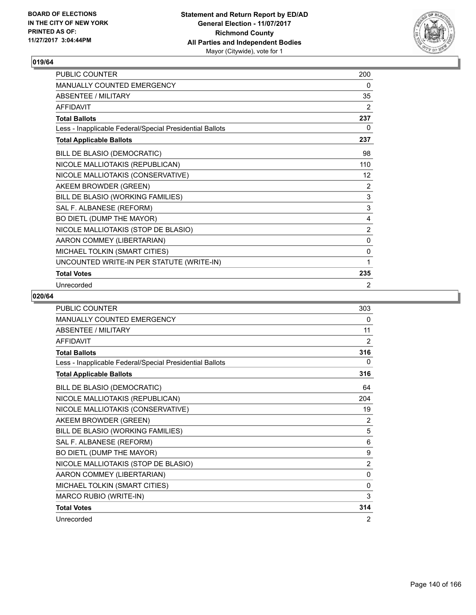

| PUBLIC COUNTER                                           | 200          |
|----------------------------------------------------------|--------------|
| <b>MANUALLY COUNTED EMERGENCY</b>                        | 0            |
| <b>ABSENTEE / MILITARY</b>                               | 35           |
| <b>AFFIDAVIT</b>                                         | 2            |
| <b>Total Ballots</b>                                     | 237          |
| Less - Inapplicable Federal/Special Presidential Ballots | 0            |
| <b>Total Applicable Ballots</b>                          | 237          |
| BILL DE BLASIO (DEMOCRATIC)                              | 98           |
| NICOLE MALLIOTAKIS (REPUBLICAN)                          | 110          |
| NICOLE MALLIOTAKIS (CONSERVATIVE)                        | 12           |
| AKEEM BROWDER (GREEN)                                    | 2            |
| BILL DE BLASIO (WORKING FAMILIES)                        | $\mathbf{3}$ |
| SAL F. ALBANESE (REFORM)                                 | 3            |
| BO DIETL (DUMP THE MAYOR)                                | 4            |
| NICOLE MALLIOTAKIS (STOP DE BLASIO)                      | 2            |
| AARON COMMEY (LIBERTARIAN)                               | 0            |
| MICHAEL TOLKIN (SMART CITIES)                            | 0            |
| UNCOUNTED WRITE-IN PER STATUTE (WRITE-IN)                | 1            |
| <b>Total Votes</b>                                       | 235          |
| Unrecorded                                               | 2            |

| <b>PUBLIC COUNTER</b>                                    | 303          |
|----------------------------------------------------------|--------------|
| <b>MANUALLY COUNTED EMERGENCY</b>                        | 0            |
| <b>ABSENTEE / MILITARY</b>                               | 11           |
| <b>AFFIDAVIT</b>                                         | 2            |
| <b>Total Ballots</b>                                     | 316          |
| Less - Inapplicable Federal/Special Presidential Ballots | 0            |
| <b>Total Applicable Ballots</b>                          | 316          |
| BILL DE BLASIO (DEMOCRATIC)                              | 64           |
| NICOLE MALLIOTAKIS (REPUBLICAN)                          | 204          |
| NICOLE MALLIOTAKIS (CONSERVATIVE)                        | 19           |
| AKEEM BROWDER (GREEN)                                    | 2            |
| BILL DE BLASIO (WORKING FAMILIES)                        | 5            |
| SAL F. ALBANESE (REFORM)                                 | 6            |
| BO DIETL (DUMP THE MAYOR)                                | 9            |
| NICOLE MALLIOTAKIS (STOP DE BLASIO)                      | 2            |
| AARON COMMEY (LIBERTARIAN)                               | $\mathbf{0}$ |
| MICHAEL TOLKIN (SMART CITIES)                            | $\mathbf{0}$ |
| MARCO RUBIO (WRITE-IN)                                   | 3            |
| <b>Total Votes</b>                                       | 314          |
| Unrecorded                                               | 2            |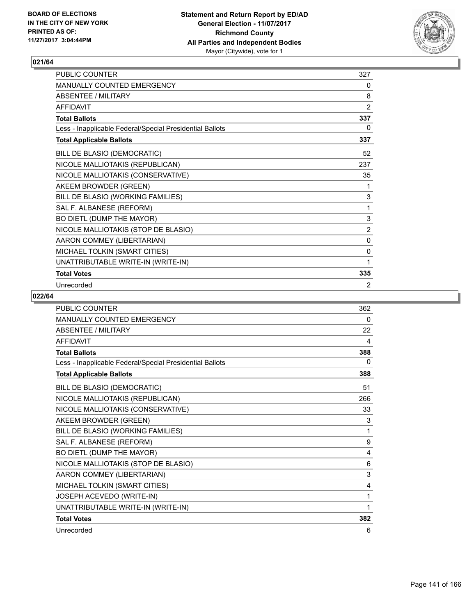

| <b>PUBLIC COUNTER</b>                                    | 327         |
|----------------------------------------------------------|-------------|
| <b>MANUALLY COUNTED EMERGENCY</b>                        | 0           |
| ABSENTEE / MILITARY                                      | 8           |
| <b>AFFIDAVIT</b>                                         | 2           |
| <b>Total Ballots</b>                                     | 337         |
| Less - Inapplicable Federal/Special Presidential Ballots | 0           |
| <b>Total Applicable Ballots</b>                          | 337         |
| BILL DE BLASIO (DEMOCRATIC)                              | 52          |
| NICOLE MALLIOTAKIS (REPUBLICAN)                          | 237         |
| NICOLE MALLIOTAKIS (CONSERVATIVE)                        | 35          |
| AKEEM BROWDER (GREEN)                                    | 1           |
| BILL DE BLASIO (WORKING FAMILIES)                        | 3           |
| SAL F. ALBANESE (REFORM)                                 | 1           |
| BO DIETL (DUMP THE MAYOR)                                | $\mathsf 3$ |
| NICOLE MALLIOTAKIS (STOP DE BLASIO)                      | 2           |
| AARON COMMEY (LIBERTARIAN)                               | 0           |
| MICHAEL TOLKIN (SMART CITIES)                            | 0           |
| UNATTRIBUTABLE WRITE-IN (WRITE-IN)                       | 1           |
| <b>Total Votes</b>                                       | 335         |
| Unrecorded                                               | 2           |

| <b>PUBLIC COUNTER</b>                                    | 362      |
|----------------------------------------------------------|----------|
| MANUALLY COUNTED EMERGENCY                               | 0        |
| <b>ABSENTEE / MILITARY</b>                               | 22       |
| <b>AFFIDAVIT</b>                                         | 4        |
| <b>Total Ballots</b>                                     | 388      |
| Less - Inapplicable Federal/Special Presidential Ballots | $\Omega$ |
| <b>Total Applicable Ballots</b>                          | 388      |
| BILL DE BLASIO (DEMOCRATIC)                              | 51       |
| NICOLE MALLIOTAKIS (REPUBLICAN)                          | 266      |
| NICOLE MALLIOTAKIS (CONSERVATIVE)                        | 33       |
| AKEEM BROWDER (GREEN)                                    | 3        |
| BILL DE BLASIO (WORKING FAMILIES)                        | 1        |
| SAL F. ALBANESE (REFORM)                                 | 9        |
| BO DIETL (DUMP THE MAYOR)                                | 4        |
| NICOLE MALLIOTAKIS (STOP DE BLASIO)                      | 6        |
| AARON COMMEY (LIBERTARIAN)                               | 3        |
| MICHAEL TOLKIN (SMART CITIES)                            | 4        |
| JOSEPH ACEVEDO (WRITE-IN)                                | 1        |
| UNATTRIBUTABLE WRITE-IN (WRITE-IN)                       | 1        |
| <b>Total Votes</b>                                       | 382      |
| Unrecorded                                               | 6        |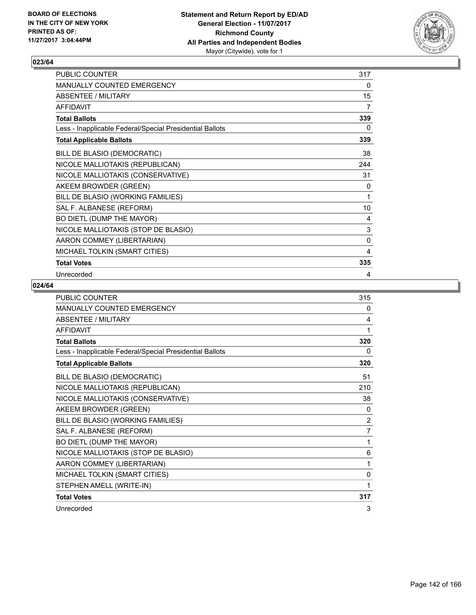

| PUBLIC COUNTER                                           | 317         |
|----------------------------------------------------------|-------------|
| MANUALLY COUNTED EMERGENCY                               | 0           |
| <b>ABSENTEE / MILITARY</b>                               | 15          |
| <b>AFFIDAVIT</b>                                         | 7           |
| <b>Total Ballots</b>                                     | 339         |
| Less - Inapplicable Federal/Special Presidential Ballots | 0           |
| <b>Total Applicable Ballots</b>                          | 339         |
| BILL DE BLASIO (DEMOCRATIC)                              | 38          |
| NICOLE MALLIOTAKIS (REPUBLICAN)                          | 244         |
| NICOLE MALLIOTAKIS (CONSERVATIVE)                        | 31          |
| AKEEM BROWDER (GREEN)                                    | 0           |
| BILL DE BLASIO (WORKING FAMILIES)                        | 1           |
| SAL F. ALBANESE (REFORM)                                 | 10          |
| BO DIETL (DUMP THE MAYOR)                                | 4           |
| NICOLE MALLIOTAKIS (STOP DE BLASIO)                      | $\mathsf 3$ |
| AARON COMMEY (LIBERTARIAN)                               | $\mathbf 0$ |
| MICHAEL TOLKIN (SMART CITIES)                            | 4           |
| <b>Total Votes</b>                                       | 335         |
| Unrecorded                                               | 4           |

| <b>PUBLIC COUNTER</b>                                    | 315 |
|----------------------------------------------------------|-----|
| MANUALLY COUNTED EMERGENCY                               | 0   |
| <b>ABSENTEE / MILITARY</b>                               | 4   |
| <b>AFFIDAVIT</b>                                         | 1   |
| <b>Total Ballots</b>                                     | 320 |
| Less - Inapplicable Federal/Special Presidential Ballots | 0   |
| <b>Total Applicable Ballots</b>                          | 320 |
| BILL DE BLASIO (DEMOCRATIC)                              | 51  |
| NICOLE MALLIOTAKIS (REPUBLICAN)                          | 210 |
| NICOLE MALLIOTAKIS (CONSERVATIVE)                        | 38  |
| AKEEM BROWDER (GREEN)                                    | 0   |
| BILL DE BLASIO (WORKING FAMILIES)                        | 2   |
| SAL F. ALBANESE (REFORM)                                 | 7   |
| BO DIETL (DUMP THE MAYOR)                                | 1   |
| NICOLE MALLIOTAKIS (STOP DE BLASIO)                      | 6   |
| AARON COMMEY (LIBERTARIAN)                               | 1   |
| MICHAEL TOLKIN (SMART CITIES)                            | 0   |
| STEPHEN AMELL (WRITE-IN)                                 | 1   |
| <b>Total Votes</b>                                       | 317 |
| Unrecorded                                               | 3   |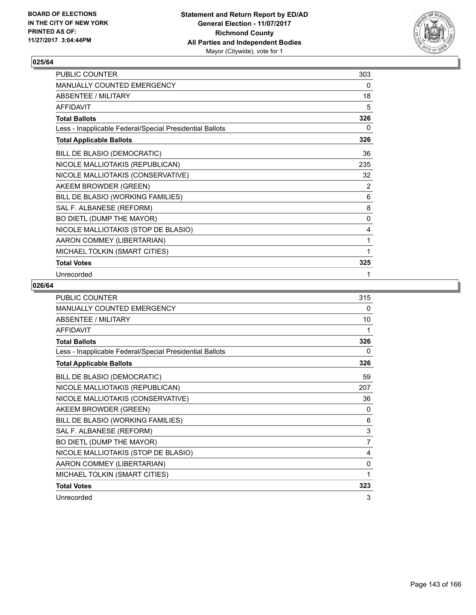

| PUBLIC COUNTER                                           | 303 |
|----------------------------------------------------------|-----|
| MANUALLY COUNTED EMERGENCY                               | 0   |
| <b>ABSENTEE / MILITARY</b>                               | 18  |
| <b>AFFIDAVIT</b>                                         | 5   |
| <b>Total Ballots</b>                                     | 326 |
| Less - Inapplicable Federal/Special Presidential Ballots | 0   |
| <b>Total Applicable Ballots</b>                          | 326 |
| BILL DE BLASIO (DEMOCRATIC)                              | 36  |
| NICOLE MALLIOTAKIS (REPUBLICAN)                          | 235 |
| NICOLE MALLIOTAKIS (CONSERVATIVE)                        | 32  |
| AKEEM BROWDER (GREEN)                                    | 2   |
| BILL DE BLASIO (WORKING FAMILIES)                        | 6   |
| SAL F. ALBANESE (REFORM)                                 | 8   |
| BO DIETL (DUMP THE MAYOR)                                | 0   |
| NICOLE MALLIOTAKIS (STOP DE BLASIO)                      | 4   |
| AARON COMMEY (LIBERTARIAN)                               | 1   |
| MICHAEL TOLKIN (SMART CITIES)                            | 1   |
| <b>Total Votes</b>                                       | 325 |
| Unrecorded                                               | 1   |

| <b>PUBLIC COUNTER</b>                                    | 315            |
|----------------------------------------------------------|----------------|
| <b>MANUALLY COUNTED EMERGENCY</b>                        | 0              |
| <b>ABSENTEE / MILITARY</b>                               | 10             |
| <b>AFFIDAVIT</b>                                         | 1              |
| <b>Total Ballots</b>                                     | 326            |
| Less - Inapplicable Federal/Special Presidential Ballots | 0              |
| <b>Total Applicable Ballots</b>                          | 326            |
| BILL DE BLASIO (DEMOCRATIC)                              | 59             |
| NICOLE MALLIOTAKIS (REPUBLICAN)                          | 207            |
| NICOLE MALLIOTAKIS (CONSERVATIVE)                        | 36             |
| AKEEM BROWDER (GREEN)                                    | 0              |
| BILL DE BLASIO (WORKING FAMILIES)                        | 6              |
| SAL F. ALBANESE (REFORM)                                 | 3              |
| BO DIETL (DUMP THE MAYOR)                                | $\overline{7}$ |
| NICOLE MALLIOTAKIS (STOP DE BLASIO)                      | 4              |
| AARON COMMEY (LIBERTARIAN)                               | 0              |
| MICHAEL TOLKIN (SMART CITIES)                            | 1              |
| <b>Total Votes</b>                                       | 323            |
| Unrecorded                                               | 3              |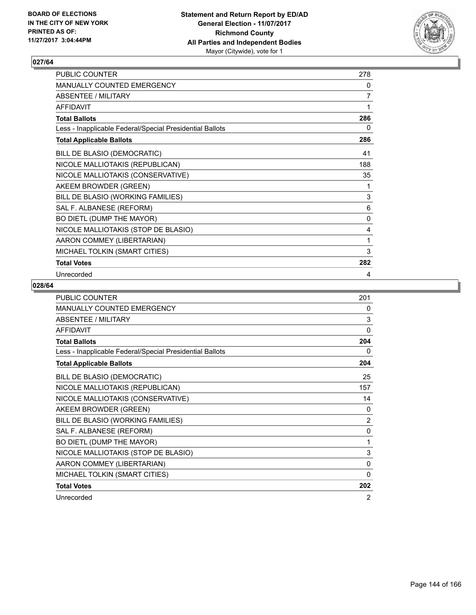

| PUBLIC COUNTER                                           | 278 |
|----------------------------------------------------------|-----|
| MANUALLY COUNTED EMERGENCY                               | 0   |
| <b>ABSENTEE / MILITARY</b>                               | 7   |
| <b>AFFIDAVIT</b>                                         | 1   |
| <b>Total Ballots</b>                                     | 286 |
| Less - Inapplicable Federal/Special Presidential Ballots | 0   |
| <b>Total Applicable Ballots</b>                          | 286 |
| BILL DE BLASIO (DEMOCRATIC)                              | 41  |
| NICOLE MALLIOTAKIS (REPUBLICAN)                          | 188 |
| NICOLE MALLIOTAKIS (CONSERVATIVE)                        | 35  |
| AKEEM BROWDER (GREEN)                                    | 1   |
| BILL DE BLASIO (WORKING FAMILIES)                        | 3   |
| SAL F. ALBANESE (REFORM)                                 | 6   |
| BO DIETL (DUMP THE MAYOR)                                | 0   |
| NICOLE MALLIOTAKIS (STOP DE BLASIO)                      | 4   |
| AARON COMMEY (LIBERTARIAN)                               | 1   |
| MICHAEL TOLKIN (SMART CITIES)                            | 3   |
| <b>Total Votes</b>                                       | 282 |
| Unrecorded                                               | 4   |

| <b>PUBLIC COUNTER</b>                                    | 201          |
|----------------------------------------------------------|--------------|
| <b>MANUALLY COUNTED EMERGENCY</b>                        | 0            |
| <b>ABSENTEE / MILITARY</b>                               | 3            |
| <b>AFFIDAVIT</b>                                         | 0            |
| <b>Total Ballots</b>                                     | 204          |
| Less - Inapplicable Federal/Special Presidential Ballots | 0            |
| <b>Total Applicable Ballots</b>                          | 204          |
| BILL DE BLASIO (DEMOCRATIC)                              | 25           |
| NICOLE MALLIOTAKIS (REPUBLICAN)                          | 157          |
| NICOLE MALLIOTAKIS (CONSERVATIVE)                        | 14           |
| AKEEM BROWDER (GREEN)                                    | 0            |
| BILL DE BLASIO (WORKING FAMILIES)                        | 2            |
| SAL F. ALBANESE (REFORM)                                 | $\mathbf{0}$ |
| BO DIETL (DUMP THE MAYOR)                                | 1            |
| NICOLE MALLIOTAKIS (STOP DE BLASIO)                      | 3            |
| AARON COMMEY (LIBERTARIAN)                               | 0            |
| MICHAEL TOLKIN (SMART CITIES)                            | 0            |
| <b>Total Votes</b>                                       | 202          |
| Unrecorded                                               | 2            |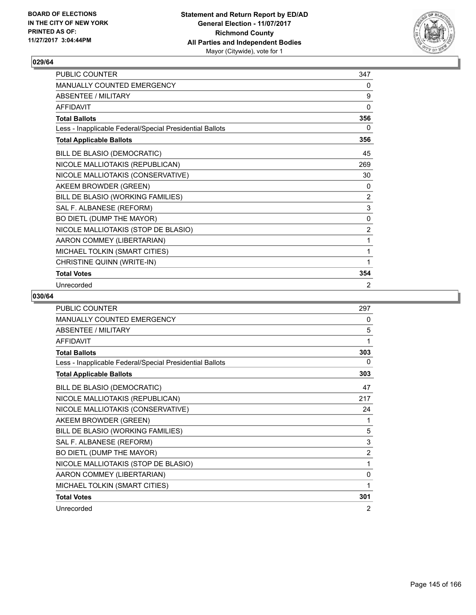

| PUBLIC COUNTER                                           | 347         |
|----------------------------------------------------------|-------------|
| <b>MANUALLY COUNTED EMERGENCY</b>                        | 0           |
| <b>ABSENTEE / MILITARY</b>                               | 9           |
| <b>AFFIDAVIT</b>                                         | 0           |
| <b>Total Ballots</b>                                     | 356         |
| Less - Inapplicable Federal/Special Presidential Ballots | 0           |
| <b>Total Applicable Ballots</b>                          | 356         |
| BILL DE BLASIO (DEMOCRATIC)                              | 45          |
| NICOLE MALLIOTAKIS (REPUBLICAN)                          | 269         |
| NICOLE MALLIOTAKIS (CONSERVATIVE)                        | 30          |
| AKEEM BROWDER (GREEN)                                    | 0           |
| BILL DE BLASIO (WORKING FAMILIES)                        | 2           |
| SAL F. ALBANESE (REFORM)                                 | 3           |
| BO DIETL (DUMP THE MAYOR)                                | $\mathbf 0$ |
| NICOLE MALLIOTAKIS (STOP DE BLASIO)                      | 2           |
| AARON COMMEY (LIBERTARIAN)                               | 1           |
| MICHAEL TOLKIN (SMART CITIES)                            | 1           |
| CHRISTINE QUINN (WRITE-IN)                               | 1           |
| <b>Total Votes</b>                                       | 354         |
| Unrecorded                                               | 2           |

| <b>PUBLIC COUNTER</b>                                    | 297            |
|----------------------------------------------------------|----------------|
| <b>MANUALLY COUNTED EMERGENCY</b>                        | 0              |
| <b>ABSENTEE / MILITARY</b>                               | 5              |
| <b>AFFIDAVIT</b>                                         | 1              |
| <b>Total Ballots</b>                                     | 303            |
| Less - Inapplicable Federal/Special Presidential Ballots | 0              |
| <b>Total Applicable Ballots</b>                          | 303            |
| BILL DE BLASIO (DEMOCRATIC)                              | 47             |
| NICOLE MALLIOTAKIS (REPUBLICAN)                          | 217            |
| NICOLE MALLIOTAKIS (CONSERVATIVE)                        | 24             |
| AKEEM BROWDER (GREEN)                                    | 1              |
| BILL DE BLASIO (WORKING FAMILIES)                        | 5              |
| SAL F. ALBANESE (REFORM)                                 | 3              |
| BO DIETL (DUMP THE MAYOR)                                | $\overline{2}$ |
| NICOLE MALLIOTAKIS (STOP DE BLASIO)                      | 1              |
| AARON COMMEY (LIBERTARIAN)                               | 0              |
| MICHAEL TOLKIN (SMART CITIES)                            | 1              |
| <b>Total Votes</b>                                       | 301            |
| Unrecorded                                               | 2              |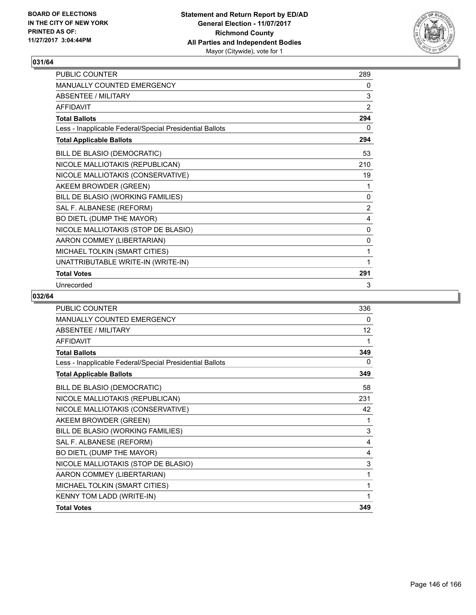

| PUBLIC COUNTER                                           | 289            |
|----------------------------------------------------------|----------------|
| <b>MANUALLY COUNTED EMERGENCY</b>                        | 0              |
| <b>ABSENTEE / MILITARY</b>                               | 3              |
| <b>AFFIDAVIT</b>                                         | 2              |
| <b>Total Ballots</b>                                     | 294            |
| Less - Inapplicable Federal/Special Presidential Ballots | 0              |
| <b>Total Applicable Ballots</b>                          | 294            |
| BILL DE BLASIO (DEMOCRATIC)                              | 53             |
| NICOLE MALLIOTAKIS (REPUBLICAN)                          | 210            |
| NICOLE MALLIOTAKIS (CONSERVATIVE)                        | 19             |
| AKEEM BROWDER (GREEN)                                    | 1              |
| BILL DE BLASIO (WORKING FAMILIES)                        | 0              |
| SAL F. ALBANESE (REFORM)                                 | $\overline{2}$ |
| BO DIETL (DUMP THE MAYOR)                                | 4              |
| NICOLE MALLIOTAKIS (STOP DE BLASIO)                      | 0              |
| AARON COMMEY (LIBERTARIAN)                               | 0              |
| MICHAEL TOLKIN (SMART CITIES)                            | 1              |
| UNATTRIBUTABLE WRITE-IN (WRITE-IN)                       | 1              |
| <b>Total Votes</b>                                       | 291            |
| Unrecorded                                               | 3              |

| <b>PUBLIC COUNTER</b>                                    | 336 |
|----------------------------------------------------------|-----|
| <b>MANUALLY COUNTED EMERGENCY</b>                        | 0   |
| <b>ABSENTEE / MILITARY</b>                               | 12  |
| <b>AFFIDAVIT</b>                                         | 1   |
| <b>Total Ballots</b>                                     | 349 |
| Less - Inapplicable Federal/Special Presidential Ballots | 0   |
| <b>Total Applicable Ballots</b>                          | 349 |
| BILL DE BLASIO (DEMOCRATIC)                              | 58  |
| NICOLE MALLIOTAKIS (REPUBLICAN)                          | 231 |
| NICOLE MALLIOTAKIS (CONSERVATIVE)                        | 42  |
| AKEEM BROWDER (GREEN)                                    | 1   |
| BILL DE BLASIO (WORKING FAMILIES)                        | 3   |
| SAL F. ALBANESE (REFORM)                                 | 4   |
| BO DIETL (DUMP THE MAYOR)                                | 4   |
| NICOLE MALLIOTAKIS (STOP DE BLASIO)                      | 3   |
| AARON COMMEY (LIBERTARIAN)                               | 1   |
| MICHAEL TOLKIN (SMART CITIES)                            | 1   |
| <b>KENNY TOM LADD (WRITE-IN)</b>                         | 1   |
| <b>Total Votes</b>                                       | 349 |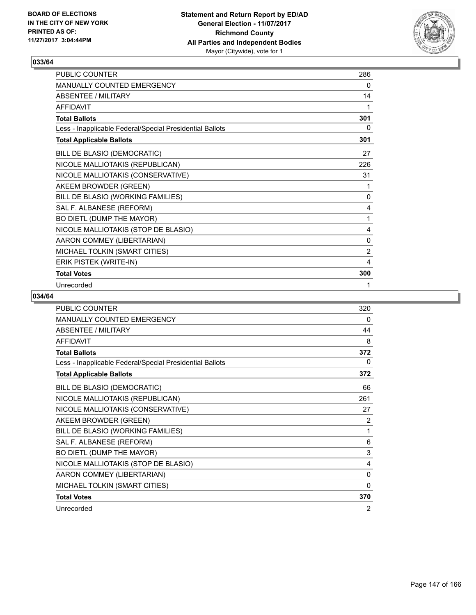

| PUBLIC COUNTER                                           | 286            |
|----------------------------------------------------------|----------------|
| <b>MANUALLY COUNTED EMERGENCY</b>                        | $\mathbf{0}$   |
| <b>ABSENTEE / MILITARY</b>                               | 14             |
| <b>AFFIDAVIT</b>                                         | 1              |
| <b>Total Ballots</b>                                     | 301            |
| Less - Inapplicable Federal/Special Presidential Ballots | 0              |
| <b>Total Applicable Ballots</b>                          | 301            |
| BILL DE BLASIO (DEMOCRATIC)                              | 27             |
| NICOLE MALLIOTAKIS (REPUBLICAN)                          | 226            |
| NICOLE MALLIOTAKIS (CONSERVATIVE)                        | 31             |
| AKEEM BROWDER (GREEN)                                    | 1              |
| BILL DE BLASIO (WORKING FAMILIES)                        | $\mathbf{0}$   |
| SAL F. ALBANESE (REFORM)                                 | 4              |
| BO DIETL (DUMP THE MAYOR)                                | 1              |
| NICOLE MALLIOTAKIS (STOP DE BLASIO)                      | 4              |
| AARON COMMEY (LIBERTARIAN)                               | $\mathbf{0}$   |
| MICHAEL TOLKIN (SMART CITIES)                            | $\overline{2}$ |
| ERIK PISTEK (WRITE-IN)                                   | 4              |
| <b>Total Votes</b>                                       | 300            |
| Unrecorded                                               | 1              |

| <b>PUBLIC COUNTER</b>                                    | 320 |
|----------------------------------------------------------|-----|
| <b>MANUALLY COUNTED EMERGENCY</b>                        | 0   |
| <b>ABSENTEE / MILITARY</b>                               | 44  |
| <b>AFFIDAVIT</b>                                         | 8   |
| <b>Total Ballots</b>                                     | 372 |
| Less - Inapplicable Federal/Special Presidential Ballots | 0   |
| <b>Total Applicable Ballots</b>                          | 372 |
| BILL DE BLASIO (DEMOCRATIC)                              | 66  |
| NICOLE MALLIOTAKIS (REPUBLICAN)                          | 261 |
| NICOLE MALLIOTAKIS (CONSERVATIVE)                        | 27  |
| AKEEM BROWDER (GREEN)                                    | 2   |
| BILL DE BLASIO (WORKING FAMILIES)                        | 1   |
| SAL F. ALBANESE (REFORM)                                 | 6   |
| BO DIETL (DUMP THE MAYOR)                                | 3   |
| NICOLE MALLIOTAKIS (STOP DE BLASIO)                      | 4   |
| AARON COMMEY (LIBERTARIAN)                               | 0   |
| MICHAEL TOLKIN (SMART CITIES)                            | 0   |
| <b>Total Votes</b>                                       | 370 |
| Unrecorded                                               | 2   |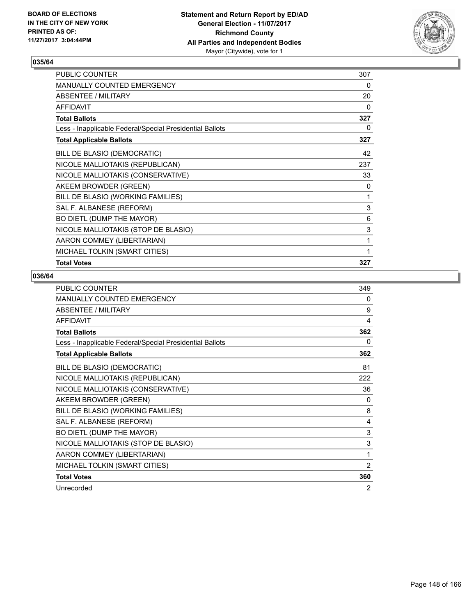

| PUBLIC COUNTER                                           | 307 |
|----------------------------------------------------------|-----|
| MANUALLY COUNTED EMERGENCY                               | 0   |
| ABSENTEE / MILITARY                                      | 20  |
| <b>AFFIDAVIT</b>                                         | 0   |
| <b>Total Ballots</b>                                     | 327 |
| Less - Inapplicable Federal/Special Presidential Ballots | 0   |
| <b>Total Applicable Ballots</b>                          | 327 |
| BILL DE BLASIO (DEMOCRATIC)                              | 42  |
| NICOLE MALLIOTAKIS (REPUBLICAN)                          | 237 |
| NICOLE MALLIOTAKIS (CONSERVATIVE)                        | 33  |
| AKEEM BROWDER (GREEN)                                    | 0   |
| BILL DE BLASIO (WORKING FAMILIES)                        | 1   |
| SAL F. ALBANESE (REFORM)                                 | 3   |
| BO DIETL (DUMP THE MAYOR)                                | 6   |
| NICOLE MALLIOTAKIS (STOP DE BLASIO)                      | 3   |
| AARON COMMEY (LIBERTARIAN)                               | 1   |
| MICHAEL TOLKIN (SMART CITIES)                            | 1   |
| <b>Total Votes</b>                                       | 327 |

| <b>PUBLIC COUNTER</b>                                    | 349 |
|----------------------------------------------------------|-----|
| <b>MANUALLY COUNTED EMERGENCY</b>                        | 0   |
| <b>ABSENTEE / MILITARY</b>                               | 9   |
| <b>AFFIDAVIT</b>                                         | 4   |
| <b>Total Ballots</b>                                     | 362 |
| Less - Inapplicable Federal/Special Presidential Ballots | 0   |
| <b>Total Applicable Ballots</b>                          | 362 |
| BILL DE BLASIO (DEMOCRATIC)                              | 81  |
| NICOLE MALLIOTAKIS (REPUBLICAN)                          | 222 |
| NICOLE MALLIOTAKIS (CONSERVATIVE)                        | 36  |
| AKEEM BROWDER (GREEN)                                    | 0   |
| BILL DE BLASIO (WORKING FAMILIES)                        | 8   |
| SAL F. ALBANESE (REFORM)                                 | 4   |
| BO DIETL (DUMP THE MAYOR)                                | 3   |
| NICOLE MALLIOTAKIS (STOP DE BLASIO)                      | 3   |
| AARON COMMEY (LIBERTARIAN)                               | 1   |
| MICHAEL TOLKIN (SMART CITIES)                            | 2   |
| <b>Total Votes</b>                                       | 360 |
| Unrecorded                                               | 2   |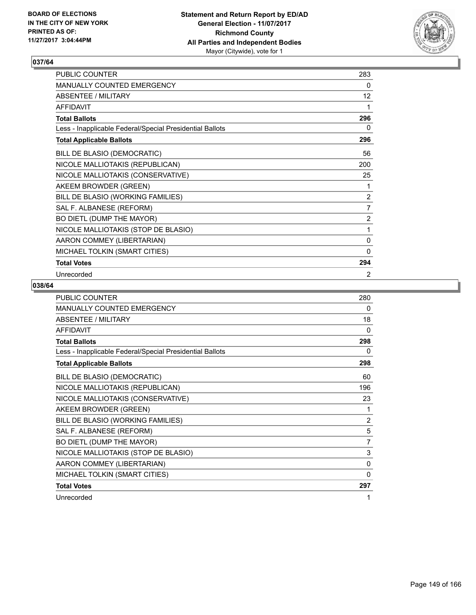

| PUBLIC COUNTER                                           | 283            |
|----------------------------------------------------------|----------------|
| MANUALLY COUNTED EMERGENCY                               | 0              |
| <b>ABSENTEE / MILITARY</b>                               | 12             |
| <b>AFFIDAVIT</b>                                         | 1              |
| <b>Total Ballots</b>                                     | 296            |
| Less - Inapplicable Federal/Special Presidential Ballots | 0              |
| <b>Total Applicable Ballots</b>                          | 296            |
| BILL DE BLASIO (DEMOCRATIC)                              | 56             |
| NICOLE MALLIOTAKIS (REPUBLICAN)                          | 200            |
| NICOLE MALLIOTAKIS (CONSERVATIVE)                        | 25             |
| AKEEM BROWDER (GREEN)                                    | 1              |
| BILL DE BLASIO (WORKING FAMILIES)                        | 2              |
| SAL F. ALBANESE (REFORM)                                 | $\overline{7}$ |
| BO DIETL (DUMP THE MAYOR)                                | $\overline{2}$ |
| NICOLE MALLIOTAKIS (STOP DE BLASIO)                      | 1              |
| AARON COMMEY (LIBERTARIAN)                               | 0              |
| MICHAEL TOLKIN (SMART CITIES)                            | $\mathbf{0}$   |
| <b>Total Votes</b>                                       | 294            |
| Unrecorded                                               | 2              |

| PUBLIC COUNTER                                           | 280            |
|----------------------------------------------------------|----------------|
| MANUALLY COUNTED EMERGENCY                               | 0              |
| <b>ABSENTEE / MILITARY</b>                               | 18             |
| <b>AFFIDAVIT</b>                                         | 0              |
| <b>Total Ballots</b>                                     | 298            |
| Less - Inapplicable Federal/Special Presidential Ballots | 0              |
| <b>Total Applicable Ballots</b>                          | 298            |
| BILL DE BLASIO (DEMOCRATIC)                              | 60             |
| NICOLE MALLIOTAKIS (REPUBLICAN)                          | 196            |
| NICOLE MALLIOTAKIS (CONSERVATIVE)                        | 23             |
| AKEEM BROWDER (GREEN)                                    | 1              |
| BILL DE BLASIO (WORKING FAMILIES)                        | $\overline{2}$ |
| SAL F. ALBANESE (REFORM)                                 | 5              |
| BO DIETL (DUMP THE MAYOR)                                | 7              |
| NICOLE MALLIOTAKIS (STOP DE BLASIO)                      | 3              |
| AARON COMMEY (LIBERTARIAN)                               | 0              |
| MICHAEL TOLKIN (SMART CITIES)                            | 0              |
| <b>Total Votes</b>                                       | 297            |
| Unrecorded                                               | 1              |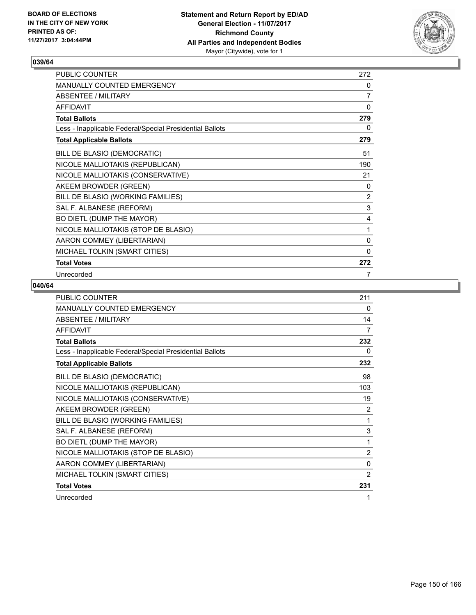

| PUBLIC COUNTER                                           | 272          |
|----------------------------------------------------------|--------------|
| MANUALLY COUNTED EMERGENCY                               | 0            |
| <b>ABSENTEE / MILITARY</b>                               | 7            |
| <b>AFFIDAVIT</b>                                         | 0            |
| <b>Total Ballots</b>                                     | 279          |
| Less - Inapplicable Federal/Special Presidential Ballots | 0            |
| <b>Total Applicable Ballots</b>                          | 279          |
| BILL DE BLASIO (DEMOCRATIC)                              | 51           |
| NICOLE MALLIOTAKIS (REPUBLICAN)                          | 190          |
| NICOLE MALLIOTAKIS (CONSERVATIVE)                        | 21           |
| AKEEM BROWDER (GREEN)                                    | 0            |
| BILL DE BLASIO (WORKING FAMILIES)                        | 2            |
| SAL F. ALBANESE (REFORM)                                 | 3            |
| BO DIETL (DUMP THE MAYOR)                                | 4            |
| NICOLE MALLIOTAKIS (STOP DE BLASIO)                      | 1            |
| AARON COMMEY (LIBERTARIAN)                               | 0            |
| MICHAEL TOLKIN (SMART CITIES)                            | $\mathbf{0}$ |
| <b>Total Votes</b>                                       | 272          |
| Unrecorded                                               | 7            |

| PUBLIC COUNTER                                           | 211            |
|----------------------------------------------------------|----------------|
| <b>MANUALLY COUNTED EMERGENCY</b>                        | 0              |
| <b>ABSENTEE / MILITARY</b>                               | 14             |
| <b>AFFIDAVIT</b>                                         | 7              |
| <b>Total Ballots</b>                                     | 232            |
| Less - Inapplicable Federal/Special Presidential Ballots | 0              |
| <b>Total Applicable Ballots</b>                          | 232            |
| BILL DE BLASIO (DEMOCRATIC)                              | 98             |
| NICOLE MALLIOTAKIS (REPUBLICAN)                          | 103            |
| NICOLE MALLIOTAKIS (CONSERVATIVE)                        | 19             |
| AKEEM BROWDER (GREEN)                                    | 2              |
| BILL DE BLASIO (WORKING FAMILIES)                        | 1              |
| SAL F. ALBANESE (REFORM)                                 | 3              |
| BO DIETL (DUMP THE MAYOR)                                | 1              |
| NICOLE MALLIOTAKIS (STOP DE BLASIO)                      | $\overline{2}$ |
| AARON COMMEY (LIBERTARIAN)                               | 0              |
| MICHAEL TOLKIN (SMART CITIES)                            | $\overline{2}$ |
| <b>Total Votes</b>                                       | 231            |
| Unrecorded                                               | 1              |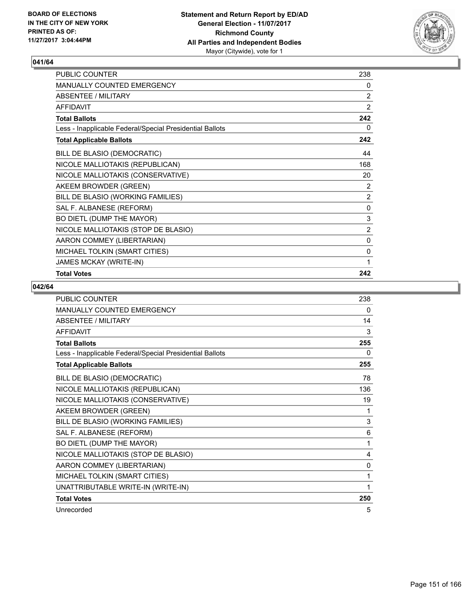

| PUBLIC COUNTER                                           | 238            |
|----------------------------------------------------------|----------------|
| <b>MANUALLY COUNTED EMERGENCY</b>                        | 0              |
| <b>ABSENTEE / MILITARY</b>                               | 2              |
| <b>AFFIDAVIT</b>                                         | 2              |
| <b>Total Ballots</b>                                     | 242            |
| Less - Inapplicable Federal/Special Presidential Ballots | 0              |
| <b>Total Applicable Ballots</b>                          | 242            |
| BILL DE BLASIO (DEMOCRATIC)                              | 44             |
| NICOLE MALLIOTAKIS (REPUBLICAN)                          | 168            |
| NICOLE MALLIOTAKIS (CONSERVATIVE)                        | 20             |
| AKEEM BROWDER (GREEN)                                    | 2              |
| BILL DE BLASIO (WORKING FAMILIES)                        | 2              |
| SAL F. ALBANESE (REFORM)                                 | 0              |
| BO DIETL (DUMP THE MAYOR)                                | 3              |
| NICOLE MALLIOTAKIS (STOP DE BLASIO)                      | $\overline{2}$ |
| AARON COMMEY (LIBERTARIAN)                               | 0              |
| MICHAEL TOLKIN (SMART CITIES)                            | $\mathbf 0$    |
| JAMES MCKAY (WRITE-IN)                                   | 1              |
| <b>Total Votes</b>                                       | 242            |

| <b>PUBLIC COUNTER</b>                                    | 238          |
|----------------------------------------------------------|--------------|
| MANUALLY COUNTED EMERGENCY                               | 0            |
| <b>ABSENTEE / MILITARY</b>                               | 14           |
| <b>AFFIDAVIT</b>                                         | 3            |
| <b>Total Ballots</b>                                     | 255          |
| Less - Inapplicable Federal/Special Presidential Ballots | 0            |
| <b>Total Applicable Ballots</b>                          | 255          |
| BILL DE BLASIO (DEMOCRATIC)                              | 78           |
| NICOLE MALLIOTAKIS (REPUBLICAN)                          | 136          |
| NICOLE MALLIOTAKIS (CONSERVATIVE)                        | 19           |
| AKEEM BROWDER (GREEN)                                    | 1            |
| BILL DE BLASIO (WORKING FAMILIES)                        | 3            |
| SAL F. ALBANESE (REFORM)                                 | 6            |
| BO DIETL (DUMP THE MAYOR)                                | 1            |
| NICOLE MALLIOTAKIS (STOP DE BLASIO)                      | 4            |
| AARON COMMEY (LIBERTARIAN)                               | $\mathbf{0}$ |
| MICHAEL TOLKIN (SMART CITIES)                            | 1            |
| UNATTRIBUTABLE WRITE-IN (WRITE-IN)                       | 1            |
| <b>Total Votes</b>                                       | 250          |
| Unrecorded                                               | 5            |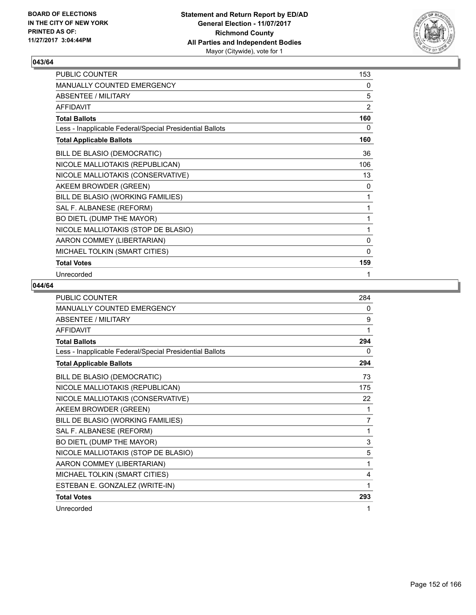

| PUBLIC COUNTER                                           | 153            |
|----------------------------------------------------------|----------------|
| MANUALLY COUNTED EMERGENCY                               | 0              |
| <b>ABSENTEE / MILITARY</b>                               | 5              |
| <b>AFFIDAVIT</b>                                         | $\overline{2}$ |
| <b>Total Ballots</b>                                     | 160            |
| Less - Inapplicable Federal/Special Presidential Ballots | 0              |
| <b>Total Applicable Ballots</b>                          | 160            |
| BILL DE BLASIO (DEMOCRATIC)                              | 36             |
| NICOLE MALLIOTAKIS (REPUBLICAN)                          | 106            |
| NICOLE MALLIOTAKIS (CONSERVATIVE)                        | 13             |
| AKEEM BROWDER (GREEN)                                    | 0              |
| BILL DE BLASIO (WORKING FAMILIES)                        | 1              |
| SAL F. ALBANESE (REFORM)                                 | 1              |
| BO DIETL (DUMP THE MAYOR)                                | 1              |
| NICOLE MALLIOTAKIS (STOP DE BLASIO)                      | 1              |
| AARON COMMEY (LIBERTARIAN)                               | 0              |
| MICHAEL TOLKIN (SMART CITIES)                            | $\mathbf{0}$   |
| <b>Total Votes</b>                                       | 159            |
| Unrecorded                                               | 1              |

| <b>PUBLIC COUNTER</b>                                    | 284            |
|----------------------------------------------------------|----------------|
| MANUALLY COUNTED EMERGENCY                               | 0              |
| <b>ABSENTEE / MILITARY</b>                               | 9              |
| <b>AFFIDAVIT</b>                                         | 1              |
| <b>Total Ballots</b>                                     | 294            |
| Less - Inapplicable Federal/Special Presidential Ballots | 0              |
| <b>Total Applicable Ballots</b>                          | 294            |
| BILL DE BLASIO (DEMOCRATIC)                              | 73             |
| NICOLE MALLIOTAKIS (REPUBLICAN)                          | 175            |
| NICOLE MALLIOTAKIS (CONSERVATIVE)                        | 22             |
| AKEEM BROWDER (GREEN)                                    | 1              |
| BILL DE BLASIO (WORKING FAMILIES)                        | $\overline{7}$ |
| SAL F. ALBANESE (REFORM)                                 | 1              |
| BO DIETL (DUMP THE MAYOR)                                | 3              |
| NICOLE MALLIOTAKIS (STOP DE BLASIO)                      | 5              |
| AARON COMMEY (LIBERTARIAN)                               | 1              |
| MICHAEL TOLKIN (SMART CITIES)                            | 4              |
| ESTEBAN E. GONZALEZ (WRITE-IN)                           | 1              |
| <b>Total Votes</b>                                       | 293            |
| Unrecorded                                               | 1              |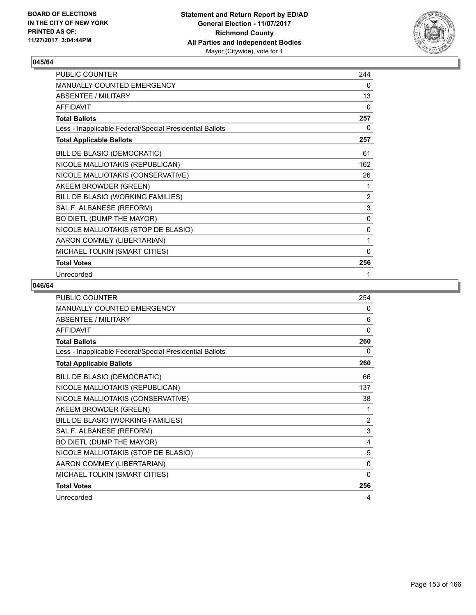

| PUBLIC COUNTER                                           | 244          |
|----------------------------------------------------------|--------------|
| MANUALLY COUNTED EMERGENCY                               | 0            |
| <b>ABSENTEE / MILITARY</b>                               | 13           |
| <b>AFFIDAVIT</b>                                         | $\mathbf{0}$ |
| <b>Total Ballots</b>                                     | 257          |
| Less - Inapplicable Federal/Special Presidential Ballots | 0            |
| <b>Total Applicable Ballots</b>                          | 257          |
| BILL DE BLASIO (DEMOCRATIC)                              | 61           |
| NICOLE MALLIOTAKIS (REPUBLICAN)                          | 162          |
| NICOLE MALLIOTAKIS (CONSERVATIVE)                        | 26           |
| AKEEM BROWDER (GREEN)                                    | 1            |
| BILL DE BLASIO (WORKING FAMILIES)                        | 2            |
| SAL F. ALBANESE (REFORM)                                 | $\mathsf 3$  |
| BO DIETL (DUMP THE MAYOR)                                | 0            |
| NICOLE MALLIOTAKIS (STOP DE BLASIO)                      | 0            |
| AARON COMMEY (LIBERTARIAN)                               | 1            |
| MICHAEL TOLKIN (SMART CITIES)                            | $\mathbf{0}$ |
| <b>Total Votes</b>                                       | 256          |
| Unrecorded                                               | 1            |

| PUBLIC COUNTER                                           | 254            |
|----------------------------------------------------------|----------------|
| <b>MANUALLY COUNTED EMERGENCY</b>                        | 0              |
| <b>ABSENTEE / MILITARY</b>                               | 6              |
| <b>AFFIDAVIT</b>                                         | $\mathbf{0}$   |
| <b>Total Ballots</b>                                     | 260            |
| Less - Inapplicable Federal/Special Presidential Ballots | 0              |
| <b>Total Applicable Ballots</b>                          | 260            |
| BILL DE BLASIO (DEMOCRATIC)                              | 66             |
| NICOLE MALLIOTAKIS (REPUBLICAN)                          | 137            |
| NICOLE MALLIOTAKIS (CONSERVATIVE)                        | 38             |
| AKEEM BROWDER (GREEN)                                    | 1              |
| BILL DE BLASIO (WORKING FAMILIES)                        | $\overline{2}$ |
| SAL F. ALBANESE (REFORM)                                 | 3              |
| BO DIETL (DUMP THE MAYOR)                                | 4              |
| NICOLE MALLIOTAKIS (STOP DE BLASIO)                      | 5              |
| AARON COMMEY (LIBERTARIAN)                               | 0              |
| MICHAEL TOLKIN (SMART CITIES)                            | $\Omega$       |
| <b>Total Votes</b>                                       | 256            |
| Unrecorded                                               | 4              |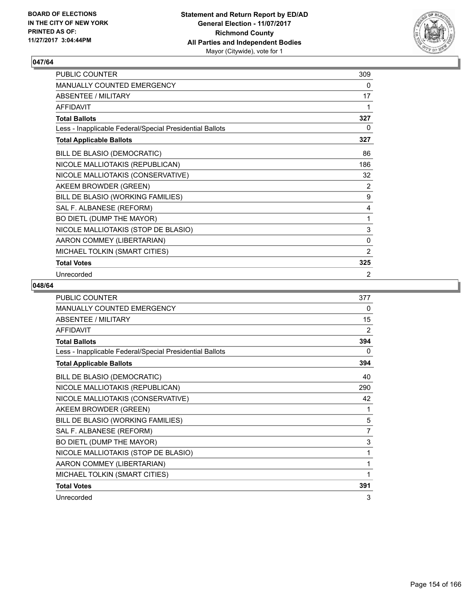

| PUBLIC COUNTER                                           | 309            |
|----------------------------------------------------------|----------------|
| MANUALLY COUNTED EMERGENCY                               | 0              |
| <b>ABSENTEE / MILITARY</b>                               | 17             |
| <b>AFFIDAVIT</b>                                         | 1              |
| <b>Total Ballots</b>                                     | 327            |
| Less - Inapplicable Federal/Special Presidential Ballots | 0              |
| <b>Total Applicable Ballots</b>                          | 327            |
| BILL DE BLASIO (DEMOCRATIC)                              | 86             |
| NICOLE MALLIOTAKIS (REPUBLICAN)                          | 186            |
| NICOLE MALLIOTAKIS (CONSERVATIVE)                        | 32             |
| AKEEM BROWDER (GREEN)                                    | 2              |
| BILL DE BLASIO (WORKING FAMILIES)                        | 9              |
| SAL F. ALBANESE (REFORM)                                 | 4              |
| BO DIETL (DUMP THE MAYOR)                                | 1              |
| NICOLE MALLIOTAKIS (STOP DE BLASIO)                      | $\mathsf 3$    |
| AARON COMMEY (LIBERTARIAN)                               | $\mathbf 0$    |
| MICHAEL TOLKIN (SMART CITIES)                            | $\overline{2}$ |
| <b>Total Votes</b>                                       | 325            |
| Unrecorded                                               | 2              |

| <b>PUBLIC COUNTER</b>                                    | 377 |
|----------------------------------------------------------|-----|
| <b>MANUALLY COUNTED EMERGENCY</b>                        | 0   |
| <b>ABSENTEE / MILITARY</b>                               | 15  |
| <b>AFFIDAVIT</b>                                         | 2   |
| <b>Total Ballots</b>                                     | 394 |
| Less - Inapplicable Federal/Special Presidential Ballots | 0   |
| <b>Total Applicable Ballots</b>                          | 394 |
| BILL DE BLASIO (DEMOCRATIC)                              | 40  |
| NICOLE MALLIOTAKIS (REPUBLICAN)                          | 290 |
| NICOLE MALLIOTAKIS (CONSERVATIVE)                        | 42  |
| AKEEM BROWDER (GREEN)                                    | 1   |
| BILL DE BLASIO (WORKING FAMILIES)                        | 5   |
| SAL F. ALBANESE (REFORM)                                 | 7   |
| BO DIETL (DUMP THE MAYOR)                                | 3   |
| NICOLE MALLIOTAKIS (STOP DE BLASIO)                      | 1   |
| AARON COMMEY (LIBERTARIAN)                               | 1   |
| MICHAEL TOLKIN (SMART CITIES)                            | 1   |
| <b>Total Votes</b>                                       | 391 |
| Unrecorded                                               | 3   |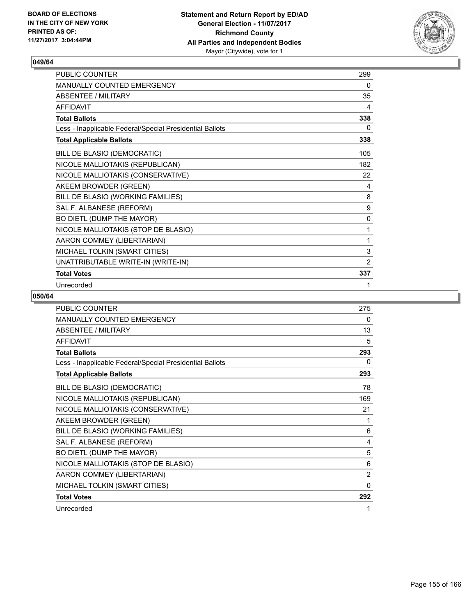

| PUBLIC COUNTER                                           | 299         |
|----------------------------------------------------------|-------------|
| <b>MANUALLY COUNTED EMERGENCY</b>                        | 0           |
| <b>ABSENTEE / MILITARY</b>                               | 35          |
| <b>AFFIDAVIT</b>                                         | 4           |
| <b>Total Ballots</b>                                     | 338         |
| Less - Inapplicable Federal/Special Presidential Ballots | 0           |
| <b>Total Applicable Ballots</b>                          | 338         |
| BILL DE BLASIO (DEMOCRATIC)                              | 105         |
| NICOLE MALLIOTAKIS (REPUBLICAN)                          | 182         |
| NICOLE MALLIOTAKIS (CONSERVATIVE)                        | 22          |
| AKEEM BROWDER (GREEN)                                    | 4           |
| BILL DE BLASIO (WORKING FAMILIES)                        | 8           |
| SAL F. ALBANESE (REFORM)                                 | 9           |
| BO DIETL (DUMP THE MAYOR)                                | $\mathbf 0$ |
| NICOLE MALLIOTAKIS (STOP DE BLASIO)                      | 1           |
| AARON COMMEY (LIBERTARIAN)                               | 1           |
| MICHAEL TOLKIN (SMART CITIES)                            | 3           |
| UNATTRIBUTABLE WRITE-IN (WRITE-IN)                       | 2           |
| <b>Total Votes</b>                                       | 337         |
| Unrecorded                                               | 1           |

| <b>PUBLIC COUNTER</b>                                    | 275      |
|----------------------------------------------------------|----------|
| MANUALLY COUNTED EMERGENCY                               | 0        |
| <b>ABSENTEE / MILITARY</b>                               | 13       |
| <b>AFFIDAVIT</b>                                         | 5        |
| <b>Total Ballots</b>                                     | 293      |
| Less - Inapplicable Federal/Special Presidential Ballots | $\Omega$ |
| <b>Total Applicable Ballots</b>                          | 293      |
| BILL DE BLASIO (DEMOCRATIC)                              | 78       |
| NICOLE MALLIOTAKIS (REPUBLICAN)                          | 169      |
| NICOLE MALLIOTAKIS (CONSERVATIVE)                        | 21       |
| AKEEM BROWDER (GREEN)                                    | 1        |
| BILL DE BLASIO (WORKING FAMILIES)                        | 6        |
| SAL F. ALBANESE (REFORM)                                 | 4        |
| BO DIETL (DUMP THE MAYOR)                                | 5        |
| NICOLE MALLIOTAKIS (STOP DE BLASIO)                      | 6        |
| AARON COMMEY (LIBERTARIAN)                               | 2        |
| MICHAEL TOLKIN (SMART CITIES)                            | 0        |
| <b>Total Votes</b>                                       | 292      |
| Unrecorded                                               | 1        |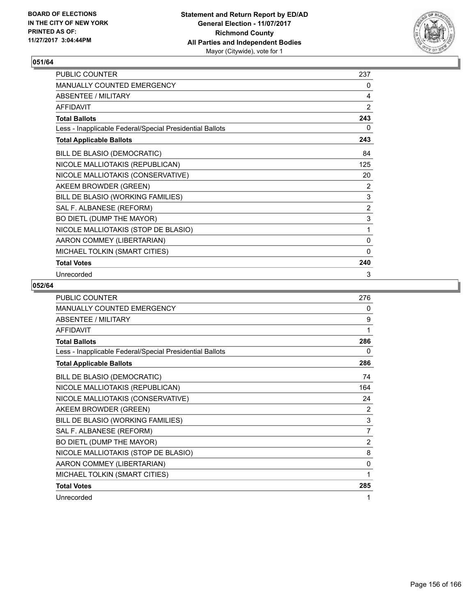

| PUBLIC COUNTER                                           | 237            |
|----------------------------------------------------------|----------------|
| MANUALLY COUNTED EMERGENCY                               | 0              |
| <b>ABSENTEE / MILITARY</b>                               | 4              |
| <b>AFFIDAVIT</b>                                         | 2              |
| <b>Total Ballots</b>                                     | 243            |
| Less - Inapplicable Federal/Special Presidential Ballots | 0              |
| <b>Total Applicable Ballots</b>                          | 243            |
| BILL DE BLASIO (DEMOCRATIC)                              | 84             |
| NICOLE MALLIOTAKIS (REPUBLICAN)                          | 125            |
| NICOLE MALLIOTAKIS (CONSERVATIVE)                        | 20             |
| AKEEM BROWDER (GREEN)                                    | 2              |
| BILL DE BLASIO (WORKING FAMILIES)                        | $\mathsf 3$    |
| SAL F. ALBANESE (REFORM)                                 | $\overline{2}$ |
| BO DIETL (DUMP THE MAYOR)                                | 3              |
| NICOLE MALLIOTAKIS (STOP DE BLASIO)                      | 1              |
| AARON COMMEY (LIBERTARIAN)                               | 0              |
| MICHAEL TOLKIN (SMART CITIES)                            | 0              |
| <b>Total Votes</b>                                       | 240            |
| Unrecorded                                               | 3              |

| <b>PUBLIC COUNTER</b>                                    | 276 |
|----------------------------------------------------------|-----|
| MANUALLY COUNTED EMERGENCY                               | 0   |
| <b>ABSENTEE / MILITARY</b>                               | 9   |
| <b>AFFIDAVIT</b>                                         | 1   |
| <b>Total Ballots</b>                                     | 286 |
| Less - Inapplicable Federal/Special Presidential Ballots | 0   |
| <b>Total Applicable Ballots</b>                          | 286 |
| BILL DE BLASIO (DEMOCRATIC)                              | 74  |
| NICOLE MALLIOTAKIS (REPUBLICAN)                          | 164 |
| NICOLE MALLIOTAKIS (CONSERVATIVE)                        | 24  |
| AKEEM BROWDER (GREEN)                                    | 2   |
| BILL DE BLASIO (WORKING FAMILIES)                        | 3   |
| SAL F. ALBANESE (REFORM)                                 | 7   |
| BO DIETL (DUMP THE MAYOR)                                | 2   |
| NICOLE MALLIOTAKIS (STOP DE BLASIO)                      | 8   |
| AARON COMMEY (LIBERTARIAN)                               | 0   |
| MICHAEL TOLKIN (SMART CITIES)                            | 1   |
| <b>Total Votes</b>                                       | 285 |
| Unrecorded                                               | 1   |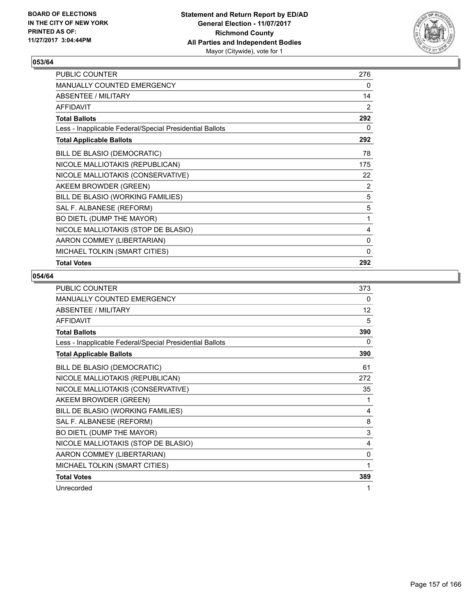

| PUBLIC COUNTER                                           | 276          |
|----------------------------------------------------------|--------------|
| MANUALLY COUNTED EMERGENCY                               | 0            |
| ABSENTEE / MILITARY                                      | 14           |
| <b>AFFIDAVIT</b>                                         | 2            |
| <b>Total Ballots</b>                                     | 292          |
| Less - Inapplicable Federal/Special Presidential Ballots | 0            |
| <b>Total Applicable Ballots</b>                          | 292          |
| BILL DE BLASIO (DEMOCRATIC)                              | 78           |
| NICOLE MALLIOTAKIS (REPUBLICAN)                          | 175          |
| NICOLE MALLIOTAKIS (CONSERVATIVE)                        | 22           |
| AKEEM BROWDER (GREEN)                                    | 2            |
| BILL DE BLASIO (WORKING FAMILIES)                        | 5            |
| SAL F. ALBANESE (REFORM)                                 | 5            |
| BO DIETL (DUMP THE MAYOR)                                | 1            |
| NICOLE MALLIOTAKIS (STOP DE BLASIO)                      | 4            |
| AARON COMMEY (LIBERTARIAN)                               | 0            |
| MICHAEL TOLKIN (SMART CITIES)                            | $\mathbf{0}$ |
| <b>Total Votes</b>                                       | 292          |

| <b>PUBLIC COUNTER</b>                                    | 373 |
|----------------------------------------------------------|-----|
| <b>MANUALLY COUNTED EMERGENCY</b>                        | 0   |
| <b>ABSENTEE / MILITARY</b>                               | 12  |
| <b>AFFIDAVIT</b>                                         | 5   |
| <b>Total Ballots</b>                                     | 390 |
| Less - Inapplicable Federal/Special Presidential Ballots | 0   |
| <b>Total Applicable Ballots</b>                          | 390 |
| BILL DE BLASIO (DEMOCRATIC)                              | 61  |
| NICOLE MALLIOTAKIS (REPUBLICAN)                          | 272 |
| NICOLE MALLIOTAKIS (CONSERVATIVE)                        | 35  |
| AKEEM BROWDER (GREEN)                                    | 1   |
| BILL DE BLASIO (WORKING FAMILIES)                        | 4   |
| SAL F. ALBANESE (REFORM)                                 | 8   |
| BO DIETL (DUMP THE MAYOR)                                | 3   |
| NICOLE MALLIOTAKIS (STOP DE BLASIO)                      | 4   |
| AARON COMMEY (LIBERTARIAN)                               | 0   |
| MICHAEL TOLKIN (SMART CITIES)                            | 1   |
| <b>Total Votes</b>                                       | 389 |
| Unrecorded                                               | 1   |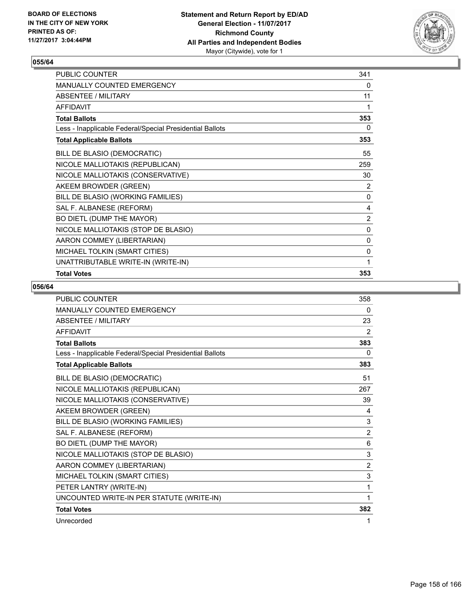

| PUBLIC COUNTER                                           | 341            |
|----------------------------------------------------------|----------------|
| MANUALLY COUNTED EMERGENCY                               | 0              |
| ABSENTEE / MILITARY                                      | 11             |
| <b>AFFIDAVIT</b>                                         | 1              |
| <b>Total Ballots</b>                                     | 353            |
| Less - Inapplicable Federal/Special Presidential Ballots | 0              |
| <b>Total Applicable Ballots</b>                          | 353            |
| BILL DE BLASIO (DEMOCRATIC)                              | 55             |
| NICOLE MALLIOTAKIS (REPUBLICAN)                          | 259            |
| NICOLE MALLIOTAKIS (CONSERVATIVE)                        | 30             |
| AKEEM BROWDER (GREEN)                                    | 2              |
| BILL DE BLASIO (WORKING FAMILIES)                        | 0              |
| SAL F. ALBANESE (REFORM)                                 | 4              |
| BO DIETL (DUMP THE MAYOR)                                | $\overline{2}$ |
| NICOLE MALLIOTAKIS (STOP DE BLASIO)                      | 0              |
| AARON COMMEY (LIBERTARIAN)                               | 0              |
| MICHAEL TOLKIN (SMART CITIES)                            | 0              |
| UNATTRIBUTABLE WRITE-IN (WRITE-IN)                       | 1              |
| <b>Total Votes</b>                                       | 353            |

| PUBLIC COUNTER                                           | 358      |
|----------------------------------------------------------|----------|
| <b>MANUALLY COUNTED EMERGENCY</b>                        | $\Omega$ |
| <b>ABSENTEE / MILITARY</b>                               | 23       |
| <b>AFFIDAVIT</b>                                         | 2        |
| <b>Total Ballots</b>                                     | 383      |
| Less - Inapplicable Federal/Special Presidential Ballots | 0        |
| <b>Total Applicable Ballots</b>                          | 383      |
| BILL DE BLASIO (DEMOCRATIC)                              | 51       |
| NICOLE MALLIOTAKIS (REPUBLICAN)                          | 267      |
| NICOLE MALLIOTAKIS (CONSERVATIVE)                        | 39       |
| AKEEM BROWDER (GREEN)                                    | 4        |
| BILL DE BLASIO (WORKING FAMILIES)                        | 3        |
| SAL F. ALBANESE (REFORM)                                 | 2        |
| BO DIETL (DUMP THE MAYOR)                                | 6        |
| NICOLE MALLIOTAKIS (STOP DE BLASIO)                      | 3        |
| AARON COMMEY (LIBERTARIAN)                               | 2        |
| MICHAEL TOLKIN (SMART CITIES)                            | 3        |
| PETER LANTRY (WRITE-IN)                                  | 1        |
| UNCOUNTED WRITE-IN PER STATUTE (WRITE-IN)                | 1        |
| <b>Total Votes</b>                                       | 382      |
| Unrecorded                                               | 1        |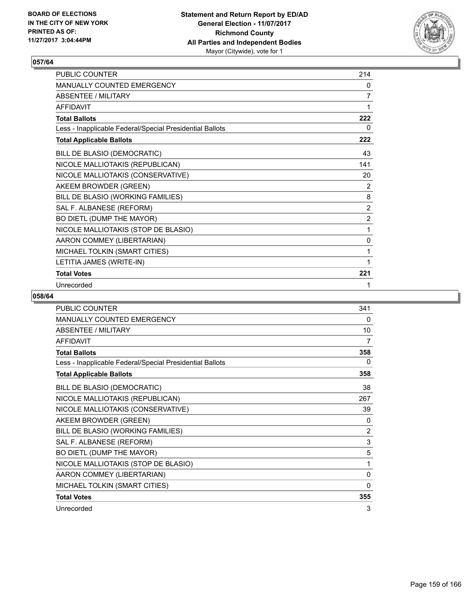

| PUBLIC COUNTER                                           | 214            |
|----------------------------------------------------------|----------------|
| <b>MANUALLY COUNTED EMERGENCY</b>                        | 0              |
| <b>ABSENTEE / MILITARY</b>                               | $\overline{7}$ |
| <b>AFFIDAVIT</b>                                         | 1              |
| <b>Total Ballots</b>                                     | 222            |
| Less - Inapplicable Federal/Special Presidential Ballots | 0              |
| <b>Total Applicable Ballots</b>                          | 222            |
| BILL DE BLASIO (DEMOCRATIC)                              | 43             |
| NICOLE MALLIOTAKIS (REPUBLICAN)                          | 141            |
| NICOLE MALLIOTAKIS (CONSERVATIVE)                        | 20             |
| AKEEM BROWDER (GREEN)                                    | $\overline{2}$ |
| BILL DE BLASIO (WORKING FAMILIES)                        | 8              |
| SAL F. ALBANESE (REFORM)                                 | $\overline{2}$ |
| BO DIETL (DUMP THE MAYOR)                                | $\overline{2}$ |
| NICOLE MALLIOTAKIS (STOP DE BLASIO)                      | 1              |
| AARON COMMEY (LIBERTARIAN)                               | 0              |
| MICHAEL TOLKIN (SMART CITIES)                            | 1              |
| LETITIA JAMES (WRITE-IN)                                 | 1              |
| <b>Total Votes</b>                                       | 221            |
| Unrecorded                                               | 1              |

| <b>PUBLIC COUNTER</b>                                    | 341 |
|----------------------------------------------------------|-----|
| <b>MANUALLY COUNTED EMERGENCY</b>                        | 0   |
| <b>ABSENTEE / MILITARY</b>                               | 10  |
| <b>AFFIDAVIT</b>                                         | 7   |
| <b>Total Ballots</b>                                     | 358 |
| Less - Inapplicable Federal/Special Presidential Ballots | 0   |
| <b>Total Applicable Ballots</b>                          | 358 |
| BILL DE BLASIO (DEMOCRATIC)                              | 38  |
| NICOLE MALLIOTAKIS (REPUBLICAN)                          | 267 |
| NICOLE MALLIOTAKIS (CONSERVATIVE)                        | 39  |
| AKEEM BROWDER (GREEN)                                    | 0   |
| BILL DE BLASIO (WORKING FAMILIES)                        | 2   |
| SAL F. ALBANESE (REFORM)                                 | 3   |
| BO DIETL (DUMP THE MAYOR)                                | 5   |
| NICOLE MALLIOTAKIS (STOP DE BLASIO)                      | 1   |
| AARON COMMEY (LIBERTARIAN)                               | 0   |
| MICHAEL TOLKIN (SMART CITIES)                            | 0   |
| <b>Total Votes</b>                                       | 355 |
| Unrecorded                                               | 3   |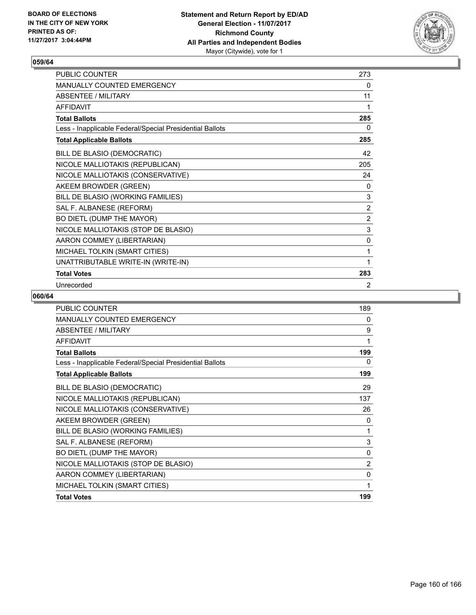

| PUBLIC COUNTER                                           | 273            |
|----------------------------------------------------------|----------------|
| <b>MANUALLY COUNTED EMERGENCY</b>                        | 0              |
| <b>ABSENTEE / MILITARY</b>                               | 11             |
| <b>AFFIDAVIT</b>                                         | 1              |
| <b>Total Ballots</b>                                     | 285            |
| Less - Inapplicable Federal/Special Presidential Ballots | 0              |
| <b>Total Applicable Ballots</b>                          | 285            |
| BILL DE BLASIO (DEMOCRATIC)                              | 42             |
| NICOLE MALLIOTAKIS (REPUBLICAN)                          | 205            |
| NICOLE MALLIOTAKIS (CONSERVATIVE)                        | 24             |
| AKEEM BROWDER (GREEN)                                    | 0              |
| BILL DE BLASIO (WORKING FAMILIES)                        | 3              |
| SAL F. ALBANESE (REFORM)                                 | $\overline{2}$ |
| BO DIETL (DUMP THE MAYOR)                                | $\overline{2}$ |
| NICOLE MALLIOTAKIS (STOP DE BLASIO)                      | 3              |
| AARON COMMEY (LIBERTARIAN)                               | 0              |
| MICHAEL TOLKIN (SMART CITIES)                            | 1              |
| UNATTRIBUTABLE WRITE-IN (WRITE-IN)                       | 1              |
| <b>Total Votes</b>                                       | 283            |
| Unrecorded                                               | 2              |

| <b>PUBLIC COUNTER</b>                                    | 189            |
|----------------------------------------------------------|----------------|
| <b>MANUALLY COUNTED EMERGENCY</b>                        | 0              |
| <b>ABSENTEE / MILITARY</b>                               | 9              |
| <b>AFFIDAVIT</b>                                         | 1              |
| <b>Total Ballots</b>                                     | 199            |
| Less - Inapplicable Federal/Special Presidential Ballots | 0              |
| <b>Total Applicable Ballots</b>                          | 199            |
| BILL DE BLASIO (DEMOCRATIC)                              | 29             |
| NICOLE MALLIOTAKIS (REPUBLICAN)                          | 137            |
| NICOLE MALLIOTAKIS (CONSERVATIVE)                        | 26             |
| AKEEM BROWDER (GREEN)                                    | 0              |
| BILL DE BLASIO (WORKING FAMILIES)                        | 1              |
| SAL F. ALBANESE (REFORM)                                 | 3              |
| BO DIETL (DUMP THE MAYOR)                                | 0              |
| NICOLE MALLIOTAKIS (STOP DE BLASIO)                      | $\overline{2}$ |
| AARON COMMEY (LIBERTARIAN)                               | 0              |
| MICHAEL TOLKIN (SMART CITIES)                            | 1              |
| <b>Total Votes</b>                                       | 199            |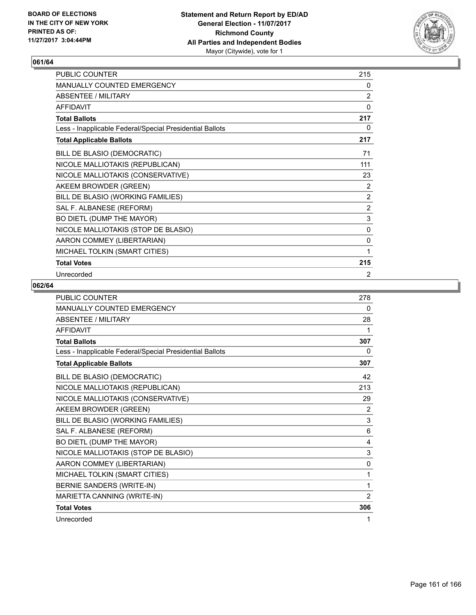

| PUBLIC COUNTER                                           | 215            |
|----------------------------------------------------------|----------------|
| MANUALLY COUNTED EMERGENCY                               | 0              |
| <b>ABSENTEE / MILITARY</b>                               | $\overline{2}$ |
| <b>AFFIDAVIT</b>                                         | $\Omega$       |
| <b>Total Ballots</b>                                     | 217            |
| Less - Inapplicable Federal/Special Presidential Ballots | 0              |
| <b>Total Applicable Ballots</b>                          | 217            |
| BILL DE BLASIO (DEMOCRATIC)                              | 71             |
| NICOLE MALLIOTAKIS (REPUBLICAN)                          | 111            |
| NICOLE MALLIOTAKIS (CONSERVATIVE)                        | 23             |
| AKEEM BROWDER (GREEN)                                    | $\overline{2}$ |
| BILL DE BLASIO (WORKING FAMILIES)                        | $\overline{2}$ |
| SAL F. ALBANESE (REFORM)                                 | $\overline{2}$ |
| BO DIETL (DUMP THE MAYOR)                                | 3              |
| NICOLE MALLIOTAKIS (STOP DE BLASIO)                      | 0              |
| AARON COMMEY (LIBERTARIAN)                               | 0              |
| MICHAEL TOLKIN (SMART CITIES)                            | 1              |
| <b>Total Votes</b>                                       | 215            |
| Unrecorded                                               | 2              |

| <b>PUBLIC COUNTER</b>                                    | 278            |
|----------------------------------------------------------|----------------|
| MANUALLY COUNTED EMERGENCY                               | 0              |
| <b>ABSENTEE / MILITARY</b>                               | 28             |
| <b>AFFIDAVIT</b>                                         | 1              |
| <b>Total Ballots</b>                                     | 307            |
| Less - Inapplicable Federal/Special Presidential Ballots | 0              |
| <b>Total Applicable Ballots</b>                          | 307            |
| BILL DE BLASIO (DEMOCRATIC)                              | 42             |
| NICOLE MALLIOTAKIS (REPUBLICAN)                          | 213            |
| NICOLE MALLIOTAKIS (CONSERVATIVE)                        | 29             |
| AKEEM BROWDER (GREEN)                                    | 2              |
| BILL DE BLASIO (WORKING FAMILIES)                        | 3              |
| SAL F. ALBANESE (REFORM)                                 | 6              |
| BO DIETL (DUMP THE MAYOR)                                | 4              |
| NICOLE MALLIOTAKIS (STOP DE BLASIO)                      | 3              |
| AARON COMMEY (LIBERTARIAN)                               | 0              |
| MICHAEL TOLKIN (SMART CITIES)                            | 1              |
| BERNIE SANDERS (WRITE-IN)                                | 1              |
| MARIETTA CANNING (WRITE-IN)                              | $\overline{2}$ |
| <b>Total Votes</b>                                       | 306            |
| Unrecorded                                               | 1              |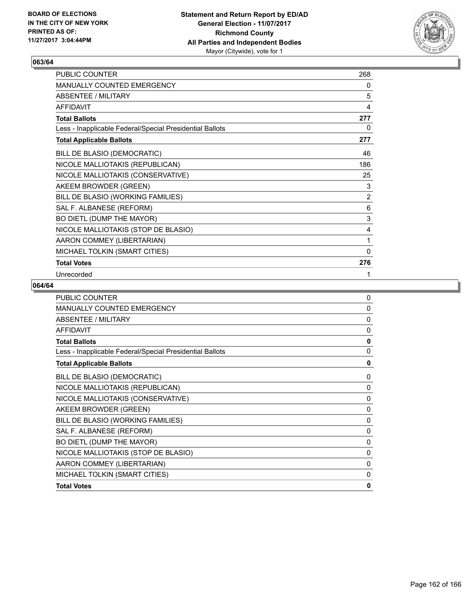

| PUBLIC COUNTER                                           | 268            |
|----------------------------------------------------------|----------------|
| MANUALLY COUNTED EMERGENCY                               | 0              |
| <b>ABSENTEE / MILITARY</b>                               | 5              |
| <b>AFFIDAVIT</b>                                         | 4              |
| <b>Total Ballots</b>                                     | 277            |
| Less - Inapplicable Federal/Special Presidential Ballots | 0              |
| <b>Total Applicable Ballots</b>                          | 277            |
| BILL DE BLASIO (DEMOCRATIC)                              | 46             |
| NICOLE MALLIOTAKIS (REPUBLICAN)                          | 186            |
| NICOLE MALLIOTAKIS (CONSERVATIVE)                        | 25             |
| AKEEM BROWDER (GREEN)                                    | 3              |
| BILL DE BLASIO (WORKING FAMILIES)                        | $\overline{2}$ |
| SAL F. ALBANESE (REFORM)                                 | 6              |
| BO DIETL (DUMP THE MAYOR)                                | $\mathsf 3$    |
| NICOLE MALLIOTAKIS (STOP DE BLASIO)                      | 4              |
| AARON COMMEY (LIBERTARIAN)                               | 1              |
| MICHAEL TOLKIN (SMART CITIES)                            | $\mathbf{0}$   |
| <b>Total Votes</b>                                       | 276            |
| Unrecorded                                               | 1              |

| <b>PUBLIC COUNTER</b>                                    | $\mathbf{0}$ |
|----------------------------------------------------------|--------------|
| <b>MANUALLY COUNTED EMERGENCY</b>                        | 0            |
| ABSENTEE / MILITARY                                      | $\mathbf{0}$ |
| <b>AFFIDAVIT</b>                                         | $\mathbf{0}$ |
| <b>Total Ballots</b>                                     | $\mathbf{0}$ |
| Less - Inapplicable Federal/Special Presidential Ballots | $\Omega$     |
| <b>Total Applicable Ballots</b>                          | 0            |
| BILL DE BLASIO (DEMOCRATIC)                              | 0            |
| NICOLE MALLIOTAKIS (REPUBLICAN)                          | 0            |
| NICOLE MALLIOTAKIS (CONSERVATIVE)                        | 0            |
| AKEEM BROWDER (GREEN)                                    | 0            |
| BILL DE BLASIO (WORKING FAMILIES)                        | 0            |
| SAL F. ALBANESE (REFORM)                                 | 0            |
| BO DIETL (DUMP THE MAYOR)                                | 0            |
| NICOLE MALLIOTAKIS (STOP DE BLASIO)                      | 0            |
| AARON COMMEY (LIBERTARIAN)                               | 0            |
| MICHAEL TOLKIN (SMART CITIES)                            | 0            |
| <b>Total Votes</b>                                       | $\mathbf{0}$ |
|                                                          |              |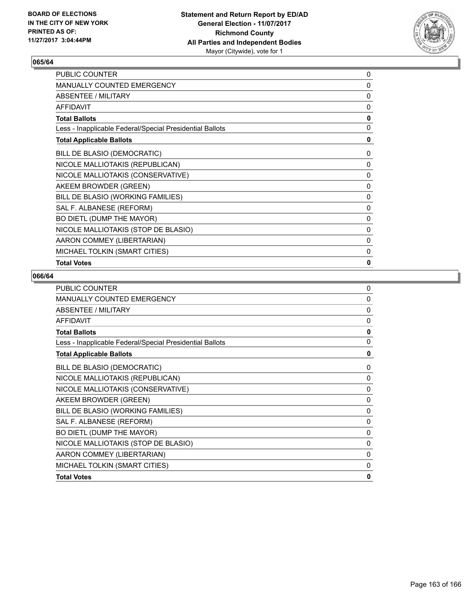

| PUBLIC COUNTER                                           | 0 |
|----------------------------------------------------------|---|
| MANUALLY COUNTED EMERGENCY                               | 0 |
| ABSENTEE / MILITARY                                      | 0 |
| <b>AFFIDAVIT</b>                                         | 0 |
| <b>Total Ballots</b>                                     | 0 |
| Less - Inapplicable Federal/Special Presidential Ballots | 0 |
| <b>Total Applicable Ballots</b>                          | 0 |
| BILL DE BLASIO (DEMOCRATIC)                              | 0 |
| NICOLE MALLIOTAKIS (REPUBLICAN)                          | 0 |
| NICOLE MALLIOTAKIS (CONSERVATIVE)                        | 0 |
| AKEEM BROWDER (GREEN)                                    | 0 |
| BILL DE BLASIO (WORKING FAMILIES)                        | 0 |
| SAL F. ALBANESE (REFORM)                                 | 0 |
| BO DIETL (DUMP THE MAYOR)                                | 0 |
| NICOLE MALLIOTAKIS (STOP DE BLASIO)                      | 0 |
| AARON COMMEY (LIBERTARIAN)                               | 0 |
| MICHAEL TOLKIN (SMART CITIES)                            | 0 |
| <b>Total Votes</b>                                       | 0 |

| <b>PUBLIC COUNTER</b>                                    | $\Omega$     |
|----------------------------------------------------------|--------------|
| <b>MANUALLY COUNTED EMERGENCY</b>                        | 0            |
| <b>ABSENTEE / MILITARY</b>                               | $\mathbf{0}$ |
| <b>AFFIDAVIT</b>                                         | $\mathbf{0}$ |
| <b>Total Ballots</b>                                     | $\mathbf{0}$ |
| Less - Inapplicable Federal/Special Presidential Ballots | $\Omega$     |
| <b>Total Applicable Ballots</b>                          | 0            |
| BILL DE BLASIO (DEMOCRATIC)                              | 0            |
| NICOLE MALLIOTAKIS (REPUBLICAN)                          | 0            |
| NICOLE MALLIOTAKIS (CONSERVATIVE)                        | 0            |
| AKEEM BROWDER (GREEN)                                    | 0            |
| BILL DE BLASIO (WORKING FAMILIES)                        | 0            |
| SAL F. ALBANESE (REFORM)                                 | 0            |
| BO DIETL (DUMP THE MAYOR)                                | 0            |
| NICOLE MALLIOTAKIS (STOP DE BLASIO)                      | 0            |
| AARON COMMEY (LIBERTARIAN)                               | 0            |
| MICHAEL TOLKIN (SMART CITIES)                            | 0            |
| <b>Total Votes</b>                                       | $\mathbf{0}$ |
|                                                          |              |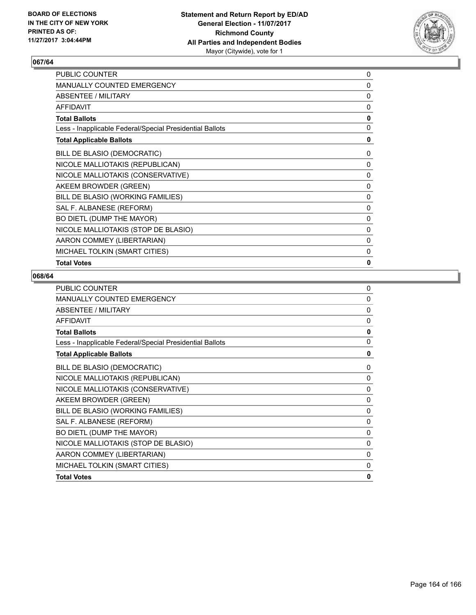

| PUBLIC COUNTER                                           | 0            |
|----------------------------------------------------------|--------------|
| <b>MANUALLY COUNTED EMERGENCY</b>                        | 0            |
| ABSENTEE / MILITARY                                      | 0            |
| <b>AFFIDAVIT</b>                                         | 0            |
| <b>Total Ballots</b>                                     | 0            |
| Less - Inapplicable Federal/Special Presidential Ballots | 0            |
| <b>Total Applicable Ballots</b>                          | 0            |
| BILL DE BLASIO (DEMOCRATIC)                              | 0            |
| NICOLE MALLIOTAKIS (REPUBLICAN)                          | 0            |
| NICOLE MALLIOTAKIS (CONSERVATIVE)                        | 0            |
| AKEEM BROWDER (GREEN)                                    | $\mathbf{0}$ |
| BILL DE BLASIO (WORKING FAMILIES)                        | 0            |
| SAL F. ALBANESE (REFORM)                                 | 0            |
| BO DIETL (DUMP THE MAYOR)                                | 0            |
| NICOLE MALLIOTAKIS (STOP DE BLASIO)                      | 0            |
| AARON COMMEY (LIBERTARIAN)                               | 0            |
| MICHAEL TOLKIN (SMART CITIES)                            | 0            |
| <b>Total Votes</b>                                       | 0            |

| <b>PUBLIC COUNTER</b>                                    | $\Omega$     |
|----------------------------------------------------------|--------------|
| <b>MANUALLY COUNTED EMERGENCY</b>                        | 0            |
| <b>ABSENTEE / MILITARY</b>                               | $\mathbf{0}$ |
| <b>AFFIDAVIT</b>                                         | $\mathbf{0}$ |
| <b>Total Ballots</b>                                     | $\mathbf{0}$ |
| Less - Inapplicable Federal/Special Presidential Ballots | $\Omega$     |
| <b>Total Applicable Ballots</b>                          | 0            |
| BILL DE BLASIO (DEMOCRATIC)                              | 0            |
| NICOLE MALLIOTAKIS (REPUBLICAN)                          | 0            |
| NICOLE MALLIOTAKIS (CONSERVATIVE)                        | 0            |
| AKEEM BROWDER (GREEN)                                    | 0            |
| BILL DE BLASIO (WORKING FAMILIES)                        | 0            |
| SAL F. ALBANESE (REFORM)                                 | 0            |
| BO DIETL (DUMP THE MAYOR)                                | 0            |
| NICOLE MALLIOTAKIS (STOP DE BLASIO)                      | 0            |
| AARON COMMEY (LIBERTARIAN)                               | 0            |
| MICHAEL TOLKIN (SMART CITIES)                            | 0            |
| <b>Total Votes</b>                                       | $\mathbf{0}$ |
|                                                          |              |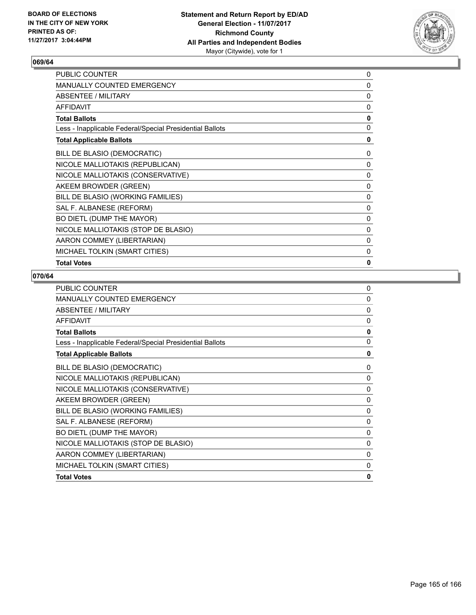

| <b>PUBLIC COUNTER</b>                                    | 0 |
|----------------------------------------------------------|---|
| <b>MANUALLY COUNTED EMERGENCY</b>                        | 0 |
| ABSENTEE / MILITARY                                      | 0 |
| <b>AFFIDAVIT</b>                                         | 0 |
| <b>Total Ballots</b>                                     | 0 |
| Less - Inapplicable Federal/Special Presidential Ballots | 0 |
| <b>Total Applicable Ballots</b>                          | 0 |
| BILL DE BLASIO (DEMOCRATIC)                              | 0 |
| NICOLE MALLIOTAKIS (REPUBLICAN)                          | 0 |
| NICOLE MALLIOTAKIS (CONSERVATIVE)                        | 0 |
| AKEEM BROWDER (GREEN)                                    | 0 |
| BILL DE BLASIO (WORKING FAMILIES)                        | 0 |
| SAL F. ALBANESE (REFORM)                                 | 0 |
| BO DIETL (DUMP THE MAYOR)                                | 0 |
| NICOLE MALLIOTAKIS (STOP DE BLASIO)                      | 0 |
| AARON COMMEY (LIBERTARIAN)                               | 0 |
| MICHAEL TOLKIN (SMART CITIES)                            | 0 |
| <b>Total Votes</b>                                       | 0 |

| <b>PUBLIC COUNTER</b>                                    | $\Omega$     |
|----------------------------------------------------------|--------------|
| <b>MANUALLY COUNTED EMERGENCY</b>                        | 0            |
| <b>ABSENTEE / MILITARY</b>                               | $\mathbf{0}$ |
| <b>AFFIDAVIT</b>                                         | $\mathbf{0}$ |
| <b>Total Ballots</b>                                     | $\mathbf{0}$ |
| Less - Inapplicable Federal/Special Presidential Ballots | $\Omega$     |
| <b>Total Applicable Ballots</b>                          | 0            |
| BILL DE BLASIO (DEMOCRATIC)                              | 0            |
| NICOLE MALLIOTAKIS (REPUBLICAN)                          | 0            |
| NICOLE MALLIOTAKIS (CONSERVATIVE)                        | 0            |
| AKEEM BROWDER (GREEN)                                    | 0            |
| BILL DE BLASIO (WORKING FAMILIES)                        | 0            |
| SAL F. ALBANESE (REFORM)                                 | 0            |
| BO DIETL (DUMP THE MAYOR)                                | 0            |
| NICOLE MALLIOTAKIS (STOP DE BLASIO)                      | 0            |
| AARON COMMEY (LIBERTARIAN)                               | 0            |
| MICHAEL TOLKIN (SMART CITIES)                            | 0            |
| <b>Total Votes</b>                                       | $\mathbf{0}$ |
|                                                          |              |